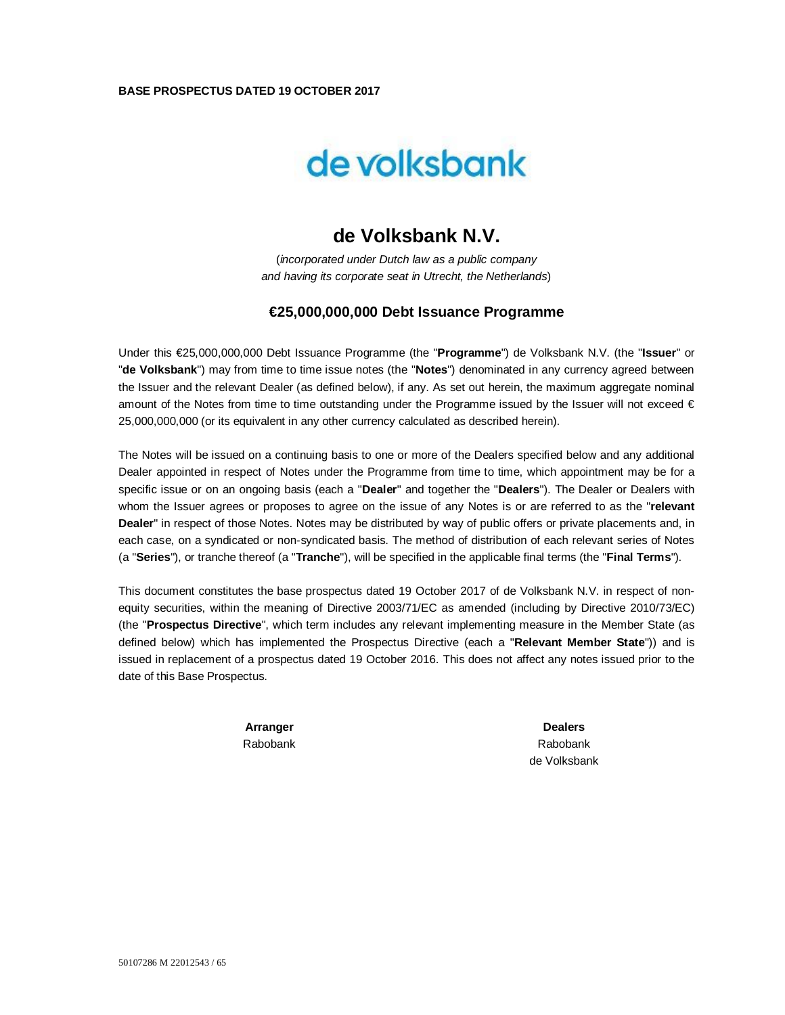### **BASE PROSPECTUS DATED 19 OCTOBER 2017**



# **de Volksbank N.V.**

(*incorporated under Dutch law as a public company and having its corporate seat in Utrecht, the Netherlands*)

## **€25,000,000,000 Debt Issuance Programme**

Under this €25,000,000,000 Debt Issuance Programme (the "**Programme**") de Volksbank N.V. (the "**Issuer**" or "**de Volksbank**") may from time to time issue notes (the "**Notes**") denominated in any currency agreed between the Issuer and the relevant Dealer (as defined below), if any. As set out herein, the maximum aggregate nominal amount of the Notes from time to time outstanding under the Programme issued by the Issuer will not exceed  $\epsilon$ 25,000,000,000 (or its equivalent in any other currency calculated as described herein).

The Notes will be issued on a continuing basis to one or more of the Dealers specified below and any additional Dealer appointed in respect of Notes under the Programme from time to time, which appointment may be for a specific issue or on an ongoing basis (each a "**Dealer**" and together the "**Dealers**"). The Dealer or Dealers with whom the Issuer agrees or proposes to agree on the issue of any Notes is or are referred to as the "**relevant Dealer**" in respect of those Notes. Notes may be distributed by way of public offers or private placements and, in each case, on a syndicated or non-syndicated basis. The method of distribution of each relevant series of Notes (a "**Series**"), or tranche thereof (a "**Tranche**"), will be specified in the applicable final terms (the "**Final Terms**").

This document constitutes the base prospectus dated 19 October 2017 of de Volksbank N.V. in respect of nonequity securities, within the meaning of Directive 2003/71/EC as amended (including by Directive 2010/73/EC) (the "**Prospectus Directive**", which term includes any relevant implementing measure in the Member State (as defined below) which has implemented the Prospectus Directive (each a "**Relevant Member State**")) and is issued in replacement of a prospectus dated 19 October 2016. This does not affect any notes issued prior to the date of this Base Prospectus.

> **Arranger** Rabobank

**Dealers** Rabobank de Volksbank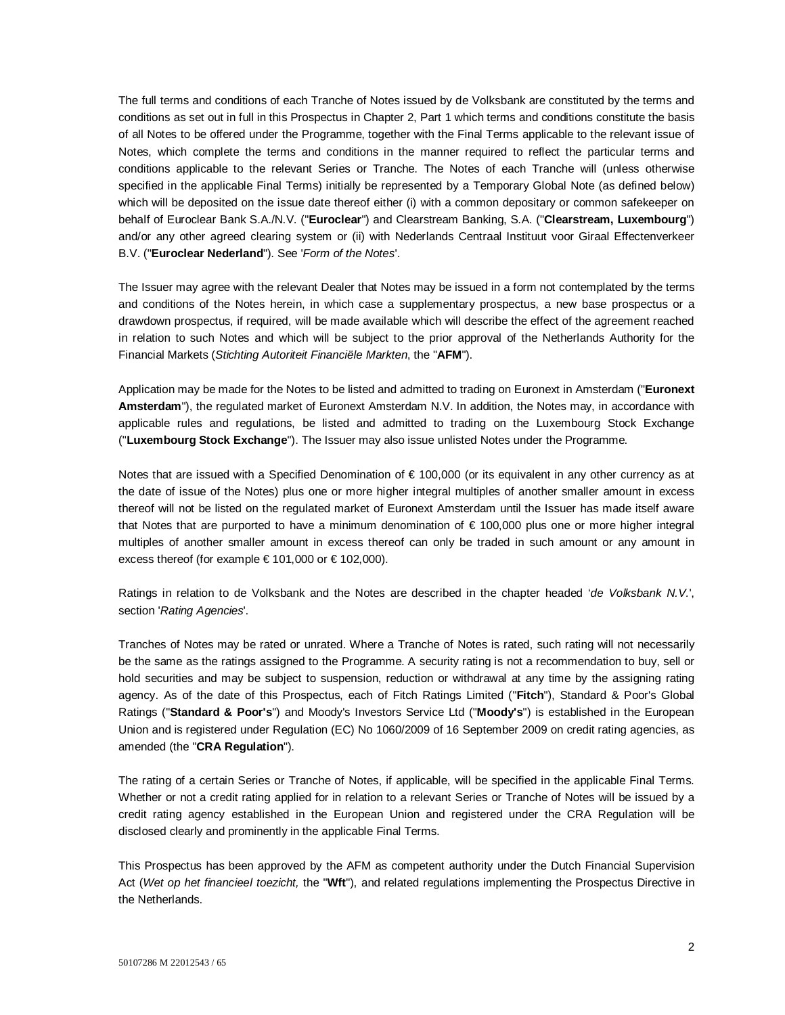The full terms and conditions of each Tranche of Notes issued by de Volksbank are constituted by the terms and conditions as set out in full in this Prospectus in Chapter 2, Part 1 which terms and conditions constitute the basis of all Notes to be offered under the Programme, together with the Final Terms applicable to the relevant issue of Notes, which complete the terms and conditions in the manner required to reflect the particular terms and conditions applicable to the relevant Series or Tranche. The Notes of each Tranche will (unless otherwise specified in the applicable Final Terms) initially be represented by a Temporary Global Note (as defined below) which will be deposited on the issue date thereof either (i) with a common depositary or common safekeeper on behalf of Euroclear Bank S.A./N.V. ("**Euroclear**") and Clearstream Banking, S.A. ("**Clearstream, Luxembourg**") and/or any other agreed clearing system or (ii) with Nederlands Centraal Instituut voor Giraal Effectenverkeer B.V. ("**Euroclear Nederland**"). See '*Form of the Notes*'.

The Issuer may agree with the relevant Dealer that Notes may be issued in a form not contemplated by the terms and conditions of the Notes herein, in which case a supplementary prospectus, a new base prospectus or a drawdown prospectus, if required, will be made available which will describe the effect of the agreement reached in relation to such Notes and which will be subject to the prior approval of the Netherlands Authority for the Financial Markets (*Stichting Autoriteit Financiële Markten*, the "**AFM**").

Application may be made for the Notes to be listed and admitted to trading on Euronext in Amsterdam ("**Euronext Amsterdam**"), the regulated market of Euronext Amsterdam N.V. In addition, the Notes may, in accordance with applicable rules and regulations, be listed and admitted to trading on the Luxembourg Stock Exchange ("**Luxembourg Stock Exchange**"). The Issuer may also issue unlisted Notes under the Programme.

Notes that are issued with a Specified Denomination of €100,000 (or its equivalent in any other currency as at the date of issue of the Notes) plus one or more higher integral multiples of another smaller amount in excess thereof will not be listed on the regulated market of Euronext Amsterdam until the Issuer has made itself aware that Notes that are purported to have a minimum denomination of € 100,000 plus one or more higher integral multiples of another smaller amount in excess thereof can only be traded in such amount or any amount in excess thereof (for example  $\in$  101,000 or  $\in$  102,000).

Ratings in relation to de Volksbank and the Notes are described in the chapter headed '*de Volksbank N.V.*', section '*Rating Agencies*'.

Tranches of Notes may be rated or unrated. Where a Tranche of Notes is rated, such rating will not necessarily be the same as the ratings assigned to the Programme. A security rating is not a recommendation to buy, sell or hold securities and may be subject to suspension, reduction or withdrawal at any time by the assigning rating agency. As of the date of this Prospectus, each of Fitch Ratings Limited ("**Fitch**"), Standard & Poor's Global Ratings ("**Standard & Poor's**") and Moody's Investors Service Ltd ("**Moody's**") is established in the European Union and is registered under Regulation (EC) No 1060/2009 of 16 September 2009 on credit rating agencies, as amended (the "**CRA Regulation**").

The rating of a certain Series or Tranche of Notes, if applicable, will be specified in the applicable Final Terms. Whether or not a credit rating applied for in relation to a relevant Series or Tranche of Notes will be issued by a credit rating agency established in the European Union and registered under the CRA Regulation will be disclosed clearly and prominently in the applicable Final Terms.

This Prospectus has been approved by the AFM as competent authority under the Dutch Financial Supervision Act (*Wet op het financieel toezicht,* the "**Wft**"), and related regulations implementing the Prospectus Directive in the Netherlands.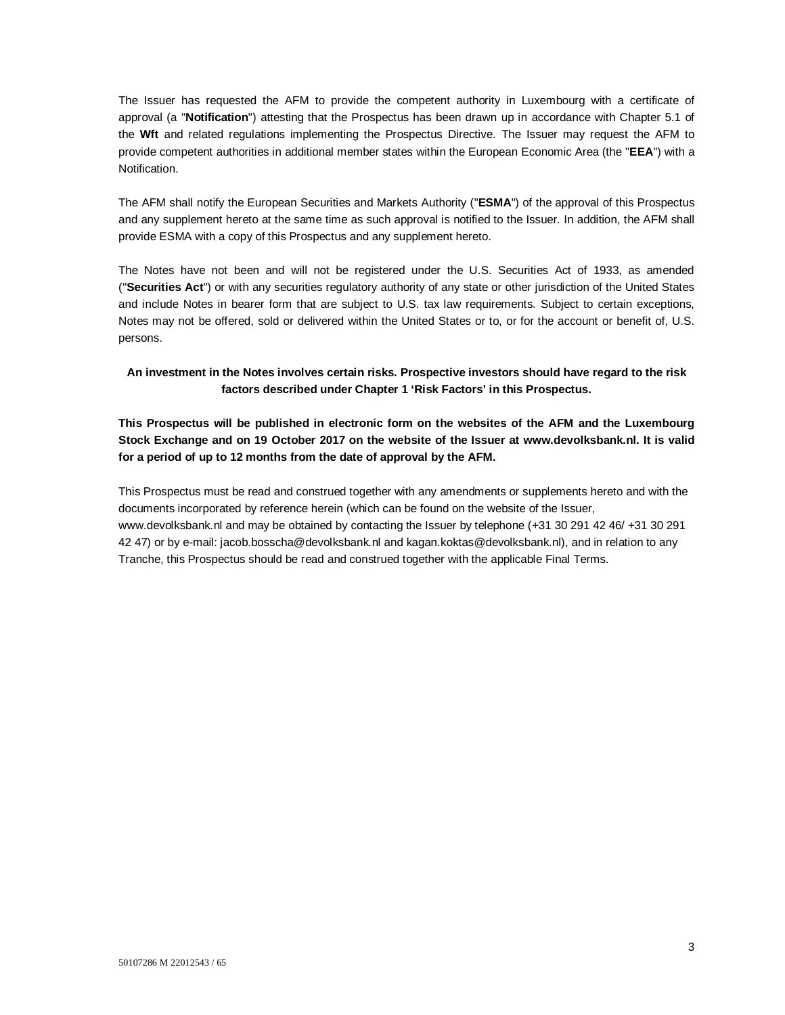The Issuer has requested the AFM to provide the competent authority in Luxembourg with a certificate of approval (a "**Notification**") attesting that the Prospectus has been drawn up in accordance with Chapter 5.1 of the **Wft** and related regulations implementing the Prospectus Directive. The Issuer may request the AFM to provide competent authorities in additional member states within the European Economic Area (the "**EEA**") with a Notification.

The AFM shall notify the European Securities and Markets Authority ("**ESMA**") of the approval of this Prospectus and any supplement hereto at the same time as such approval is notified to the Issuer. In addition, the AFM shall provide ESMA with a copy of this Prospectus and any supplement hereto.

The Notes have not been and will not be registered under the U.S. Securities Act of 1933, as amended ("**Securities Act**") or with any securities regulatory authority of any state or other jurisdiction of the United States and include Notes in bearer form that are subject to U.S. tax law requirements. Subject to certain exceptions, Notes may not be offered, sold or delivered within the United States or to, or for the account or benefit of, U.S. persons.

**An investment in the Notes involves certain risks. Prospective investors should have regard to the risk factors described under Chapter 1 'Risk Factors' in this Prospectus.**

**This Prospectus will be published in electronic form on the websites of the AFM and the Luxembourg Stock Exchange and on 19 October 2017 on the website of the Issuer at www.devolksbank.nl. It is valid for a period of up to 12 months from the date of approval by the AFM.**

This Prospectus must be read and construed together with any amendments or supplements hereto and with the documents incorporated by reference herein (which can be found on the website of the Issuer, www.devolksbank.nl and may be obtained by contacting the Issuer by telephone (+31 30 291 42 46/ +31 30 291 42 47) or by e-mail: jacob.bosscha@devolksbank.nl and kagan.koktas@devolksbank.nl), and in relation to any Tranche, this Prospectus should be read and construed together with the applicable Final Terms.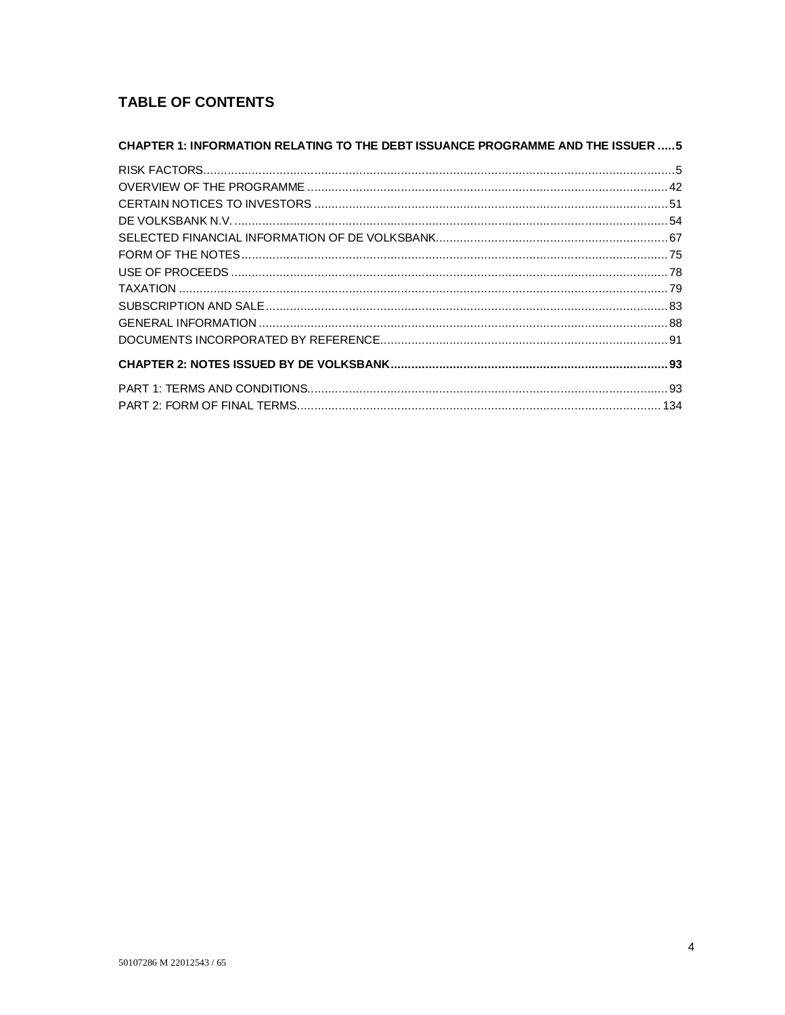# **TABLE OF CONTENTS**

| CHAPTER 1: INFORMATION RELATING TO THE DEBT ISSUANCE PROGRAMME AND THE ISSUER  5 |  |
|----------------------------------------------------------------------------------|--|
|                                                                                  |  |
|                                                                                  |  |
|                                                                                  |  |
|                                                                                  |  |
|                                                                                  |  |
|                                                                                  |  |
|                                                                                  |  |
|                                                                                  |  |
|                                                                                  |  |
|                                                                                  |  |
|                                                                                  |  |
|                                                                                  |  |
|                                                                                  |  |
|                                                                                  |  |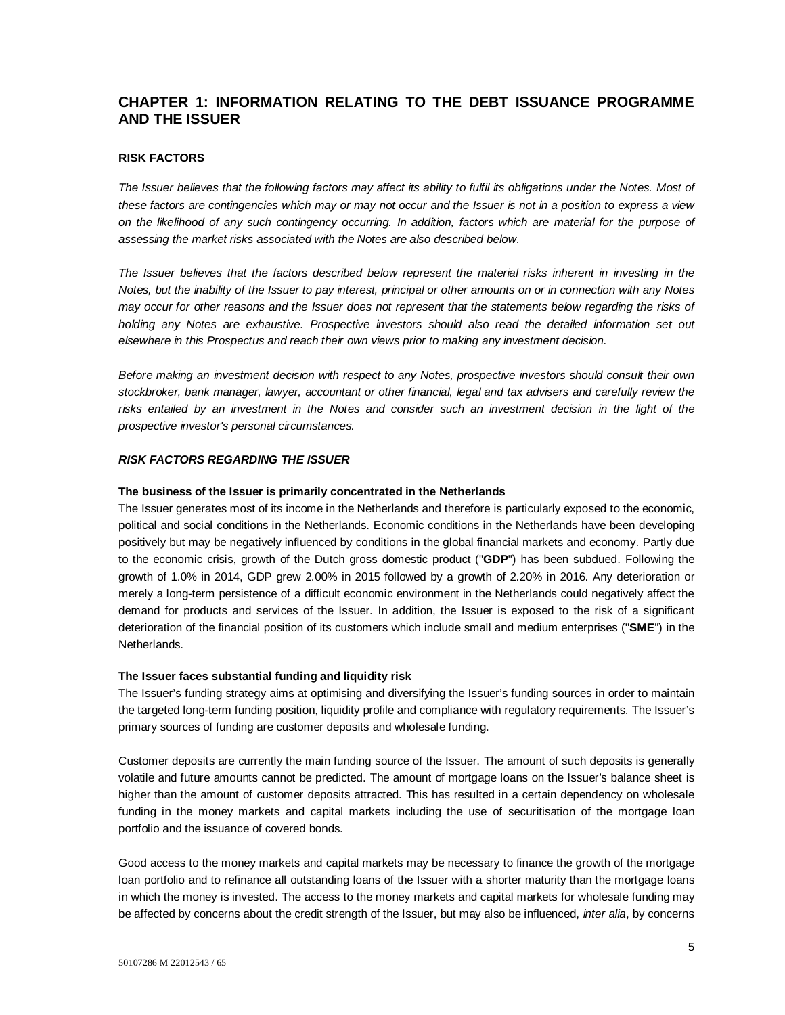# **CHAPTER 1: INFORMATION RELATING TO THE DEBT ISSUANCE PROGRAMME AND THE ISSUER**

### **RISK FACTORS**

*The Issuer believes that the following factors may affect its ability to fulfil its obligations under the Notes. Most of these factors are contingencies which may or may not occur and the Issuer is not in a position to express a view on the likelihood of any such contingency occurring. In addition, factors which are material for the purpose of assessing the market risks associated with the Notes are also described below.* 

*The Issuer believes that the factors described below represent the material risks inherent in investing in the Notes, but the inability of the Issuer to pay interest, principal or other amounts on or in connection with any Notes may occur for other reasons and the Issuer does not represent that the statements below regarding the risks of holding any Notes are exhaustive. Prospective investors should also read the detailed information set out elsewhere in this Prospectus and reach their own views prior to making any investment decision.*

*Before making an investment decision with respect to any Notes, prospective investors should consult their own stockbroker, bank manager, lawyer, accountant or other financial, legal and tax advisers and carefully review the*  risks entailed by an investment in the Notes and consider such an investment decision in the light of the *prospective investor's personal circumstances.*

### *RISK FACTORS REGARDING THE ISSUER*

#### **The business of the Issuer is primarily concentrated in the Netherlands**

The Issuer generates most of its income in the Netherlands and therefore is particularly exposed to the economic, political and social conditions in the Netherlands. Economic conditions in the Netherlands have been developing positively but may be negatively influenced by conditions in the global financial markets and economy. Partly due to the economic crisis, growth of the Dutch gross domestic product ("**GDP**") has been subdued. Following the growth of 1.0% in 2014, GDP grew 2.00% in 2015 followed by a growth of 2.20% in 2016. Any deterioration or merely a long-term persistence of a difficult economic environment in the Netherlands could negatively affect the demand for products and services of the Issuer. In addition, the Issuer is exposed to the risk of a significant deterioration of the financial position of its customers which include small and medium enterprises (''**SME**'') in the Netherlands.

### **The Issuer faces substantial funding and liquidity risk**

The Issuer's funding strategy aims at optimising and diversifying the Issuer's funding sources in order to maintain the targeted long-term funding position, liquidity profile and compliance with regulatory requirements. The Issuer's primary sources of funding are customer deposits and wholesale funding.

Customer deposits are currently the main funding source of the Issuer. The amount of such deposits is generally volatile and future amounts cannot be predicted. The amount of mortgage loans on the Issuer's balance sheet is higher than the amount of customer deposits attracted. This has resulted in a certain dependency on wholesale funding in the money markets and capital markets including the use of securitisation of the mortgage loan portfolio and the issuance of covered bonds.

Good access to the money markets and capital markets may be necessary to finance the growth of the mortgage loan portfolio and to refinance all outstanding loans of the Issuer with a shorter maturity than the mortgage loans in which the money is invested. The access to the money markets and capital markets for wholesale funding may be affected by concerns about the credit strength of the Issuer, but may also be influenced, *inter alia*, by concerns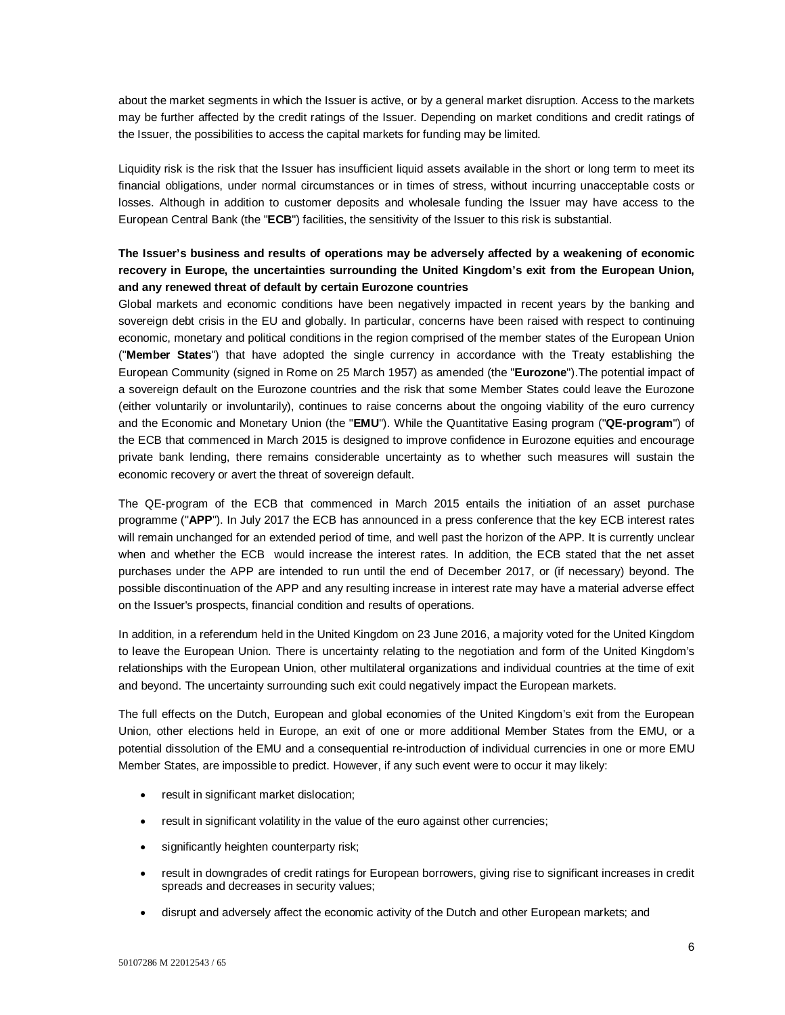about the market segments in which the Issuer is active, or by a general market disruption. Access to the markets may be further affected by the credit ratings of the Issuer. Depending on market conditions and credit ratings of the Issuer, the possibilities to access the capital markets for funding may be limited.

Liquidity risk is the risk that the Issuer has insufficient liquid assets available in the short or long term to meet its financial obligations, under normal circumstances or in times of stress, without incurring unacceptable costs or losses. Although in addition to customer deposits and wholesale funding the Issuer may have access to the European Central Bank (the "**ECB**") facilities, the sensitivity of the Issuer to this risk is substantial.

# **The Issuer's business and results of operations may be adversely affected by a weakening of economic recovery in Europe, the uncertainties surrounding the United Kingdom's exit from the European Union, and any renewed threat of default by certain Eurozone countries**

Global markets and economic conditions have been negatively impacted in recent years by the banking and sovereign debt crisis in the EU and globally. In particular, concerns have been raised with respect to continuing economic, monetary and political conditions in the region comprised of the member states of the European Union ("**Member States**") that have adopted the single currency in accordance with the Treaty establishing the European Community (signed in Rome on 25 March 1957) as amended (the "**Eurozone**").The potential impact of a sovereign default on the Eurozone countries and the risk that some Member States could leave the Eurozone (either voluntarily or involuntarily), continues to raise concerns about the ongoing viability of the euro currency and the Economic and Monetary Union (the "**EMU**"). While the Quantitative Easing program ("**QE-program**") of the ECB that commenced in March 2015 is designed to improve confidence in Eurozone equities and encourage private bank lending, there remains considerable uncertainty as to whether such measures will sustain the economic recovery or avert the threat of sovereign default.

The QE-program of the ECB that commenced in March 2015 entails the initiation of an asset purchase programme ("**APP**"). In July 2017 the ECB has announced in a press conference that the key ECB interest rates will remain unchanged for an extended period of time, and well past the horizon of the APP. It is currently unclear when and whether the ECB would increase the interest rates. In addition, the ECB stated that the net asset purchases under the APP are intended to run until the end of December 2017, or (if necessary) beyond. The possible discontinuation of the APP and any resulting increase in interest rate may have a material adverse effect on the Issuer's prospects, financial condition and results of operations.

In addition, in a referendum held in the United Kingdom on 23 June 2016, a majority voted for the United Kingdom to leave the European Union. There is uncertainty relating to the negotiation and form of the United Kingdom's relationships with the European Union, other multilateral organizations and individual countries at the time of exit and beyond. The uncertainty surrounding such exit could negatively impact the European markets.

The full effects on the Dutch, European and global economies of the United Kingdom's exit from the European Union, other elections held in Europe, an exit of one or more additional Member States from the EMU, or a potential dissolution of the EMU and a consequential re-introduction of individual currencies in one or more EMU Member States, are impossible to predict. However, if any such event were to occur it may likely:

- result in significant market dislocation;
- result in significant volatility in the value of the euro against other currencies;
- significantly heighten counterparty risk;
- result in downgrades of credit ratings for European borrowers, giving rise to significant increases in credit spreads and decreases in security values;
- disrupt and adversely affect the economic activity of the Dutch and other European markets; and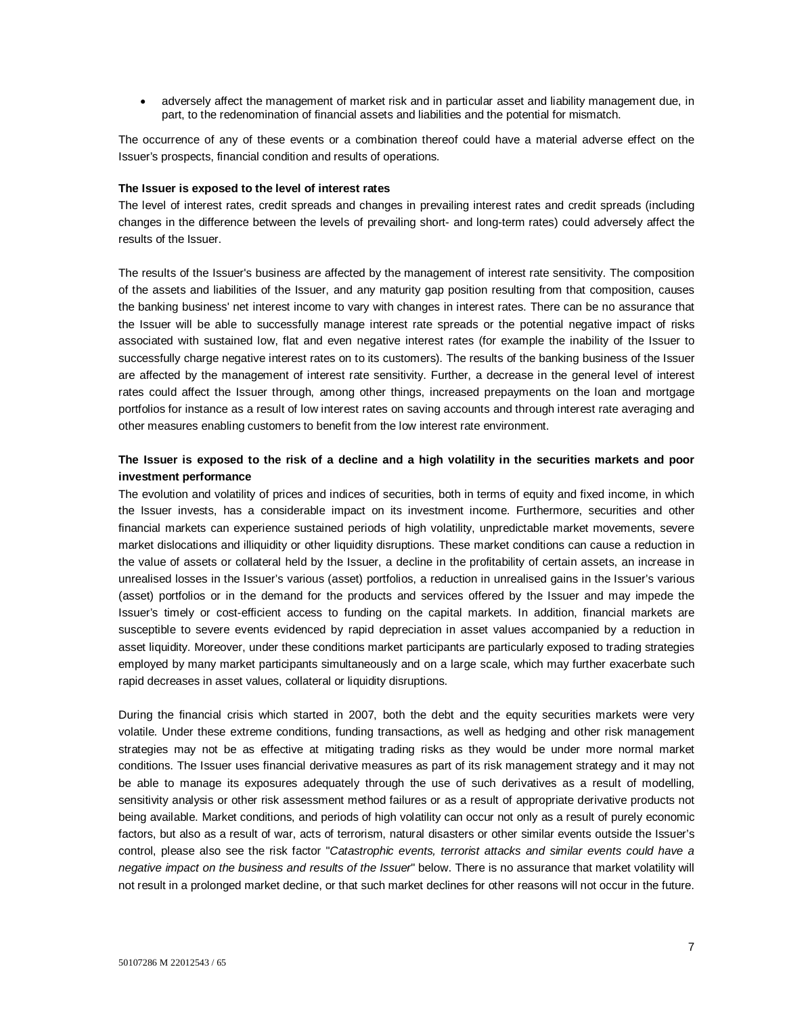adversely affect the management of market risk and in particular asset and liability management due, in part, to the redenomination of financial assets and liabilities and the potential for mismatch.

The occurrence of any of these events or a combination thereof could have a material adverse effect on the Issuer's prospects, financial condition and results of operations.

#### **The Issuer is exposed to the level of interest rates**

The level of interest rates, credit spreads and changes in prevailing interest rates and credit spreads (including changes in the difference between the levels of prevailing short- and long-term rates) could adversely affect the results of the Issuer.

The results of the Issuer's business are affected by the management of interest rate sensitivity. The composition of the assets and liabilities of the Issuer, and any maturity gap position resulting from that composition, causes the banking business' net interest income to vary with changes in interest rates. There can be no assurance that the Issuer will be able to successfully manage interest rate spreads or the potential negative impact of risks associated with sustained low, flat and even negative interest rates (for example the inability of the Issuer to successfully charge negative interest rates on to its customers). The results of the banking business of the Issuer are affected by the management of interest rate sensitivity. Further, a decrease in the general level of interest rates could affect the Issuer through, among other things, increased prepayments on the loan and mortgage portfolios for instance as a result of low interest rates on saving accounts and through interest rate averaging and other measures enabling customers to benefit from the low interest rate environment.

### **The Issuer is exposed to the risk of a decline and a high volatility in the securities markets and poor investment performance**

The evolution and volatility of prices and indices of securities, both in terms of equity and fixed income, in which the Issuer invests, has a considerable impact on its investment income. Furthermore, securities and other financial markets can experience sustained periods of high volatility, unpredictable market movements, severe market dislocations and illiquidity or other liquidity disruptions. These market conditions can cause a reduction in the value of assets or collateral held by the Issuer, a decline in the profitability of certain assets, an increase in unrealised losses in the Issuer's various (asset) portfolios, a reduction in unrealised gains in the Issuer's various (asset) portfolios or in the demand for the products and services offered by the Issuer and may impede the Issuer's timely or cost-efficient access to funding on the capital markets. In addition, financial markets are susceptible to severe events evidenced by rapid depreciation in asset values accompanied by a reduction in asset liquidity. Moreover, under these conditions market participants are particularly exposed to trading strategies employed by many market participants simultaneously and on a large scale, which may further exacerbate such rapid decreases in asset values, collateral or liquidity disruptions.

During the financial crisis which started in 2007, both the debt and the equity securities markets were very volatile. Under these extreme conditions, funding transactions, as well as hedging and other risk management strategies may not be as effective at mitigating trading risks as they would be under more normal market conditions. The Issuer uses financial derivative measures as part of its risk management strategy and it may not be able to manage its exposures adequately through the use of such derivatives as a result of modelling, sensitivity analysis or other risk assessment method failures or as a result of appropriate derivative products not being available. Market conditions, and periods of high volatility can occur not only as a result of purely economic factors, but also as a result of war, acts of terrorism, natural disasters or other similar events outside the Issuer's control, please also see the risk factor "*Catastrophic events, terrorist attacks and similar events could have a negative impact on the business and results of the Issuer*" below. There is no assurance that market volatility will not result in a prolonged market decline, or that such market declines for other reasons will not occur in the future.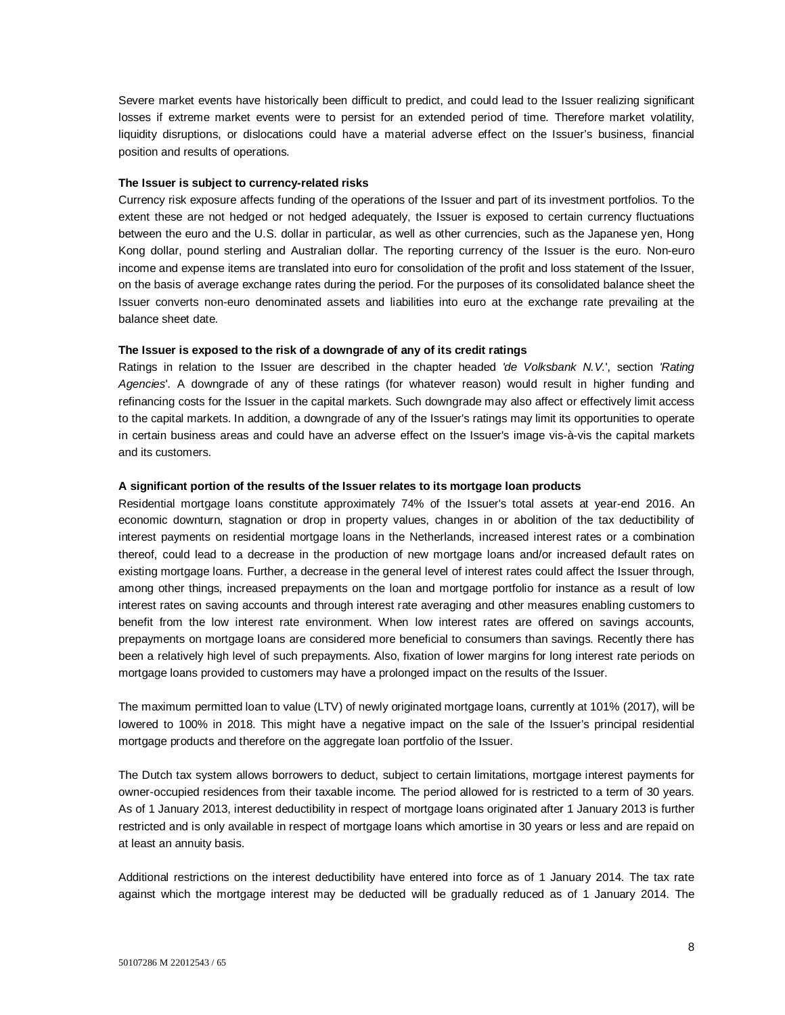Severe market events have historically been difficult to predict, and could lead to the Issuer realizing significant losses if extreme market events were to persist for an extended period of time. Therefore market volatility, liquidity disruptions, or dislocations could have a material adverse effect on the Issuer's business, financial position and results of operations.

### **The Issuer is subject to currency-related risks**

Currency risk exposure affects funding of the operations of the Issuer and part of its investment portfolios. To the extent these are not hedged or not hedged adequately, the Issuer is exposed to certain currency fluctuations between the euro and the U.S. dollar in particular, as well as other currencies, such as the Japanese yen, Hong Kong dollar, pound sterling and Australian dollar. The reporting currency of the Issuer is the euro. Non-euro income and expense items are translated into euro for consolidation of the profit and loss statement of the Issuer, on the basis of average exchange rates during the period. For the purposes of its consolidated balance sheet the Issuer converts non-euro denominated assets and liabilities into euro at the exchange rate prevailing at the balance sheet date.

#### **The Issuer is exposed to the risk of a downgrade of any of its credit ratings**

Ratings in relation to the Issuer are described in the chapter headed *'de Volksbank N.V.*', section *'Rating Agencies*'. A downgrade of any of these ratings (for whatever reason) would result in higher funding and refinancing costs for the Issuer in the capital markets. Such downgrade may also affect or effectively limit access to the capital markets. In addition, a downgrade of any of the Issuer's ratings may limit its opportunities to operate in certain business areas and could have an adverse effect on the Issuer's image vis-à-vis the capital markets and its customers.

#### **A significant portion of the results of the Issuer relates to its mortgage loan products**

Residential mortgage loans constitute approximately 74% of the Issuer's total assets at year-end 2016. An economic downturn, stagnation or drop in property values, changes in or abolition of the tax deductibility of interest payments on residential mortgage loans in the Netherlands, increased interest rates or a combination thereof, could lead to a decrease in the production of new mortgage loans and/or increased default rates on existing mortgage loans. Further, a decrease in the general level of interest rates could affect the Issuer through, among other things, increased prepayments on the loan and mortgage portfolio for instance as a result of low interest rates on saving accounts and through interest rate averaging and other measures enabling customers to benefit from the low interest rate environment. When low interest rates are offered on savings accounts, prepayments on mortgage loans are considered more beneficial to consumers than savings. Recently there has been a relatively high level of such prepayments. Also, fixation of lower margins for long interest rate periods on mortgage loans provided to customers may have a prolonged impact on the results of the Issuer.

The maximum permitted loan to value (LTV) of newly originated mortgage loans, currently at 101% (2017), will be lowered to 100% in 2018. This might have a negative impact on the sale of the Issuer's principal residential mortgage products and therefore on the aggregate loan portfolio of the Issuer.

The Dutch tax system allows borrowers to deduct, subject to certain limitations, mortgage interest payments for owner-occupied residences from their taxable income. The period allowed for is restricted to a term of 30 years. As of 1 January 2013, interest deductibility in respect of mortgage loans originated after 1 January 2013 is further restricted and is only available in respect of mortgage loans which amortise in 30 years or less and are repaid on at least an annuity basis.

Additional restrictions on the interest deductibility have entered into force as of 1 January 2014. The tax rate against which the mortgage interest may be deducted will be gradually reduced as of 1 January 2014. The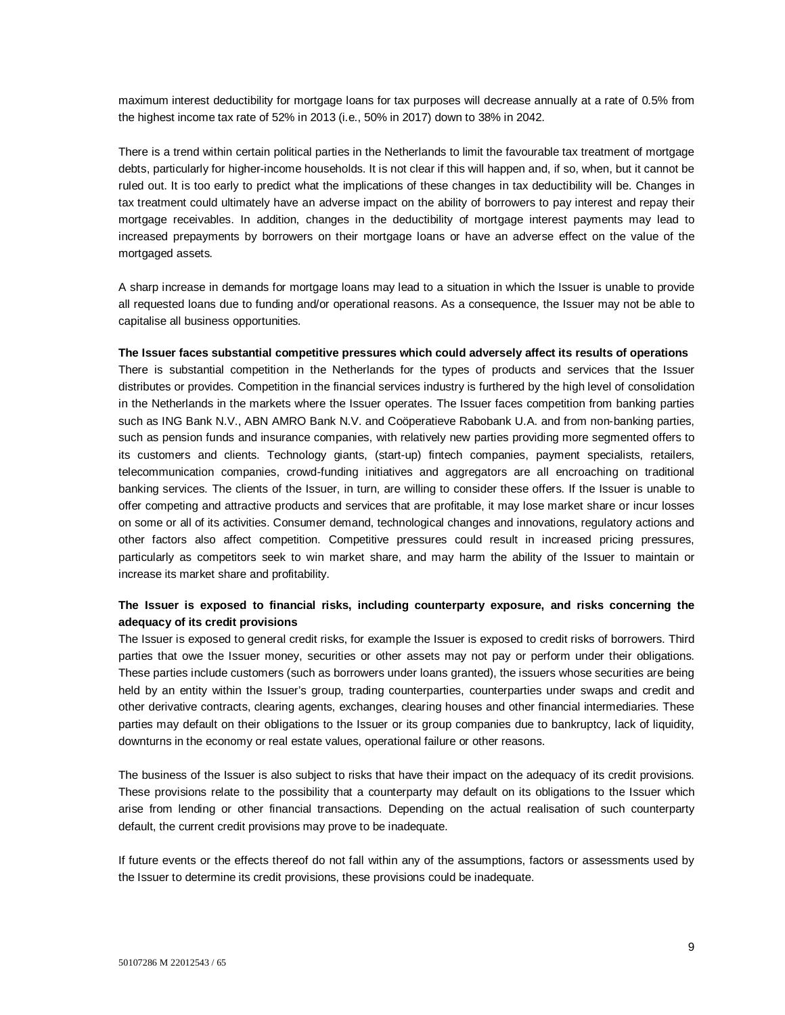maximum interest deductibility for mortgage loans for tax purposes will decrease annually at a rate of 0.5% from the highest income tax rate of 52% in 2013 (i.e., 50% in 2017) down to 38% in 2042.

There is a trend within certain political parties in the Netherlands to limit the favourable tax treatment of mortgage debts, particularly for higher-income households. It is not clear if this will happen and, if so, when, but it cannot be ruled out. It is too early to predict what the implications of these changes in tax deductibility will be. Changes in tax treatment could ultimately have an adverse impact on the ability of borrowers to pay interest and repay their mortgage receivables. In addition, changes in the deductibility of mortgage interest payments may lead to increased prepayments by borrowers on their mortgage loans or have an adverse effect on the value of the mortgaged assets.

A sharp increase in demands for mortgage loans may lead to a situation in which the Issuer is unable to provide all requested loans due to funding and/or operational reasons. As a consequence, the Issuer may not be able to capitalise all business opportunities.

### **The Issuer faces substantial competitive pressures which could adversely affect its results of operations**

There is substantial competition in the Netherlands for the types of products and services that the Issuer distributes or provides. Competition in the financial services industry is furthered by the high level of consolidation in the Netherlands in the markets where the Issuer operates. The Issuer faces competition from banking parties such as ING Bank N.V., ABN AMRO Bank N.V. and Coöperatieve Rabobank U.A. and from non-banking parties, such as pension funds and insurance companies, with relatively new parties providing more segmented offers to its customers and clients. Technology giants, (start-up) fintech companies, payment specialists, retailers, telecommunication companies, crowd-funding initiatives and aggregators are all encroaching on traditional banking services. The clients of the Issuer, in turn, are willing to consider these offers. If the Issuer is unable to offer competing and attractive products and services that are profitable, it may lose market share or incur losses on some or all of its activities. Consumer demand, technological changes and innovations, regulatory actions and other factors also affect competition. Competitive pressures could result in increased pricing pressures, particularly as competitors seek to win market share, and may harm the ability of the Issuer to maintain or increase its market share and profitability.

## **The Issuer is exposed to financial risks, including counterparty exposure, and risks concerning the adequacy of its credit provisions**

The Issuer is exposed to general credit risks, for example the Issuer is exposed to credit risks of borrowers. Third parties that owe the Issuer money, securities or other assets may not pay or perform under their obligations. These parties include customers (such as borrowers under loans granted), the issuers whose securities are being held by an entity within the Issuer's group, trading counterparties, counterparties under swaps and credit and other derivative contracts, clearing agents, exchanges, clearing houses and other financial intermediaries. These parties may default on their obligations to the Issuer or its group companies due to bankruptcy, lack of liquidity, downturns in the economy or real estate values, operational failure or other reasons.

The business of the Issuer is also subject to risks that have their impact on the adequacy of its credit provisions. These provisions relate to the possibility that a counterparty may default on its obligations to the Issuer which arise from lending or other financial transactions. Depending on the actual realisation of such counterparty default, the current credit provisions may prove to be inadequate.

If future events or the effects thereof do not fall within any of the assumptions, factors or assessments used by the Issuer to determine its credit provisions, these provisions could be inadequate.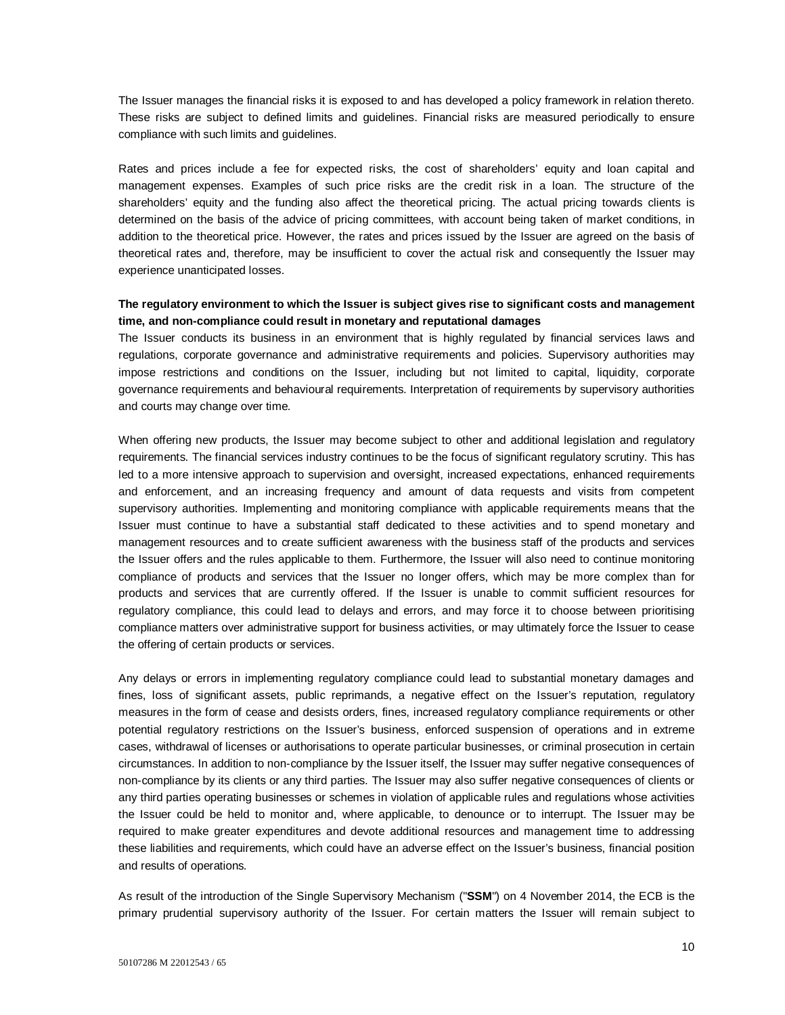The Issuer manages the financial risks it is exposed to and has developed a policy framework in relation thereto. These risks are subject to defined limits and guidelines. Financial risks are measured periodically to ensure compliance with such limits and guidelines.

Rates and prices include a fee for expected risks, the cost of shareholders' equity and loan capital and management expenses. Examples of such price risks are the credit risk in a loan. The structure of the shareholders' equity and the funding also affect the theoretical pricing. The actual pricing towards clients is determined on the basis of the advice of pricing committees, with account being taken of market conditions, in addition to the theoretical price. However, the rates and prices issued by the Issuer are agreed on the basis of theoretical rates and, therefore, may be insufficient to cover the actual risk and consequently the Issuer may experience unanticipated losses.

## **The regulatory environment to which the Issuer is subject gives rise to significant costs and management time, and non-compliance could result in monetary and reputational damages**

The Issuer conducts its business in an environment that is highly regulated by financial services laws and regulations, corporate governance and administrative requirements and policies. Supervisory authorities may impose restrictions and conditions on the Issuer, including but not limited to capital, liquidity, corporate governance requirements and behavioural requirements. Interpretation of requirements by supervisory authorities and courts may change over time.

When offering new products, the Issuer may become subject to other and additional legislation and regulatory requirements. The financial services industry continues to be the focus of significant regulatory scrutiny. This has led to a more intensive approach to supervision and oversight, increased expectations, enhanced requirements and enforcement, and an increasing frequency and amount of data requests and visits from competent supervisory authorities. Implementing and monitoring compliance with applicable requirements means that the Issuer must continue to have a substantial staff dedicated to these activities and to spend monetary and management resources and to create sufficient awareness with the business staff of the products and services the Issuer offers and the rules applicable to them. Furthermore, the Issuer will also need to continue monitoring compliance of products and services that the Issuer no longer offers, which may be more complex than for products and services that are currently offered. If the Issuer is unable to commit sufficient resources for regulatory compliance, this could lead to delays and errors, and may force it to choose between prioritising compliance matters over administrative support for business activities, or may ultimately force the Issuer to cease the offering of certain products or services.

Any delays or errors in implementing regulatory compliance could lead to substantial monetary damages and fines, loss of significant assets, public reprimands, a negative effect on the Issuer's reputation, regulatory measures in the form of cease and desists orders, fines, increased regulatory compliance requirements or other potential regulatory restrictions on the Issuer's business, enforced suspension of operations and in extreme cases, withdrawal of licenses or authorisations to operate particular businesses, or criminal prosecution in certain circumstances. In addition to non-compliance by the Issuer itself, the Issuer may suffer negative consequences of non-compliance by its clients or any third parties. The Issuer may also suffer negative consequences of clients or any third parties operating businesses or schemes in violation of applicable rules and regulations whose activities the Issuer could be held to monitor and, where applicable, to denounce or to interrupt. The Issuer may be required to make greater expenditures and devote additional resources and management time to addressing these liabilities and requirements, which could have an adverse effect on the Issuer's business, financial position and results of operations.

As result of the introduction of the Single Supervisory Mechanism ("**SSM**") on 4 November 2014, the ECB is the primary prudential supervisory authority of the Issuer. For certain matters the Issuer will remain subject to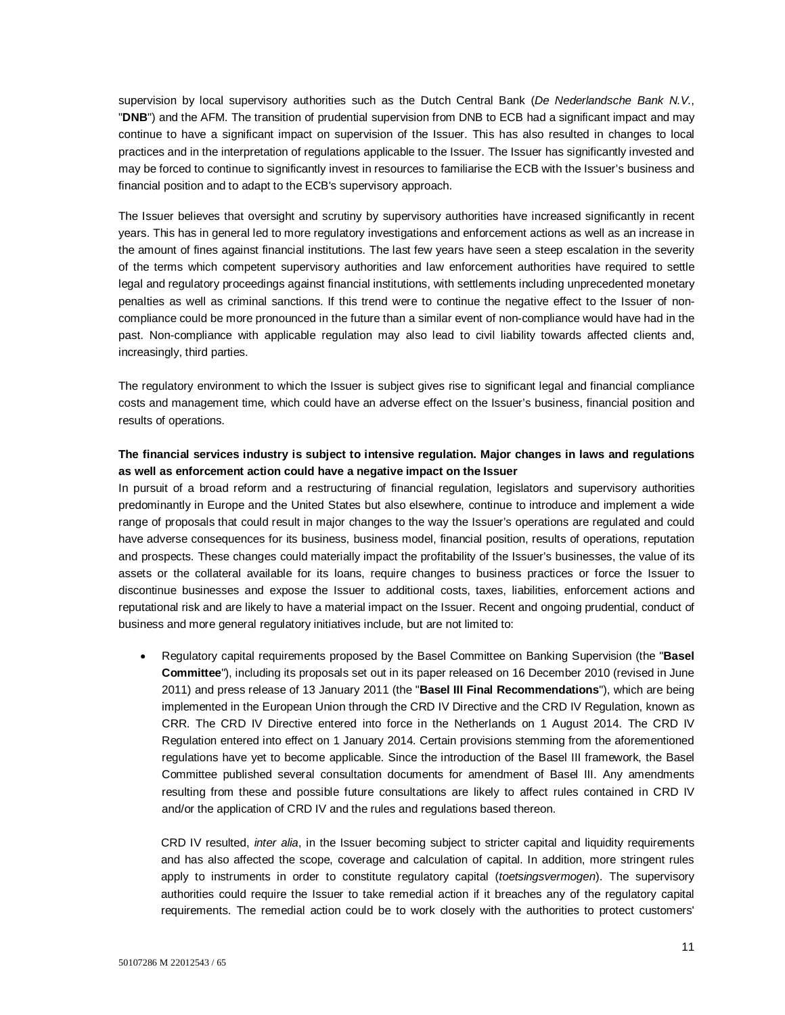supervision by local supervisory authorities such as the Dutch Central Bank (*De Nederlandsche Bank N.V.*, "**DNB**") and the AFM. The transition of prudential supervision from DNB to ECB had a significant impact and may continue to have a significant impact on supervision of the Issuer. This has also resulted in changes to local practices and in the interpretation of regulations applicable to the Issuer. The Issuer has significantly invested and may be forced to continue to significantly invest in resources to familiarise the ECB with the Issuer's business and financial position and to adapt to the ECB's supervisory approach.

The Issuer believes that oversight and scrutiny by supervisory authorities have increased significantly in recent years. This has in general led to more regulatory investigations and enforcement actions as well as an increase in the amount of fines against financial institutions. The last few years have seen a steep escalation in the severity of the terms which competent supervisory authorities and law enforcement authorities have required to settle legal and regulatory proceedings against financial institutions, with settlements including unprecedented monetary penalties as well as criminal sanctions. If this trend were to continue the negative effect to the Issuer of noncompliance could be more pronounced in the future than a similar event of non-compliance would have had in the past. Non-compliance with applicable regulation may also lead to civil liability towards affected clients and, increasingly, third parties.

The regulatory environment to which the Issuer is subject gives rise to significant legal and financial compliance costs and management time, which could have an adverse effect on the Issuer's business, financial position and results of operations.

### **The financial services industry is subject to intensive regulation. Major changes in laws and regulations as well as enforcement action could have a negative impact on the Issuer**

In pursuit of a broad reform and a restructuring of financial regulation, legislators and supervisory authorities predominantly in Europe and the United States but also elsewhere, continue to introduce and implement a wide range of proposals that could result in major changes to the way the Issuer's operations are regulated and could have adverse consequences for its business, business model, financial position, results of operations, reputation and prospects. These changes could materially impact the profitability of the Issuer's businesses, the value of its assets or the collateral available for its loans, require changes to business practices or force the Issuer to discontinue businesses and expose the Issuer to additional costs, taxes, liabilities, enforcement actions and reputational risk and are likely to have a material impact on the Issuer. Recent and ongoing prudential, conduct of business and more general regulatory initiatives include, but are not limited to:

 Regulatory capital requirements proposed by the Basel Committee on Banking Supervision (the "**Basel Committee**"), including its proposals set out in its paper released on 16 December 2010 (revised in June 2011) and press release of 13 January 2011 (the "**Basel III Final Recommendations**"), which are being implemented in the European Union through the CRD IV Directive and the CRD IV Regulation, known as CRR. The CRD IV Directive entered into force in the Netherlands on 1 August 2014. The CRD IV Regulation entered into effect on 1 January 2014. Certain provisions stemming from the aforementioned regulations have yet to become applicable. Since the introduction of the Basel III framework, the Basel Committee published several consultation documents for amendment of Basel III. Any amendments resulting from these and possible future consultations are likely to affect rules contained in CRD IV and/or the application of CRD IV and the rules and regulations based thereon.

CRD IV resulted, *inter alia*, in the Issuer becoming subject to stricter capital and liquidity requirements and has also affected the scope, coverage and calculation of capital. In addition, more stringent rules apply to instruments in order to constitute regulatory capital (*toetsingsvermogen*). The supervisory authorities could require the Issuer to take remedial action if it breaches any of the regulatory capital requirements. The remedial action could be to work closely with the authorities to protect customers'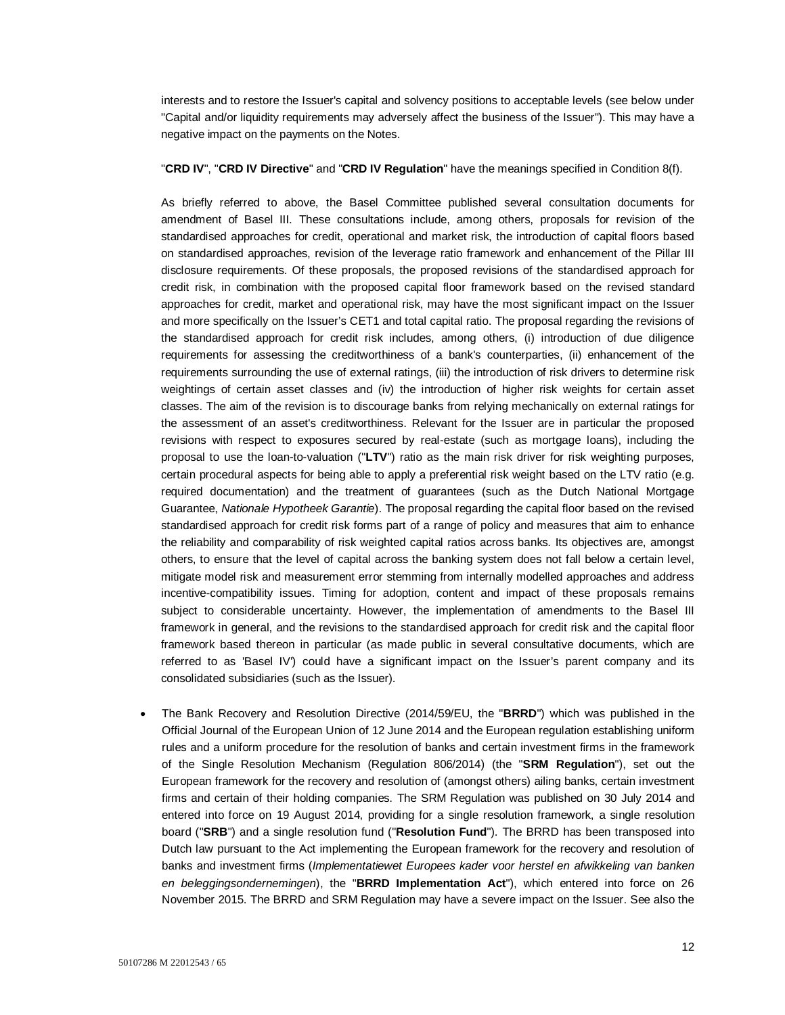interests and to restore the Issuer's capital and solvency positions to acceptable levels (see below under "Capital and/or liquidity requirements may adversely affect the business of the Issuer"). This may have a negative impact on the payments on the Notes.

#### "**CRD IV**", "**CRD IV Directive**" and "**CRD IV Regulation**" have the meanings specified in Condition 8(f).

As briefly referred to above, the Basel Committee published several consultation documents for amendment of Basel III. These consultations include, among others, proposals for revision of the standardised approaches for credit, operational and market risk, the introduction of capital floors based on standardised approaches, revision of the leverage ratio framework and enhancement of the Pillar III disclosure requirements. Of these proposals, the proposed revisions of the standardised approach for credit risk, in combination with the proposed capital floor framework based on the revised standard approaches for credit, market and operational risk, may have the most significant impact on the Issuer and more specifically on the Issuer's CET1 and total capital ratio. The proposal regarding the revisions of the standardised approach for credit risk includes, among others, (i) introduction of due diligence requirements for assessing the creditworthiness of a bank's counterparties, (ii) enhancement of the requirements surrounding the use of external ratings, (iii) the introduction of risk drivers to determine risk weightings of certain asset classes and (iv) the introduction of higher risk weights for certain asset classes. The aim of the revision is to discourage banks from relying mechanically on external ratings for the assessment of an asset's creditworthiness. Relevant for the Issuer are in particular the proposed revisions with respect to exposures secured by real-estate (such as mortgage loans), including the proposal to use the loan-to-valuation ("**LTV**") ratio as the main risk driver for risk weighting purposes, certain procedural aspects for being able to apply a preferential risk weight based on the LTV ratio (e.g. required documentation) and the treatment of guarantees (such as the Dutch National Mortgage Guarantee, *Nationale Hypotheek Garantie*). The proposal regarding the capital floor based on the revised standardised approach for credit risk forms part of a range of policy and measures that aim to enhance the reliability and comparability of risk weighted capital ratios across banks. Its objectives are, amongst others, to ensure that the level of capital across the banking system does not fall below a certain level, mitigate model risk and measurement error stemming from internally modelled approaches and address incentive-compatibility issues. Timing for adoption, content and impact of these proposals remains subject to considerable uncertainty. However, the implementation of amendments to the Basel III framework in general, and the revisions to the standardised approach for credit risk and the capital floor framework based thereon in particular (as made public in several consultative documents, which are referred to as 'Basel IV') could have a significant impact on the Issuer's parent company and its consolidated subsidiaries (such as the Issuer).

 The Bank Recovery and Resolution Directive (2014/59/EU, the "**BRRD**") which was published in the Official Journal of the European Union of 12 June 2014 and the European regulation establishing uniform rules and a uniform procedure for the resolution of banks and certain investment firms in the framework of the Single Resolution Mechanism (Regulation 806/2014) (the "**SRM Regulation**"), set out the European framework for the recovery and resolution of (amongst others) ailing banks, certain investment firms and certain of their holding companies. The SRM Regulation was published on 30 July 2014 and entered into force on 19 August 2014, providing for a single resolution framework, a single resolution board ("**SRB**") and a single resolution fund ("**Resolution Fund**"). The BRRD has been transposed into Dutch law pursuant to the Act implementing the European framework for the recovery and resolution of banks and investment firms (*Implementatiewet Europees kader voor herstel en afwikkeling van banken en beleggingsondernemingen*), the "**BRRD Implementation Act**"), which entered into force on 26 November 2015. The BRRD and SRM Regulation may have a severe impact on the Issuer. See also the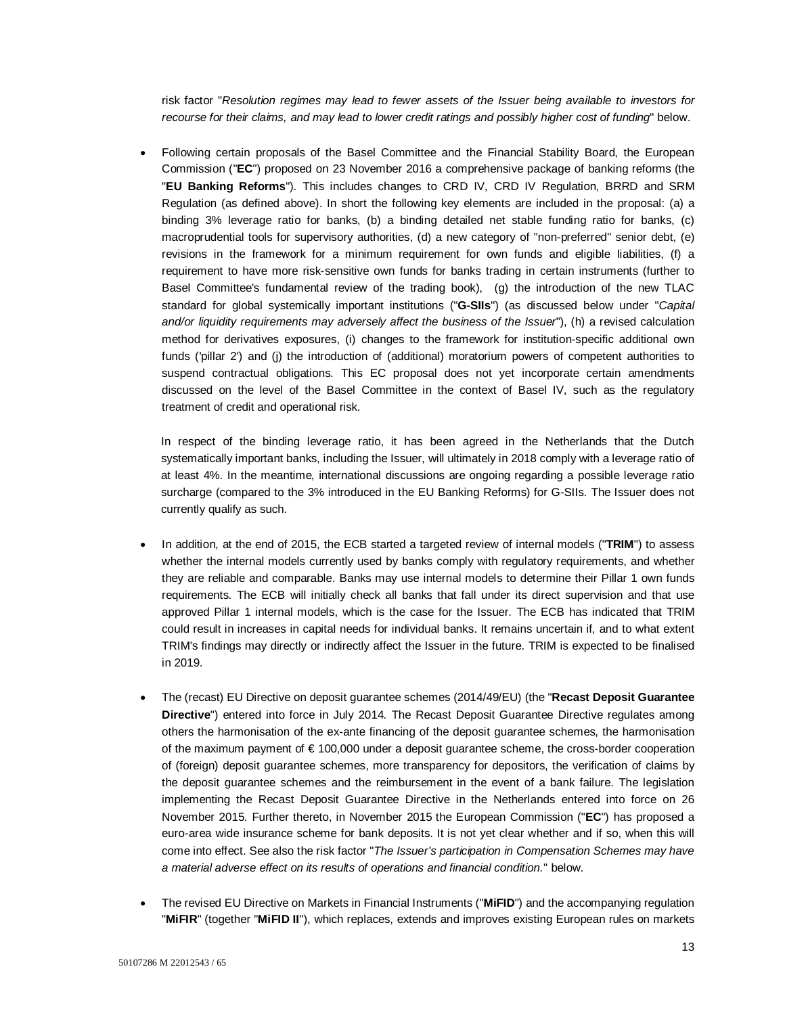risk factor "*Resolution regimes may lead to fewer assets of the Issuer being available to investors for recourse for their claims, and may lead to lower credit ratings and possibly higher cost of funding*" below.

 Following certain proposals of the Basel Committee and the Financial Stability Board, the European Commission ("**EC**") proposed on 23 November 2016 a comprehensive package of banking reforms (the "**EU Banking Reforms**"). This includes changes to CRD IV, CRD IV Regulation, BRRD and SRM Regulation (as defined above). In short the following key elements are included in the proposal: (a) a binding 3% leverage ratio for banks, (b) a binding detailed net stable funding ratio for banks, (c) macroprudential tools for supervisory authorities, (d) a new category of "non-preferred" senior debt, (e) revisions in the framework for a minimum requirement for own funds and eligible liabilities, (f) a requirement to have more risk-sensitive own funds for banks trading in certain instruments (further to Basel Committee's fundamental review of the trading book), (g) the introduction of the new TLAC standard for global systemically important institutions ("**G-SIIs**") (as discussed below under "*Capital and/or liquidity requirements may adversely affect the business of the Issuer*"), (h) a revised calculation method for derivatives exposures, (i) changes to the framework for institution-specific additional own funds ('pillar 2') and (j) the introduction of (additional) moratorium powers of competent authorities to suspend contractual obligations. This EC proposal does not yet incorporate certain amendments discussed on the level of the Basel Committee in the context of Basel IV, such as the regulatory treatment of credit and operational risk.

In respect of the binding leverage ratio, it has been agreed in the Netherlands that the Dutch systematically important banks, including the Issuer, will ultimately in 2018 comply with a leverage ratio of at least 4%. In the meantime, international discussions are ongoing regarding a possible leverage ratio surcharge (compared to the 3% introduced in the EU Banking Reforms) for G-SIIs. The Issuer does not currently qualify as such.

- In addition, at the end of 2015, the ECB started a targeted review of internal models ("**TRIM**") to assess whether the internal models currently used by banks comply with regulatory requirements, and whether they are reliable and comparable. Banks may use internal models to determine their Pillar 1 own funds requirements. The ECB will initially check all banks that fall under its direct supervision and that use approved Pillar 1 internal models, which is the case for the Issuer. The ECB has indicated that TRIM could result in increases in capital needs for individual banks. It remains uncertain if, and to what extent TRIM's findings may directly or indirectly affect the Issuer in the future. TRIM is expected to be finalised in 2019.
- The (recast) EU Directive on deposit guarantee schemes (2014/49/EU) (the "**Recast Deposit Guarantee Directive**") entered into force in July 2014. The Recast Deposit Guarantee Directive regulates among others the harmonisation of the ex-ante financing of the deposit guarantee schemes, the harmonisation of the maximum payment of € 100,000 under a deposit guarantee scheme, the cross-border cooperation of (foreign) deposit guarantee schemes, more transparency for depositors, the verification of claims by the deposit guarantee schemes and the reimbursement in the event of a bank failure. The legislation implementing the Recast Deposit Guarantee Directive in the Netherlands entered into force on 26 November 2015. Further thereto, in November 2015 the European Commission ("**EC**") has proposed a euro-area wide insurance scheme for bank deposits. It is not yet clear whether and if so, when this will come into effect. See also the risk factor "*The Issuer's participation in Compensation Schemes may have a material adverse effect on its results of operations and financial condition.*" below.
- The revised EU Directive on Markets in Financial Instruments ("**MiFID**") and the accompanying regulation "**MiFIR**" (together "**MiFID II**"), which replaces, extends and improves existing European rules on markets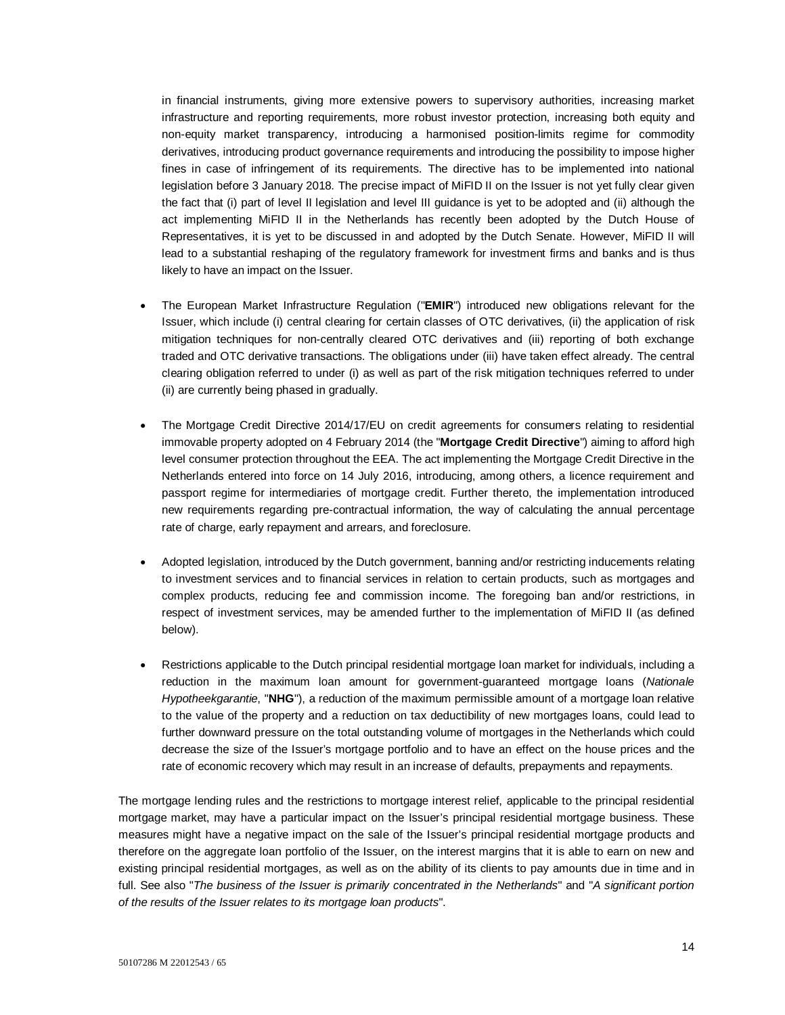in financial instruments, giving more extensive powers to supervisory authorities, increasing market infrastructure and reporting requirements, more robust investor protection, increasing both equity and non-equity market transparency, introducing a harmonised position-limits regime for commodity derivatives, introducing product governance requirements and introducing the possibility to impose higher fines in case of infringement of its requirements. The directive has to be implemented into national legislation before 3 January 2018. The precise impact of MiFID II on the Issuer is not yet fully clear given the fact that (i) part of level II legislation and level III guidance is yet to be adopted and (ii) although the act implementing MiFID II in the Netherlands has recently been adopted by the Dutch House of Representatives, it is yet to be discussed in and adopted by the Dutch Senate. However, MiFID II will lead to a substantial reshaping of the regulatory framework for investment firms and banks and is thus likely to have an impact on the Issuer.

- The European Market Infrastructure Regulation ("**EMIR**") introduced new obligations relevant for the Issuer, which include (i) central clearing for certain classes of OTC derivatives, (ii) the application of risk mitigation techniques for non-centrally cleared OTC derivatives and (iii) reporting of both exchange traded and OTC derivative transactions. The obligations under (iii) have taken effect already. The central clearing obligation referred to under (i) as well as part of the risk mitigation techniques referred to under (ii) are currently being phased in gradually.
- The Mortgage Credit Directive 2014/17/EU on credit agreements for consumers relating to residential immovable property adopted on 4 February 2014 (the "**Mortgage Credit Directive**") aiming to afford high level consumer protection throughout the EEA. The act implementing the Mortgage Credit Directive in the Netherlands entered into force on 14 July 2016, introducing, among others, a licence requirement and passport regime for intermediaries of mortgage credit. Further thereto, the implementation introduced new requirements regarding pre-contractual information, the way of calculating the annual percentage rate of charge, early repayment and arrears, and foreclosure.
- Adopted legislation, introduced by the Dutch government, banning and/or restricting inducements relating to investment services and to financial services in relation to certain products, such as mortgages and complex products, reducing fee and commission income. The foregoing ban and/or restrictions, in respect of investment services, may be amended further to the implementation of MiFID II (as defined below).
- Restrictions applicable to the Dutch principal residential mortgage loan market for individuals, including a reduction in the maximum loan amount for government-guaranteed mortgage loans (*Nationale Hypotheekgarantie*, "**NHG**"), a reduction of the maximum permissible amount of a mortgage loan relative to the value of the property and a reduction on tax deductibility of new mortgages loans, could lead to further downward pressure on the total outstanding volume of mortgages in the Netherlands which could decrease the size of the Issuer's mortgage portfolio and to have an effect on the house prices and the rate of economic recovery which may result in an increase of defaults, prepayments and repayments.

The mortgage lending rules and the restrictions to mortgage interest relief, applicable to the principal residential mortgage market, may have a particular impact on the Issuer's principal residential mortgage business. These measures might have a negative impact on the sale of the Issuer's principal residential mortgage products and therefore on the aggregate loan portfolio of the Issuer, on the interest margins that it is able to earn on new and existing principal residential mortgages, as well as on the ability of its clients to pay amounts due in time and in full. See also "*The business of the Issuer is primarily concentrated in the Netherlands*" and "*A significant portion of the results of the Issuer relates to its mortgage loan products*".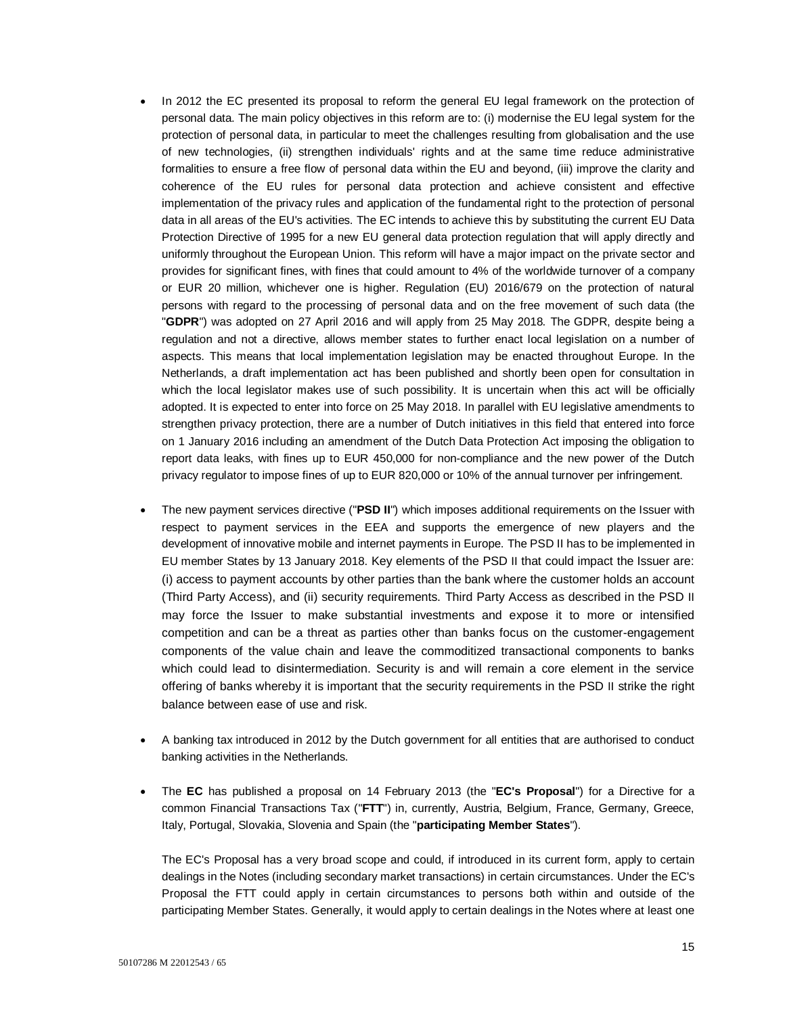- In 2012 the EC presented its proposal to reform the general EU legal framework on the protection of personal data. The main policy objectives in this reform are to: (i) modernise the EU legal system for the protection of personal data, in particular to meet the challenges resulting from globalisation and the use of new technologies, (ii) strengthen individuals' rights and at the same time reduce administrative formalities to ensure a free flow of personal data within the EU and beyond, (iii) improve the clarity and coherence of the EU rules for personal data protection and achieve consistent and effective implementation of the privacy rules and application of the fundamental right to the protection of personal data in all areas of the EU's activities. The EC intends to achieve this by substituting the current EU Data Protection Directive of 1995 for a new EU general data protection regulation that will apply directly and uniformly throughout the European Union. This reform will have a major impact on the private sector and provides for significant fines, with fines that could amount to 4% of the worldwide turnover of a company or EUR 20 million, whichever one is higher. Regulation (EU) 2016/679 on the protection of natural persons with regard to the processing of personal data and on the free movement of such data (the "**GDPR**") was adopted on 27 April 2016 and will apply from 25 May 2018. The GDPR, despite being a regulation and not a directive, allows member states to further enact local legislation on a number of aspects. This means that local implementation legislation may be enacted throughout Europe. In the Netherlands, a draft implementation act has been published and shortly been open for consultation in which the local legislator makes use of such possibility. It is uncertain when this act will be officially adopted. It is expected to enter into force on 25 May 2018. In parallel with EU legislative amendments to strengthen privacy protection, there are a number of Dutch initiatives in this field that entered into force on 1 January 2016 including an amendment of the Dutch Data Protection Act imposing the obligation to report data leaks, with fines up to EUR 450,000 for non-compliance and the new power of the Dutch privacy regulator to impose fines of up to EUR 820,000 or 10% of the annual turnover per infringement.
- The new payment services directive ("**PSD II**") which imposes additional requirements on the Issuer with respect to payment services in the EEA and supports the emergence of new players and the development of innovative mobile and internet payments in Europe. The PSD II has to be implemented in EU member States by 13 January 2018. Key elements of the PSD II that could impact the Issuer are: (i) access to payment accounts by other parties than the bank where the customer holds an account (Third Party Access), and (ii) security requirements. Third Party Access as described in the PSD II may force the Issuer to make substantial investments and expose it to more or intensified competition and can be a threat as parties other than banks focus on the customer-engagement components of the value chain and leave the commoditized transactional components to banks which could lead to disintermediation. Security is and will remain a core element in the service offering of banks whereby it is important that the security requirements in the PSD II strike the right balance between ease of use and risk.
- A banking tax introduced in 2012 by the Dutch government for all entities that are authorised to conduct banking activities in the Netherlands.
- The **EC** has published a proposal on 14 February 2013 (the "**EC's Proposal**") for a Directive for a common Financial Transactions Tax ("**FTT**") in, currently, Austria, Belgium, France, Germany, Greece, Italy, Portugal, Slovakia, Slovenia and Spain (the "**participating Member States**").

The EC's Proposal has a very broad scope and could, if introduced in its current form, apply to certain dealings in the Notes (including secondary market transactions) in certain circumstances. Under the EC's Proposal the FTT could apply in certain circumstances to persons both within and outside of the participating Member States. Generally, it would apply to certain dealings in the Notes where at least one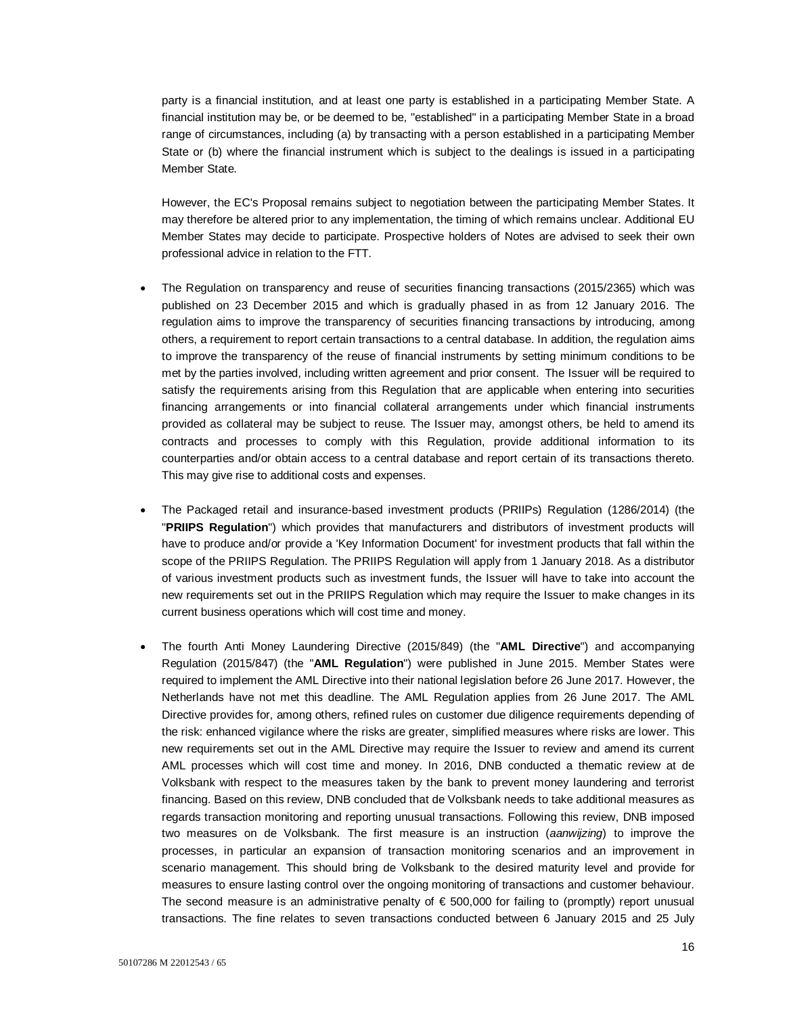party is a financial institution, and at least one party is established in a participating Member State. A financial institution may be, or be deemed to be, "established" in a participating Member State in a broad range of circumstances, including (a) by transacting with a person established in a participating Member State or (b) where the financial instrument which is subject to the dealings is issued in a participating Member State.

However, the EC's Proposal remains subject to negotiation between the participating Member States. It may therefore be altered prior to any implementation, the timing of which remains unclear. Additional EU Member States may decide to participate. Prospective holders of Notes are advised to seek their own professional advice in relation to the FTT.

- The Regulation on transparency and reuse of securities financing transactions (2015/2365) which was published on 23 December 2015 and which is gradually phased in as from 12 January 2016. The regulation aims to improve the transparency of securities financing transactions by introducing, among others, a requirement to report certain transactions to a central database. In addition, the regulation aims to improve the transparency of the reuse of financial instruments by setting minimum conditions to be met by the parties involved, including written agreement and prior consent. The Issuer will be required to satisfy the requirements arising from this Regulation that are applicable when entering into securities financing arrangements or into financial collateral arrangements under which financial instruments provided as collateral may be subject to reuse. The Issuer may, amongst others, be held to amend its contracts and processes to comply with this Regulation, provide additional information to its counterparties and/or obtain access to a central database and report certain of its transactions thereto. This may give rise to additional costs and expenses.
- The Packaged retail and insurance-based investment products (PRIIPs) Regulation (1286/2014) (the "**PRIIPS Regulation**") which provides that manufacturers and distributors of investment products will have to produce and/or provide a 'Key Information Document' for investment products that fall within the scope of the PRIIPS Regulation. The PRIIPS Regulation will apply from 1 January 2018. As a distributor of various investment products such as investment funds, the Issuer will have to take into account the new requirements set out in the PRIIPS Regulation which may require the Issuer to make changes in its current business operations which will cost time and money.
- The fourth Anti Money Laundering Directive (2015/849) (the "**AML Directive**") and accompanying Regulation (2015/847) (the "**AML Regulation**") were published in June 2015. Member States were required to implement the AML Directive into their national legislation before 26 June 2017. However, the Netherlands have not met this deadline. The AML Regulation applies from 26 June 2017. The AML Directive provides for, among others, refined rules on customer due diligence requirements depending of the risk: enhanced vigilance where the risks are greater, simplified measures where risks are lower. This new requirements set out in the AML Directive may require the Issuer to review and amend its current AML processes which will cost time and money. In 2016, DNB conducted a thematic review at de Volksbank with respect to the measures taken by the bank to prevent money laundering and terrorist financing. Based on this review, DNB concluded that de Volksbank needs to take additional measures as regards transaction monitoring and reporting unusual transactions. Following this review, DNB imposed two measures on de Volksbank. The first measure is an instruction (*aanwijzing*) to improve the processes, in particular an expansion of transaction monitoring scenarios and an improvement in scenario management. This should bring de Volksbank to the desired maturity level and provide for measures to ensure lasting control over the ongoing monitoring of transactions and customer behaviour. The second measure is an administrative penalty of  $\epsilon$  500,000 for failing to (promptly) report unusual transactions. The fine relates to seven transactions conducted between 6 January 2015 and 25 July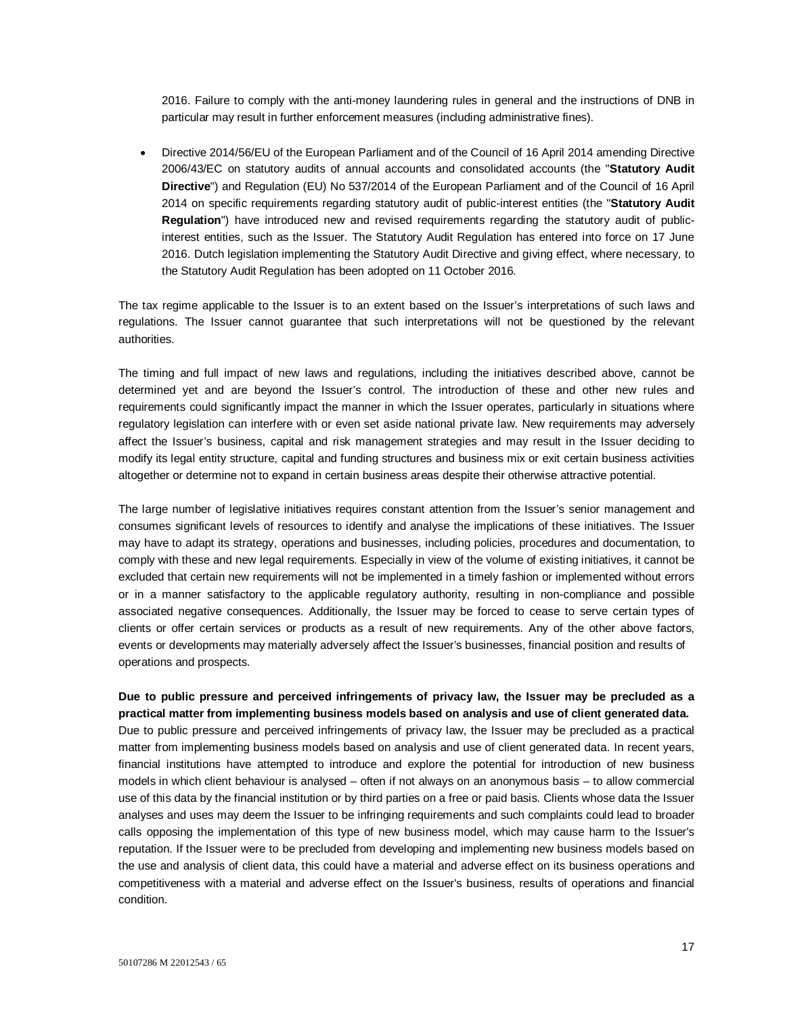2016. Failure to comply with the anti-money laundering rules in general and the instructions of DNB in particular may result in further enforcement measures (including administrative fines).

 Directive 2014/56/EU of the European Parliament and of the Council of 16 April 2014 amending Directive 2006/43/EC on statutory audits of annual accounts and consolidated accounts (the "**Statutory Audit Directive**") and Regulation (EU) No 537/2014 of the European Parliament and of the Council of 16 April 2014 on specific requirements regarding statutory audit of public-interest entities (the "**Statutory Audit Regulation**") have introduced new and revised requirements regarding the statutory audit of publicinterest entities, such as the Issuer. The Statutory Audit Regulation has entered into force on 17 June 2016. Dutch legislation implementing the Statutory Audit Directive and giving effect, where necessary, to the Statutory Audit Regulation has been adopted on 11 October 2016.

The tax regime applicable to the Issuer is to an extent based on the Issuer's interpretations of such laws and regulations. The Issuer cannot guarantee that such interpretations will not be questioned by the relevant authorities.

The timing and full impact of new laws and regulations, including the initiatives described above, cannot be determined yet and are beyond the Issuer's control. The introduction of these and other new rules and requirements could significantly impact the manner in which the Issuer operates, particularly in situations where regulatory legislation can interfere with or even set aside national private law. New requirements may adversely affect the Issuer's business, capital and risk management strategies and may result in the Issuer deciding to modify its legal entity structure, capital and funding structures and business mix or exit certain business activities altogether or determine not to expand in certain business areas despite their otherwise attractive potential.

The large number of legislative initiatives requires constant attention from the Issuer's senior management and consumes significant levels of resources to identify and analyse the implications of these initiatives. The Issuer may have to adapt its strategy, operations and businesses, including policies, procedures and documentation, to comply with these and new legal requirements. Especially in view of the volume of existing initiatives, it cannot be excluded that certain new requirements will not be implemented in a timely fashion or implemented without errors or in a manner satisfactory to the applicable regulatory authority, resulting in non-compliance and possible associated negative consequences. Additionally, the Issuer may be forced to cease to serve certain types of clients or offer certain services or products as a result of new requirements. Any of the other above factors, events or developments may materially adversely affect the Issuer's businesses, financial position and results of operations and prospects.

### **Due to public pressure and perceived infringements of privacy law, the Issuer may be precluded as a practical matter from implementing business models based on analysis and use of client generated data.**

Due to public pressure and perceived infringements of privacy law, the Issuer may be precluded as a practical matter from implementing business models based on analysis and use of client generated data. In recent years, financial institutions have attempted to introduce and explore the potential for introduction of new business models in which client behaviour is analysed – often if not always on an anonymous basis – to allow commercial use of this data by the financial institution or by third parties on a free or paid basis. Clients whose data the Issuer analyses and uses may deem the Issuer to be infringing requirements and such complaints could lead to broader calls opposing the implementation of this type of new business model, which may cause harm to the Issuer's reputation. If the Issuer were to be precluded from developing and implementing new business models based on the use and analysis of client data, this could have a material and adverse effect on its business operations and competitiveness with a material and adverse effect on the Issuer's business, results of operations and financial condition.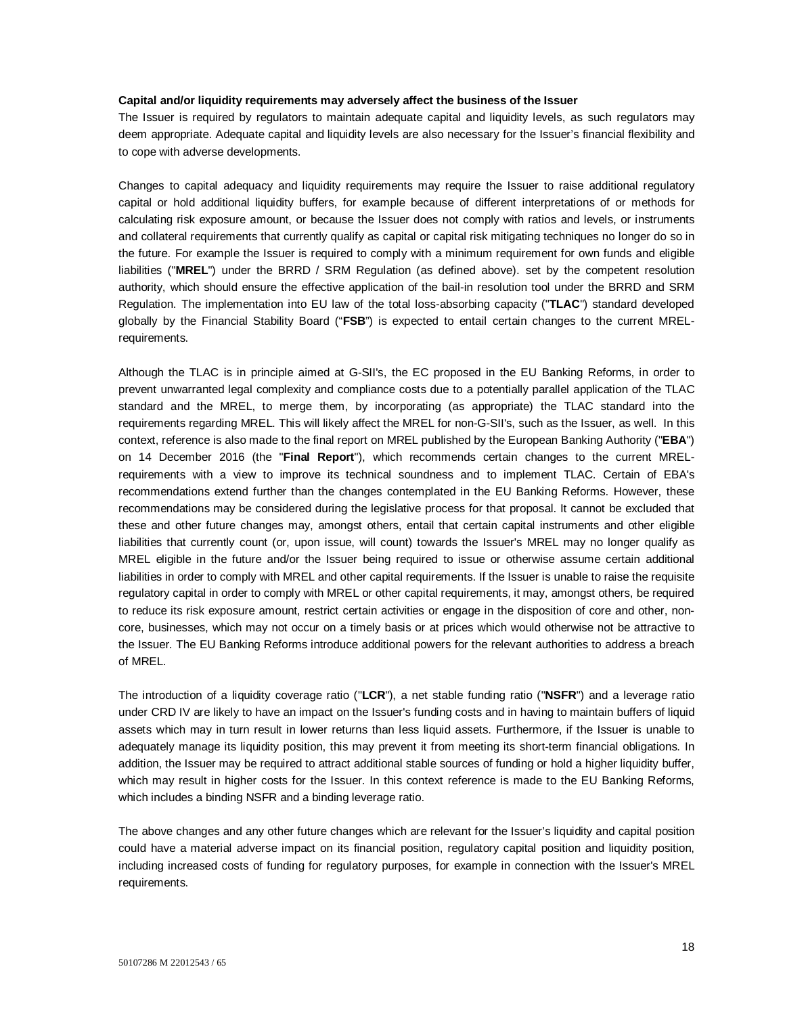#### **Capital and/or liquidity requirements may adversely affect the business of the Issuer**

The Issuer is required by regulators to maintain adequate capital and liquidity levels, as such regulators may deem appropriate. Adequate capital and liquidity levels are also necessary for the Issuer's financial flexibility and to cope with adverse developments.

Changes to capital adequacy and liquidity requirements may require the Issuer to raise additional regulatory capital or hold additional liquidity buffers, for example because of different interpretations of or methods for calculating risk exposure amount, or because the Issuer does not comply with ratios and levels, or instruments and collateral requirements that currently qualify as capital or capital risk mitigating techniques no longer do so in the future. For example the Issuer is required to comply with a minimum requirement for own funds and eligible liabilities ("**MREL**") under the BRRD / SRM Regulation (as defined above). set by the competent resolution authority, which should ensure the effective application of the bail-in resolution tool under the BRRD and SRM Regulation. The implementation into EU law of the total loss-absorbing capacity ("**TLAC**") standard developed globally by the Financial Stability Board ("**FSB**") is expected to entail certain changes to the current MRELrequirements.

Although the TLAC is in principle aimed at G-SII's, the EC proposed in the EU Banking Reforms, in order to prevent unwarranted legal complexity and compliance costs due to a potentially parallel application of the TLAC standard and the MREL, to merge them, by incorporating (as appropriate) the TLAC standard into the requirements regarding MREL. This will likely affect the MREL for non-G-SII's, such as the Issuer, as well. In this context, reference is also made to the final report on MREL published by the European Banking Authority ("**EBA**") on 14 December 2016 (the "**Final Report**"), which recommends certain changes to the current MRELrequirements with a view to improve its technical soundness and to implement TLAC. Certain of EBA's recommendations extend further than the changes contemplated in the EU Banking Reforms. However, these recommendations may be considered during the legislative process for that proposal. It cannot be excluded that these and other future changes may, amongst others, entail that certain capital instruments and other eligible liabilities that currently count (or, upon issue, will count) towards the Issuer's MREL may no longer qualify as MREL eligible in the future and/or the Issuer being required to issue or otherwise assume certain additional liabilities in order to comply with MREL and other capital requirements. If the Issuer is unable to raise the requisite regulatory capital in order to comply with MREL or other capital requirements, it may, amongst others, be required to reduce its risk exposure amount, restrict certain activities or engage in the disposition of core and other, noncore, businesses, which may not occur on a timely basis or at prices which would otherwise not be attractive to the Issuer. The EU Banking Reforms introduce additional powers for the relevant authorities to address a breach of MREL.

The introduction of a liquidity coverage ratio ("**LCR**"), a net stable funding ratio ("**NSFR**") and a leverage ratio under CRD IV are likely to have an impact on the Issuer's funding costs and in having to maintain buffers of liquid assets which may in turn result in lower returns than less liquid assets. Furthermore, if the Issuer is unable to adequately manage its liquidity position, this may prevent it from meeting its short-term financial obligations. In addition, the Issuer may be required to attract additional stable sources of funding or hold a higher liquidity buffer, which may result in higher costs for the Issuer. In this context reference is made to the EU Banking Reforms, which includes a binding NSFR and a binding leverage ratio.

The above changes and any other future changes which are relevant for the Issuer's liquidity and capital position could have a material adverse impact on its financial position, regulatory capital position and liquidity position, including increased costs of funding for regulatory purposes, for example in connection with the Issuer's MREL requirements.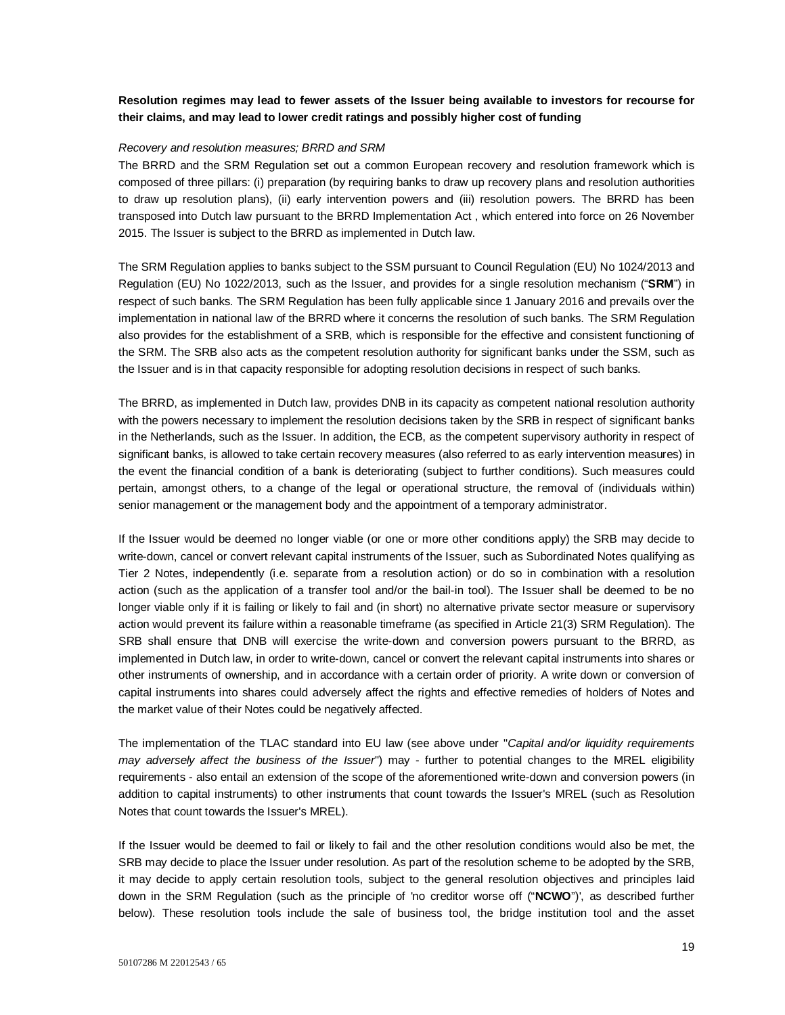# **Resolution regimes may lead to fewer assets of the Issuer being available to investors for recourse for their claims, and may lead to lower credit ratings and possibly higher cost of funding**

### *Recovery and resolution measures; BRRD and SRM*

The BRRD and the SRM Regulation set out a common European recovery and resolution framework which is composed of three pillars: (i) preparation (by requiring banks to draw up recovery plans and resolution authorities to draw up resolution plans), (ii) early intervention powers and (iii) resolution powers. The BRRD has been transposed into Dutch law pursuant to the BRRD Implementation Act , which entered into force on 26 November 2015. The Issuer is subject to the BRRD as implemented in Dutch law.

The SRM Regulation applies to banks subject to the SSM pursuant to Council Regulation (EU) No 1024/2013 and Regulation (EU) No 1022/2013, such as the Issuer, and provides for a single resolution mechanism ("**SRM**") in respect of such banks. The SRM Regulation has been fully applicable since 1 January 2016 and prevails over the implementation in national law of the BRRD where it concerns the resolution of such banks. The SRM Regulation also provides for the establishment of a SRB, which is responsible for the effective and consistent functioning of the SRM. The SRB also acts as the competent resolution authority for significant banks under the SSM, such as the Issuer and is in that capacity responsible for adopting resolution decisions in respect of such banks.

The BRRD, as implemented in Dutch law, provides DNB in its capacity as competent national resolution authority with the powers necessary to implement the resolution decisions taken by the SRB in respect of significant banks in the Netherlands, such as the Issuer. In addition, the ECB, as the competent supervisory authority in respect of significant banks, is allowed to take certain recovery measures (also referred to as early intervention measures) in the event the financial condition of a bank is deteriorating (subject to further conditions). Such measures could pertain, amongst others, to a change of the legal or operational structure, the removal of (individuals within) senior management or the management body and the appointment of a temporary administrator.

If the Issuer would be deemed no longer viable (or one or more other conditions apply) the SRB may decide to write-down, cancel or convert relevant capital instruments of the Issuer, such as Subordinated Notes qualifying as Tier 2 Notes, independently (i.e. separate from a resolution action) or do so in combination with a resolution action (such as the application of a transfer tool and/or the bail-in tool). The Issuer shall be deemed to be no longer viable only if it is failing or likely to fail and (in short) no alternative private sector measure or supervisory action would prevent its failure within a reasonable timeframe (as specified in Article 21(3) SRM Regulation). The SRB shall ensure that DNB will exercise the write-down and conversion powers pursuant to the BRRD, as implemented in Dutch law, in order to write-down, cancel or convert the relevant capital instruments into shares or other instruments of ownership, and in accordance with a certain order of priority. A write down or conversion of capital instruments into shares could adversely affect the rights and effective remedies of holders of Notes and the market value of their Notes could be negatively affected.

The implementation of the TLAC standard into EU law (see above under "*Capital and/or liquidity requirements may adversely affect the business of the Issuer*") may - further to potential changes to the MREL eligibility requirements - also entail an extension of the scope of the aforementioned write-down and conversion powers (in addition to capital instruments) to other instruments that count towards the Issuer's MREL (such as Resolution Notes that count towards the Issuer's MREL).

If the Issuer would be deemed to fail or likely to fail and the other resolution conditions would also be met, the SRB may decide to place the Issuer under resolution. As part of the resolution scheme to be adopted by the SRB, it may decide to apply certain resolution tools, subject to the general resolution objectives and principles laid down in the SRM Regulation (such as the principle of 'no creditor worse off ("**NCWO**")', as described further below). These resolution tools include the sale of business tool, the bridge institution tool and the asset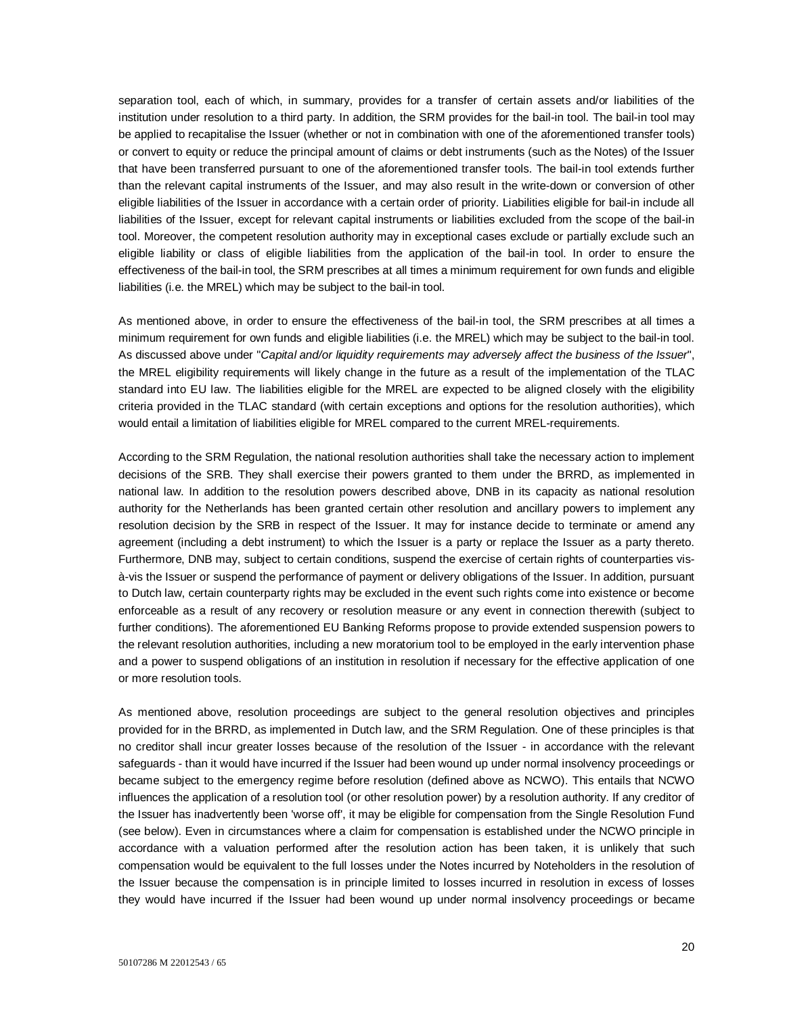separation tool, each of which, in summary, provides for a transfer of certain assets and/or liabilities of the institution under resolution to a third party. In addition, the SRM provides for the bail-in tool. The bail-in tool may be applied to recapitalise the Issuer (whether or not in combination with one of the aforementioned transfer tools) or convert to equity or reduce the principal amount of claims or debt instruments (such as the Notes) of the Issuer that have been transferred pursuant to one of the aforementioned transfer tools. The bail-in tool extends further than the relevant capital instruments of the Issuer, and may also result in the write-down or conversion of other eligible liabilities of the Issuer in accordance with a certain order of priority. Liabilities eligible for bail-in include all liabilities of the Issuer, except for relevant capital instruments or liabilities excluded from the scope of the bail-in tool. Moreover, the competent resolution authority may in exceptional cases exclude or partially exclude such an eligible liability or class of eligible liabilities from the application of the bail-in tool. In order to ensure the effectiveness of the bail-in tool, the SRM prescribes at all times a minimum requirement for own funds and eligible liabilities (i.e. the MREL) which may be subject to the bail-in tool.

As mentioned above, in order to ensure the effectiveness of the bail-in tool, the SRM prescribes at all times a minimum requirement for own funds and eligible liabilities (i.e. the MREL) which may be subject to the bail-in tool. As discussed above under "*Capital and/or liquidity requirements may adversely affect the business of the Issuer*", the MREL eligibility requirements will likely change in the future as a result of the implementation of the TLAC standard into EU law. The liabilities eligible for the MREL are expected to be aligned closely with the eligibility criteria provided in the TLAC standard (with certain exceptions and options for the resolution authorities), which would entail a limitation of liabilities eligible for MREL compared to the current MREL-requirements.

According to the SRM Regulation, the national resolution authorities shall take the necessary action to implement decisions of the SRB. They shall exercise their powers granted to them under the BRRD, as implemented in national law. In addition to the resolution powers described above, DNB in its capacity as national resolution authority for the Netherlands has been granted certain other resolution and ancillary powers to implement any resolution decision by the SRB in respect of the Issuer. It may for instance decide to terminate or amend any agreement (including a debt instrument) to which the Issuer is a party or replace the Issuer as a party thereto. Furthermore, DNB may, subject to certain conditions, suspend the exercise of certain rights of counterparties visà-vis the Issuer or suspend the performance of payment or delivery obligations of the Issuer. In addition, pursuant to Dutch law, certain counterparty rights may be excluded in the event such rights come into existence or become enforceable as a result of any recovery or resolution measure or any event in connection therewith (subject to further conditions). The aforementioned EU Banking Reforms propose to provide extended suspension powers to the relevant resolution authorities, including a new moratorium tool to be employed in the early intervention phase and a power to suspend obligations of an institution in resolution if necessary for the effective application of one or more resolution tools.

As mentioned above, resolution proceedings are subject to the general resolution objectives and principles provided for in the BRRD, as implemented in Dutch law, and the SRM Regulation. One of these principles is that no creditor shall incur greater losses because of the resolution of the Issuer - in accordance with the relevant safeguards - than it would have incurred if the Issuer had been wound up under normal insolvency proceedings or became subject to the emergency regime before resolution (defined above as NCWO). This entails that NCWO influences the application of a resolution tool (or other resolution power) by a resolution authority. If any creditor of the Issuer has inadvertently been 'worse off', it may be eligible for compensation from the Single Resolution Fund (see below). Even in circumstances where a claim for compensation is established under the NCWO principle in accordance with a valuation performed after the resolution action has been taken, it is unlikely that such compensation would be equivalent to the full losses under the Notes incurred by Noteholders in the resolution of the Issuer because the compensation is in principle limited to losses incurred in resolution in excess of losses they would have incurred if the Issuer had been wound up under normal insolvency proceedings or became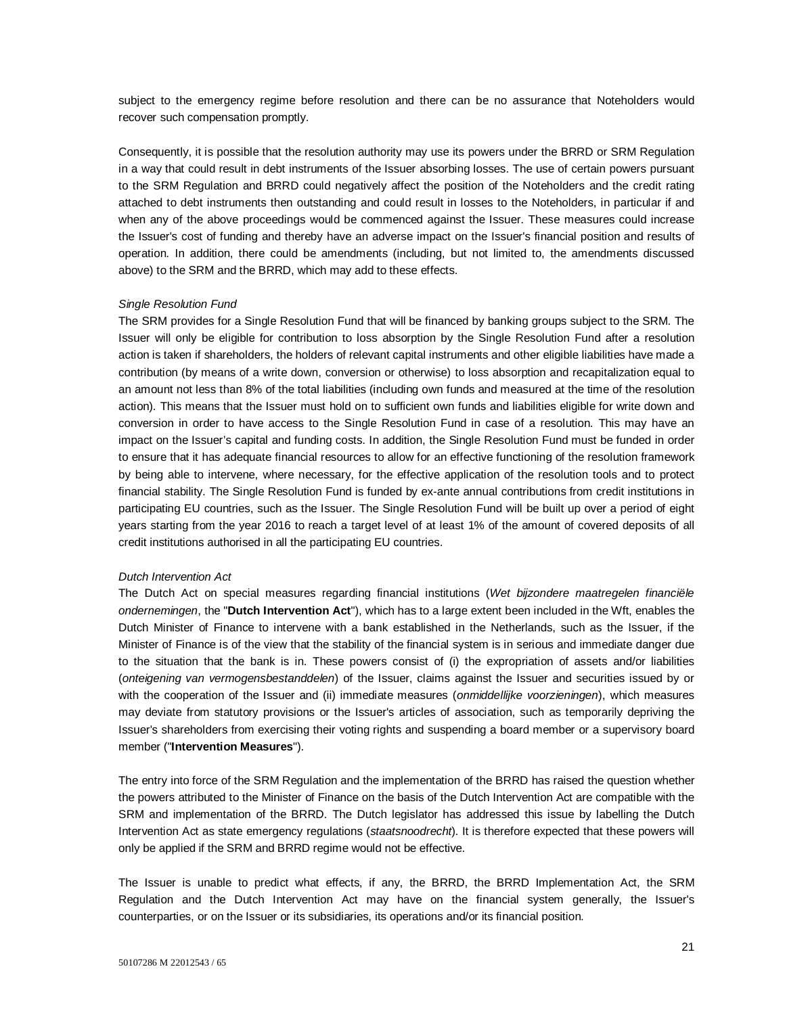subject to the emergency regime before resolution and there can be no assurance that Noteholders would recover such compensation promptly.

Consequently, it is possible that the resolution authority may use its powers under the BRRD or SRM Regulation in a way that could result in debt instruments of the Issuer absorbing losses. The use of certain powers pursuant to the SRM Regulation and BRRD could negatively affect the position of the Noteholders and the credit rating attached to debt instruments then outstanding and could result in losses to the Noteholders, in particular if and when any of the above proceedings would be commenced against the Issuer. These measures could increase the Issuer's cost of funding and thereby have an adverse impact on the Issuer's financial position and results of operation. In addition, there could be amendments (including, but not limited to, the amendments discussed above) to the SRM and the BRRD, which may add to these effects.

#### *Single Resolution Fund*

The SRM provides for a Single Resolution Fund that will be financed by banking groups subject to the SRM. The Issuer will only be eligible for contribution to loss absorption by the Single Resolution Fund after a resolution action is taken if shareholders, the holders of relevant capital instruments and other eligible liabilities have made a contribution (by means of a write down, conversion or otherwise) to loss absorption and recapitalization equal to an amount not less than 8% of the total liabilities (including own funds and measured at the time of the resolution action). This means that the Issuer must hold on to sufficient own funds and liabilities eligible for write down and conversion in order to have access to the Single Resolution Fund in case of a resolution. This may have an impact on the Issuer's capital and funding costs. In addition, the Single Resolution Fund must be funded in order to ensure that it has adequate financial resources to allow for an effective functioning of the resolution framework by being able to intervene, where necessary, for the effective application of the resolution tools and to protect financial stability. The Single Resolution Fund is funded by ex-ante annual contributions from credit institutions in participating EU countries, such as the Issuer. The Single Resolution Fund will be built up over a period of eight years starting from the year 2016 to reach a target level of at least 1% of the amount of covered deposits of all credit institutions authorised in all the participating EU countries.

### *Dutch Intervention Act*

The Dutch Act on special measures regarding financial institutions (*Wet bijzondere maatregelen financiële ondernemingen*, the "**Dutch Intervention Act**"), which has to a large extent been included in the Wft, enables the Dutch Minister of Finance to intervene with a bank established in the Netherlands, such as the Issuer, if the Minister of Finance is of the view that the stability of the financial system is in serious and immediate danger due to the situation that the bank is in. These powers consist of (i) the expropriation of assets and/or liabilities (*onteigening van vermogensbestanddelen*) of the Issuer, claims against the Issuer and securities issued by or with the cooperation of the Issuer and (ii) immediate measures (*onmiddellijke voorzieningen*), which measures may deviate from statutory provisions or the Issuer's articles of association, such as temporarily depriving the Issuer's shareholders from exercising their voting rights and suspending a board member or a supervisory board member ("**Intervention Measures**").

The entry into force of the SRM Regulation and the implementation of the BRRD has raised the question whether the powers attributed to the Minister of Finance on the basis of the Dutch Intervention Act are compatible with the SRM and implementation of the BRRD. The Dutch legislator has addressed this issue by labelling the Dutch Intervention Act as state emergency regulations (*staatsnoodrecht*). It is therefore expected that these powers will only be applied if the SRM and BRRD regime would not be effective.

The Issuer is unable to predict what effects, if any, the BRRD, the BRRD Implementation Act, the SRM Regulation and the Dutch Intervention Act may have on the financial system generally, the Issuer's counterparties, or on the Issuer or its subsidiaries, its operations and/or its financial position.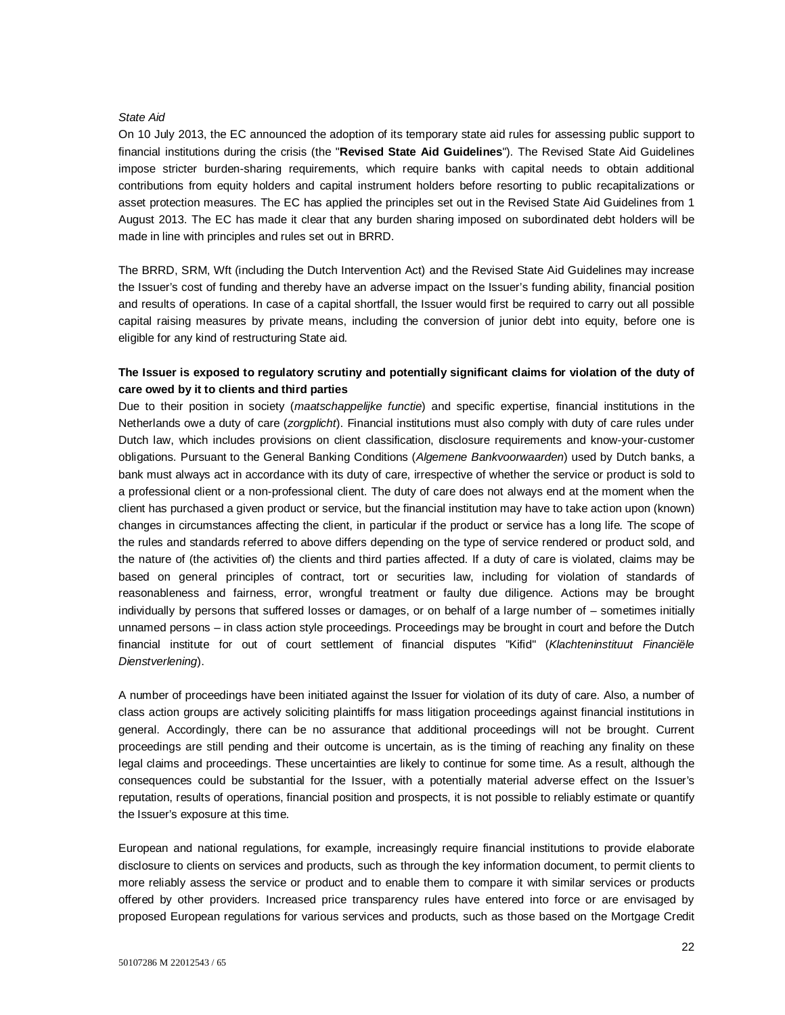#### *State Aid*

On 10 July 2013, the EC announced the adoption of its temporary state aid rules for assessing public support to financial institutions during the crisis (the "**Revised State Aid Guidelines**"). The Revised State Aid Guidelines impose stricter burden-sharing requirements, which require banks with capital needs to obtain additional contributions from equity holders and capital instrument holders before resorting to public recapitalizations or asset protection measures. The EC has applied the principles set out in the Revised State Aid Guidelines from 1 August 2013. The EC has made it clear that any burden sharing imposed on subordinated debt holders will be made in line with principles and rules set out in BRRD.

The BRRD, SRM, Wft (including the Dutch Intervention Act) and the Revised State Aid Guidelines may increase the Issuer's cost of funding and thereby have an adverse impact on the Issuer's funding ability, financial position and results of operations. In case of a capital shortfall, the Issuer would first be required to carry out all possible capital raising measures by private means, including the conversion of junior debt into equity, before one is eligible for any kind of restructuring State aid.

## **The Issuer is exposed to regulatory scrutiny and potentially significant claims for violation of the duty of care owed by it to clients and third parties**

Due to their position in society (*maatschappelijke functie*) and specific expertise, financial institutions in the Netherlands owe a duty of care (*zorgplicht*). Financial institutions must also comply with duty of care rules under Dutch law, which includes provisions on client classification, disclosure requirements and know-your-customer obligations. Pursuant to the General Banking Conditions (*Algemene Bankvoorwaarden*) used by Dutch banks, a bank must always act in accordance with its duty of care, irrespective of whether the service or product is sold to a professional client or a non-professional client. The duty of care does not always end at the moment when the client has purchased a given product or service, but the financial institution may have to take action upon (known) changes in circumstances affecting the client, in particular if the product or service has a long life. The scope of the rules and standards referred to above differs depending on the type of service rendered or product sold, and the nature of (the activities of) the clients and third parties affected. If a duty of care is violated, claims may be based on general principles of contract, tort or securities law, including for violation of standards of reasonableness and fairness, error, wrongful treatment or faulty due diligence. Actions may be brought individually by persons that suffered losses or damages, or on behalf of a large number of – sometimes initially unnamed persons – in class action style proceedings. Proceedings may be brought in court and before the Dutch financial institute for out of court settlement of financial disputes "Kifid" (*Klachteninstituut Financiële Dienstverlening*).

A number of proceedings have been initiated against the Issuer for violation of its duty of care. Also, a number of class action groups are actively soliciting plaintiffs for mass litigation proceedings against financial institutions in general. Accordingly, there can be no assurance that additional proceedings will not be brought. Current proceedings are still pending and their outcome is uncertain, as is the timing of reaching any finality on these legal claims and proceedings. These uncertainties are likely to continue for some time. As a result, although the consequences could be substantial for the Issuer, with a potentially material adverse effect on the Issuer's reputation, results of operations, financial position and prospects, it is not possible to reliably estimate or quantify the Issuer's exposure at this time.

European and national regulations, for example, increasingly require financial institutions to provide elaborate disclosure to clients on services and products, such as through the key information document, to permit clients to more reliably assess the service or product and to enable them to compare it with similar services or products offered by other providers. Increased price transparency rules have entered into force or are envisaged by proposed European regulations for various services and products, such as those based on the Mortgage Credit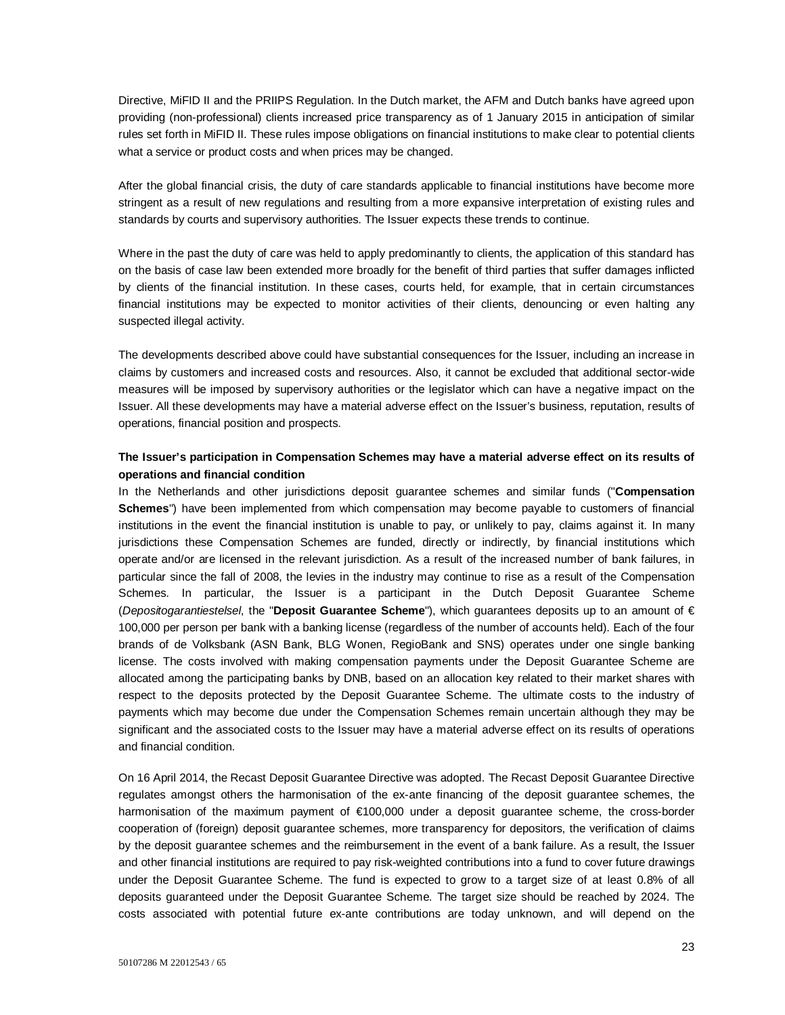Directive, MiFID II and the PRIIPS Regulation. In the Dutch market, the AFM and Dutch banks have agreed upon providing (non-professional) clients increased price transparency as of 1 January 2015 in anticipation of similar rules set forth in MiFID II. These rules impose obligations on financial institutions to make clear to potential clients what a service or product costs and when prices may be changed.

After the global financial crisis, the duty of care standards applicable to financial institutions have become more stringent as a result of new regulations and resulting from a more expansive interpretation of existing rules and standards by courts and supervisory authorities. The Issuer expects these trends to continue.

Where in the past the duty of care was held to apply predominantly to clients, the application of this standard has on the basis of case law been extended more broadly for the benefit of third parties that suffer damages inflicted by clients of the financial institution. In these cases, courts held, for example, that in certain circumstances financial institutions may be expected to monitor activities of their clients, denouncing or even halting any suspected illegal activity.

The developments described above could have substantial consequences for the Issuer, including an increase in claims by customers and increased costs and resources. Also, it cannot be excluded that additional sector-wide measures will be imposed by supervisory authorities or the legislator which can have a negative impact on the Issuer. All these developments may have a material adverse effect on the Issuer's business, reputation, results of operations, financial position and prospects.

### **The Issuer's participation in Compensation Schemes may have a material adverse effect on its results of operations and financial condition**

In the Netherlands and other jurisdictions deposit guarantee schemes and similar funds ("**Compensation Schemes**") have been implemented from which compensation may become payable to customers of financial institutions in the event the financial institution is unable to pay, or unlikely to pay, claims against it. In many jurisdictions these Compensation Schemes are funded, directly or indirectly, by financial institutions which operate and/or are licensed in the relevant jurisdiction. As a result of the increased number of bank failures, in particular since the fall of 2008, the levies in the industry may continue to rise as a result of the Compensation Schemes. In particular, the Issuer is a participant in the Dutch Deposit Guarantee Scheme (*Depositogarantiestelsel*, the "**Deposit Guarantee Scheme**"), which guarantees deposits up to an amount of € 100,000 per person per bank with a banking license (regardless of the number of accounts held). Each of the four brands of de Volksbank (ASN Bank, BLG Wonen, RegioBank and SNS) operates under one single banking license. The costs involved with making compensation payments under the Deposit Guarantee Scheme are allocated among the participating banks by DNB, based on an allocation key related to their market shares with respect to the deposits protected by the Deposit Guarantee Scheme. The ultimate costs to the industry of payments which may become due under the Compensation Schemes remain uncertain although they may be significant and the associated costs to the Issuer may have a material adverse effect on its results of operations and financial condition.

On 16 April 2014, the Recast Deposit Guarantee Directive was adopted. The Recast Deposit Guarantee Directive regulates amongst others the harmonisation of the ex-ante financing of the deposit guarantee schemes, the harmonisation of the maximum payment of €100,000 under a deposit guarantee scheme, the cross-border cooperation of (foreign) deposit guarantee schemes, more transparency for depositors, the verification of claims by the deposit guarantee schemes and the reimbursement in the event of a bank failure. As a result, the Issuer and other financial institutions are required to pay risk-weighted contributions into a fund to cover future drawings under the Deposit Guarantee Scheme. The fund is expected to grow to a target size of at least 0.8% of all deposits guaranteed under the Deposit Guarantee Scheme. The target size should be reached by 2024. The costs associated with potential future ex-ante contributions are today unknown, and will depend on the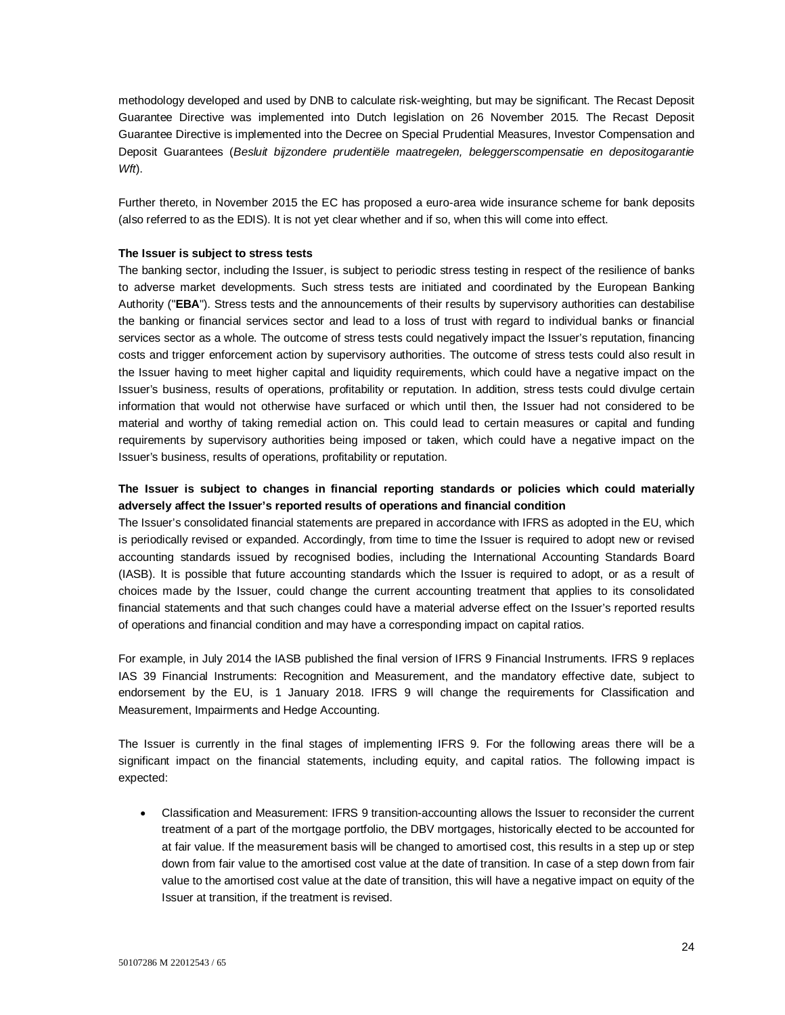methodology developed and used by DNB to calculate risk-weighting, but may be significant. The Recast Deposit Guarantee Directive was implemented into Dutch legislation on 26 November 2015. The Recast Deposit Guarantee Directive is implemented into the Decree on Special Prudential Measures, Investor Compensation and Deposit Guarantees (*Besluit bijzondere prudentiële maatregelen, beleggerscompensatie en depositogarantie Wft*).

Further thereto, in November 2015 the EC has proposed a euro-area wide insurance scheme for bank deposits (also referred to as the EDIS). It is not yet clear whether and if so, when this will come into effect.

#### **The Issuer is subject to stress tests**

The banking sector, including the Issuer, is subject to periodic stress testing in respect of the resilience of banks to adverse market developments. Such stress tests are initiated and coordinated by the European Banking Authority ("**EBA**"). Stress tests and the announcements of their results by supervisory authorities can destabilise the banking or financial services sector and lead to a loss of trust with regard to individual banks or financial services sector as a whole. The outcome of stress tests could negatively impact the Issuer's reputation, financing costs and trigger enforcement action by supervisory authorities. The outcome of stress tests could also result in the Issuer having to meet higher capital and liquidity requirements, which could have a negative impact on the Issuer's business, results of operations, profitability or reputation. In addition, stress tests could divulge certain information that would not otherwise have surfaced or which until then, the Issuer had not considered to be material and worthy of taking remedial action on. This could lead to certain measures or capital and funding requirements by supervisory authorities being imposed or taken, which could have a negative impact on the Issuer's business, results of operations, profitability or reputation.

# **The Issuer is subject to changes in financial reporting standards or policies which could materially adversely affect the Issuer's reported results of operations and financial condition**

The Issuer's consolidated financial statements are prepared in accordance with IFRS as adopted in the EU, which is periodically revised or expanded. Accordingly, from time to time the Issuer is required to adopt new or revised accounting standards issued by recognised bodies, including the International Accounting Standards Board (IASB). It is possible that future accounting standards which the Issuer is required to adopt, or as a result of choices made by the Issuer, could change the current accounting treatment that applies to its consolidated financial statements and that such changes could have a material adverse effect on the Issuer's reported results of operations and financial condition and may have a corresponding impact on capital ratios.

For example, in July 2014 the IASB published the final version of IFRS 9 Financial Instruments. IFRS 9 replaces IAS 39 Financial Instruments: Recognition and Measurement, and the mandatory effective date, subject to endorsement by the EU, is 1 January 2018. IFRS 9 will change the requirements for Classification and Measurement, Impairments and Hedge Accounting.

The Issuer is currently in the final stages of implementing IFRS 9. For the following areas there will be a significant impact on the financial statements, including equity, and capital ratios. The following impact is expected:

 Classification and Measurement: IFRS 9 transition-accounting allows the Issuer to reconsider the current treatment of a part of the mortgage portfolio, the DBV mortgages, historically elected to be accounted for at fair value. If the measurement basis will be changed to amortised cost, this results in a step up or step down from fair value to the amortised cost value at the date of transition. In case of a step down from fair value to the amortised cost value at the date of transition, this will have a negative impact on equity of the Issuer at transition, if the treatment is revised.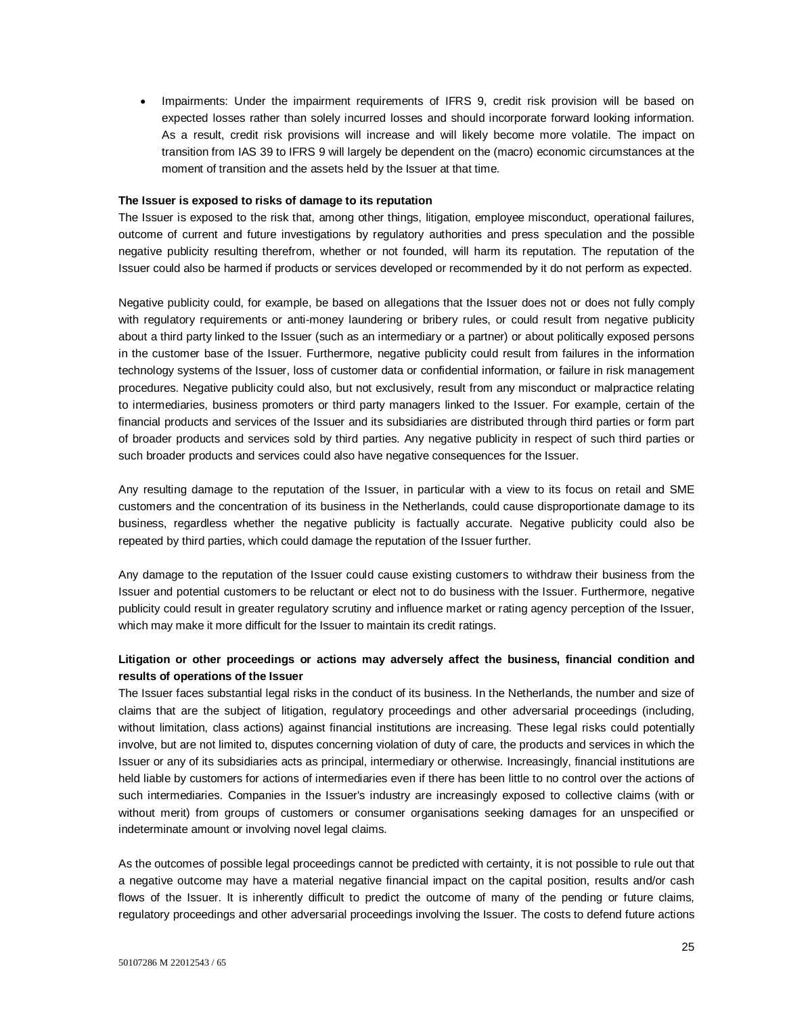• Impairments: Under the impairment requirements of IFRS 9, credit risk provision will be based on expected losses rather than solely incurred losses and should incorporate forward looking information. As a result, credit risk provisions will increase and will likely become more volatile. The impact on transition from IAS 39 to IFRS 9 will largely be dependent on the (macro) economic circumstances at the moment of transition and the assets held by the Issuer at that time.

#### **The Issuer is exposed to risks of damage to its reputation**

The Issuer is exposed to the risk that, among other things, litigation, employee misconduct, operational failures, outcome of current and future investigations by regulatory authorities and press speculation and the possible negative publicity resulting therefrom, whether or not founded, will harm its reputation. The reputation of the Issuer could also be harmed if products or services developed or recommended by it do not perform as expected.

Negative publicity could, for example, be based on allegations that the Issuer does not or does not fully comply with regulatory requirements or anti-money laundering or bribery rules, or could result from negative publicity about a third party linked to the Issuer (such as an intermediary or a partner) or about politically exposed persons in the customer base of the Issuer. Furthermore, negative publicity could result from failures in the information technology systems of the Issuer, loss of customer data or confidential information, or failure in risk management procedures. Negative publicity could also, but not exclusively, result from any misconduct or malpractice relating to intermediaries, business promoters or third party managers linked to the Issuer. For example, certain of the financial products and services of the Issuer and its subsidiaries are distributed through third parties or form part of broader products and services sold by third parties. Any negative publicity in respect of such third parties or such broader products and services could also have negative consequences for the Issuer.

Any resulting damage to the reputation of the Issuer, in particular with a view to its focus on retail and SME customers and the concentration of its business in the Netherlands, could cause disproportionate damage to its business, regardless whether the negative publicity is factually accurate. Negative publicity could also be repeated by third parties, which could damage the reputation of the Issuer further.

Any damage to the reputation of the Issuer could cause existing customers to withdraw their business from the Issuer and potential customers to be reluctant or elect not to do business with the Issuer. Furthermore, negative publicity could result in greater regulatory scrutiny and influence market or rating agency perception of the Issuer, which may make it more difficult for the Issuer to maintain its credit ratings.

# **Litigation or other proceedings or actions may adversely affect the business, financial condition and results of operations of the Issuer**

The Issuer faces substantial legal risks in the conduct of its business. In the Netherlands, the number and size of claims that are the subject of litigation, regulatory proceedings and other adversarial proceedings (including, without limitation, class actions) against financial institutions are increasing. These legal risks could potentially involve, but are not limited to, disputes concerning violation of duty of care, the products and services in which the Issuer or any of its subsidiaries acts as principal, intermediary or otherwise. Increasingly, financial institutions are held liable by customers for actions of intermediaries even if there has been little to no control over the actions of such intermediaries. Companies in the Issuer's industry are increasingly exposed to collective claims (with or without merit) from groups of customers or consumer organisations seeking damages for an unspecified or indeterminate amount or involving novel legal claims.

As the outcomes of possible legal proceedings cannot be predicted with certainty, it is not possible to rule out that a negative outcome may have a material negative financial impact on the capital position, results and/or cash flows of the Issuer. It is inherently difficult to predict the outcome of many of the pending or future claims, regulatory proceedings and other adversarial proceedings involving the Issuer. The costs to defend future actions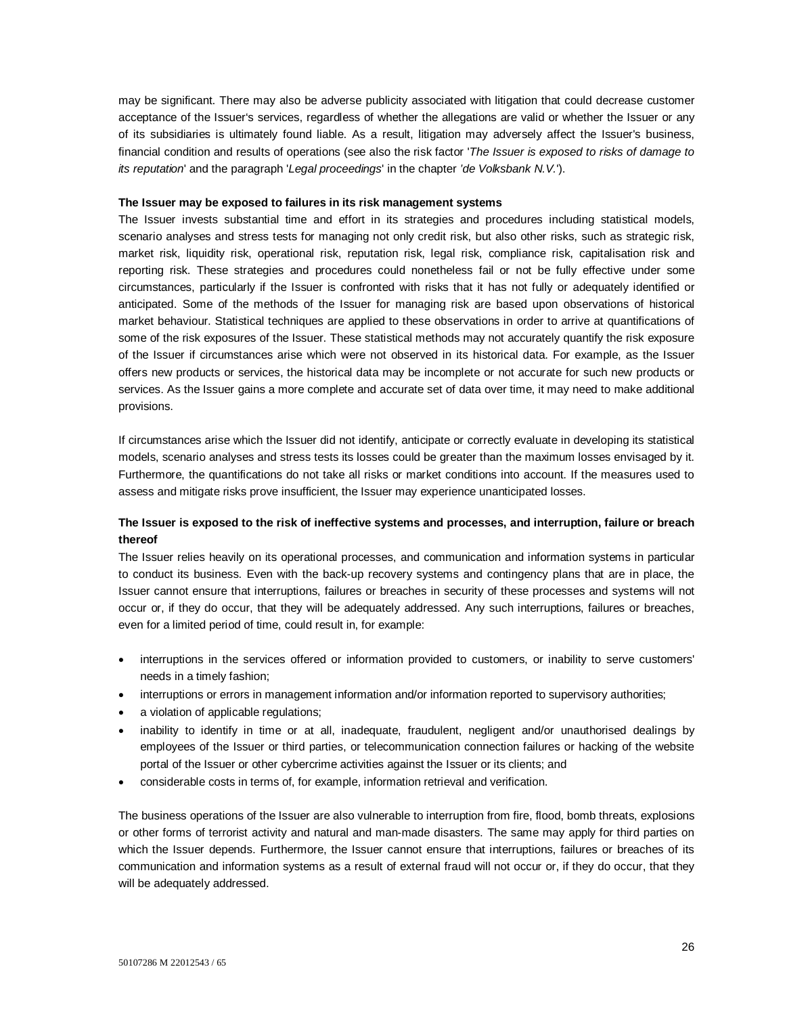may be significant. There may also be adverse publicity associated with litigation that could decrease customer acceptance of the Issuer's services, regardless of whether the allegations are valid or whether the Issuer or any of its subsidiaries is ultimately found liable. As a result, litigation may adversely affect the Issuer's business, financial condition and results of operations (see also the risk factor '*The Issuer is exposed to risks of damage to its reputation*' and the paragraph '*Legal proceedings*' in the chapter *'de Volksbank N.V.*').

#### **The Issuer may be exposed to failures in its risk management systems**

The Issuer invests substantial time and effort in its strategies and procedures including statistical models, scenario analyses and stress tests for managing not only credit risk, but also other risks, such as strategic risk, market risk, liquidity risk, operational risk, reputation risk, legal risk, compliance risk, capitalisation risk and reporting risk. These strategies and procedures could nonetheless fail or not be fully effective under some circumstances, particularly if the Issuer is confronted with risks that it has not fully or adequately identified or anticipated. Some of the methods of the Issuer for managing risk are based upon observations of historical market behaviour. Statistical techniques are applied to these observations in order to arrive at quantifications of some of the risk exposures of the Issuer. These statistical methods may not accurately quantify the risk exposure of the Issuer if circumstances arise which were not observed in its historical data. For example, as the Issuer offers new products or services, the historical data may be incomplete or not accurate for such new products or services. As the Issuer gains a more complete and accurate set of data over time, it may need to make additional provisions.

If circumstances arise which the Issuer did not identify, anticipate or correctly evaluate in developing its statistical models, scenario analyses and stress tests its losses could be greater than the maximum losses envisaged by it. Furthermore, the quantifications do not take all risks or market conditions into account. If the measures used to assess and mitigate risks prove insufficient, the Issuer may experience unanticipated losses.

## **The Issuer is exposed to the risk of ineffective systems and processes, and interruption, failure or breach thereof**

The Issuer relies heavily on its operational processes, and communication and information systems in particular to conduct its business. Even with the back-up recovery systems and contingency plans that are in place, the Issuer cannot ensure that interruptions, failures or breaches in security of these processes and systems will not occur or, if they do occur, that they will be adequately addressed. Any such interruptions, failures or breaches, even for a limited period of time, could result in, for example:

- interruptions in the services offered or information provided to customers, or inability to serve customers' needs in a timely fashion;
- interruptions or errors in management information and/or information reported to supervisory authorities;
- a violation of applicable regulations;
- inability to identify in time or at all, inadequate, fraudulent, negligent and/or unauthorised dealings by employees of the Issuer or third parties, or telecommunication connection failures or hacking of the website portal of the Issuer or other cybercrime activities against the Issuer or its clients; and
- considerable costs in terms of, for example, information retrieval and verification.

The business operations of the Issuer are also vulnerable to interruption from fire, flood, bomb threats, explosions or other forms of terrorist activity and natural and man-made disasters. The same may apply for third parties on which the Issuer depends. Furthermore, the Issuer cannot ensure that interruptions, failures or breaches of its communication and information systems as a result of external fraud will not occur or, if they do occur, that they will be adequately addressed.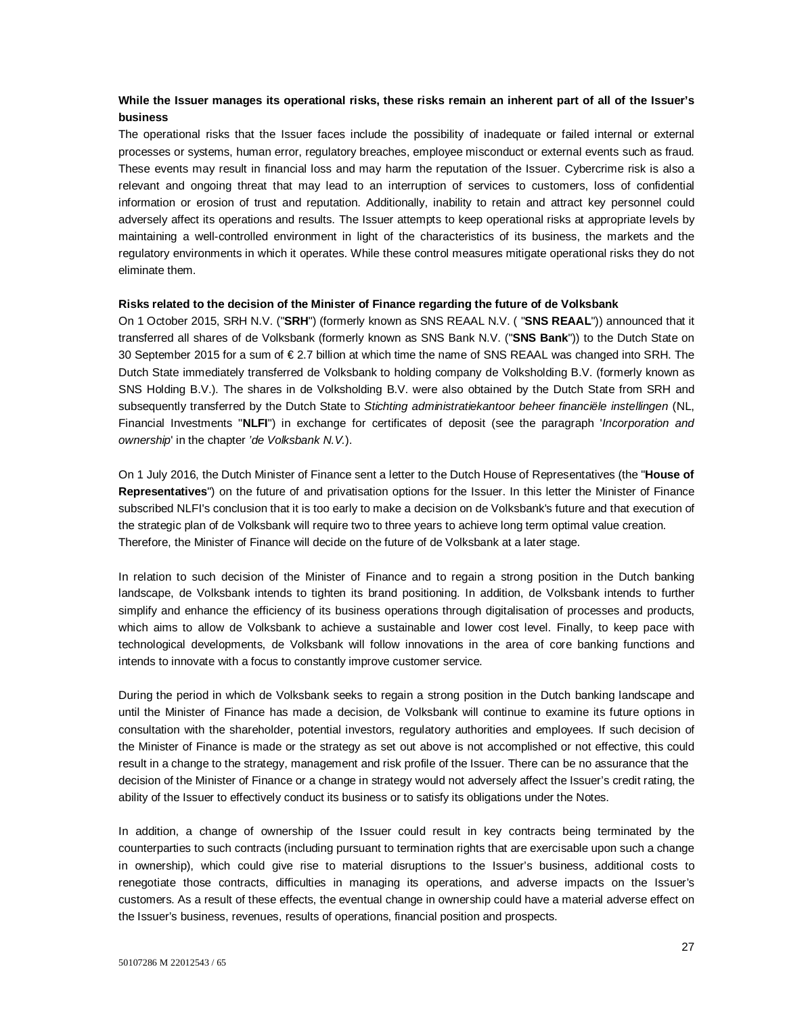## **While the Issuer manages its operational risks, these risks remain an inherent part of all of the Issuer's business**

The operational risks that the Issuer faces include the possibility of inadequate or failed internal or external processes or systems, human error, regulatory breaches, employee misconduct or external events such as fraud. These events may result in financial loss and may harm the reputation of the Issuer. Cybercrime risk is also a relevant and ongoing threat that may lead to an interruption of services to customers, loss of confidential information or erosion of trust and reputation. Additionally, inability to retain and attract key personnel could adversely affect its operations and results. The Issuer attempts to keep operational risks at appropriate levels by maintaining a well-controlled environment in light of the characteristics of its business, the markets and the regulatory environments in which it operates. While these control measures mitigate operational risks they do not eliminate them.

#### **Risks related to the decision of the Minister of Finance regarding the future of de Volksbank**

On 1 October 2015, SRH N.V. ("**SRH**") (formerly known as SNS REAAL N.V. ( "**SNS REAAL**")) announced that it transferred all shares of de Volksbank (formerly known as SNS Bank N.V. ("**SNS Bank**")) to the Dutch State on 30 September 2015 for a sum of € 2.7 billion at which time the name of SNS REAAL was changed into SRH. The Dutch State immediately transferred de Volksbank to holding company de Volksholding B.V. (formerly known as SNS Holding B.V.). The shares in de Volksholding B.V. were also obtained by the Dutch State from SRH and subsequently transferred by the Dutch State to *Stichting administratiekantoor beheer financiële instellingen* (NL, Financial Investments "**NLFI**") in exchange for certificates of deposit (see the paragraph '*Incorporation and ownership*' in the chapter *'de Volksbank N.V.*).

On 1 July 2016, the Dutch Minister of Finance sent a letter to the Dutch House of Representatives (the "**House of Representatives**") on the future of and privatisation options for the Issuer. In this letter the Minister of Finance subscribed NLFI's conclusion that it is too early to make a decision on de Volksbank's future and that execution of the strategic plan of de Volksbank will require two to three years to achieve long term optimal value creation. Therefore, the Minister of Finance will decide on the future of de Volksbank at a later stage.

In relation to such decision of the Minister of Finance and to regain a strong position in the Dutch banking landscape, de Volksbank intends to tighten its brand positioning. In addition, de Volksbank intends to further simplify and enhance the efficiency of its business operations through digitalisation of processes and products, which aims to allow de Volksbank to achieve a sustainable and lower cost level. Finally, to keep pace with technological developments, de Volksbank will follow innovations in the area of core banking functions and intends to innovate with a focus to constantly improve customer service.

During the period in which de Volksbank seeks to regain a strong position in the Dutch banking landscape and until the Minister of Finance has made a decision, de Volksbank will continue to examine its future options in consultation with the shareholder, potential investors, regulatory authorities and employees. If such decision of the Minister of Finance is made or the strategy as set out above is not accomplished or not effective, this could result in a change to the strategy, management and risk profile of the Issuer. There can be no assurance that the decision of the Minister of Finance or a change in strategy would not adversely affect the Issuer's credit rating, the ability of the Issuer to effectively conduct its business or to satisfy its obligations under the Notes.

In addition, a change of ownership of the Issuer could result in key contracts being terminated by the counterparties to such contracts (including pursuant to termination rights that are exercisable upon such a change in ownership), which could give rise to material disruptions to the Issuer's business, additional costs to renegotiate those contracts, difficulties in managing its operations, and adverse impacts on the Issuer's customers. As a result of these effects, the eventual change in ownership could have a material adverse effect on the Issuer's business, revenues, results of operations, financial position and prospects.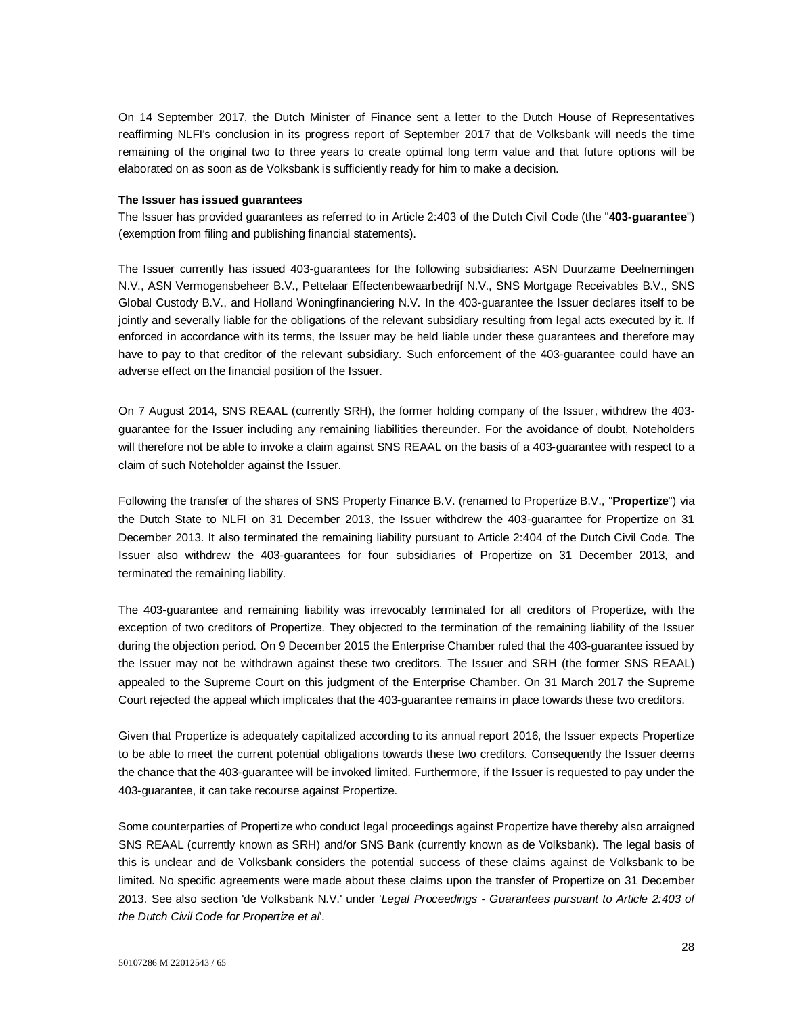On 14 September 2017, the Dutch Minister of Finance sent a letter to the Dutch House of Representatives reaffirming NLFI's conclusion in its progress report of September 2017 that de Volksbank will needs the time remaining of the original two to three years to create optimal long term value and that future options will be elaborated on as soon as de Volksbank is sufficiently ready for him to make a decision.

#### **The Issuer has issued guarantees**

The Issuer has provided guarantees as referred to in Article 2:403 of the Dutch Civil Code (the "**403-guarantee**") (exemption from filing and publishing financial statements).

The Issuer currently has issued 403-guarantees for the following subsidiaries: ASN Duurzame Deelnemingen N.V., ASN Vermogensbeheer B.V., Pettelaar Effectenbewaarbedrijf N.V., SNS Mortgage Receivables B.V., SNS Global Custody B.V., and Holland Woningfinanciering N.V. In the 403-guarantee the Issuer declares itself to be jointly and severally liable for the obligations of the relevant subsidiary resulting from legal acts executed by it. If enforced in accordance with its terms, the Issuer may be held liable under these guarantees and therefore may have to pay to that creditor of the relevant subsidiary. Such enforcement of the 403-guarantee could have an adverse effect on the financial position of the Issuer.

On 7 August 2014, SNS REAAL (currently SRH), the former holding company of the Issuer, withdrew the 403 guarantee for the Issuer including any remaining liabilities thereunder. For the avoidance of doubt, Noteholders will therefore not be able to invoke a claim against SNS REAAL on the basis of a 403-guarantee with respect to a claim of such Noteholder against the Issuer.

Following the transfer of the shares of SNS Property Finance B.V. (renamed to Propertize B.V., "**Propertize**") via the Dutch State to NLFI on 31 December 2013, the Issuer withdrew the 403-guarantee for Propertize on 31 December 2013. It also terminated the remaining liability pursuant to Article 2:404 of the Dutch Civil Code. The Issuer also withdrew the 403-guarantees for four subsidiaries of Propertize on 31 December 2013, and terminated the remaining liability.

The 403-guarantee and remaining liability was irrevocably terminated for all creditors of Propertize, with the exception of two creditors of Propertize. They objected to the termination of the remaining liability of the Issuer during the objection period. On 9 December 2015 the Enterprise Chamber ruled that the 403-guarantee issued by the Issuer may not be withdrawn against these two creditors. The Issuer and SRH (the former SNS REAAL) appealed to the Supreme Court on this judgment of the Enterprise Chamber. On 31 March 2017 the Supreme Court rejected the appeal which implicates that the 403-guarantee remains in place towards these two creditors.

Given that Propertize is adequately capitalized according to its annual report 2016, the Issuer expects Propertize to be able to meet the current potential obligations towards these two creditors. Consequently the Issuer deems the chance that the 403-guarantee will be invoked limited. Furthermore, if the Issuer is requested to pay under the 403-guarantee, it can take recourse against Propertize.

Some counterparties of Propertize who conduct legal proceedings against Propertize have thereby also arraigned SNS REAAL (currently known as SRH) and/or SNS Bank (currently known as de Volksbank). The legal basis of this is unclear and de Volksbank considers the potential success of these claims against de Volksbank to be limited. No specific agreements were made about these claims upon the transfer of Propertize on 31 December 2013. See also section 'de Volksbank N.V.' under '*Legal Proceedings - Guarantees pursuant to Article 2:403 of the Dutch Civil Code for Propertize et al*'.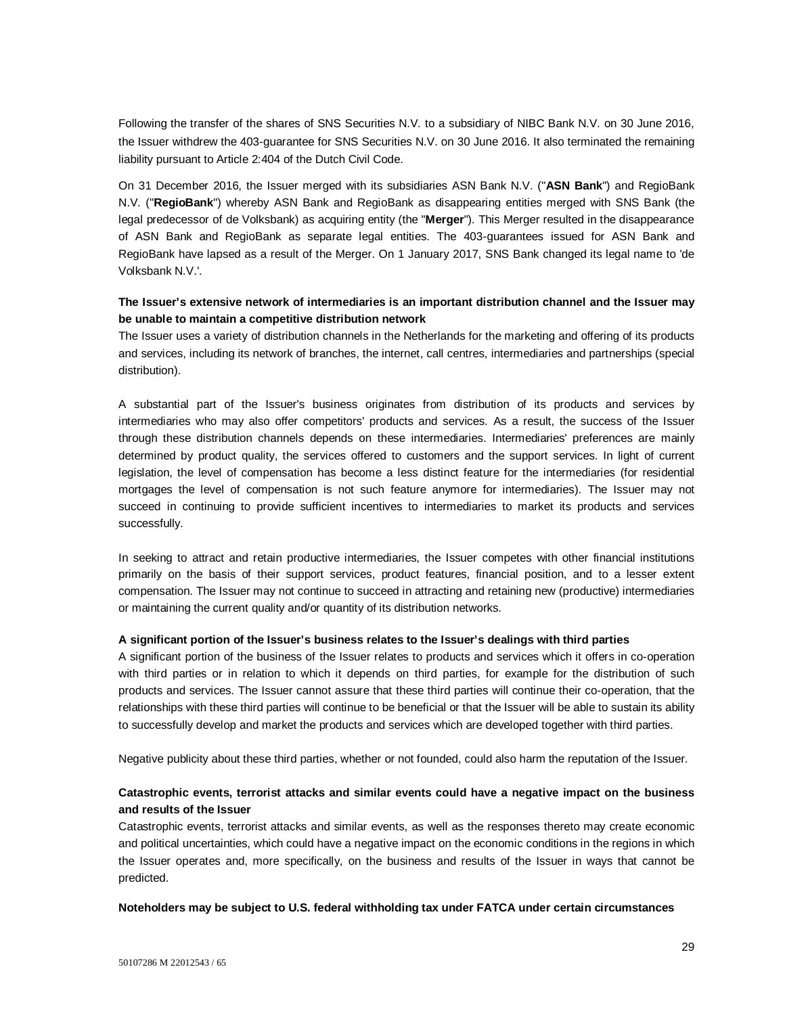Following the transfer of the shares of SNS Securities N.V. to a subsidiary of NIBC Bank N.V. on 30 June 2016, the Issuer withdrew the 403-guarantee for SNS Securities N.V. on 30 June 2016. It also terminated the remaining liability pursuant to Article 2:404 of the Dutch Civil Code.

On 31 December 2016, the Issuer merged with its subsidiaries ASN Bank N.V. ("**ASN Bank**") and RegioBank N.V. ("**RegioBank**") whereby ASN Bank and RegioBank as disappearing entities merged with SNS Bank (the legal predecessor of de Volksbank) as acquiring entity (the "**Merger**"). This Merger resulted in the disappearance of ASN Bank and RegioBank as separate legal entities. The 403-guarantees issued for ASN Bank and RegioBank have lapsed as a result of the Merger. On 1 January 2017, SNS Bank changed its legal name to 'de Volksbank N.V.'.

### **The Issuer's extensive network of intermediaries is an important distribution channel and the Issuer may be unable to maintain a competitive distribution network**

The Issuer uses a variety of distribution channels in the Netherlands for the marketing and offering of its products and services, including its network of branches, the internet, call centres, intermediaries and partnerships (special distribution).

A substantial part of the Issuer's business originates from distribution of its products and services by intermediaries who may also offer competitors' products and services. As a result, the success of the Issuer through these distribution channels depends on these intermediaries. Intermediaries' preferences are mainly determined by product quality, the services offered to customers and the support services. In light of current legislation, the level of compensation has become a less distinct feature for the intermediaries (for residential mortgages the level of compensation is not such feature anymore for intermediaries). The Issuer may not succeed in continuing to provide sufficient incentives to intermediaries to market its products and services successfully.

In seeking to attract and retain productive intermediaries, the Issuer competes with other financial institutions primarily on the basis of their support services, product features, financial position, and to a lesser extent compensation. The Issuer may not continue to succeed in attracting and retaining new (productive) intermediaries or maintaining the current quality and/or quantity of its distribution networks.

### **A significant portion of the Issuer's business relates to the Issuer's dealings with third parties**

A significant portion of the business of the Issuer relates to products and services which it offers in co-operation with third parties or in relation to which it depends on third parties, for example for the distribution of such products and services. The Issuer cannot assure that these third parties will continue their co-operation, that the relationships with these third parties will continue to be beneficial or that the Issuer will be able to sustain its ability to successfully develop and market the products and services which are developed together with third parties.

Negative publicity about these third parties, whether or not founded, could also harm the reputation of the Issuer.

# **Catastrophic events, terrorist attacks and similar events could have a negative impact on the business and results of the Issuer**

Catastrophic events, terrorist attacks and similar events, as well as the responses thereto may create economic and political uncertainties, which could have a negative impact on the economic conditions in the regions in which the Issuer operates and, more specifically, on the business and results of the Issuer in ways that cannot be predicted.

**Noteholders may be subject to U.S. federal withholding tax under FATCA under certain circumstances**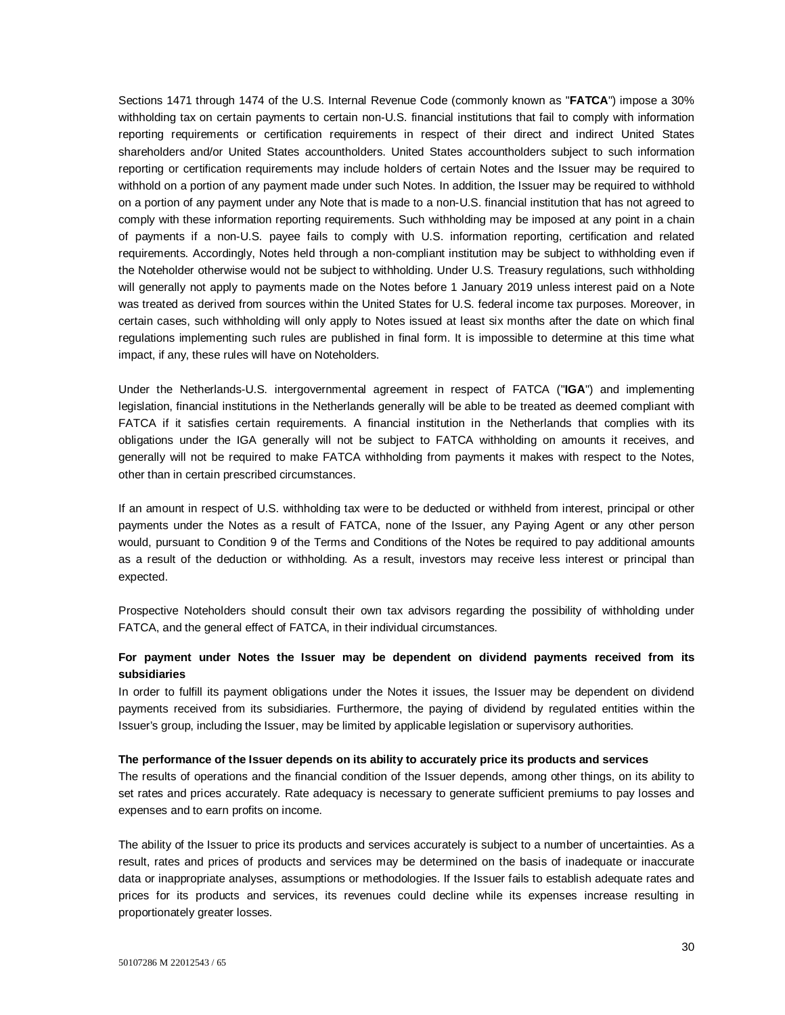Sections 1471 through 1474 of the U.S. Internal Revenue Code (commonly known as "**FATCA**") impose a 30% withholding tax on certain payments to certain non-U.S. financial institutions that fail to comply with information reporting requirements or certification requirements in respect of their direct and indirect United States shareholders and/or United States accountholders. United States accountholders subject to such information reporting or certification requirements may include holders of certain Notes and the Issuer may be required to withhold on a portion of any payment made under such Notes. In addition, the Issuer may be required to withhold on a portion of any payment under any Note that is made to a non-U.S. financial institution that has not agreed to comply with these information reporting requirements. Such withholding may be imposed at any point in a chain of payments if a non-U.S. payee fails to comply with U.S. information reporting, certification and related requirements. Accordingly, Notes held through a non-compliant institution may be subject to withholding even if the Noteholder otherwise would not be subject to withholding. Under U.S. Treasury regulations, such withholding will generally not apply to payments made on the Notes before 1 January 2019 unless interest paid on a Note was treated as derived from sources within the United States for U.S. federal income tax purposes. Moreover, in certain cases, such withholding will only apply to Notes issued at least six months after the date on which final regulations implementing such rules are published in final form. It is impossible to determine at this time what impact, if any, these rules will have on Noteholders.

Under the Netherlands-U.S. intergovernmental agreement in respect of FATCA ("**IGA**") and implementing legislation, financial institutions in the Netherlands generally will be able to be treated as deemed compliant with FATCA if it satisfies certain requirements. A financial institution in the Netherlands that complies with its obligations under the IGA generally will not be subject to FATCA withholding on amounts it receives, and generally will not be required to make FATCA withholding from payments it makes with respect to the Notes, other than in certain prescribed circumstances.

If an amount in respect of U.S. withholding tax were to be deducted or withheld from interest, principal or other payments under the Notes as a result of FATCA, none of the Issuer, any Paying Agent or any other person would, pursuant to Condition 9 of the Terms and Conditions of the Notes be required to pay additional amounts as a result of the deduction or withholding. As a result, investors may receive less interest or principal than expected.

Prospective Noteholders should consult their own tax advisors regarding the possibility of withholding under FATCA, and the general effect of FATCA, in their individual circumstances.

# **For payment under Notes the Issuer may be dependent on dividend payments received from its subsidiaries**

In order to fulfill its payment obligations under the Notes it issues, the Issuer may be dependent on dividend payments received from its subsidiaries. Furthermore, the paying of dividend by regulated entities within the Issuer's group, including the Issuer, may be limited by applicable legislation or supervisory authorities.

#### **The performance of the Issuer depends on its ability to accurately price its products and services**

The results of operations and the financial condition of the Issuer depends, among other things, on its ability to set rates and prices accurately. Rate adequacy is necessary to generate sufficient premiums to pay losses and expenses and to earn profits on income.

The ability of the Issuer to price its products and services accurately is subject to a number of uncertainties. As a result, rates and prices of products and services may be determined on the basis of inadequate or inaccurate data or inappropriate analyses, assumptions or methodologies. If the Issuer fails to establish adequate rates and prices for its products and services, its revenues could decline while its expenses increase resulting in proportionately greater losses.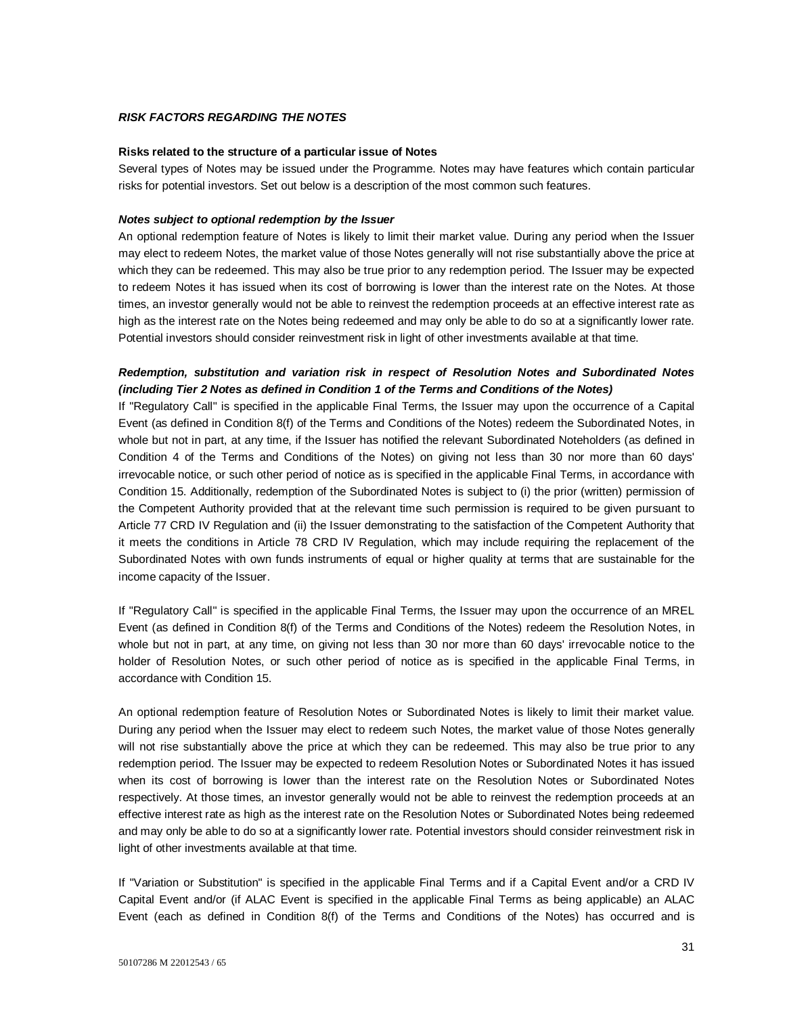### *RISK FACTORS REGARDING THE NOTES*

#### **Risks related to the structure of a particular issue of Notes**

Several types of Notes may be issued under the Programme. Notes may have features which contain particular risks for potential investors. Set out below is a description of the most common such features.

#### *Notes subject to optional redemption by the Issuer*

An optional redemption feature of Notes is likely to limit their market value. During any period when the Issuer may elect to redeem Notes, the market value of those Notes generally will not rise substantially above the price at which they can be redeemed. This may also be true prior to any redemption period. The Issuer may be expected to redeem Notes it has issued when its cost of borrowing is lower than the interest rate on the Notes. At those times, an investor generally would not be able to reinvest the redemption proceeds at an effective interest rate as high as the interest rate on the Notes being redeemed and may only be able to do so at a significantly lower rate. Potential investors should consider reinvestment risk in light of other investments available at that time.

### *Redemption, substitution and variation risk in respect of Resolution Notes and Subordinated Notes (including Tier 2 Notes as defined in Condition 1 of the Terms and Conditions of the Notes)*

If "Regulatory Call" is specified in the applicable Final Terms, the Issuer may upon the occurrence of a Capital Event (as defined in Condition 8(f) of the Terms and Conditions of the Notes) redeem the Subordinated Notes, in whole but not in part, at any time, if the Issuer has notified the relevant Subordinated Noteholders (as defined in Condition 4 of the Terms and Conditions of the Notes) on giving not less than 30 nor more than 60 days' irrevocable notice, or such other period of notice as is specified in the applicable Final Terms, in accordance with Condition 15. Additionally, redemption of the Subordinated Notes is subject to (i) the prior (written) permission of the Competent Authority provided that at the relevant time such permission is required to be given pursuant to Article 77 CRD IV Regulation and (ii) the Issuer demonstrating to the satisfaction of the Competent Authority that it meets the conditions in Article 78 CRD IV Regulation, which may include requiring the replacement of the Subordinated Notes with own funds instruments of equal or higher quality at terms that are sustainable for the income capacity of the Issuer.

If "Regulatory Call" is specified in the applicable Final Terms, the Issuer may upon the occurrence of an MREL Event (as defined in Condition 8(f) of the Terms and Conditions of the Notes) redeem the Resolution Notes, in whole but not in part, at any time, on giving not less than 30 nor more than 60 days' irrevocable notice to the holder of Resolution Notes, or such other period of notice as is specified in the applicable Final Terms, in accordance with Condition 15.

An optional redemption feature of Resolution Notes or Subordinated Notes is likely to limit their market value. During any period when the Issuer may elect to redeem such Notes, the market value of those Notes generally will not rise substantially above the price at which they can be redeemed. This may also be true prior to any redemption period. The Issuer may be expected to redeem Resolution Notes or Subordinated Notes it has issued when its cost of borrowing is lower than the interest rate on the Resolution Notes or Subordinated Notes respectively. At those times, an investor generally would not be able to reinvest the redemption proceeds at an effective interest rate as high as the interest rate on the Resolution Notes or Subordinated Notes being redeemed and may only be able to do so at a significantly lower rate. Potential investors should consider reinvestment risk in light of other investments available at that time.

If "Variation or Substitution" is specified in the applicable Final Terms and if a Capital Event and/or a CRD IV Capital Event and/or (if ALAC Event is specified in the applicable Final Terms as being applicable) an ALAC Event (each as defined in Condition 8(f) of the Terms and Conditions of the Notes) has occurred and is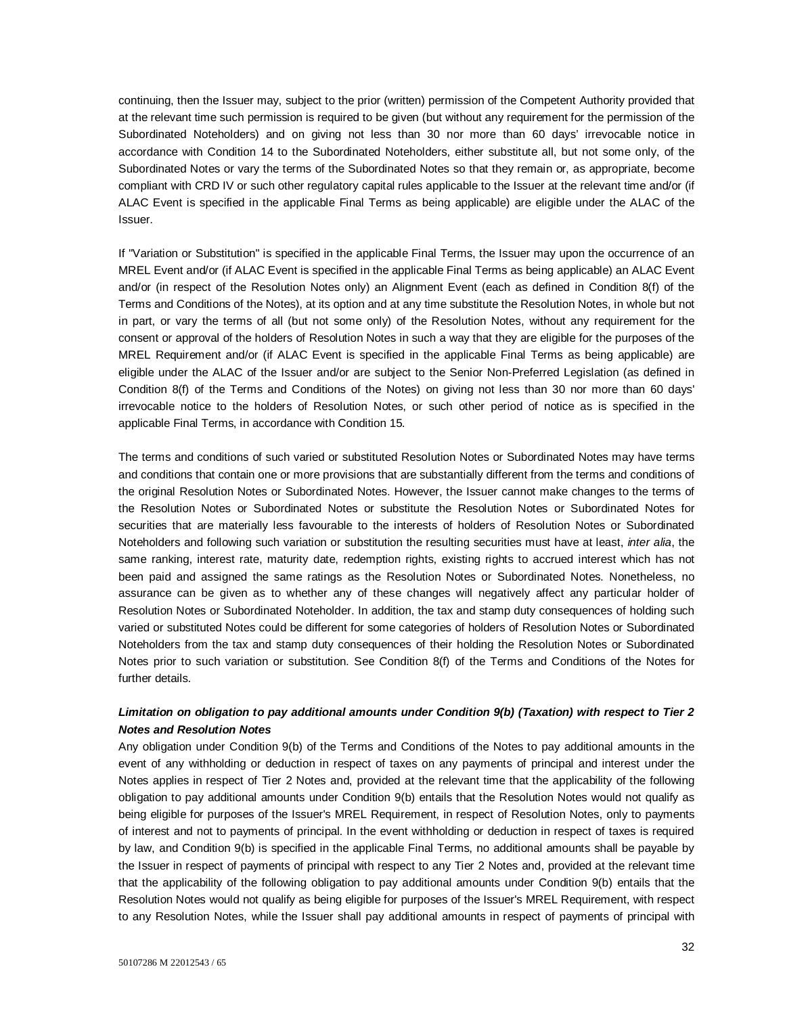continuing, then the Issuer may, subject to the prior (written) permission of the Competent Authority provided that at the relevant time such permission is required to be given (but without any requirement for the permission of the Subordinated Noteholders) and on giving not less than 30 nor more than 60 days' irrevocable notice in accordance with Condition 14 to the Subordinated Noteholders, either substitute all, but not some only, of the Subordinated Notes or vary the terms of the Subordinated Notes so that they remain or, as appropriate, become compliant with CRD IV or such other regulatory capital rules applicable to the Issuer at the relevant time and/or (if ALAC Event is specified in the applicable Final Terms as being applicable) are eligible under the ALAC of the Issuer.

If "Variation or Substitution" is specified in the applicable Final Terms, the Issuer may upon the occurrence of an MREL Event and/or (if ALAC Event is specified in the applicable Final Terms as being applicable) an ALAC Event and/or (in respect of the Resolution Notes only) an Alignment Event (each as defined in Condition 8(f) of the Terms and Conditions of the Notes), at its option and at any time substitute the Resolution Notes, in whole but not in part, or vary the terms of all (but not some only) of the Resolution Notes, without any requirement for the consent or approval of the holders of Resolution Notes in such a way that they are eligible for the purposes of the MREL Requirement and/or (if ALAC Event is specified in the applicable Final Terms as being applicable) are eligible under the ALAC of the Issuer and/or are subject to the Senior Non-Preferred Legislation (as defined in Condition 8(f) of the Terms and Conditions of the Notes) on giving not less than 30 nor more than 60 days' irrevocable notice to the holders of Resolution Notes, or such other period of notice as is specified in the applicable Final Terms, in accordance with Condition 15.

The terms and conditions of such varied or substituted Resolution Notes or Subordinated Notes may have terms and conditions that contain one or more provisions that are substantially different from the terms and conditions of the original Resolution Notes or Subordinated Notes. However, the Issuer cannot make changes to the terms of the Resolution Notes or Subordinated Notes or substitute the Resolution Notes or Subordinated Notes for securities that are materially less favourable to the interests of holders of Resolution Notes or Subordinated Noteholders and following such variation or substitution the resulting securities must have at least, *inter alia*, the same ranking, interest rate, maturity date, redemption rights, existing rights to accrued interest which has not been paid and assigned the same ratings as the Resolution Notes or Subordinated Notes. Nonetheless, no assurance can be given as to whether any of these changes will negatively affect any particular holder of Resolution Notes or Subordinated Noteholder. In addition, the tax and stamp duty consequences of holding such varied or substituted Notes could be different for some categories of holders of Resolution Notes or Subordinated Noteholders from the tax and stamp duty consequences of their holding the Resolution Notes or Subordinated Notes prior to such variation or substitution. See Condition 8(f) of the Terms and Conditions of the Notes for further details.

# *Limitation on obligation to pay additional amounts under Condition 9(b) (Taxation) with respect to Tier 2 Notes and Resolution Notes*

Any obligation under Condition 9(b) of the Terms and Conditions of the Notes to pay additional amounts in the event of any withholding or deduction in respect of taxes on any payments of principal and interest under the Notes applies in respect of Tier 2 Notes and, provided at the relevant time that the applicability of the following obligation to pay additional amounts under Condition 9(b) entails that the Resolution Notes would not qualify as being eligible for purposes of the Issuer's MREL Requirement, in respect of Resolution Notes, only to payments of interest and not to payments of principal. In the event withholding or deduction in respect of taxes is required by law, and Condition 9(b) is specified in the applicable Final Terms, no additional amounts shall be payable by the Issuer in respect of payments of principal with respect to any Tier 2 Notes and, provided at the relevant time that the applicability of the following obligation to pay additional amounts under Condition 9(b) entails that the Resolution Notes would not qualify as being eligible for purposes of the Issuer's MREL Requirement, with respect to any Resolution Notes, while the Issuer shall pay additional amounts in respect of payments of principal with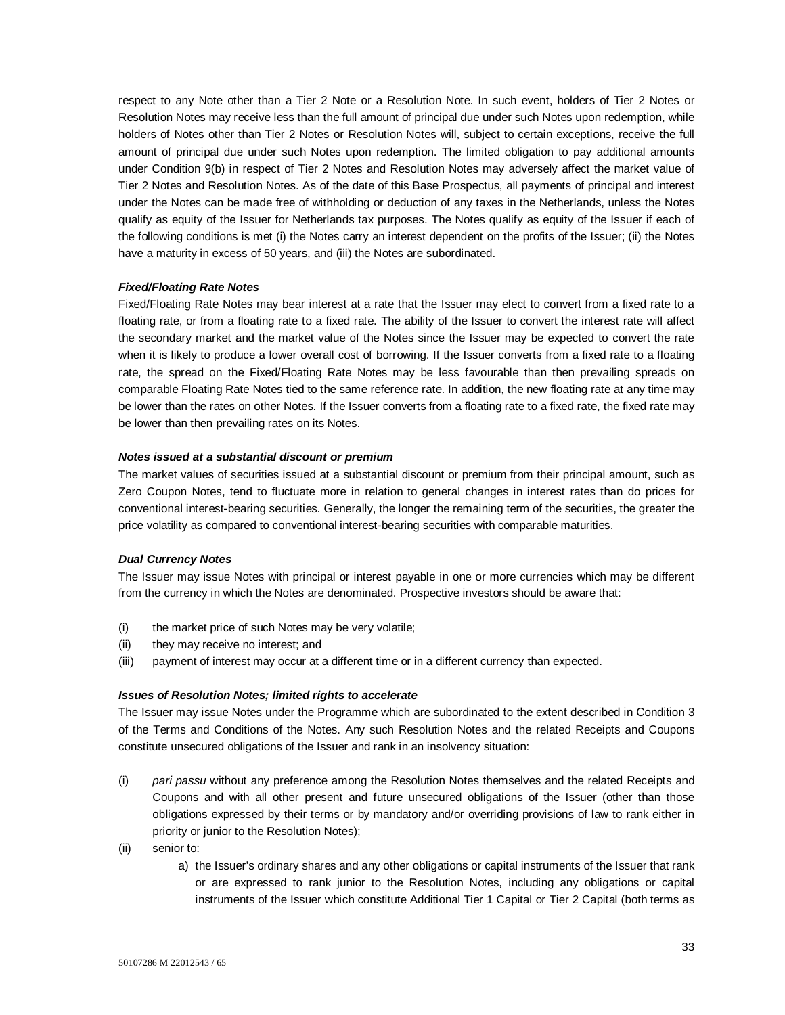respect to any Note other than a Tier 2 Note or a Resolution Note. In such event, holders of Tier 2 Notes or Resolution Notes may receive less than the full amount of principal due under such Notes upon redemption, while holders of Notes other than Tier 2 Notes or Resolution Notes will, subject to certain exceptions, receive the full amount of principal due under such Notes upon redemption. The limited obligation to pay additional amounts under Condition 9(b) in respect of Tier 2 Notes and Resolution Notes may adversely affect the market value of Tier 2 Notes and Resolution Notes. As of the date of this Base Prospectus, all payments of principal and interest under the Notes can be made free of withholding or deduction of any taxes in the Netherlands, unless the Notes qualify as equity of the Issuer for Netherlands tax purposes. The Notes qualify as equity of the Issuer if each of the following conditions is met (i) the Notes carry an interest dependent on the profits of the Issuer; (ii) the Notes have a maturity in excess of 50 years, and (iii) the Notes are subordinated.

#### *Fixed/Floating Rate Notes*

Fixed/Floating Rate Notes may bear interest at a rate that the Issuer may elect to convert from a fixed rate to a floating rate, or from a floating rate to a fixed rate. The ability of the Issuer to convert the interest rate will affect the secondary market and the market value of the Notes since the Issuer may be expected to convert the rate when it is likely to produce a lower overall cost of borrowing. If the Issuer converts from a fixed rate to a floating rate, the spread on the Fixed/Floating Rate Notes may be less favourable than then prevailing spreads on comparable Floating Rate Notes tied to the same reference rate. In addition, the new floating rate at any time may be lower than the rates on other Notes. If the Issuer converts from a floating rate to a fixed rate, the fixed rate may be lower than then prevailing rates on its Notes.

### *Notes issued at a substantial discount or premium*

The market values of securities issued at a substantial discount or premium from their principal amount, such as Zero Coupon Notes, tend to fluctuate more in relation to general changes in interest rates than do prices for conventional interest-bearing securities. Generally, the longer the remaining term of the securities, the greater the price volatility as compared to conventional interest-bearing securities with comparable maturities.

#### *Dual Currency Notes*

The Issuer may issue Notes with principal or interest payable in one or more currencies which may be different from the currency in which the Notes are denominated. Prospective investors should be aware that:

- (i) the market price of such Notes may be very volatile;
- (ii) they may receive no interest; and
- (iii) payment of interest may occur at a different time or in a different currency than expected.

#### *Issues of Resolution Notes; limited rights to accelerate*

The Issuer may issue Notes under the Programme which are subordinated to the extent described in Condition 3 of the Terms and Conditions of the Notes. Any such Resolution Notes and the related Receipts and Coupons constitute unsecured obligations of the Issuer and rank in an insolvency situation:

- (i) *pari passu* without any preference among the Resolution Notes themselves and the related Receipts and Coupons and with all other present and future unsecured obligations of the Issuer (other than those obligations expressed by their terms or by mandatory and/or overriding provisions of law to rank either in priority or junior to the Resolution Notes);
- (ii) senior to:
	- a) the Issuer's ordinary shares and any other obligations or capital instruments of the Issuer that rank or are expressed to rank junior to the Resolution Notes, including any obligations or capital instruments of the Issuer which constitute Additional Tier 1 Capital or Tier 2 Capital (both terms as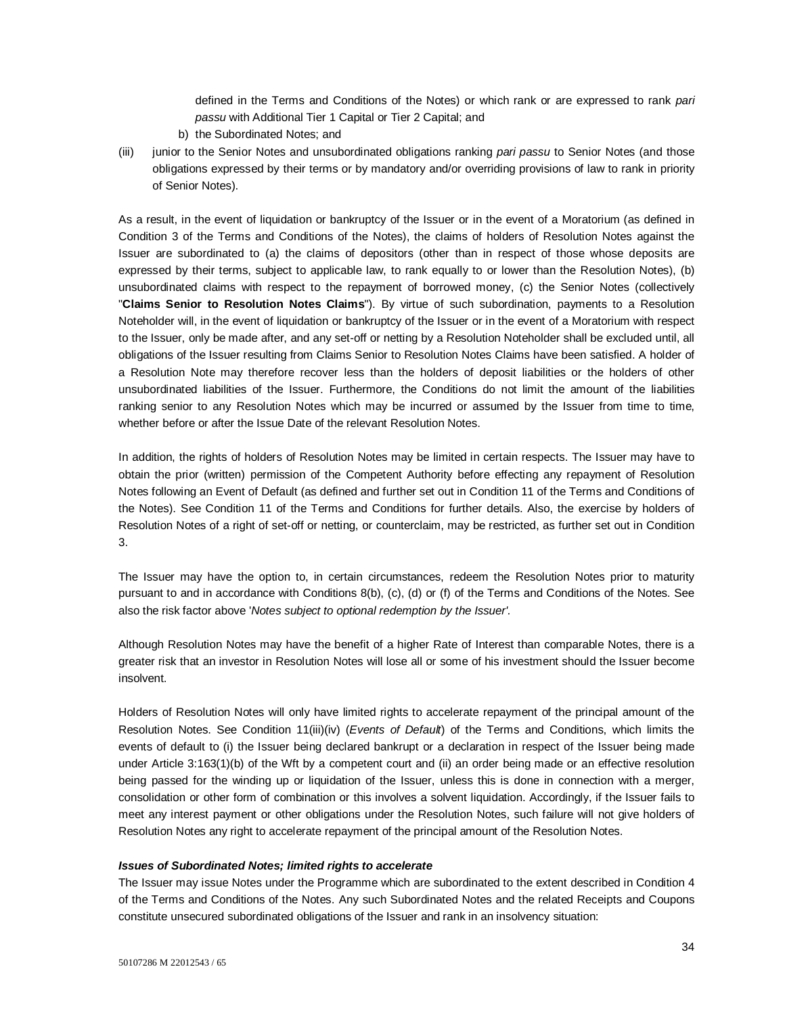defined in the Terms and Conditions of the Notes) or which rank or are expressed to rank *pari passu* with Additional Tier 1 Capital or Tier 2 Capital; and

- b) the Subordinated Notes; and
- (iii) junior to the Senior Notes and unsubordinated obligations ranking *pari passu* to Senior Notes (and those obligations expressed by their terms or by mandatory and/or overriding provisions of law to rank in priority of Senior Notes).

As a result, in the event of liquidation or bankruptcy of the Issuer or in the event of a Moratorium (as defined in Condition 3 of the Terms and Conditions of the Notes), the claims of holders of Resolution Notes against the Issuer are subordinated to (a) the claims of depositors (other than in respect of those whose deposits are expressed by their terms, subject to applicable law, to rank equally to or lower than the Resolution Notes), (b) unsubordinated claims with respect to the repayment of borrowed money, (c) the Senior Notes (collectively "**Claims Senior to Resolution Notes Claims**"). By virtue of such subordination, payments to a Resolution Noteholder will, in the event of liquidation or bankruptcy of the Issuer or in the event of a Moratorium with respect to the Issuer, only be made after, and any set-off or netting by a Resolution Noteholder shall be excluded until, all obligations of the Issuer resulting from Claims Senior to Resolution Notes Claims have been satisfied. A holder of a Resolution Note may therefore recover less than the holders of deposit liabilities or the holders of other unsubordinated liabilities of the Issuer. Furthermore, the Conditions do not limit the amount of the liabilities ranking senior to any Resolution Notes which may be incurred or assumed by the Issuer from time to time, whether before or after the Issue Date of the relevant Resolution Notes.

In addition, the rights of holders of Resolution Notes may be limited in certain respects. The Issuer may have to obtain the prior (written) permission of the Competent Authority before effecting any repayment of Resolution Notes following an Event of Default (as defined and further set out in Condition 11 of the Terms and Conditions of the Notes). See Condition 11 of the Terms and Conditions for further details. Also, the exercise by holders of Resolution Notes of a right of set-off or netting, or counterclaim, may be restricted, as further set out in Condition 3.

The Issuer may have the option to, in certain circumstances, redeem the Resolution Notes prior to maturity pursuant to and in accordance with Conditions 8(b), (c), (d) or (f) of the Terms and Conditions of the Notes. See also the risk factor above '*Notes subject to optional redemption by the Issuer'.*

Although Resolution Notes may have the benefit of a higher Rate of Interest than comparable Notes, there is a greater risk that an investor in Resolution Notes will lose all or some of his investment should the Issuer become insolvent.

Holders of Resolution Notes will only have limited rights to accelerate repayment of the principal amount of the Resolution Notes. See Condition 11(iii)(iv) (*Events of Default*) of the Terms and Conditions, which limits the events of default to (i) the Issuer being declared bankrupt or a declaration in respect of the Issuer being made under Article 3:163(1)(b) of the Wft by a competent court and (ii) an order being made or an effective resolution being passed for the winding up or liquidation of the Issuer, unless this is done in connection with a merger, consolidation or other form of combination or this involves a solvent liquidation. Accordingly, if the Issuer fails to meet any interest payment or other obligations under the Resolution Notes, such failure will not give holders of Resolution Notes any right to accelerate repayment of the principal amount of the Resolution Notes.

### *Issues of Subordinated Notes; limited rights to accelerate*

The Issuer may issue Notes under the Programme which are subordinated to the extent described in Condition 4 of the Terms and Conditions of the Notes. Any such Subordinated Notes and the related Receipts and Coupons constitute unsecured subordinated obligations of the Issuer and rank in an insolvency situation: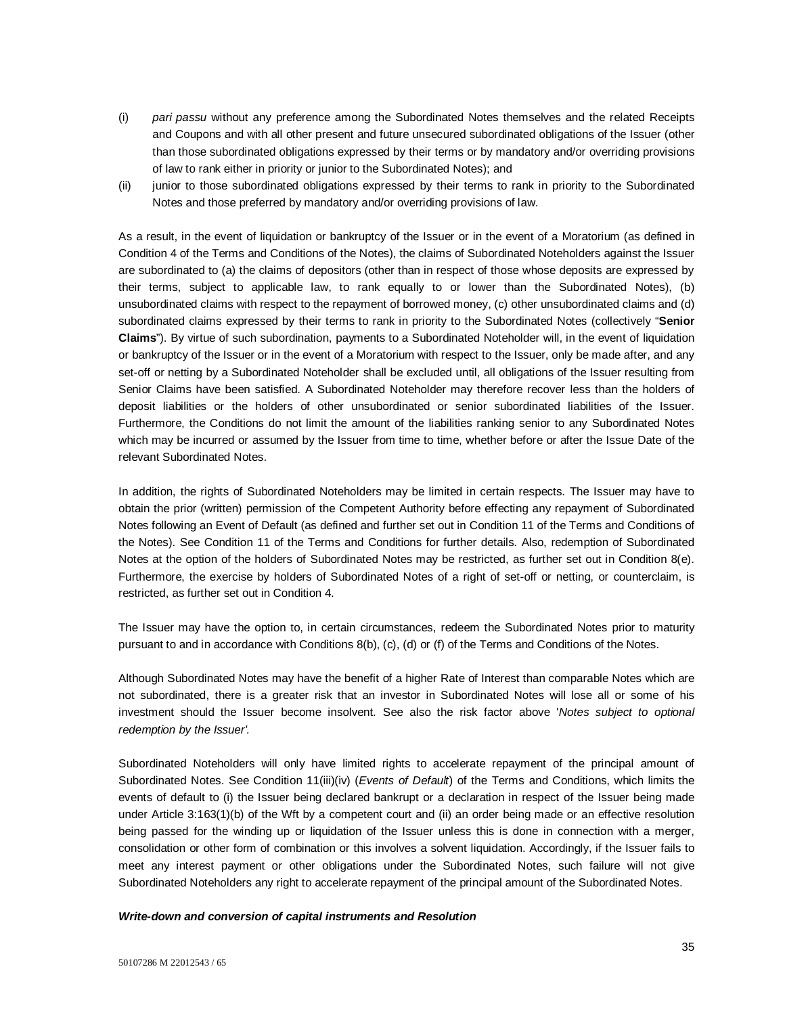- (i) *pari passu* without any preference among the Subordinated Notes themselves and the related Receipts and Coupons and with all other present and future unsecured subordinated obligations of the Issuer (other than those subordinated obligations expressed by their terms or by mandatory and/or overriding provisions of law to rank either in priority or junior to the Subordinated Notes); and
- (ii) junior to those subordinated obligations expressed by their terms to rank in priority to the Subordinated Notes and those preferred by mandatory and/or overriding provisions of law.

As a result, in the event of liquidation or bankruptcy of the Issuer or in the event of a Moratorium (as defined in Condition 4 of the Terms and Conditions of the Notes), the claims of Subordinated Noteholders against the Issuer are subordinated to (a) the claims of depositors (other than in respect of those whose deposits are expressed by their terms, subject to applicable law, to rank equally to or lower than the Subordinated Notes), (b) unsubordinated claims with respect to the repayment of borrowed money, (c) other unsubordinated claims and (d) subordinated claims expressed by their terms to rank in priority to the Subordinated Notes (collectively "**Senior Claims**"). By virtue of such subordination, payments to a Subordinated Noteholder will, in the event of liquidation or bankruptcy of the Issuer or in the event of a Moratorium with respect to the Issuer, only be made after, and any set-off or netting by a Subordinated Noteholder shall be excluded until, all obligations of the Issuer resulting from Senior Claims have been satisfied. A Subordinated Noteholder may therefore recover less than the holders of deposit liabilities or the holders of other unsubordinated or senior subordinated liabilities of the Issuer. Furthermore, the Conditions do not limit the amount of the liabilities ranking senior to any Subordinated Notes which may be incurred or assumed by the Issuer from time to time, whether before or after the Issue Date of the relevant Subordinated Notes.

In addition, the rights of Subordinated Noteholders may be limited in certain respects. The Issuer may have to obtain the prior (written) permission of the Competent Authority before effecting any repayment of Subordinated Notes following an Event of Default (as defined and further set out in Condition 11 of the Terms and Conditions of the Notes). See Condition 11 of the Terms and Conditions for further details. Also, redemption of Subordinated Notes at the option of the holders of Subordinated Notes may be restricted, as further set out in Condition 8(e). Furthermore, the exercise by holders of Subordinated Notes of a right of set-off or netting, or counterclaim, is restricted, as further set out in Condition 4.

The Issuer may have the option to, in certain circumstances, redeem the Subordinated Notes prior to maturity pursuant to and in accordance with Conditions 8(b), (c), (d) or (f) of the Terms and Conditions of the Notes.

Although Subordinated Notes may have the benefit of a higher Rate of Interest than comparable Notes which are not subordinated, there is a greater risk that an investor in Subordinated Notes will lose all or some of his investment should the Issuer become insolvent. See also the risk factor above '*Notes subject to optional redemption by the Issuer'.*

Subordinated Noteholders will only have limited rights to accelerate repayment of the principal amount of Subordinated Notes. See Condition 11(iii)(iv) (*Events of Default*) of the Terms and Conditions, which limits the events of default to (i) the Issuer being declared bankrupt or a declaration in respect of the Issuer being made under Article 3:163(1)(b) of the Wft by a competent court and (ii) an order being made or an effective resolution being passed for the winding up or liquidation of the Issuer unless this is done in connection with a merger, consolidation or other form of combination or this involves a solvent liquidation. Accordingly, if the Issuer fails to meet any interest payment or other obligations under the Subordinated Notes, such failure will not give Subordinated Noteholders any right to accelerate repayment of the principal amount of the Subordinated Notes.

#### *Write-down and conversion of capital instruments and Resolution*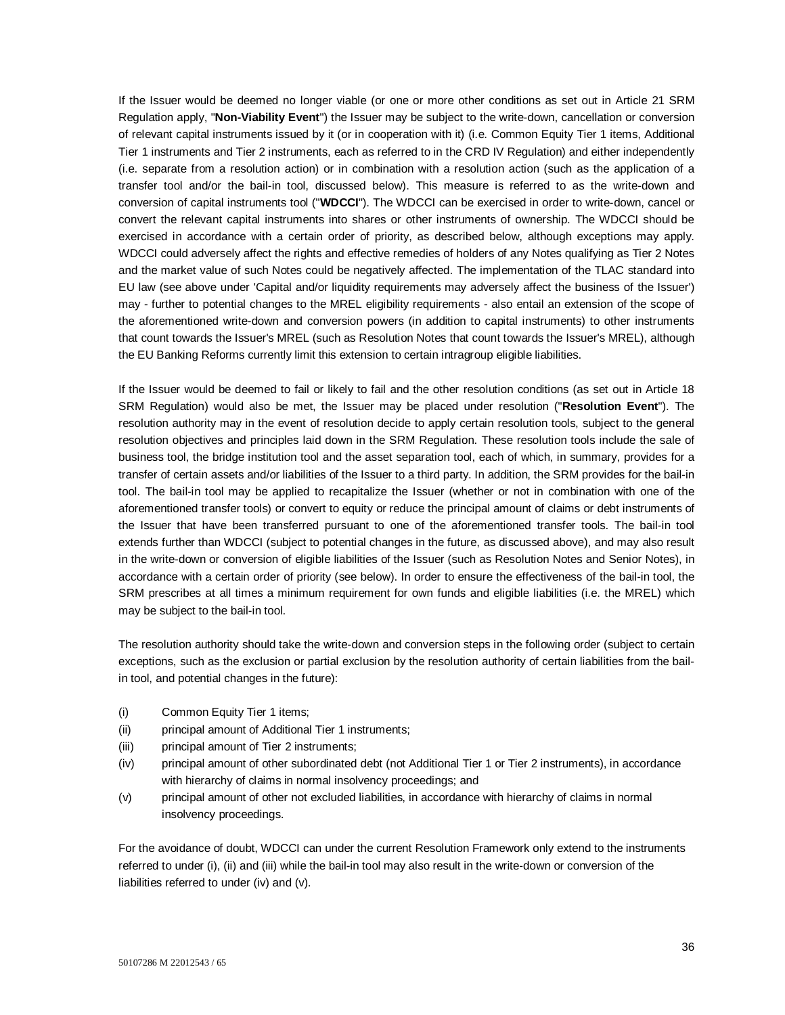If the Issuer would be deemed no longer viable (or one or more other conditions as set out in Article 21 SRM Regulation apply, "**Non-Viability Event**") the Issuer may be subject to the write-down, cancellation or conversion of relevant capital instruments issued by it (or in cooperation with it) (i.e. Common Equity Tier 1 items, Additional Tier 1 instruments and Tier 2 instruments, each as referred to in the CRD IV Regulation) and either independently (i.e. separate from a resolution action) or in combination with a resolution action (such as the application of a transfer tool and/or the bail-in tool, discussed below). This measure is referred to as the write-down and conversion of capital instruments tool ("**WDCCI**"). The WDCCI can be exercised in order to write-down, cancel or convert the relevant capital instruments into shares or other instruments of ownership. The WDCCI should be exercised in accordance with a certain order of priority, as described below, although exceptions may apply. WDCCI could adversely affect the rights and effective remedies of holders of any Notes qualifying as Tier 2 Notes and the market value of such Notes could be negatively affected. The implementation of the TLAC standard into EU law (see above under 'Capital and/or liquidity requirements may adversely affect the business of the Issuer') may - further to potential changes to the MREL eligibility requirements - also entail an extension of the scope of the aforementioned write-down and conversion powers (in addition to capital instruments) to other instruments that count towards the Issuer's MREL (such as Resolution Notes that count towards the Issuer's MREL), although the EU Banking Reforms currently limit this extension to certain intragroup eligible liabilities.

If the Issuer would be deemed to fail or likely to fail and the other resolution conditions (as set out in Article 18 SRM Regulation) would also be met, the Issuer may be placed under resolution ("**Resolution Event**"). The resolution authority may in the event of resolution decide to apply certain resolution tools, subject to the general resolution objectives and principles laid down in the SRM Regulation. These resolution tools include the sale of business tool, the bridge institution tool and the asset separation tool, each of which, in summary, provides for a transfer of certain assets and/or liabilities of the Issuer to a third party. In addition, the SRM provides for the bail-in tool. The bail-in tool may be applied to recapitalize the Issuer (whether or not in combination with one of the aforementioned transfer tools) or convert to equity or reduce the principal amount of claims or debt instruments of the Issuer that have been transferred pursuant to one of the aforementioned transfer tools. The bail-in tool extends further than WDCCI (subject to potential changes in the future, as discussed above), and may also result in the write-down or conversion of eligible liabilities of the Issuer (such as Resolution Notes and Senior Notes), in accordance with a certain order of priority (see below). In order to ensure the effectiveness of the bail-in tool, the SRM prescribes at all times a minimum requirement for own funds and eligible liabilities (i.e. the MREL) which may be subject to the bail-in tool.

The resolution authority should take the write-down and conversion steps in the following order (subject to certain exceptions, such as the exclusion or partial exclusion by the resolution authority of certain liabilities from the bailin tool, and potential changes in the future):

- (i) Common Equity Tier 1 items;
- (ii) principal amount of Additional Tier 1 instruments;
- (iii) principal amount of Tier 2 instruments;
- (iv) principal amount of other subordinated debt (not Additional Tier 1 or Tier 2 instruments), in accordance with hierarchy of claims in normal insolvency proceedings; and
- (v) principal amount of other not excluded liabilities, in accordance with hierarchy of claims in normal insolvency proceedings.

For the avoidance of doubt, WDCCI can under the current Resolution Framework only extend to the instruments referred to under (i), (ii) and (iii) while the bail-in tool may also result in the write-down or conversion of the liabilities referred to under (iv) and (v).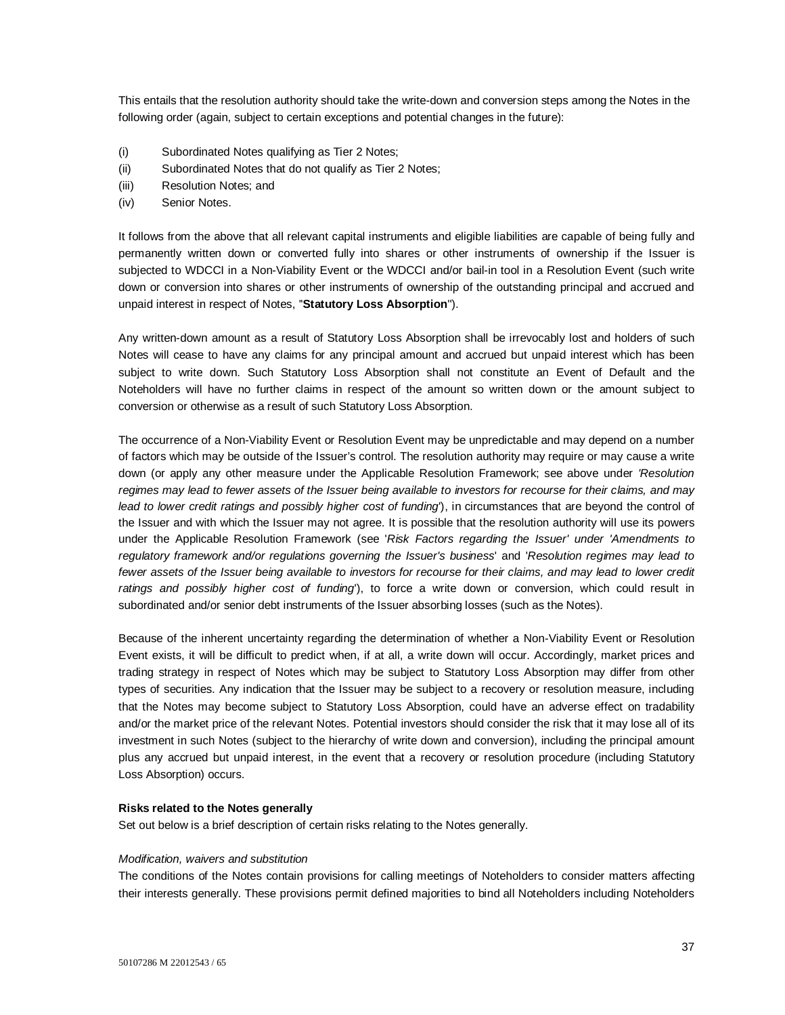This entails that the resolution authority should take the write-down and conversion steps among the Notes in the following order (again, subject to certain exceptions and potential changes in the future):

- (i) Subordinated Notes qualifying as Tier 2 Notes;
- (ii) Subordinated Notes that do not qualify as Tier 2 Notes;
- (iii) Resolution Notes; and
- (iv) Senior Notes.

It follows from the above that all relevant capital instruments and eligible liabilities are capable of being fully and permanently written down or converted fully into shares or other instruments of ownership if the Issuer is subjected to WDCCI in a Non-Viability Event or the WDCCI and/or bail-in tool in a Resolution Event (such write down or conversion into shares or other instruments of ownership of the outstanding principal and accrued and unpaid interest in respect of Notes, ''**Statutory Loss Absorption**'').

Any written-down amount as a result of Statutory Loss Absorption shall be irrevocably lost and holders of such Notes will cease to have any claims for any principal amount and accrued but unpaid interest which has been subject to write down. Such Statutory Loss Absorption shall not constitute an Event of Default and the Noteholders will have no further claims in respect of the amount so written down or the amount subject to conversion or otherwise as a result of such Statutory Loss Absorption.

The occurrence of a Non-Viability Event or Resolution Event may be unpredictable and may depend on a number of factors which may be outside of the Issuer's control. The resolution authority may require or may cause a write down (or apply any other measure under the Applicable Resolution Framework; see above under *'Resolution regimes may lead to fewer assets of the Issuer being available to investors for recourse for their claims, and may lead to lower credit ratings and possibly higher cost of funding*'), in circumstances that are beyond the control of the Issuer and with which the Issuer may not agree. It is possible that the resolution authority will use its powers under the Applicable Resolution Framework (see '*Risk Factors regarding the Issuer' under 'Amendments to regulatory framework and/or regulations governing the Issuer's business*' and '*Resolution regimes may lead to*  fewer assets of the Issuer being available to investors for recourse for their claims, and may lead to lower credit *ratings and possibly higher cost of funding*'), to force a write down or conversion, which could result in subordinated and/or senior debt instruments of the Issuer absorbing losses (such as the Notes).

Because of the inherent uncertainty regarding the determination of whether a Non-Viability Event or Resolution Event exists, it will be difficult to predict when, if at all, a write down will occur. Accordingly, market prices and trading strategy in respect of Notes which may be subject to Statutory Loss Absorption may differ from other types of securities. Any indication that the Issuer may be subject to a recovery or resolution measure, including that the Notes may become subject to Statutory Loss Absorption, could have an adverse effect on tradability and/or the market price of the relevant Notes. Potential investors should consider the risk that it may lose all of its investment in such Notes (subject to the hierarchy of write down and conversion), including the principal amount plus any accrued but unpaid interest, in the event that a recovery or resolution procedure (including Statutory Loss Absorption) occurs.

## **Risks related to the Notes generally**

Set out below is a brief description of certain risks relating to the Notes generally.

#### *Modification, waivers and substitution*

The conditions of the Notes contain provisions for calling meetings of Noteholders to consider matters affecting their interests generally. These provisions permit defined majorities to bind all Noteholders including Noteholders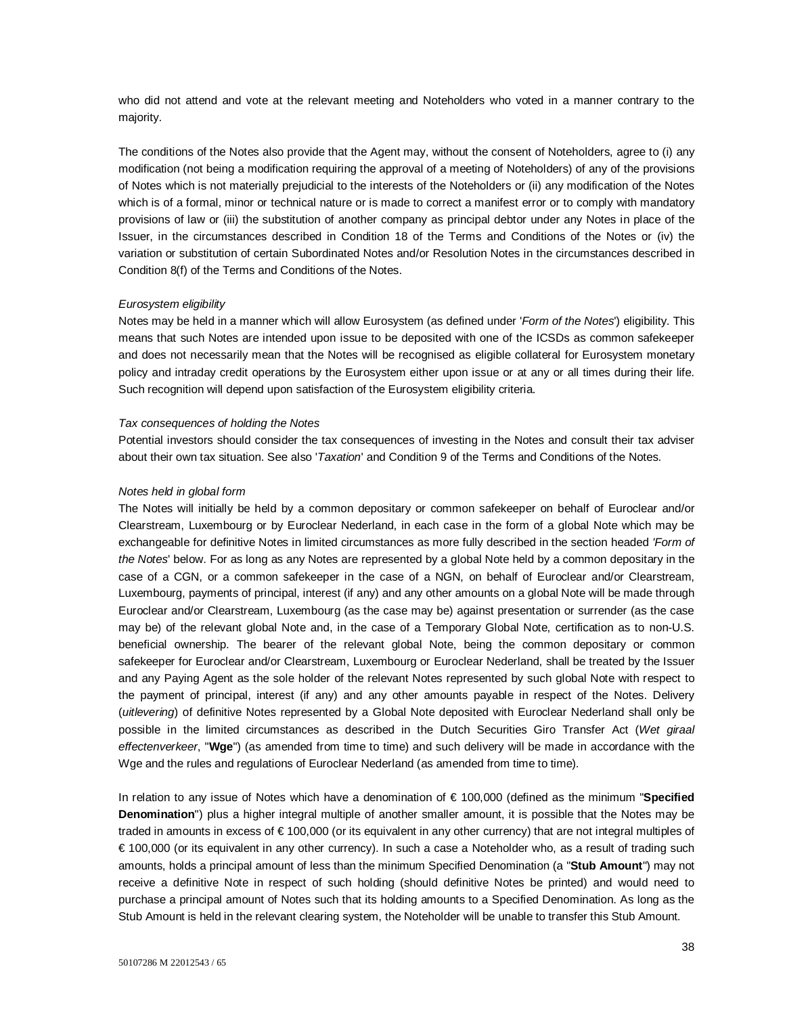who did not attend and vote at the relevant meeting and Noteholders who voted in a manner contrary to the majority.

The conditions of the Notes also provide that the Agent may, without the consent of Noteholders, agree to (i) any modification (not being a modification requiring the approval of a meeting of Noteholders) of any of the provisions of Notes which is not materially prejudicial to the interests of the Noteholders or (ii) any modification of the Notes which is of a formal, minor or technical nature or is made to correct a manifest error or to comply with mandatory provisions of law or (iii) the substitution of another company as principal debtor under any Notes in place of the Issuer, in the circumstances described in Condition 18 of the Terms and Conditions of the Notes or (iv) the variation or substitution of certain Subordinated Notes and/or Resolution Notes in the circumstances described in Condition 8(f) of the Terms and Conditions of the Notes.

### *Eurosystem eligibility*

Notes may be held in a manner which will allow Eurosystem (as defined under '*Form of the Notes*') eligibility. This means that such Notes are intended upon issue to be deposited with one of the ICSDs as common safekeeper and does not necessarily mean that the Notes will be recognised as eligible collateral for Eurosystem monetary policy and intraday credit operations by the Eurosystem either upon issue or at any or all times during their life. Such recognition will depend upon satisfaction of the Eurosystem eligibility criteria.

#### *Tax consequences of holding the Notes*

Potential investors should consider the tax consequences of investing in the Notes and consult their tax adviser about their own tax situation. See also '*Taxation*' and Condition 9 of the Terms and Conditions of the Notes.

#### *Notes held in global form*

The Notes will initially be held by a common depositary or common safekeeper on behalf of Euroclear and/or Clearstream, Luxembourg or by Euroclear Nederland, in each case in the form of a global Note which may be exchangeable for definitive Notes in limited circumstances as more fully described in the section headed *'Form of the Notes*' below. For as long as any Notes are represented by a global Note held by a common depositary in the case of a CGN, or a common safekeeper in the case of a NGN, on behalf of Euroclear and/or Clearstream, Luxembourg, payments of principal, interest (if any) and any other amounts on a global Note will be made through Euroclear and/or Clearstream, Luxembourg (as the case may be) against presentation or surrender (as the case may be) of the relevant global Note and, in the case of a Temporary Global Note, certification as to non-U.S. beneficial ownership. The bearer of the relevant global Note, being the common depositary or common safekeeper for Euroclear and/or Clearstream, Luxembourg or Euroclear Nederland, shall be treated by the Issuer and any Paying Agent as the sole holder of the relevant Notes represented by such global Note with respect to the payment of principal, interest (if any) and any other amounts payable in respect of the Notes. Delivery (*uitlevering*) of definitive Notes represented by a Global Note deposited with Euroclear Nederland shall only be possible in the limited circumstances as described in the Dutch Securities Giro Transfer Act (*Wet giraal effectenverkeer*, "**Wge**") (as amended from time to time) and such delivery will be made in accordance with the Wge and the rules and regulations of Euroclear Nederland (as amended from time to time).

In relation to any issue of Notes which have a denomination of € 100,000 (defined as the minimum "**Specified Denomination**") plus a higher integral multiple of another smaller amount, it is possible that the Notes may be traded in amounts in excess of € 100,000 (or its equivalent in any other currency) that are not integral multiples of € 100,000 (or its equivalent in any other currency). In such a case a Noteholder who, as a result of trading such amounts, holds a principal amount of less than the minimum Specified Denomination (a "**Stub Amount**") may not receive a definitive Note in respect of such holding (should definitive Notes be printed) and would need to purchase a principal amount of Notes such that its holding amounts to a Specified Denomination. As long as the Stub Amount is held in the relevant clearing system, the Noteholder will be unable to transfer this Stub Amount.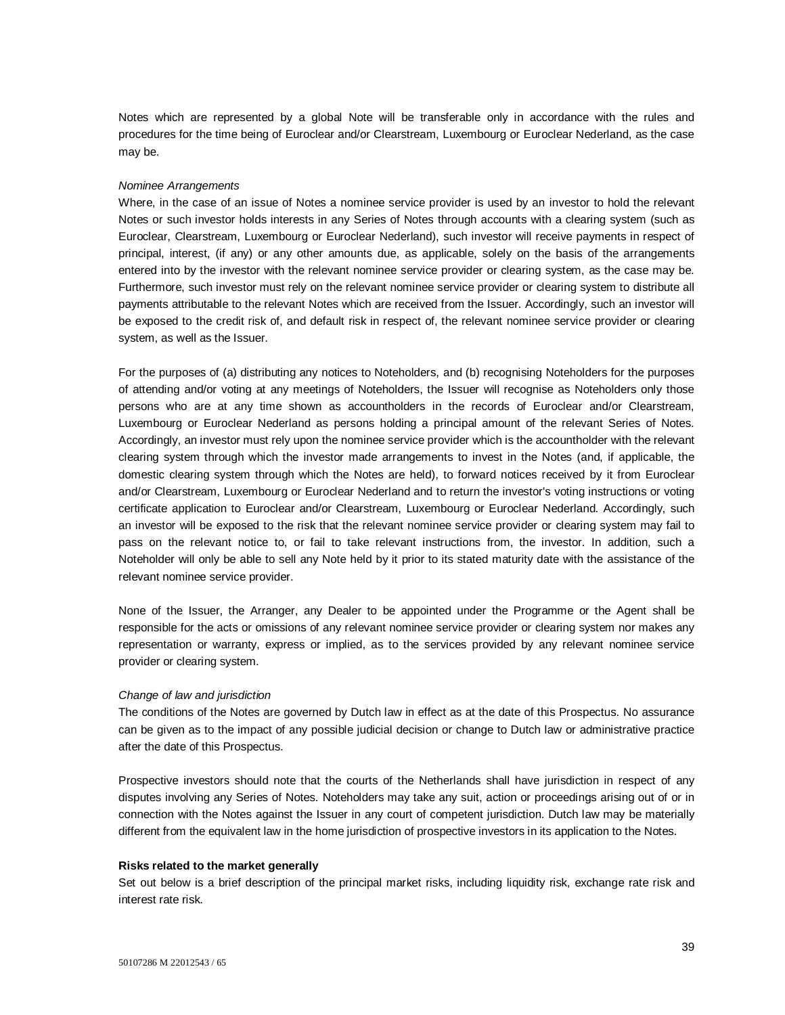Notes which are represented by a global Note will be transferable only in accordance with the rules and procedures for the time being of Euroclear and/or Clearstream, Luxembourg or Euroclear Nederland, as the case may be.

#### *Nominee Arrangements*

Where, in the case of an issue of Notes a nominee service provider is used by an investor to hold the relevant Notes or such investor holds interests in any Series of Notes through accounts with a clearing system (such as Euroclear, Clearstream, Luxembourg or Euroclear Nederland), such investor will receive payments in respect of principal, interest, (if any) or any other amounts due, as applicable, solely on the basis of the arrangements entered into by the investor with the relevant nominee service provider or clearing system, as the case may be. Furthermore, such investor must rely on the relevant nominee service provider or clearing system to distribute all payments attributable to the relevant Notes which are received from the Issuer. Accordingly, such an investor will be exposed to the credit risk of, and default risk in respect of, the relevant nominee service provider or clearing system, as well as the Issuer.

For the purposes of (a) distributing any notices to Noteholders, and (b) recognising Noteholders for the purposes of attending and/or voting at any meetings of Noteholders, the Issuer will recognise as Noteholders only those persons who are at any time shown as accountholders in the records of Euroclear and/or Clearstream, Luxembourg or Euroclear Nederland as persons holding a principal amount of the relevant Series of Notes. Accordingly, an investor must rely upon the nominee service provider which is the accountholder with the relevant clearing system through which the investor made arrangements to invest in the Notes (and, if applicable, the domestic clearing system through which the Notes are held), to forward notices received by it from Euroclear and/or Clearstream, Luxembourg or Euroclear Nederland and to return the investor's voting instructions or voting certificate application to Euroclear and/or Clearstream, Luxembourg or Euroclear Nederland. Accordingly, such an investor will be exposed to the risk that the relevant nominee service provider or clearing system may fail to pass on the relevant notice to, or fail to take relevant instructions from, the investor. In addition, such a Noteholder will only be able to sell any Note held by it prior to its stated maturity date with the assistance of the relevant nominee service provider.

None of the Issuer, the Arranger, any Dealer to be appointed under the Programme or the Agent shall be responsible for the acts or omissions of any relevant nominee service provider or clearing system nor makes any representation or warranty, express or implied, as to the services provided by any relevant nominee service provider or clearing system.

#### *Change of law and jurisdiction*

The conditions of the Notes are governed by Dutch law in effect as at the date of this Prospectus. No assurance can be given as to the impact of any possible judicial decision or change to Dutch law or administrative practice after the date of this Prospectus.

Prospective investors should note that the courts of the Netherlands shall have jurisdiction in respect of any disputes involving any Series of Notes. Noteholders may take any suit, action or proceedings arising out of or in connection with the Notes against the Issuer in any court of competent jurisdiction. Dutch law may be materially different from the equivalent law in the home jurisdiction of prospective investors in its application to the Notes.

#### **Risks related to the market generally**

Set out below is a brief description of the principal market risks, including liquidity risk, exchange rate risk and interest rate risk.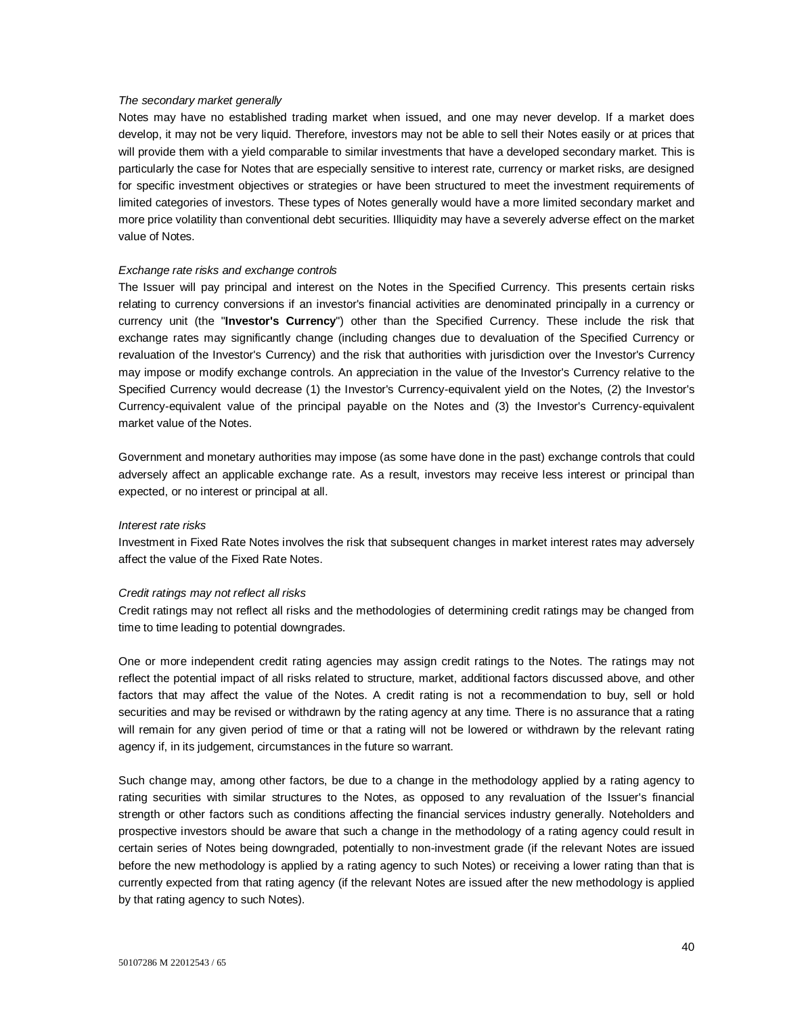### *The secondary market generally*

Notes may have no established trading market when issued, and one may never develop. If a market does develop, it may not be very liquid. Therefore, investors may not be able to sell their Notes easily or at prices that will provide them with a yield comparable to similar investments that have a developed secondary market. This is particularly the case for Notes that are especially sensitive to interest rate, currency or market risks, are designed for specific investment objectives or strategies or have been structured to meet the investment requirements of limited categories of investors. These types of Notes generally would have a more limited secondary market and more price volatility than conventional debt securities. Illiquidity may have a severely adverse effect on the market value of Notes.

#### *Exchange rate risks and exchange controls*

The Issuer will pay principal and interest on the Notes in the Specified Currency. This presents certain risks relating to currency conversions if an investor's financial activities are denominated principally in a currency or currency unit (the "**Investor's Currency**") other than the Specified Currency. These include the risk that exchange rates may significantly change (including changes due to devaluation of the Specified Currency or revaluation of the Investor's Currency) and the risk that authorities with jurisdiction over the Investor's Currency may impose or modify exchange controls. An appreciation in the value of the Investor's Currency relative to the Specified Currency would decrease (1) the Investor's Currency-equivalent yield on the Notes, (2) the Investor's Currency-equivalent value of the principal payable on the Notes and (3) the Investor's Currency-equivalent market value of the Notes.

Government and monetary authorities may impose (as some have done in the past) exchange controls that could adversely affect an applicable exchange rate. As a result, investors may receive less interest or principal than expected, or no interest or principal at all.

#### *Interest rate risks*

Investment in Fixed Rate Notes involves the risk that subsequent changes in market interest rates may adversely affect the value of the Fixed Rate Notes.

#### *Credit ratings may not reflect all risks*

Credit ratings may not reflect all risks and the methodologies of determining credit ratings may be changed from time to time leading to potential downgrades.

One or more independent credit rating agencies may assign credit ratings to the Notes. The ratings may not reflect the potential impact of all risks related to structure, market, additional factors discussed above, and other factors that may affect the value of the Notes. A credit rating is not a recommendation to buy, sell or hold securities and may be revised or withdrawn by the rating agency at any time. There is no assurance that a rating will remain for any given period of time or that a rating will not be lowered or withdrawn by the relevant rating agency if, in its judgement, circumstances in the future so warrant.

Such change may, among other factors, be due to a change in the methodology applied by a rating agency to rating securities with similar structures to the Notes, as opposed to any revaluation of the Issuer's financial strength or other factors such as conditions affecting the financial services industry generally. Noteholders and prospective investors should be aware that such a change in the methodology of a rating agency could result in certain series of Notes being downgraded, potentially to non-investment grade (if the relevant Notes are issued before the new methodology is applied by a rating agency to such Notes) or receiving a lower rating than that is currently expected from that rating agency (if the relevant Notes are issued after the new methodology is applied by that rating agency to such Notes).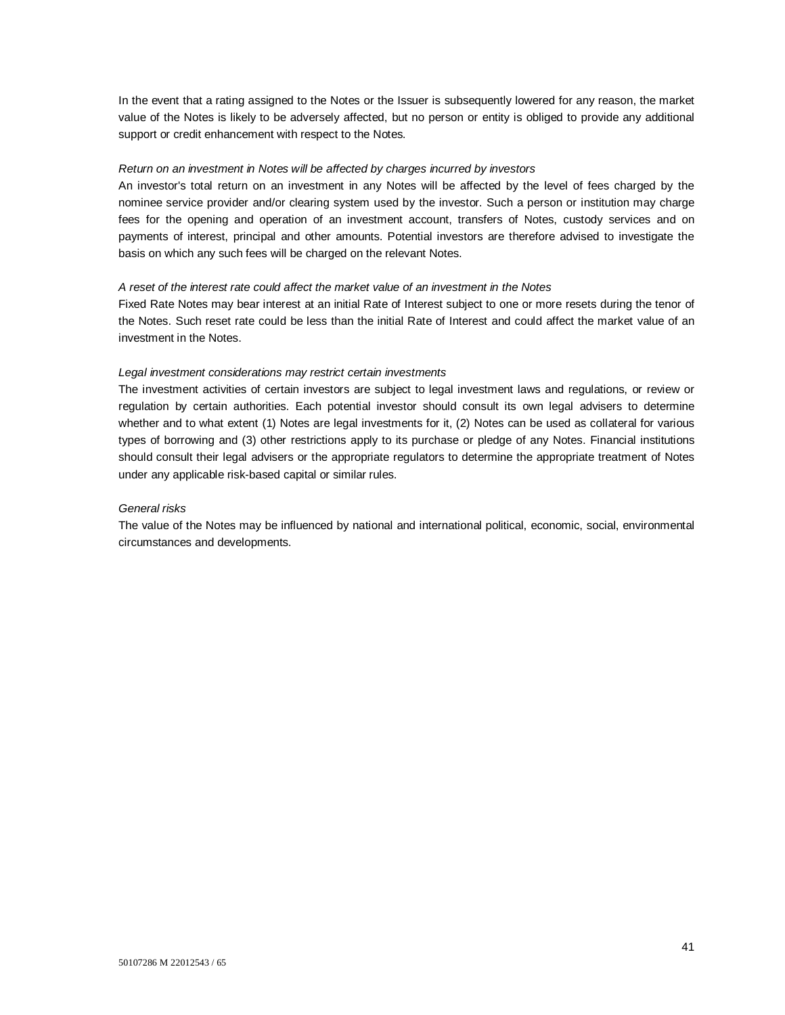In the event that a rating assigned to the Notes or the Issuer is subsequently lowered for any reason, the market value of the Notes is likely to be adversely affected, but no person or entity is obliged to provide any additional support or credit enhancement with respect to the Notes.

## *Return on an investment in Notes will be affected by charges incurred by investors*

An investor's total return on an investment in any Notes will be affected by the level of fees charged by the nominee service provider and/or clearing system used by the investor. Such a person or institution may charge fees for the opening and operation of an investment account, transfers of Notes, custody services and on payments of interest, principal and other amounts. Potential investors are therefore advised to investigate the basis on which any such fees will be charged on the relevant Notes.

## *A reset of the interest rate could affect the market value of an investment in the Notes*

Fixed Rate Notes may bear interest at an initial Rate of Interest subject to one or more resets during the tenor of the Notes. Such reset rate could be less than the initial Rate of Interest and could affect the market value of an investment in the Notes.

## *Legal investment considerations may restrict certain investments*

The investment activities of certain investors are subject to legal investment laws and regulations, or review or regulation by certain authorities. Each potential investor should consult its own legal advisers to determine whether and to what extent (1) Notes are legal investments for it, (2) Notes can be used as collateral for various types of borrowing and (3) other restrictions apply to its purchase or pledge of any Notes. Financial institutions should consult their legal advisers or the appropriate regulators to determine the appropriate treatment of Notes under any applicable risk-based capital or similar rules.

## *General risks*

The value of the Notes may be influenced by national and international political, economic, social, environmental circumstances and developments.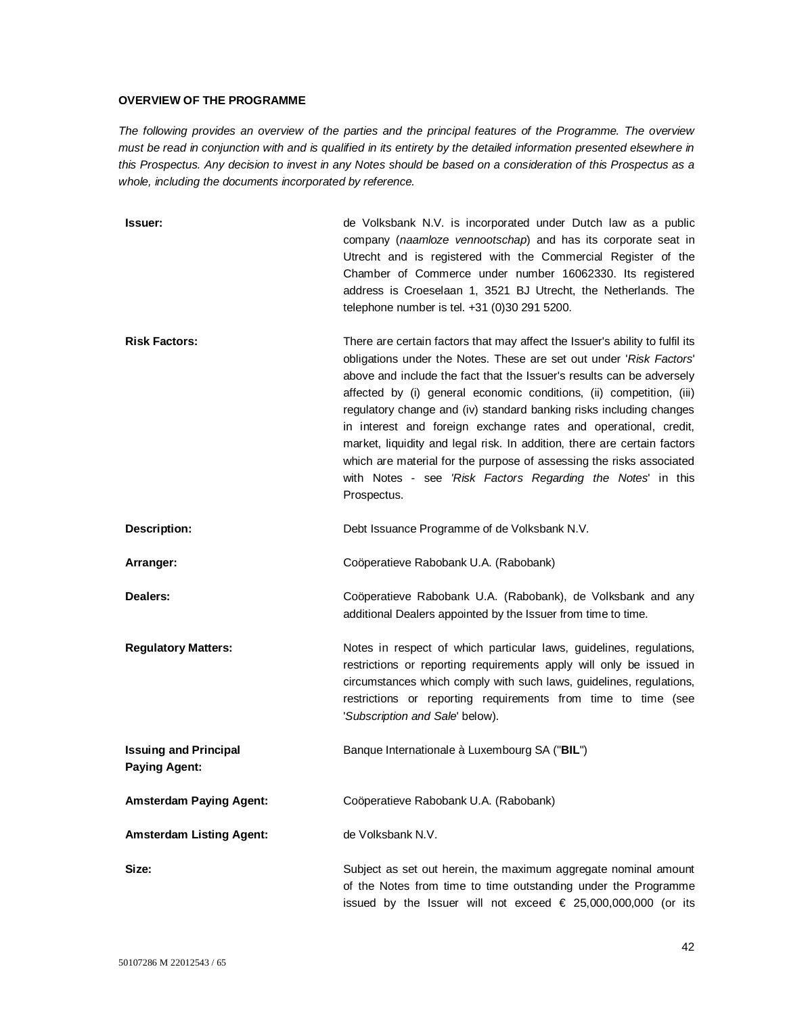# **OVERVIEW OF THE PROGRAMME**

*The following provides an overview of the parties and the principal features of the Programme. The overview must be read in conjunction with and is qualified in its entirety by the detailed information presented elsewhere in this Prospectus. Any decision to invest in any Notes should be based on a consideration of this Prospectus as a whole, including the documents incorporated by reference.* 

| Issuer:                                              | de Volksbank N.V. is incorporated under Dutch law as a public<br>company (naamloze vennootschap) and has its corporate seat in<br>Utrecht and is registered with the Commercial Register of the<br>Chamber of Commerce under number 16062330. Its registered<br>address is Croeselaan 1, 3521 BJ Utrecht, the Netherlands. The<br>telephone number is tel. +31 (0)30 291 5200.                                                                                                                                                                                                                                                                                                   |
|------------------------------------------------------|----------------------------------------------------------------------------------------------------------------------------------------------------------------------------------------------------------------------------------------------------------------------------------------------------------------------------------------------------------------------------------------------------------------------------------------------------------------------------------------------------------------------------------------------------------------------------------------------------------------------------------------------------------------------------------|
| <b>Risk Factors:</b>                                 | There are certain factors that may affect the Issuer's ability to fulfil its<br>obligations under the Notes. These are set out under 'Risk Factors'<br>above and include the fact that the Issuer's results can be adversely<br>affected by (i) general economic conditions, (ii) competition, (iii)<br>regulatory change and (iv) standard banking risks including changes<br>in interest and foreign exchange rates and operational, credit,<br>market, liquidity and legal risk. In addition, there are certain factors<br>which are material for the purpose of assessing the risks associated<br>with Notes - see 'Risk Factors Regarding the Notes' in this<br>Prospectus. |
| Description:                                         | Debt Issuance Programme of de Volksbank N.V.                                                                                                                                                                                                                                                                                                                                                                                                                                                                                                                                                                                                                                     |
| Arranger:                                            | Coöperatieve Rabobank U.A. (Rabobank)                                                                                                                                                                                                                                                                                                                                                                                                                                                                                                                                                                                                                                            |
| Dealers:                                             | Coöperatieve Rabobank U.A. (Rabobank), de Volksbank and any<br>additional Dealers appointed by the Issuer from time to time.                                                                                                                                                                                                                                                                                                                                                                                                                                                                                                                                                     |
| <b>Regulatory Matters:</b>                           | Notes in respect of which particular laws, guidelines, regulations,<br>restrictions or reporting requirements apply will only be issued in<br>circumstances which comply with such laws, guidelines, regulations,<br>restrictions or reporting requirements from time to time (see<br>'Subscription and Sale' below).                                                                                                                                                                                                                                                                                                                                                            |
| <b>Issuing and Principal</b><br><b>Paying Agent:</b> | Banque Internationale à Luxembourg SA ("BIL")                                                                                                                                                                                                                                                                                                                                                                                                                                                                                                                                                                                                                                    |
| <b>Amsterdam Paying Agent:</b>                       | Coöperatieve Rabobank U.A. (Rabobank)                                                                                                                                                                                                                                                                                                                                                                                                                                                                                                                                                                                                                                            |
| <b>Amsterdam Listing Agent:</b>                      | de Volksbank N.V.                                                                                                                                                                                                                                                                                                                                                                                                                                                                                                                                                                                                                                                                |
| Size:                                                | Subject as set out herein, the maximum aggregate nominal amount<br>of the Notes from time to time outstanding under the Programme<br>issued by the Issuer will not exceed $€$ 25,000,000,000 (or its                                                                                                                                                                                                                                                                                                                                                                                                                                                                             |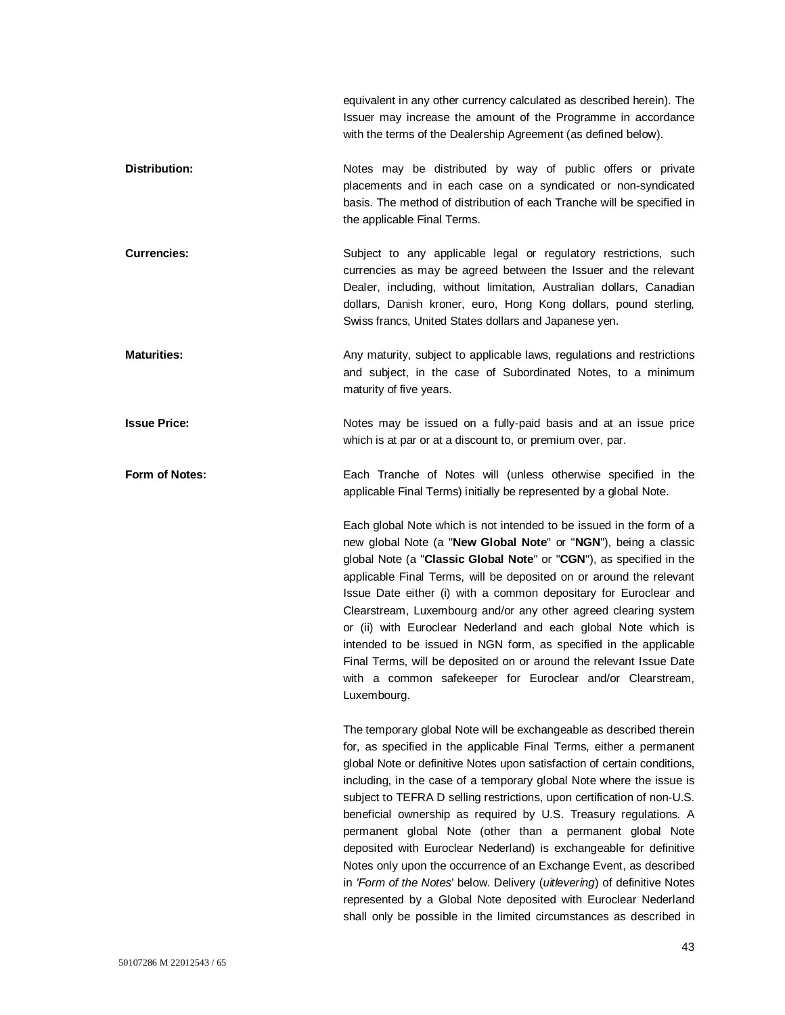equivalent in any other currency calculated as described herein). The Issuer may increase the amount of the Programme in accordance with the terms of the Dealership Agreement (as defined below).

**Distribution:** Notes may be distributed by way of public offers or private placements and in each case on a syndicated or non-syndicated basis. The method of distribution of each Tranche will be specified in the applicable Final Terms.

**Currencies:** Subject to any applicable legal or regulatory restrictions, such currencies as may be agreed between the Issuer and the relevant Dealer, including, without limitation, Australian dollars, Canadian dollars, Danish kroner, euro, Hong Kong dollars, pound sterling, Swiss francs, United States dollars and Japanese yen.

**Maturities:** Any maturity, subject to applicable laws, regulations and restrictions and subject, in the case of Subordinated Notes, to a minimum maturity of five years.

**Issue Price:** Notes may be issued on a fully-paid basis and at an issue price which is at par or at a discount to, or premium over, par.

**Form of Notes:** Each Tranche of Notes will (unless otherwise specified in the applicable Final Terms) initially be represented by a global Note.

> Each global Note which is not intended to be issued in the form of a new global Note (a "**New Global Note**" or "**NGN**"), being a classic global Note (a "**Classic Global Note**" or "**CGN**"), as specified in the applicable Final Terms, will be deposited on or around the relevant Issue Date either (i) with a common depositary for Euroclear and Clearstream, Luxembourg and/or any other agreed clearing system or (ii) with Euroclear Nederland and each global Note which is intended to be issued in NGN form, as specified in the applicable Final Terms, will be deposited on or around the relevant Issue Date with a common safekeeper for Euroclear and/or Clearstream, Luxembourg.

> The temporary global Note will be exchangeable as described therein for, as specified in the applicable Final Terms, either a permanent global Note or definitive Notes upon satisfaction of certain conditions, including, in the case of a temporary global Note where the issue is subject to TEFRA D selling restrictions, upon certification of non-U.S. beneficial ownership as required by U.S. Treasury regulations. A permanent global Note (other than a permanent global Note deposited with Euroclear Nederland) is exchangeable for definitive Notes only upon the occurrence of an Exchange Event, as described in *'Form of the Notes*' below. Delivery (*uitlevering*) of definitive Notes represented by a Global Note deposited with Euroclear Nederland shall only be possible in the limited circumstances as described in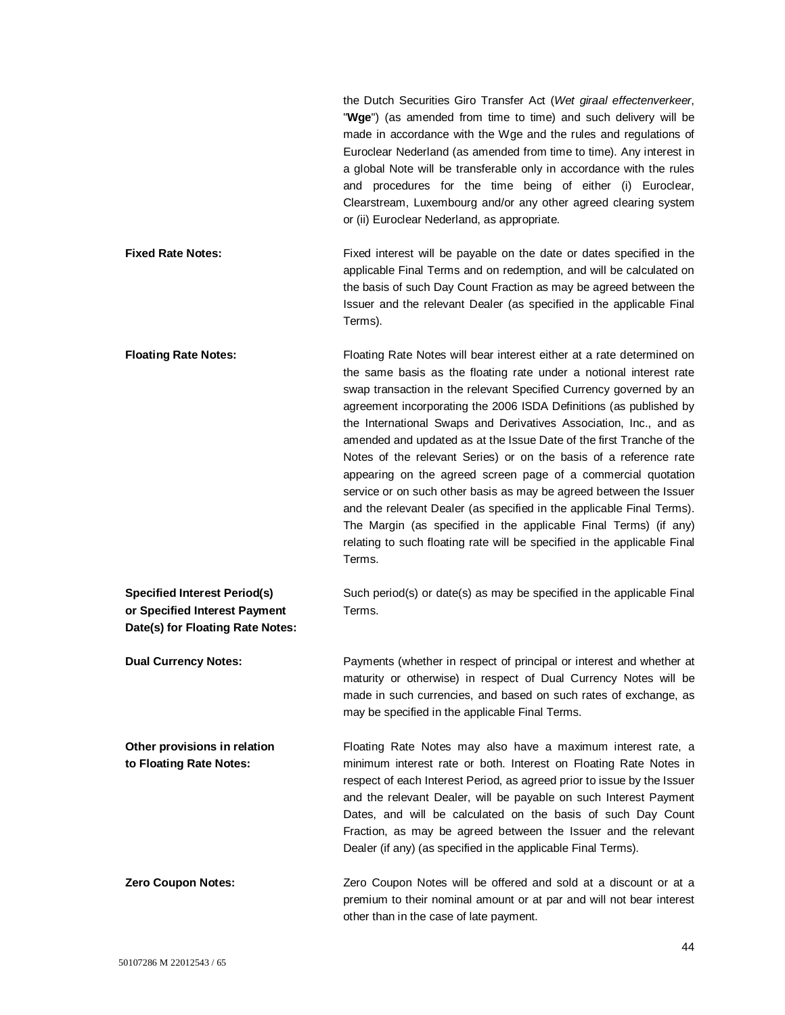the Dutch Securities Giro Transfer Act (*Wet giraal effectenverkeer*, "**Wge**") (as amended from time to time) and such delivery will be made in accordance with the Wge and the rules and regulations of Euroclear Nederland (as amended from time to time). Any interest in a global Note will be transferable only in accordance with the rules and procedures for the time being of either (i) Euroclear, Clearstream, Luxembourg and/or any other agreed clearing system or (ii) Euroclear Nederland, as appropriate.

- **Fixed Rate Notes:** Fixed interest will be payable on the date or dates specified in the applicable Final Terms and on redemption, and will be calculated on the basis of such Day Count Fraction as may be agreed between the Issuer and the relevant Dealer (as specified in the applicable Final Terms).
- **Floating Rate Notes:** Floating Rate Notes will bear interest either at a rate determined on the same basis as the floating rate under a notional interest rate swap transaction in the relevant Specified Currency governed by an agreement incorporating the 2006 ISDA Definitions (as published by the International Swaps and Derivatives Association, Inc., and as amended and updated as at the Issue Date of the first Tranche of the Notes of the relevant Series) or on the basis of a reference rate appearing on the agreed screen page of a commercial quotation service or on such other basis as may be agreed between the Issuer and the relevant Dealer (as specified in the applicable Final Terms). The Margin (as specified in the applicable Final Terms) (if any) relating to such floating rate will be specified in the applicable Final Terms.

**Specified Interest Period(s) or Specified Interest Payment**  Such period(s) or date(s) as may be specified in the applicable Final Terms.

**Dual Currency Notes:** Payments (whether in respect of principal or interest and whether at maturity or otherwise) in respect of Dual Currency Notes will be made in such currencies, and based on such rates of exchange, as may be specified in the applicable Final Terms.

**Other provisions in relation to Floating Rate Notes:** Floating Rate Notes may also have a maximum interest rate, a minimum interest rate or both. Interest on Floating Rate Notes in respect of each Interest Period, as agreed prior to issue by the Issuer and the relevant Dealer, will be payable on such Interest Payment Dates, and will be calculated on the basis of such Day Count Fraction, as may be agreed between the Issuer and the relevant Dealer (if any) (as specified in the applicable Final Terms).

**Zero Coupon Notes:** Zero Coupon Notes will be offered and sold at a discount or at a premium to their nominal amount or at par and will not bear interest other than in the case of late payment.

**Date(s) for Floating Rate Notes:**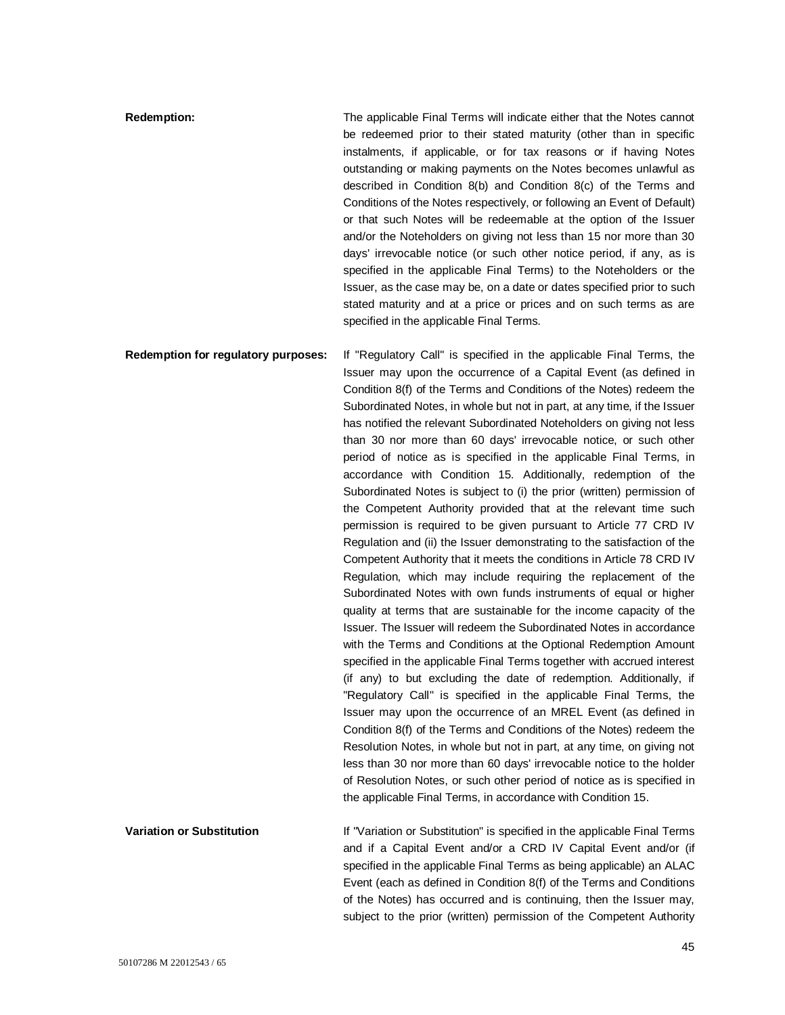| <b>Redemption:</b>                  | The applicable Final Terms will indicate either that the Notes cannot   |
|-------------------------------------|-------------------------------------------------------------------------|
|                                     | be redeemed prior to their stated maturity (other than in specific      |
|                                     | instalments, if applicable, or for tax reasons or if having Notes       |
|                                     | outstanding or making payments on the Notes becomes unlawful as         |
|                                     | described in Condition $8(b)$ and Condition $8(c)$ of the Terms and     |
|                                     | Conditions of the Notes respectively, or following an Event of Default) |
|                                     | or that such Notes will be redeemable at the option of the Issuer       |
|                                     | and/or the Noteholders on giving not less than 15 nor more than 30      |
|                                     | days' irrevocable notice (or such other notice period, if any, as is    |
|                                     | specified in the applicable Final Terms) to the Noteholders or the      |
|                                     | Issuer, as the case may be, on a date or dates specified prior to such  |
|                                     | stated maturity and at a price or prices and on such terms as are       |
|                                     | specified in the applicable Final Terms.                                |
| Redemption for regulatory purposes: | If "Regulatory Call" is specified in the applicable Final Terms, the    |

Issuer may upon the occurrence of a Capital Event (as defined in Condition 8(f) of the Terms and Conditions of the Notes) redeem the Subordinated Notes, in whole but not in part, at any time, if the Issuer has notified the relevant Subordinated Noteholders on giving not less than 30 nor more than 60 days' irrevocable notice, or such other period of notice as is specified in the applicable Final Terms, in accordance with Condition 15. Additionally, redemption of the Subordinated Notes is subject to (i) the prior (written) permission of the Competent Authority provided that at the relevant time such permission is required to be given pursuant to Article 77 CRD IV Regulation and (ii) the Issuer demonstrating to the satisfaction of the Competent Authority that it meets the conditions in Article 78 CRD IV Regulation, which may include requiring the replacement of the Subordinated Notes with own funds instruments of equal or higher quality at terms that are sustainable for the income capacity of the Issuer. The Issuer will redeem the Subordinated Notes in accordance with the Terms and Conditions at the Optional Redemption Amount specified in the applicable Final Terms together with accrued interest (if any) to but excluding the date of redemption. Additionally, if "Regulatory Call" is specified in the applicable Final Terms, the Issuer may upon the occurrence of an MREL Event (as defined in Condition 8(f) of the Terms and Conditions of the Notes) redeem the Resolution Notes, in whole but not in part, at any time, on giving not less than 30 nor more than 60 days' irrevocable notice to the holder of Resolution Notes, or such other period of notice as is specified in the applicable Final Terms, in accordance with Condition 15.

**Variation or Substitution If "Variation or Substitution"** is specified in the applicable Final Terms and if a Capital Event and/or a CRD IV Capital Event and/or (if specified in the applicable Final Terms as being applicable) an ALAC Event (each as defined in Condition 8(f) of the Terms and Conditions of the Notes) has occurred and is continuing, then the Issuer may, subject to the prior (written) permission of the Competent Authority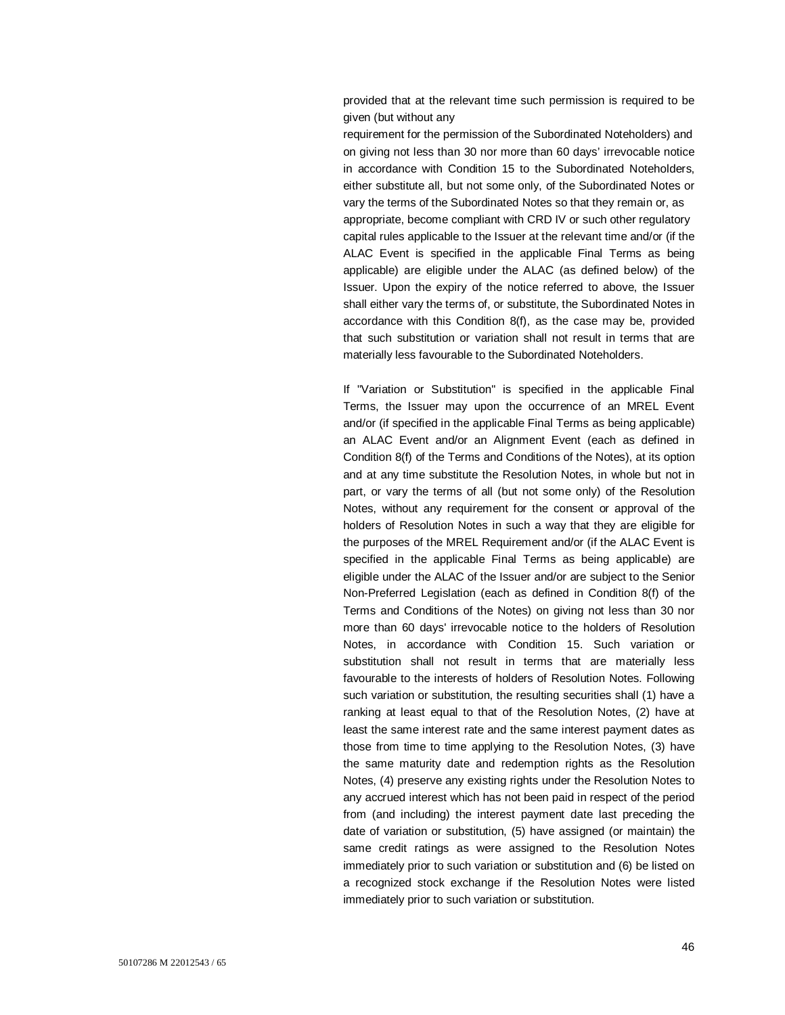provided that at the relevant time such permission is required to be given (but without any

requirement for the permission of the Subordinated Noteholders) and on giving not less than 30 nor more than 60 days' irrevocable notice in accordance with Condition 15 to the Subordinated Noteholders, either substitute all, but not some only, of the Subordinated Notes or vary the terms of the Subordinated Notes so that they remain or, as appropriate, become compliant with CRD IV or such other regulatory capital rules applicable to the Issuer at the relevant time and/or (if the ALAC Event is specified in the applicable Final Terms as being applicable) are eligible under the ALAC (as defined below) of the Issuer. Upon the expiry of the notice referred to above, the Issuer shall either vary the terms of, or substitute, the Subordinated Notes in accordance with this Condition 8(f), as the case may be, provided that such substitution or variation shall not result in terms that are materially less favourable to the Subordinated Noteholders.

If "Variation or Substitution" is specified in the applicable Final Terms, the Issuer may upon the occurrence of an MREL Event and/or (if specified in the applicable Final Terms as being applicable) an ALAC Event and/or an Alignment Event (each as defined in Condition 8(f) of the Terms and Conditions of the Notes), at its option and at any time substitute the Resolution Notes, in whole but not in part, or vary the terms of all (but not some only) of the Resolution Notes, without any requirement for the consent or approval of the holders of Resolution Notes in such a way that they are eligible for the purposes of the MREL Requirement and/or (if the ALAC Event is specified in the applicable Final Terms as being applicable) are eligible under the ALAC of the Issuer and/or are subject to the Senior Non-Preferred Legislation (each as defined in Condition 8(f) of the Terms and Conditions of the Notes) on giving not less than 30 nor more than 60 days' irrevocable notice to the holders of Resolution Notes, in accordance with Condition 15. Such variation or substitution shall not result in terms that are materially less favourable to the interests of holders of Resolution Notes. Following such variation or substitution, the resulting securities shall (1) have a ranking at least equal to that of the Resolution Notes, (2) have at least the same interest rate and the same interest payment dates as those from time to time applying to the Resolution Notes, (3) have the same maturity date and redemption rights as the Resolution Notes, (4) preserve any existing rights under the Resolution Notes to any accrued interest which has not been paid in respect of the period from (and including) the interest payment date last preceding the date of variation or substitution, (5) have assigned (or maintain) the same credit ratings as were assigned to the Resolution Notes immediately prior to such variation or substitution and (6) be listed on a recognized stock exchange if the Resolution Notes were listed immediately prior to such variation or substitution.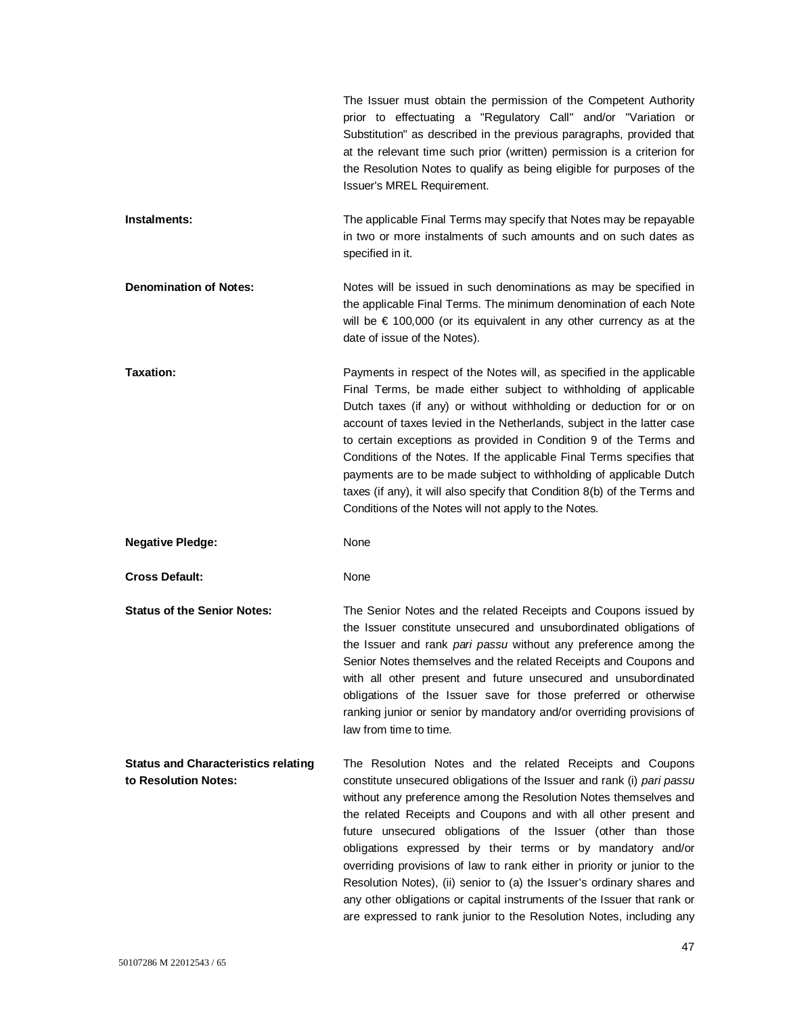|                                                                    | The Issuer must obtain the permission of the Competent Authority<br>prior to effectuating a "Regulatory Call" and/or "Variation or<br>Substitution" as described in the previous paragraphs, provided that<br>at the relevant time such prior (written) permission is a criterion for<br>the Resolution Notes to qualify as being eligible for purposes of the<br>Issuer's MREL Requirement.                                                                                                                                                                                                                                                                                                                      |
|--------------------------------------------------------------------|-------------------------------------------------------------------------------------------------------------------------------------------------------------------------------------------------------------------------------------------------------------------------------------------------------------------------------------------------------------------------------------------------------------------------------------------------------------------------------------------------------------------------------------------------------------------------------------------------------------------------------------------------------------------------------------------------------------------|
| Instalments:                                                       | The applicable Final Terms may specify that Notes may be repayable<br>in two or more instalments of such amounts and on such dates as<br>specified in it.                                                                                                                                                                                                                                                                                                                                                                                                                                                                                                                                                         |
| <b>Denomination of Notes:</b>                                      | Notes will be issued in such denominations as may be specified in<br>the applicable Final Terms. The minimum denomination of each Note<br>will be $\epsilon$ 100,000 (or its equivalent in any other currency as at the<br>date of issue of the Notes).                                                                                                                                                                                                                                                                                                                                                                                                                                                           |
| Taxation:                                                          | Payments in respect of the Notes will, as specified in the applicable<br>Final Terms, be made either subject to withholding of applicable<br>Dutch taxes (if any) or without withholding or deduction for or on<br>account of taxes levied in the Netherlands, subject in the latter case<br>to certain exceptions as provided in Condition 9 of the Terms and<br>Conditions of the Notes. If the applicable Final Terms specifies that<br>payments are to be made subject to withholding of applicable Dutch<br>taxes (if any), it will also specify that Condition 8(b) of the Terms and<br>Conditions of the Notes will not apply to the Notes.                                                                |
| <b>Negative Pledge:</b>                                            | None                                                                                                                                                                                                                                                                                                                                                                                                                                                                                                                                                                                                                                                                                                              |
| <b>Cross Default:</b>                                              | None                                                                                                                                                                                                                                                                                                                                                                                                                                                                                                                                                                                                                                                                                                              |
| <b>Status of the Senior Notes:</b>                                 | The Senior Notes and the related Receipts and Coupons issued by<br>the Issuer constitute unsecured and unsubordinated obligations of<br>the Issuer and rank pari passu without any preference among the<br>Senior Notes themselves and the related Receipts and Coupons and<br>with all other present and future unsecured and unsubordinated<br>obligations of the Issuer save for those preferred or otherwise<br>ranking junior or senior by mandatory and/or overriding provisions of<br>law from time to time.                                                                                                                                                                                               |
| <b>Status and Characteristics relating</b><br>to Resolution Notes: | The Resolution Notes and the related Receipts and Coupons<br>constitute unsecured obligations of the Issuer and rank (i) pari passu<br>without any preference among the Resolution Notes themselves and<br>the related Receipts and Coupons and with all other present and<br>future unsecured obligations of the Issuer (other than those<br>obligations expressed by their terms or by mandatory and/or<br>overriding provisions of law to rank either in priority or junior to the<br>Resolution Notes), (ii) senior to (a) the Issuer's ordinary shares and<br>any other obligations or capital instruments of the Issuer that rank or<br>are expressed to rank junior to the Resolution Notes, including any |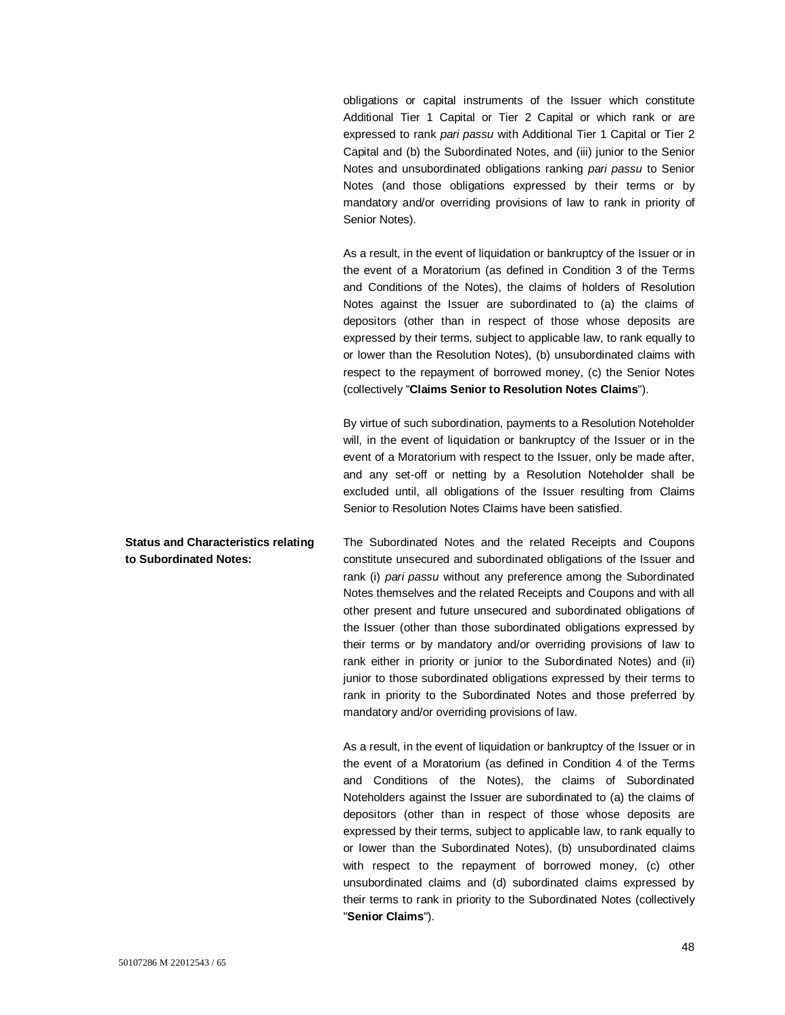obligations or capital instruments of the Issuer which constitute Additional Tier 1 Capital or Tier 2 Capital or which rank or are expressed to rank *pari passu* with Additional Tier 1 Capital or Tier 2 Capital and (b) the Subordinated Notes, and (iii) junior to the Senior Notes and unsubordinated obligations ranking *pari passu* to Senior Notes (and those obligations expressed by their terms or by mandatory and/or overriding provisions of law to rank in priority of Senior Notes).

As a result, in the event of liquidation or bankruptcy of the Issuer or in the event of a Moratorium (as defined in Condition 3 of the Terms and Conditions of the Notes), the claims of holders of Resolution Notes against the Issuer are subordinated to (a) the claims of depositors (other than in respect of those whose deposits are expressed by their terms, subject to applicable law, to rank equally to or lower than the Resolution Notes), (b) unsubordinated claims with respect to the repayment of borrowed money, (c) the Senior Notes (collectively "**Claims Senior to Resolution Notes Claims**").

By virtue of such subordination, payments to a Resolution Noteholder will, in the event of liquidation or bankruptcy of the Issuer or in the event of a Moratorium with respect to the Issuer, only be made after, and any set-off or netting by a Resolution Noteholder shall be excluded until, all obligations of the Issuer resulting from Claims Senior to Resolution Notes Claims have been satisfied.

The Subordinated Notes and the related Receipts and Coupons constitute unsecured and subordinated obligations of the Issuer and rank (i) *pari passu* without any preference among the Subordinated Notes themselves and the related Receipts and Coupons and with all other present and future unsecured and subordinated obligations of the Issuer (other than those subordinated obligations expressed by their terms or by mandatory and/or overriding provisions of law to rank either in priority or junior to the Subordinated Notes) and (ii) junior to those subordinated obligations expressed by their terms to rank in priority to the Subordinated Notes and those preferred by mandatory and/or overriding provisions of law.

> As a result, in the event of liquidation or bankruptcy of the Issuer or in the event of a Moratorium (as defined in Condition 4 of the Terms and Conditions of the Notes), the claims of Subordinated Noteholders against the Issuer are subordinated to (a) the claims of depositors (other than in respect of those whose deposits are expressed by their terms, subject to applicable law, to rank equally to or lower than the Subordinated Notes), (b) unsubordinated claims with respect to the repayment of borrowed money, (c) other unsubordinated claims and (d) subordinated claims expressed by their terms to rank in priority to the Subordinated Notes (collectively "**Senior Claims**").

**Status and Characteristics relating to Subordinated Notes:**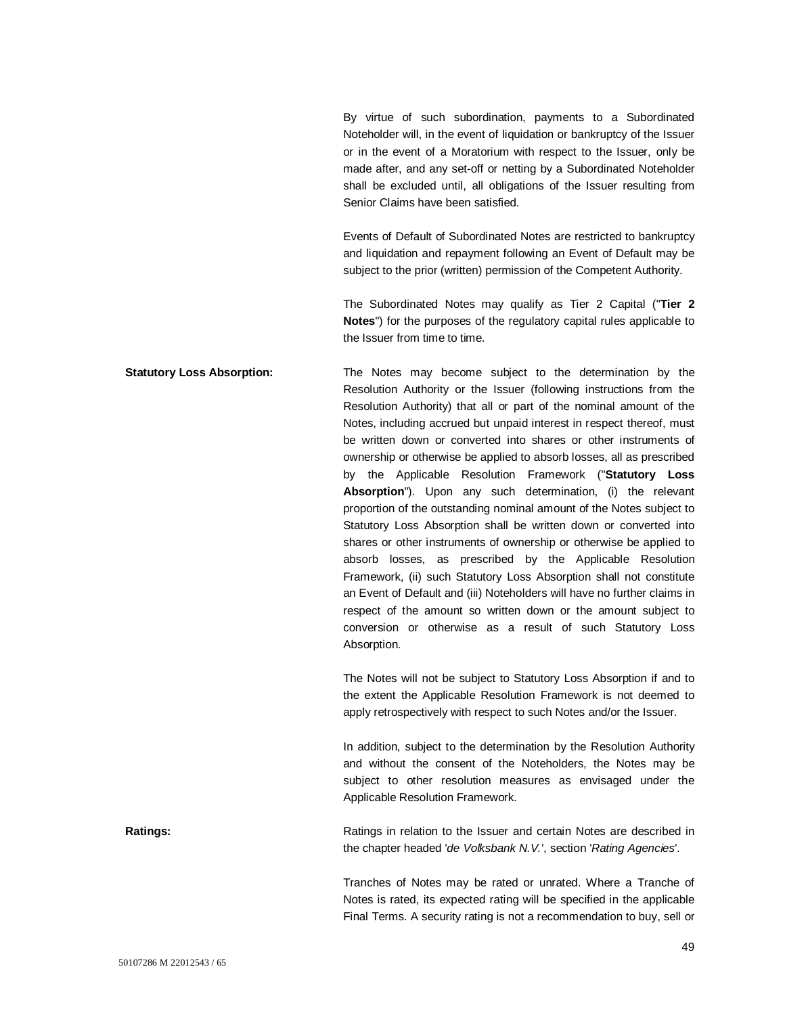By virtue of such subordination, payments to a Subordinated Noteholder will, in the event of liquidation or bankruptcy of the Issuer or in the event of a Moratorium with respect to the Issuer, only be made after, and any set-off or netting by a Subordinated Noteholder shall be excluded until, all obligations of the Issuer resulting from Senior Claims have been satisfied.

Events of Default of Subordinated Notes are restricted to bankruptcy and liquidation and repayment following an Event of Default may be subject to the prior (written) permission of the Competent Authority.

The Subordinated Notes may qualify as Tier 2 Capital ("**Tier 2 Notes**") for the purposes of the regulatory capital rules applicable to the Issuer from time to time.

**Statutory Loss Absorption:** The Notes may become subject to the determination by the Resolution Authority or the Issuer (following instructions from the Resolution Authority) that all or part of the nominal amount of the Notes, including accrued but unpaid interest in respect thereof, must be written down or converted into shares or other instruments of ownership or otherwise be applied to absorb losses, all as prescribed by the Applicable Resolution Framework ("**Statutory Loss Absorption**"). Upon any such determination, (i) the relevant proportion of the outstanding nominal amount of the Notes subject to Statutory Loss Absorption shall be written down or converted into shares or other instruments of ownership or otherwise be applied to absorb losses, as prescribed by the Applicable Resolution Framework, (ii) such Statutory Loss Absorption shall not constitute an Event of Default and (iii) Noteholders will have no further claims in respect of the amount so written down or the amount subject to conversion or otherwise as a result of such Statutory Loss Absorption.

> The Notes will not be subject to Statutory Loss Absorption if and to the extent the Applicable Resolution Framework is not deemed to apply retrospectively with respect to such Notes and/or the Issuer.

> In addition, subject to the determination by the Resolution Authority and without the consent of the Noteholders, the Notes may be subject to other resolution measures as envisaged under the Applicable Resolution Framework.

**Ratings:** Ratings in relation to the Issuer and certain Notes are described in the chapter headed '*de Volksbank N.V.*', section '*Rating Agencies*'.

> Tranches of Notes may be rated or unrated. Where a Tranche of Notes is rated, its expected rating will be specified in the applicable Final Terms. A security rating is not a recommendation to buy, sell or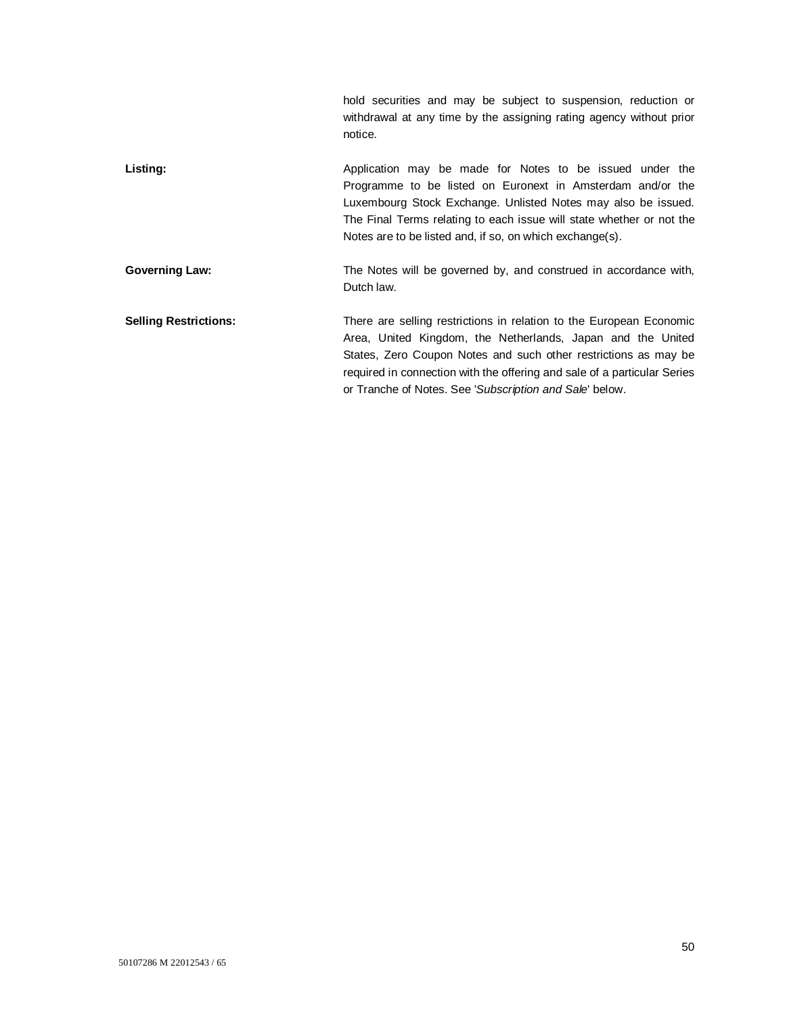|                              | hold securities and may be subject to suspension, reduction or<br>withdrawal at any time by the assigning rating agency without prior<br>notice.                                                                                                                                                                                             |
|------------------------------|----------------------------------------------------------------------------------------------------------------------------------------------------------------------------------------------------------------------------------------------------------------------------------------------------------------------------------------------|
| Listing:                     | Application may be made for Notes to be issued under the<br>Programme to be listed on Euronext in Amsterdam and/or the<br>Luxembourg Stock Exchange. Unlisted Notes may also be issued.<br>The Final Terms relating to each issue will state whether or not the<br>Notes are to be listed and, if so, on which exchange(s).                  |
| <b>Governing Law:</b>        | The Notes will be governed by, and construed in accordance with,<br>Dutch law.                                                                                                                                                                                                                                                               |
| <b>Selling Restrictions:</b> | There are selling restrictions in relation to the European Economic<br>Area, United Kingdom, the Netherlands, Japan and the United<br>States, Zero Coupon Notes and such other restrictions as may be<br>required in connection with the offering and sale of a particular Series<br>or Tranche of Notes. See 'Subscription and Sale' below. |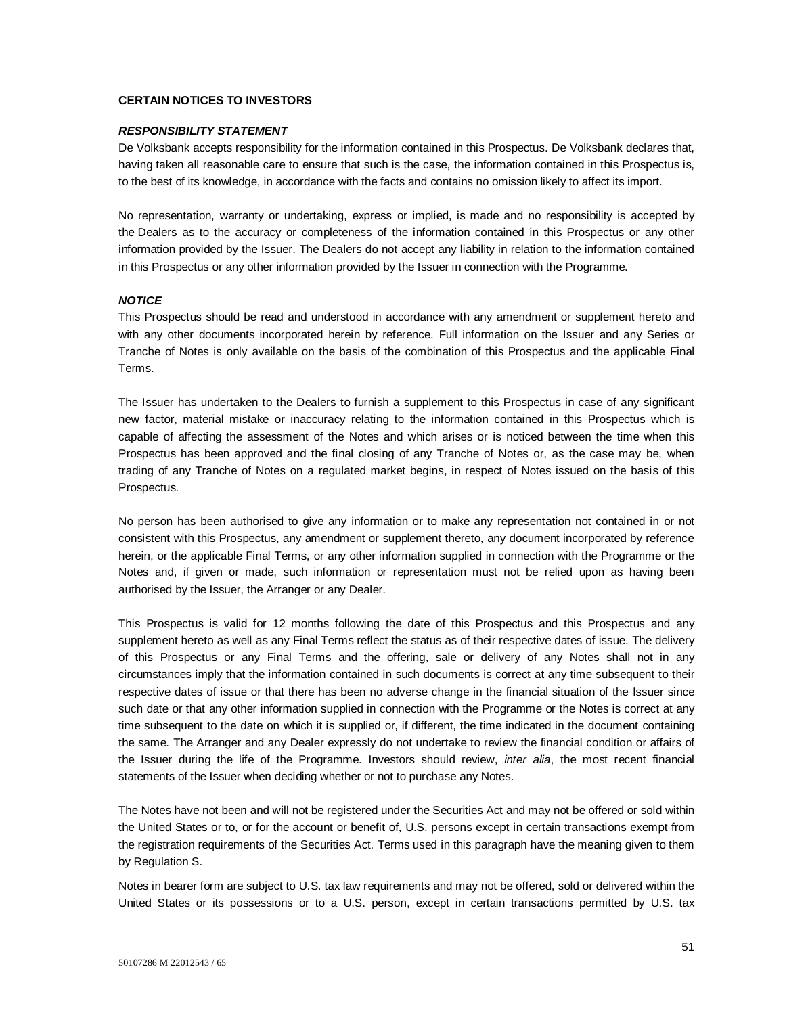# **CERTAIN NOTICES TO INVESTORS**

#### *RESPONSIBILITY STATEMENT*

De Volksbank accepts responsibility for the information contained in this Prospectus. De Volksbank declares that, having taken all reasonable care to ensure that such is the case, the information contained in this Prospectus is, to the best of its knowledge, in accordance with the facts and contains no omission likely to affect its import.

No representation, warranty or undertaking, express or implied, is made and no responsibility is accepted by the Dealers as to the accuracy or completeness of the information contained in this Prospectus or any other information provided by the Issuer. The Dealers do not accept any liability in relation to the information contained in this Prospectus or any other information provided by the Issuer in connection with the Programme.

### *NOTICE*

This Prospectus should be read and understood in accordance with any amendment or supplement hereto and with any other documents incorporated herein by reference. Full information on the Issuer and any Series or Tranche of Notes is only available on the basis of the combination of this Prospectus and the applicable Final Terms.

The Issuer has undertaken to the Dealers to furnish a supplement to this Prospectus in case of any significant new factor, material mistake or inaccuracy relating to the information contained in this Prospectus which is capable of affecting the assessment of the Notes and which arises or is noticed between the time when this Prospectus has been approved and the final closing of any Tranche of Notes or, as the case may be, when trading of any Tranche of Notes on a regulated market begins, in respect of Notes issued on the basis of this Prospectus.

No person has been authorised to give any information or to make any representation not contained in or not consistent with this Prospectus, any amendment or supplement thereto, any document incorporated by reference herein, or the applicable Final Terms, or any other information supplied in connection with the Programme or the Notes and, if given or made, such information or representation must not be relied upon as having been authorised by the Issuer, the Arranger or any Dealer.

This Prospectus is valid for 12 months following the date of this Prospectus and this Prospectus and any supplement hereto as well as any Final Terms reflect the status as of their respective dates of issue. The delivery of this Prospectus or any Final Terms and the offering, sale or delivery of any Notes shall not in any circumstances imply that the information contained in such documents is correct at any time subsequent to their respective dates of issue or that there has been no adverse change in the financial situation of the Issuer since such date or that any other information supplied in connection with the Programme or the Notes is correct at any time subsequent to the date on which it is supplied or, if different, the time indicated in the document containing the same. The Arranger and any Dealer expressly do not undertake to review the financial condition or affairs of the Issuer during the life of the Programme. Investors should review, *inter alia*, the most recent financial statements of the Issuer when deciding whether or not to purchase any Notes.

The Notes have not been and will not be registered under the Securities Act and may not be offered or sold within the United States or to, or for the account or benefit of, U.S. persons except in certain transactions exempt from the registration requirements of the Securities Act. Terms used in this paragraph have the meaning given to them by Regulation S.

Notes in bearer form are subject to U.S. tax law requirements and may not be offered, sold or delivered within the United States or its possessions or to a U.S. person, except in certain transactions permitted by U.S. tax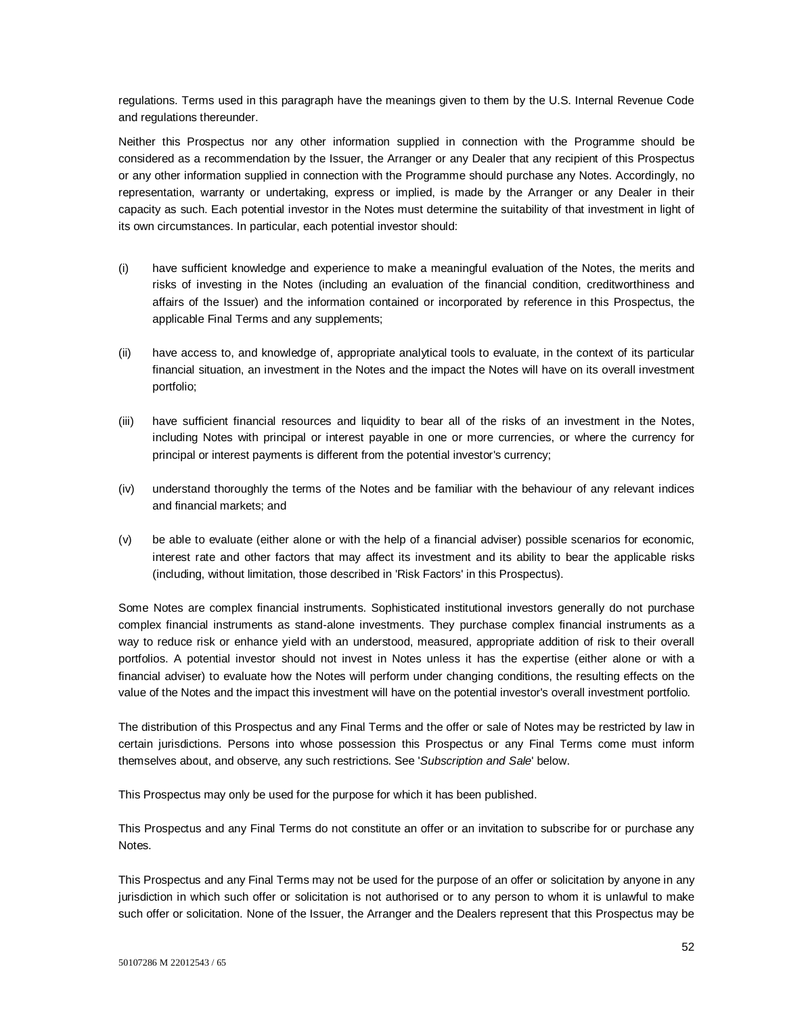regulations. Terms used in this paragraph have the meanings given to them by the U.S. Internal Revenue Code and regulations thereunder.

Neither this Prospectus nor any other information supplied in connection with the Programme should be considered as a recommendation by the Issuer, the Arranger or any Dealer that any recipient of this Prospectus or any other information supplied in connection with the Programme should purchase any Notes. Accordingly, no representation, warranty or undertaking, express or implied, is made by the Arranger or any Dealer in their capacity as such. Each potential investor in the Notes must determine the suitability of that investment in light of its own circumstances. In particular, each potential investor should:

- (i) have sufficient knowledge and experience to make a meaningful evaluation of the Notes, the merits and risks of investing in the Notes (including an evaluation of the financial condition, creditworthiness and affairs of the Issuer) and the information contained or incorporated by reference in this Prospectus, the applicable Final Terms and any supplements;
- (ii) have access to, and knowledge of, appropriate analytical tools to evaluate, in the context of its particular financial situation, an investment in the Notes and the impact the Notes will have on its overall investment portfolio;
- (iii) have sufficient financial resources and liquidity to bear all of the risks of an investment in the Notes, including Notes with principal or interest payable in one or more currencies, or where the currency for principal or interest payments is different from the potential investor's currency;
- (iv) understand thoroughly the terms of the Notes and be familiar with the behaviour of any relevant indices and financial markets; and
- (v) be able to evaluate (either alone or with the help of a financial adviser) possible scenarios for economic, interest rate and other factors that may affect its investment and its ability to bear the applicable risks (including, without limitation, those described in 'Risk Factors' in this Prospectus).

Some Notes are complex financial instruments. Sophisticated institutional investors generally do not purchase complex financial instruments as stand-alone investments. They purchase complex financial instruments as a way to reduce risk or enhance yield with an understood, measured, appropriate addition of risk to their overall portfolios. A potential investor should not invest in Notes unless it has the expertise (either alone or with a financial adviser) to evaluate how the Notes will perform under changing conditions, the resulting effects on the value of the Notes and the impact this investment will have on the potential investor's overall investment portfolio.

The distribution of this Prospectus and any Final Terms and the offer or sale of Notes may be restricted by law in certain jurisdictions. Persons into whose possession this Prospectus or any Final Terms come must inform themselves about, and observe, any such restrictions. See '*Subscription and Sale*' below.

This Prospectus may only be used for the purpose for which it has been published.

This Prospectus and any Final Terms do not constitute an offer or an invitation to subscribe for or purchase any Notes.

This Prospectus and any Final Terms may not be used for the purpose of an offer or solicitation by anyone in any jurisdiction in which such offer or solicitation is not authorised or to any person to whom it is unlawful to make such offer or solicitation. None of the Issuer, the Arranger and the Dealers represent that this Prospectus may be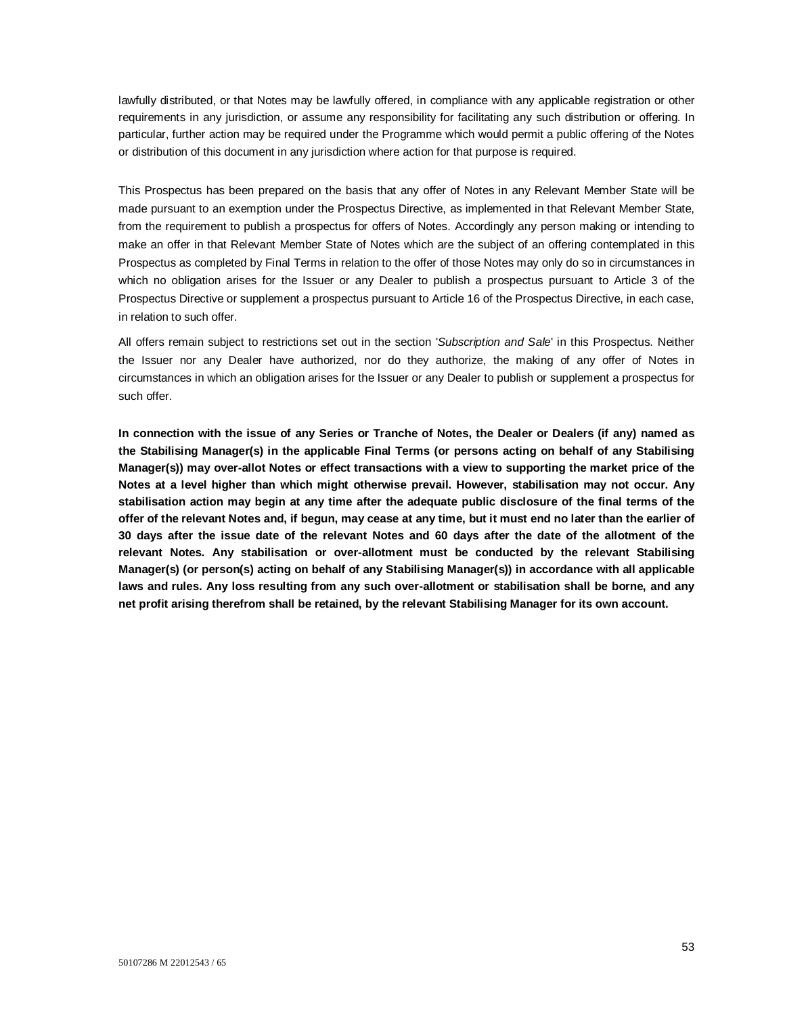lawfully distributed, or that Notes may be lawfully offered, in compliance with any applicable registration or other requirements in any jurisdiction, or assume any responsibility for facilitating any such distribution or offering. In particular, further action may be required under the Programme which would permit a public offering of the Notes or distribution of this document in any jurisdiction where action for that purpose is required.

This Prospectus has been prepared on the basis that any offer of Notes in any Relevant Member State will be made pursuant to an exemption under the Prospectus Directive, as implemented in that Relevant Member State, from the requirement to publish a prospectus for offers of Notes. Accordingly any person making or intending to make an offer in that Relevant Member State of Notes which are the subject of an offering contemplated in this Prospectus as completed by Final Terms in relation to the offer of those Notes may only do so in circumstances in which no obligation arises for the Issuer or any Dealer to publish a prospectus pursuant to Article 3 of the Prospectus Directive or supplement a prospectus pursuant to Article 16 of the Prospectus Directive, in each case, in relation to such offer.

All offers remain subject to restrictions set out in the section '*Subscription and Sale*' in this Prospectus. Neither the Issuer nor any Dealer have authorized, nor do they authorize, the making of any offer of Notes in circumstances in which an obligation arises for the Issuer or any Dealer to publish or supplement a prospectus for such offer.

**In connection with the issue of any Series or Tranche of Notes, the Dealer or Dealers (if any) named as the Stabilising Manager(s) in the applicable Final Terms (or persons acting on behalf of any Stabilising Manager(s)) may over-allot Notes or effect transactions with a view to supporting the market price of the Notes at a level higher than which might otherwise prevail. However, stabilisation may not occur. Any stabilisation action may begin at any time after the adequate public disclosure of the final terms of the offer of the relevant Notes and, if begun, may cease at any time, but it must end no later than the earlier of 30 days after the issue date of the relevant Notes and 60 days after the date of the allotment of the relevant Notes. Any stabilisation or over-allotment must be conducted by the relevant Stabilising Manager(s) (or person(s) acting on behalf of any Stabilising Manager(s)) in accordance with all applicable laws and rules. Any loss resulting from any such over-allotment or stabilisation shall be borne, and any net profit arising therefrom shall be retained, by the relevant Stabilising Manager for its own account.**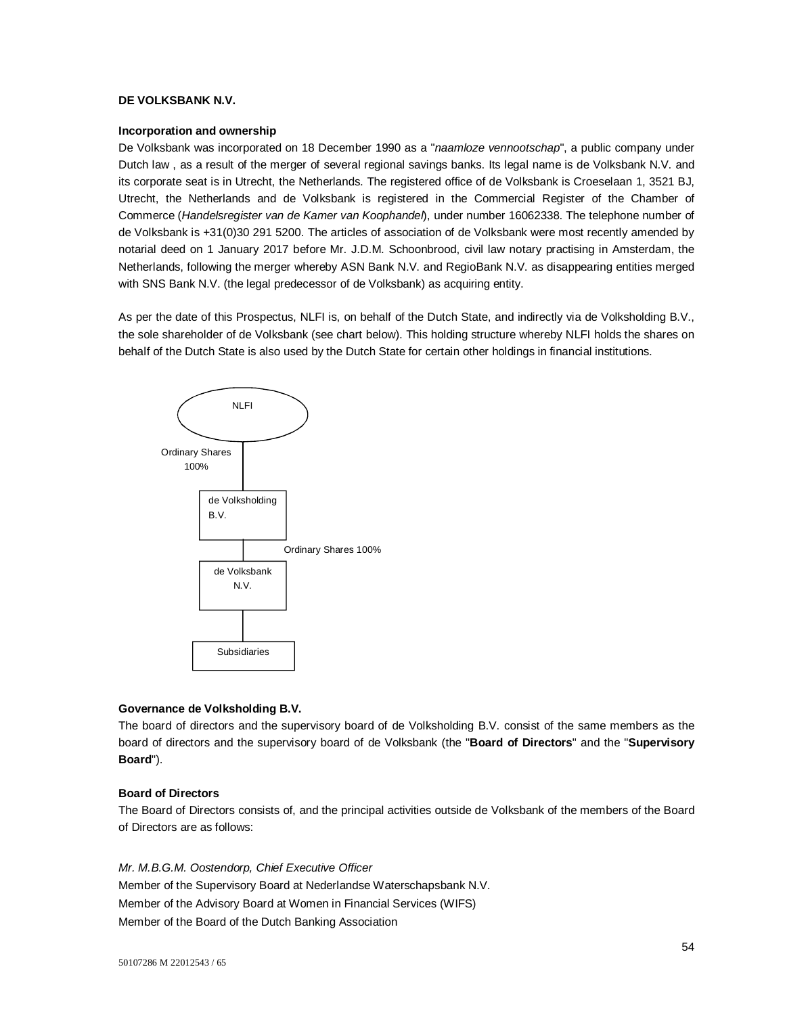# **DE VOLKSBANK N.V.**

# **Incorporation and ownership**

De Volksbank was incorporated on 18 December 1990 as a "*naamloze vennootschap*", a public company under Dutch law , as a result of the merger of several regional savings banks. Its legal name is de Volksbank N.V. and its corporate seat is in Utrecht, the Netherlands. The registered office of de Volksbank is Croeselaan 1, 3521 BJ, Utrecht, the Netherlands and de Volksbank is registered in the Commercial Register of the Chamber of Commerce (*Handelsregister van de Kamer van Koophandel*), under number 16062338. The telephone number of de Volksbank is +31(0)30 291 5200. The articles of association of de Volksbank were most recently amended by notarial deed on 1 January 2017 before Mr. J.D.M. Schoonbrood, civil law notary practising in Amsterdam, the Netherlands, following the merger whereby ASN Bank N.V. and RegioBank N.V. as disappearing entities merged with SNS Bank N.V. (the legal predecessor of de Volksbank) as acquiring entity.

As per the date of this Prospectus, NLFI is, on behalf of the Dutch State, and indirectly via de Volksholding B.V., the sole shareholder of de Volksbank (see chart below). This holding structure whereby NLFI holds the shares on behalf of the Dutch State is also used by the Dutch State for certain other holdings in financial institutions.



## **Governance de Volksholding B.V.**

The board of directors and the supervisory board of de Volksholding B.V. consist of the same members as the board of directors and the supervisory board of de Volksbank (the "**Board of Directors**" and the "**Supervisory Board**").

## **Board of Directors**

The Board of Directors consists of, and the principal activities outside de Volksbank of the members of the Board of Directors are as follows:

*Mr. M.B.G.M. Oostendorp, Chief Executive Officer* Member of the Supervisory Board at Nederlandse Waterschapsbank N.V. Member of the Advisory Board at Women in Financial Services (WIFS) Member of the Board of the Dutch Banking Association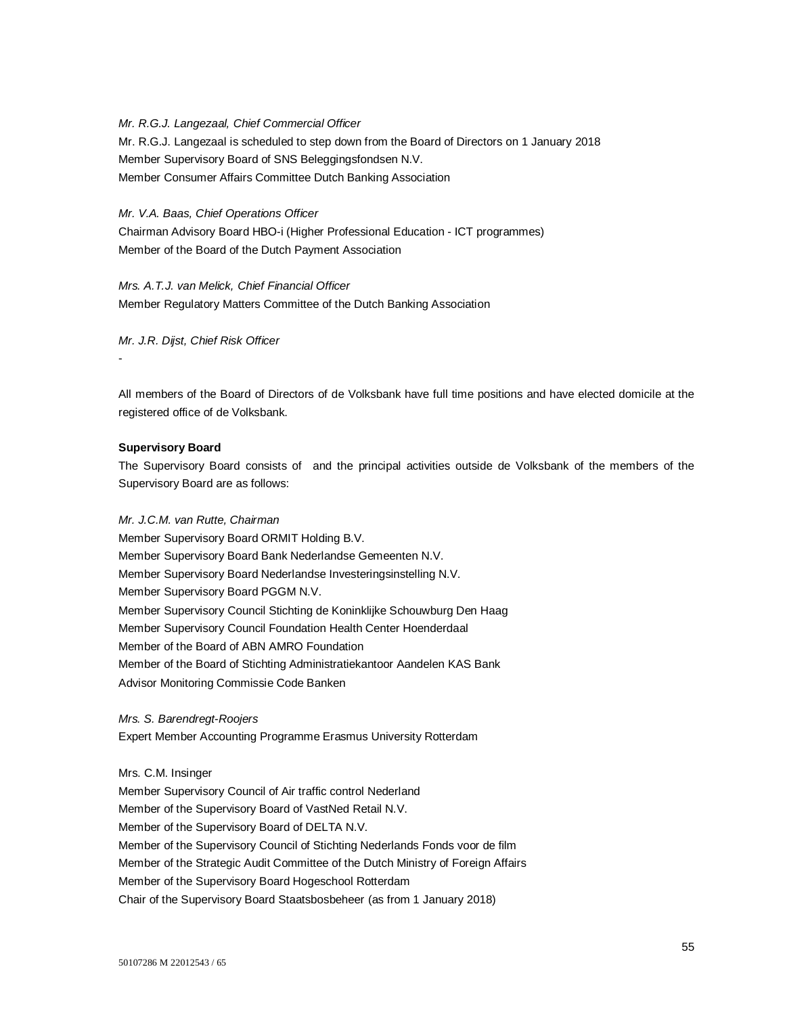*Mr. R.G.J. Langezaal, Chief Commercial Officer*  Mr. R.G.J. Langezaal is scheduled to step down from the Board of Directors on 1 January 2018 Member Supervisory Board of SNS Beleggingsfondsen N.V. Member Consumer Affairs Committee Dutch Banking Association

*Mr. V.A. Baas, Chief Operations Officer*

Chairman Advisory Board HBO-i (Higher Professional Education - ICT programmes) Member of the Board of the Dutch Payment Association

*Mrs. A.T.J. van Melick, Chief Financial Officer* Member Regulatory Matters Committee of the Dutch Banking Association

*Mr. J.R. Dijst, Chief Risk Officer*

All members of the Board of Directors of de Volksbank have full time positions and have elected domicile at the registered office of de Volksbank.

## **Supervisory Board**

-

The Supervisory Board consists of and the principal activities outside de Volksbank of the members of the Supervisory Board are as follows:

## *Mr. J.C.M. van Rutte, Chairman*

Member Supervisory Board ORMIT Holding B.V. Member Supervisory Board Bank Nederlandse Gemeenten N.V. Member Supervisory Board Nederlandse Investeringsinstelling N.V. Member Supervisory Board PGGM N.V. Member Supervisory Council Stichting de Koninklijke Schouwburg Den Haag Member Supervisory Council Foundation Health Center Hoenderdaal Member of the Board of ABN AMRO Foundation Member of the Board of Stichting Administratiekantoor Aandelen KAS Bank Advisor Monitoring Commissie Code Banken

*Mrs. S. Barendregt-Roojers* Expert Member Accounting Programme Erasmus University Rotterdam

Mrs. C.M. Insinger

Member Supervisory Council of Air traffic control Nederland Member of the Supervisory Board of VastNed Retail N.V. Member of the Supervisory Board of DELTA N.V. Member of the Supervisory Council of Stichting Nederlands Fonds voor de film Member of the Strategic Audit Committee of the Dutch Ministry of Foreign Affairs Member of the Supervisory Board Hogeschool Rotterdam Chair of the Supervisory Board Staatsbosbeheer (as from 1 January 2018)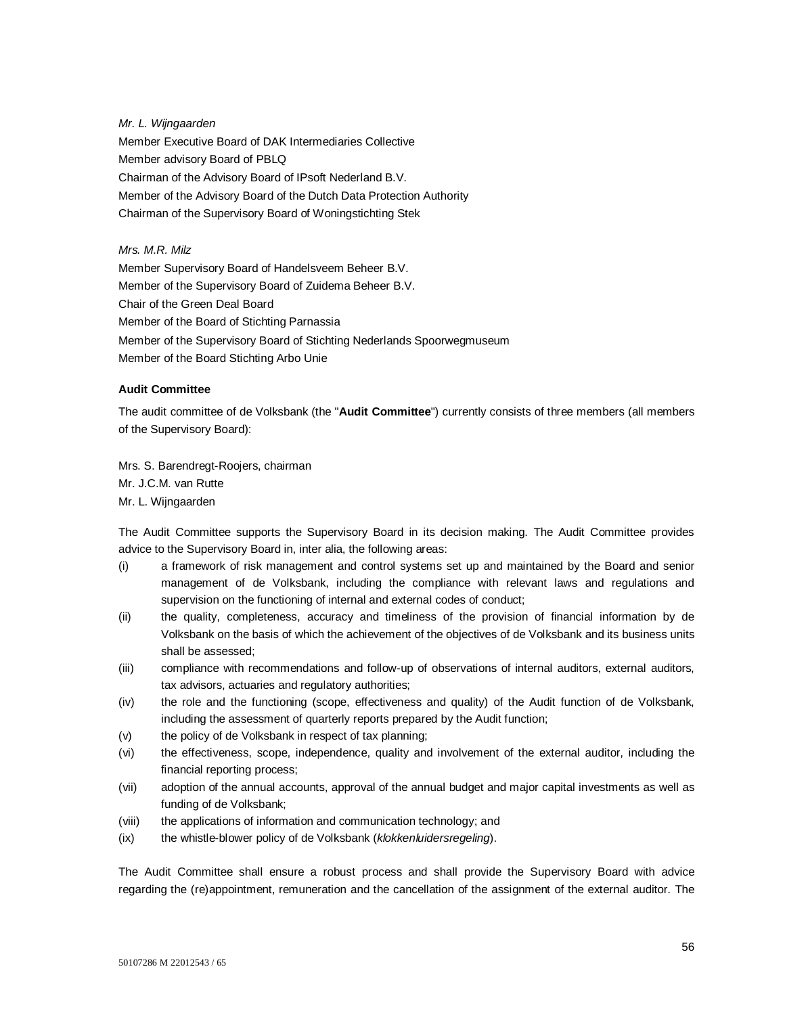*Mr. L. Wijngaarden* Member Executive Board of DAK Intermediaries Collective Member advisory Board of PBLQ Chairman of the Advisory Board of IPsoft Nederland B.V. Member of the Advisory Board of the Dutch Data Protection Authority Chairman of the Supervisory Board of Woningstichting Stek

*Mrs. M.R. Milz*

Member Supervisory Board of Handelsveem Beheer B.V. Member of the Supervisory Board of Zuidema Beheer B.V. Chair of the Green Deal Board Member of the Board of Stichting Parnassia Member of the Supervisory Board of Stichting Nederlands Spoorwegmuseum Member of the Board Stichting Arbo Unie

# **Audit Committee**

The audit committee of de Volksbank (the "**Audit Committee**") currently consists of three members (all members of the Supervisory Board):

Mrs. S. Barendregt-Roojers, chairman Mr. J.C.M. van Rutte Mr. L. Wijngaarden

The Audit Committee supports the Supervisory Board in its decision making. The Audit Committee provides advice to the Supervisory Board in, inter alia, the following areas:

- (i) a framework of risk management and control systems set up and maintained by the Board and senior management of de Volksbank, including the compliance with relevant laws and regulations and supervision on the functioning of internal and external codes of conduct;
- (ii) the quality, completeness, accuracy and timeliness of the provision of financial information by de Volksbank on the basis of which the achievement of the objectives of de Volksbank and its business units shall be assessed;
- (iii) compliance with recommendations and follow-up of observations of internal auditors, external auditors, tax advisors, actuaries and regulatory authorities;
- (iv) the role and the functioning (scope, effectiveness and quality) of the Audit function of de Volksbank, including the assessment of quarterly reports prepared by the Audit function;
- (v) the policy of de Volksbank in respect of tax planning;
- (vi) the effectiveness, scope, independence, quality and involvement of the external auditor, including the financial reporting process;
- (vii) adoption of the annual accounts, approval of the annual budget and major capital investments as well as funding of de Volksbank;
- (viii) the applications of information and communication technology; and
- (ix) the whistle-blower policy of de Volksbank (*klokkenluidersregeling*).

The Audit Committee shall ensure a robust process and shall provide the Supervisory Board with advice regarding the (re)appointment, remuneration and the cancellation of the assignment of the external auditor. The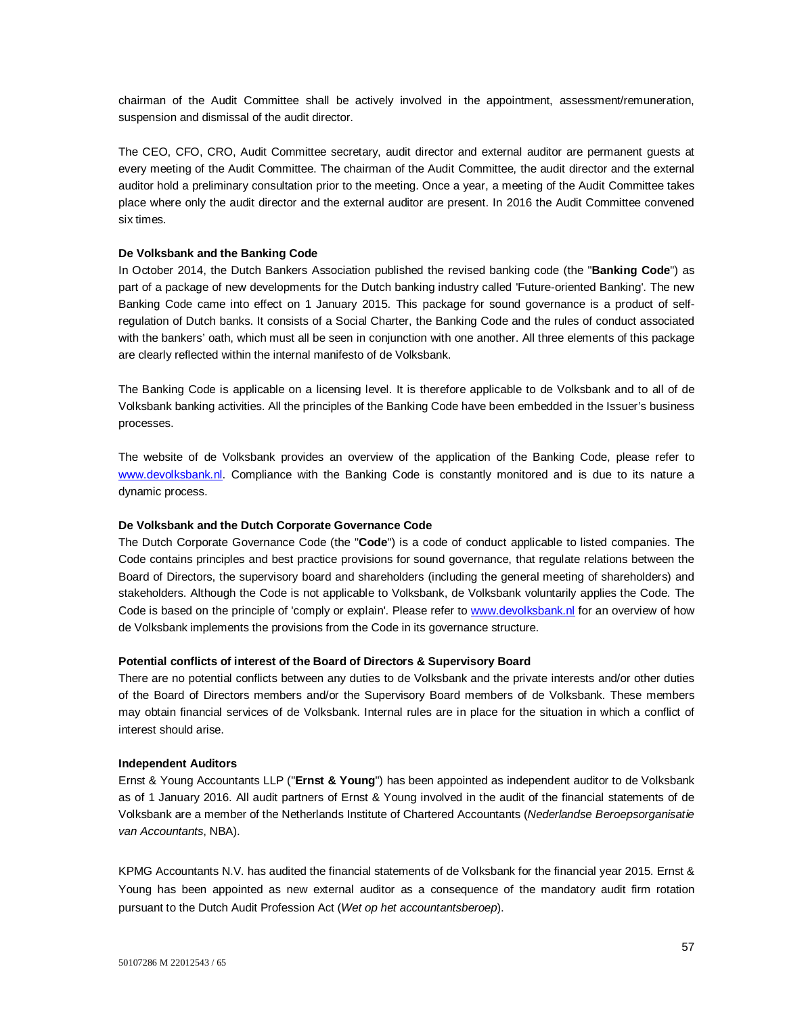chairman of the Audit Committee shall be actively involved in the appointment, assessment/remuneration, suspension and dismissal of the audit director.

The CEO, CFO, CRO, Audit Committee secretary, audit director and external auditor are permanent guests at every meeting of the Audit Committee. The chairman of the Audit Committee, the audit director and the external auditor hold a preliminary consultation prior to the meeting. Once a year, a meeting of the Audit Committee takes place where only the audit director and the external auditor are present. In 2016 the Audit Committee convened six times.

#### **De Volksbank and the Banking Code**

In October 2014, the Dutch Bankers Association published the revised banking code (the "**Banking Code**") as part of a package of new developments for the Dutch banking industry called 'Future-oriented Banking'. The new Banking Code came into effect on 1 January 2015. This package for sound governance is a product of selfregulation of Dutch banks. It consists of a Social Charter, the Banking Code and the rules of conduct associated with the bankers' oath, which must all be seen in conjunction with one another. All three elements of this package are clearly reflected within the internal manifesto of de Volksbank.

The Banking Code is applicable on a licensing level. It is therefore applicable to de Volksbank and to all of de Volksbank banking activities. All the principles of the Banking Code have been embedded in the Issuer's business processes.

The website of de Volksbank provides an overview of the application of the Banking Code, please refer to www.devolksbank.nl. Compliance with the Banking Code is constantly monitored and is due to its nature a dynamic process.

#### **De Volksbank and the Dutch Corporate Governance Code**

The Dutch Corporate Governance Code (the "**Code**") is a code of conduct applicable to listed companies. The Code contains principles and best practice provisions for sound governance, that regulate relations between the Board of Directors, the supervisory board and shareholders (including the general meeting of shareholders) and stakeholders. Although the Code is not applicable to Volksbank, de Volksbank voluntarily applies the Code. The Code is based on the principle of 'comply or explain'. Please refer to www.devolksbank.nl for an overview of how de Volksbank implements the provisions from the Code in its governance structure.

#### **Potential conflicts of interest of the Board of Directors & Supervisory Board**

There are no potential conflicts between any duties to de Volksbank and the private interests and/or other duties of the Board of Directors members and/or the Supervisory Board members of de Volksbank. These members may obtain financial services of de Volksbank. Internal rules are in place for the situation in which a conflict of interest should arise.

#### **Independent Auditors**

Ernst & Young Accountants LLP ("**Ernst & Young**") has been appointed as independent auditor to de Volksbank as of 1 January 2016. All audit partners of Ernst & Young involved in the audit of the financial statements of de Volksbank are a member of the Netherlands Institute of Chartered Accountants (*Nederlandse Beroepsorganisatie van Accountants*, NBA).

KPMG Accountants N.V. has audited the financial statements of de Volksbank for the financial year 2015. Ernst & Young has been appointed as new external auditor as a consequence of the mandatory audit firm rotation pursuant to the Dutch Audit Profession Act (*Wet op het accountantsberoep*).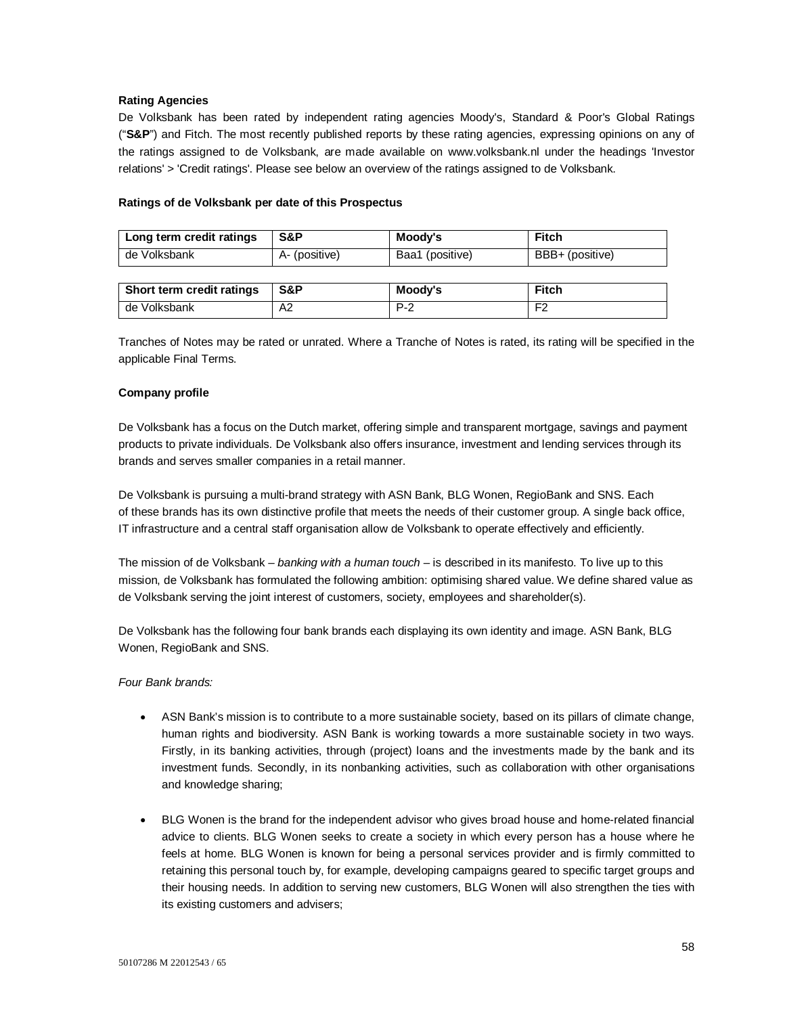## **Rating Agencies**

De Volksbank has been rated by independent rating agencies Moody's, Standard & Poor's Global Ratings ("**S&P**") and Fitch. The most recently published reports by these rating agencies, expressing opinions on any of the ratings assigned to de Volksbank, are made available on www.volksbank.nl under the headings 'Investor relations' > 'Credit ratings'. Please see below an overview of the ratings assigned to de Volksbank.

## **Ratings of de Volksbank per date of this Prospectus**

| Long term credit ratings  | S&P           | Moody's         | <b>Fitch</b>    |
|---------------------------|---------------|-----------------|-----------------|
| de Volksbank              | A- (positive) | Baa1 (positive) | BBB+ (positive) |
|                           |               |                 |                 |
| Short term credit ratings | S&P           | Moody's         | <b>Fitch</b>    |
| de Volksbank              | A2            | $P-2$           | F2              |

Tranches of Notes may be rated or unrated. Where a Tranche of Notes is rated, its rating will be specified in the applicable Final Terms.

# **Company profile**

De Volksbank has a focus on the Dutch market, offering simple and transparent mortgage, savings and payment products to private individuals. De Volksbank also offers insurance, investment and lending services through its brands and serves smaller companies in a retail manner.

De Volksbank is pursuing a multi-brand strategy with ASN Bank, BLG Wonen, RegioBank and SNS. Each of these brands has its own distinctive profile that meets the needs of their customer group. A single back office, IT infrastructure and a central staff organisation allow de Volksbank to operate effectively and efficiently.

The mission of de Volksbank – *banking with a human touch* – is described in its manifesto. To live up to this mission, de Volksbank has formulated the following ambition: optimising shared value. We define shared value as de Volksbank serving the joint interest of customers, society, employees and shareholder(s).

De Volksbank has the following four bank brands each displaying its own identity and image. ASN Bank, BLG Wonen, RegioBank and SNS.

## *Four Bank brands:*

- ASN Bank's mission is to contribute to a more sustainable society, based on its pillars of climate change, human rights and biodiversity. ASN Bank is working towards a more sustainable society in two ways. Firstly, in its banking activities, through (project) loans and the investments made by the bank and its investment funds. Secondly, in its nonbanking activities, such as collaboration with other organisations and knowledge sharing;
- BLG Wonen is the brand for the independent advisor who gives broad house and home-related financial advice to clients. BLG Wonen seeks to create a society in which every person has a house where he feels at home. BLG Wonen is known for being a personal services provider and is firmly committed to retaining this personal touch by, for example, developing campaigns geared to specific target groups and their housing needs. In addition to serving new customers, BLG Wonen will also strengthen the ties with its existing customers and advisers;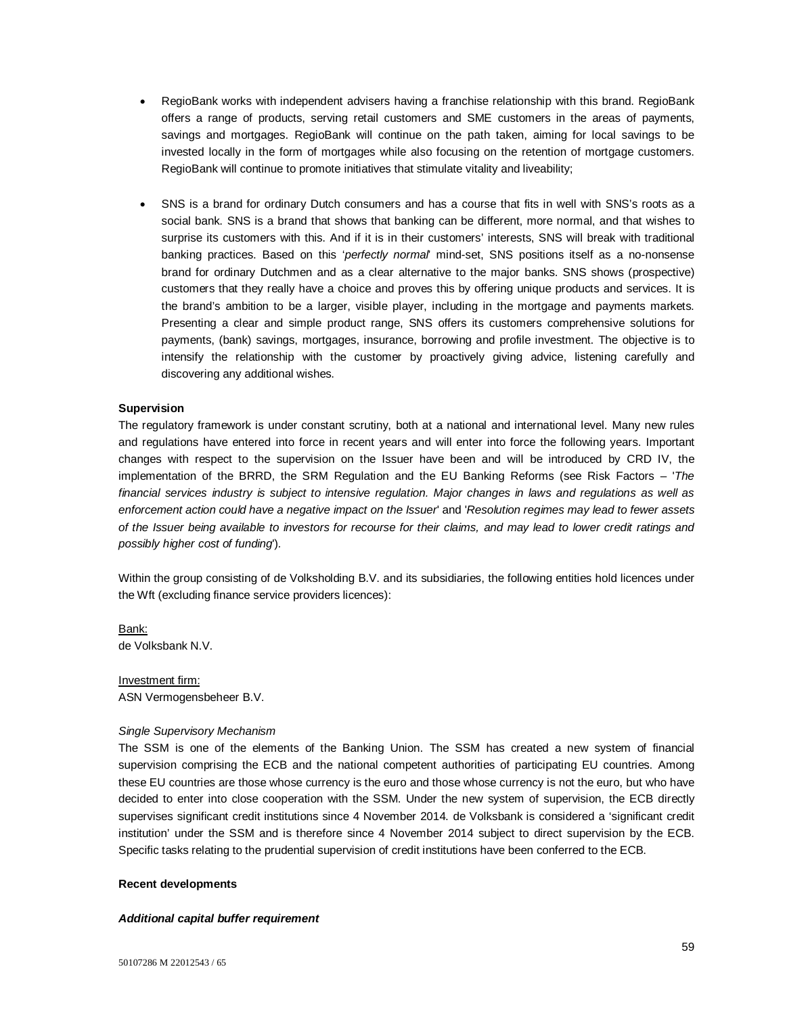- RegioBank works with independent advisers having a franchise relationship with this brand. RegioBank offers a range of products, serving retail customers and SME customers in the areas of payments, savings and mortgages. RegioBank will continue on the path taken, aiming for local savings to be invested locally in the form of mortgages while also focusing on the retention of mortgage customers. RegioBank will continue to promote initiatives that stimulate vitality and liveability;
- SNS is a brand for ordinary Dutch consumers and has a course that fits in well with SNS's roots as a social bank. SNS is a brand that shows that banking can be different, more normal, and that wishes to surprise its customers with this. And if it is in their customers' interests, SNS will break with traditional banking practices. Based on this '*perfectly normal*' mind-set, SNS positions itself as a no-nonsense brand for ordinary Dutchmen and as a clear alternative to the major banks. SNS shows (prospective) customers that they really have a choice and proves this by offering unique products and services. It is the brand's ambition to be a larger, visible player, including in the mortgage and payments markets. Presenting a clear and simple product range, SNS offers its customers comprehensive solutions for payments, (bank) savings, mortgages, insurance, borrowing and profile investment. The objective is to intensify the relationship with the customer by proactively giving advice, listening carefully and discovering any additional wishes.

### **Supervision**

The regulatory framework is under constant scrutiny, both at a national and international level. Many new rules and regulations have entered into force in recent years and will enter into force the following years. Important changes with respect to the supervision on the Issuer have been and will be introduced by CRD IV, the implementation of the BRRD, the SRM Regulation and the EU Banking Reforms (see Risk Factors – '*The financial services industry is subject to intensive regulation. Major changes in laws and regulations as well as enforcement action could have a negative impact on the Issuer*' and '*Resolution regimes may lead to fewer assets of the Issuer being available to investors for recourse for their claims, and may lead to lower credit ratings and possibly higher cost of funding*')*.*

Within the group consisting of de Volksholding B.V. and its subsidiaries, the following entities hold licences under the Wft (excluding finance service providers licences):

Bank: de Volksbank N.V.

Investment firm: ASN Vermogensbeheer B.V.

#### *Single Supervisory Mechanism*

The SSM is one of the elements of the Banking Union. The SSM has created a new system of financial supervision comprising the ECB and the national competent authorities of participating EU countries. Among these EU countries are those whose currency is the euro and those whose currency is not the euro, but who have decided to enter into close cooperation with the SSM. Under the new system of supervision, the ECB directly supervises significant credit institutions since 4 November 2014. de Volksbank is considered a 'significant credit institution' under the SSM and is therefore since 4 November 2014 subject to direct supervision by the ECB. Specific tasks relating to the prudential supervision of credit institutions have been conferred to the ECB.

## **Recent developments**

#### *Additional capital buffer requirement*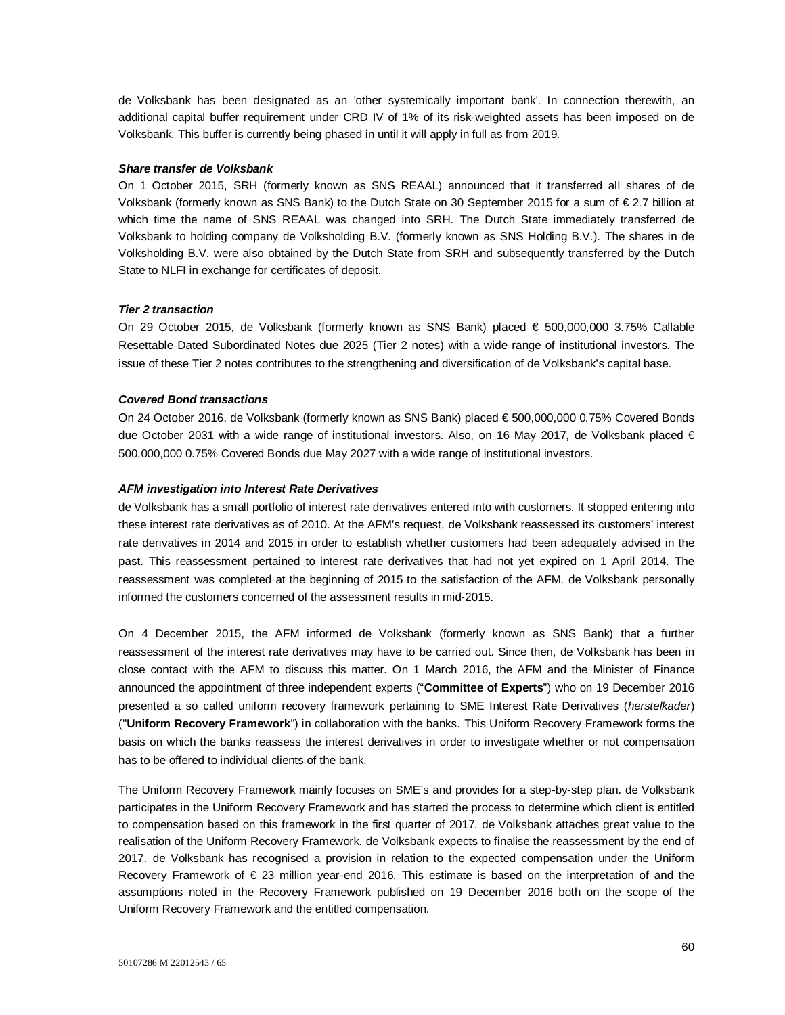de Volksbank has been designated as an 'other systemically important bank'. In connection therewith, an additional capital buffer requirement under CRD IV of 1% of its risk-weighted assets has been imposed on de Volksbank. This buffer is currently being phased in until it will apply in full as from 2019.

#### *Share transfer de Volksbank*

On 1 October 2015, SRH (formerly known as SNS REAAL) announced that it transferred all shares of de Volksbank (formerly known as SNS Bank) to the Dutch State on 30 September 2015 for a sum of € 2.7 billion at which time the name of SNS REAAL was changed into SRH. The Dutch State immediately transferred de Volksbank to holding company de Volksholding B.V. (formerly known as SNS Holding B.V.). The shares in de Volksholding B.V. were also obtained by the Dutch State from SRH and subsequently transferred by the Dutch State to NLFI in exchange for certificates of deposit.

## *Tier 2 transaction*

On 29 October 2015, de Volksbank (formerly known as SNS Bank) placed € 500,000,000 3.75% Callable Resettable Dated Subordinated Notes due 2025 (Tier 2 notes) with a wide range of institutional investors. The issue of these Tier 2 notes contributes to the strengthening and diversification of de Volksbank's capital base.

## *Covered Bond transactions*

On 24 October 2016, de Volksbank (formerly known as SNS Bank) placed € 500,000,000 0.75% Covered Bonds due October 2031 with a wide range of institutional investors. Also, on 16 May 2017, de Volksbank placed € 500,000,000 0.75% Covered Bonds due May 2027 with a wide range of institutional investors.

### *AFM investigation into Interest Rate Derivatives*

de Volksbank has a small portfolio of interest rate derivatives entered into with customers. It stopped entering into these interest rate derivatives as of 2010. At the AFM's request, de Volksbank reassessed its customers' interest rate derivatives in 2014 and 2015 in order to establish whether customers had been adequately advised in the past. This reassessment pertained to interest rate derivatives that had not yet expired on 1 April 2014. The reassessment was completed at the beginning of 2015 to the satisfaction of the AFM. de Volksbank personally informed the customers concerned of the assessment results in mid-2015.

On 4 December 2015, the AFM informed de Volksbank (formerly known as SNS Bank) that a further reassessment of the interest rate derivatives may have to be carried out. Since then, de Volksbank has been in close contact with the AFM to discuss this matter. On 1 March 2016, the AFM and the Minister of Finance announced the appointment of three independent experts ("**Committee of Experts**") who on 19 December 2016 presented a so called uniform recovery framework pertaining to SME Interest Rate Derivatives (*herstelkader*) ("**Uniform Recovery Framework**") in collaboration with the banks. This Uniform Recovery Framework forms the basis on which the banks reassess the interest derivatives in order to investigate whether or not compensation has to be offered to individual clients of the bank.

The Uniform Recovery Framework mainly focuses on SME's and provides for a step-by-step plan. de Volksbank participates in the Uniform Recovery Framework and has started the process to determine which client is entitled to compensation based on this framework in the first quarter of 2017. de Volksbank attaches great value to the realisation of the Uniform Recovery Framework. de Volksbank expects to finalise the reassessment by the end of 2017. de Volksbank has recognised a provision in relation to the expected compensation under the Uniform Recovery Framework of € 23 million year-end 2016. This estimate is based on the interpretation of and the assumptions noted in the Recovery Framework published on 19 December 2016 both on the scope of the Uniform Recovery Framework and the entitled compensation.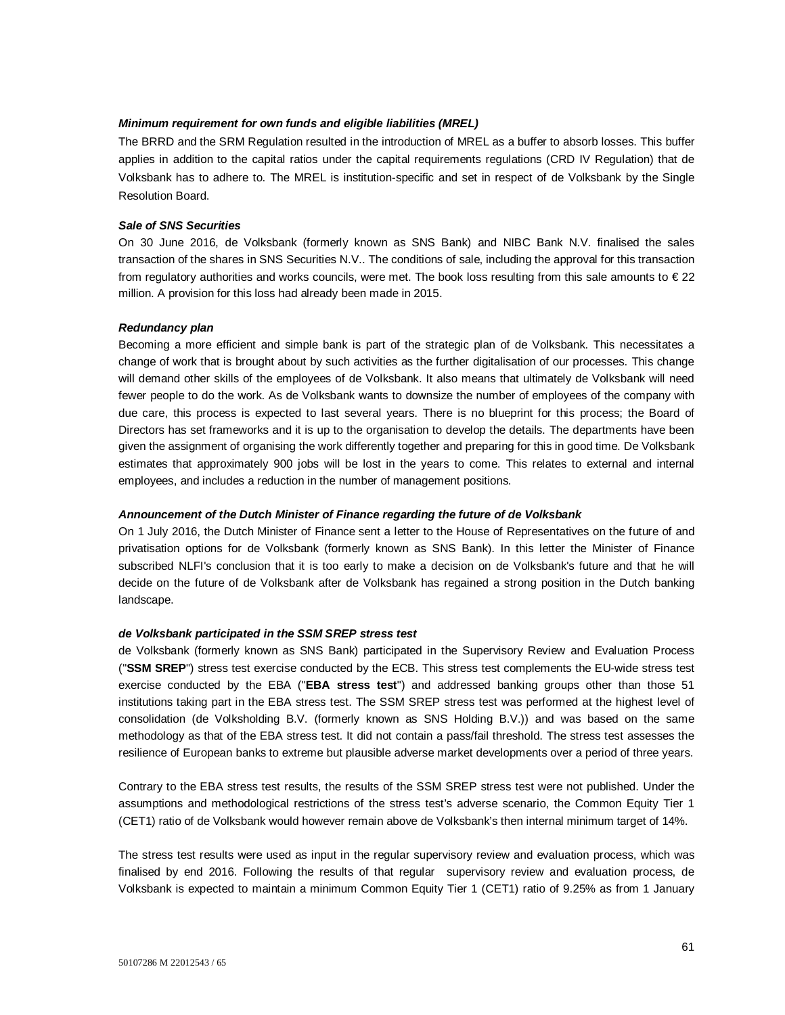### *Minimum requirement for own funds and eligible liabilities (MREL)*

The BRRD and the SRM Regulation resulted in the introduction of MREL as a buffer to absorb losses. This buffer applies in addition to the capital ratios under the capital requirements regulations (CRD IV Regulation) that de Volksbank has to adhere to. The MREL is institution-specific and set in respect of de Volksbank by the Single Resolution Board.

### *Sale of SNS Securities*

On 30 June 2016, de Volksbank (formerly known as SNS Bank) and NIBC Bank N.V. finalised the sales transaction of the shares in SNS Securities N.V.. The conditions of sale, including the approval for this transaction from regulatory authorities and works councils, were met. The book loss resulting from this sale amounts to € 22 million. A provision for this loss had already been made in 2015.

#### *Redundancy plan*

Becoming a more efficient and simple bank is part of the strategic plan of de Volksbank. This necessitates a change of work that is brought about by such activities as the further digitalisation of our processes. This change will demand other skills of the employees of de Volksbank. It also means that ultimately de Volksbank will need fewer people to do the work. As de Volksbank wants to downsize the number of employees of the company with due care, this process is expected to last several years. There is no blueprint for this process; the Board of Directors has set frameworks and it is up to the organisation to develop the details. The departments have been given the assignment of organising the work differently together and preparing for this in good time. De Volksbank estimates that approximately 900 jobs will be lost in the years to come. This relates to external and internal employees, and includes a reduction in the number of management positions.

## *Announcement of the Dutch Minister of Finance regarding the future of de Volksbank*

On 1 July 2016, the Dutch Minister of Finance sent a letter to the House of Representatives on the future of and privatisation options for de Volksbank (formerly known as SNS Bank). In this letter the Minister of Finance subscribed NLFI's conclusion that it is too early to make a decision on de Volksbank's future and that he will decide on the future of de Volksbank after de Volksbank has regained a strong position in the Dutch banking landscape.

## *de Volksbank participated in the SSM SREP stress test*

de Volksbank (formerly known as SNS Bank) participated in the Supervisory Review and Evaluation Process ("**SSM SREP**") stress test exercise conducted by the ECB. This stress test complements the EU-wide stress test exercise conducted by the EBA ("**EBA stress test**") and addressed banking groups other than those 51 institutions taking part in the EBA stress test. The SSM SREP stress test was performed at the highest level of consolidation (de Volksholding B.V. (formerly known as SNS Holding B.V.)) and was based on the same methodology as that of the EBA stress test. It did not contain a pass/fail threshold. The stress test assesses the resilience of European banks to extreme but plausible adverse market developments over a period of three years.

Contrary to the EBA stress test results, the results of the SSM SREP stress test were not published. Under the assumptions and methodological restrictions of the stress test's adverse scenario, the Common Equity Tier 1 (CET1) ratio of de Volksbank would however remain above de Volksbank's then internal minimum target of 14%.

The stress test results were used as input in the regular supervisory review and evaluation process, which was finalised by end 2016. Following the results of that regular supervisory review and evaluation process, de Volksbank is expected to maintain a minimum Common Equity Tier 1 (CET1) ratio of 9.25% as from 1 January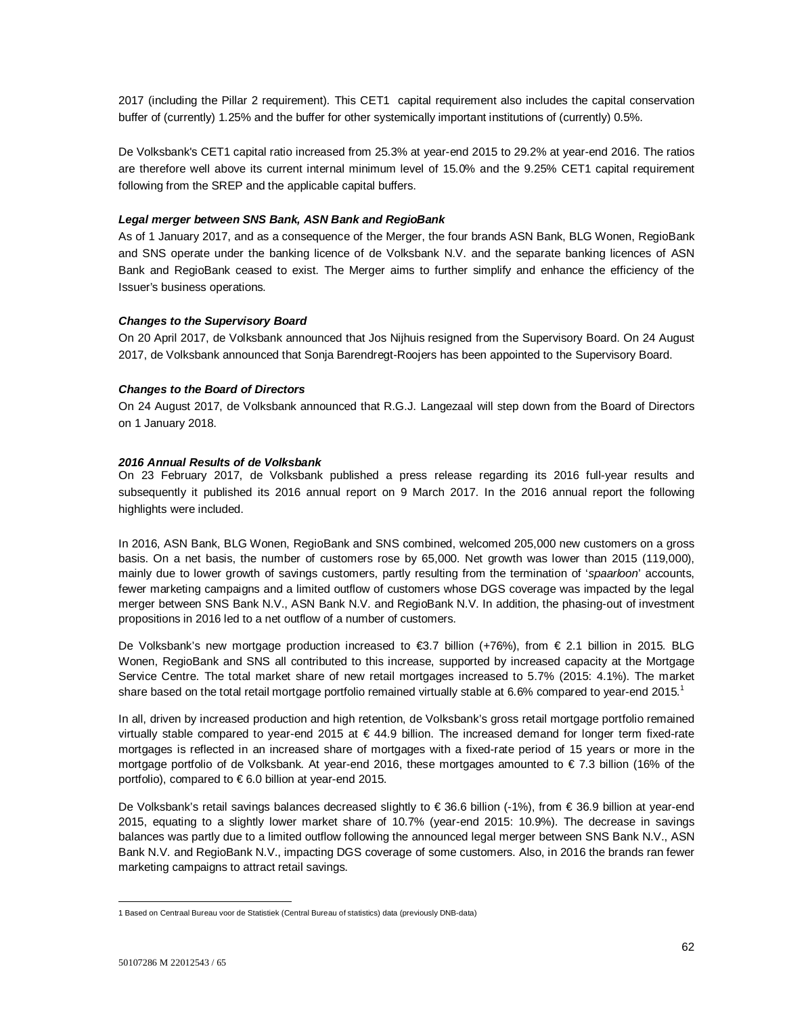2017 (including the Pillar 2 requirement). This CET1 capital requirement also includes the capital conservation buffer of (currently) 1.25% and the buffer for other systemically important institutions of (currently) 0.5%.

De Volksbank's CET1 capital ratio increased from 25.3% at year-end 2015 to 29.2% at year-end 2016. The ratios are therefore well above its current internal minimum level of 15.0% and the 9.25% CET1 capital requirement following from the SREP and the applicable capital buffers.

## *Legal merger between SNS Bank, ASN Bank and RegioBank*

As of 1 January 2017, and as a consequence of the Merger, the four brands ASN Bank, BLG Wonen, RegioBank and SNS operate under the banking licence of de Volksbank N.V. and the separate banking licences of ASN Bank and RegioBank ceased to exist. The Merger aims to further simplify and enhance the efficiency of the Issuer's business operations.

#### *Changes to the Supervisory Board*

On 20 April 2017, de Volksbank announced that Jos Nijhuis resigned from the Supervisory Board. On 24 August 2017, de Volksbank announced that Sonja Barendregt-Roojers has been appointed to the Supervisory Board.

### *Changes to the Board of Directors*

On 24 August 2017, de Volksbank announced that R.G.J. Langezaal will step down from the Board of Directors on 1 January 2018.

### *2016 Annual Results of de Volksbank*

On 23 February 2017, de Volksbank published a press release regarding its 2016 full-year results and subsequently it published its 2016 annual report on 9 March 2017. In the 2016 annual report the following highlights were included.

In 2016, ASN Bank, BLG Wonen, RegioBank and SNS combined, welcomed 205,000 new customers on a gross basis. On a net basis, the number of customers rose by 65,000. Net growth was lower than 2015 (119,000), mainly due to lower growth of savings customers, partly resulting from the termination of '*spaarloon*' accounts, fewer marketing campaigns and a limited outflow of customers whose DGS coverage was impacted by the legal merger between SNS Bank N.V., ASN Bank N.V. and RegioBank N.V. In addition, the phasing-out of investment propositions in 2016 led to a net outflow of a number of customers.

De Volksbank's new mortgage production increased to €3.7 billion (+76%), from € 2.1 billion in 2015. BLG Wonen, RegioBank and SNS all contributed to this increase, supported by increased capacity at the Mortgage Service Centre. The total market share of new retail mortgages increased to 5.7% (2015: 4.1%). The market share based on the total retail mortgage portfolio remained virtually stable at 6.6% compared to year-end 2015.<sup>1</sup>

In all, driven by increased production and high retention, de Volksbank's gross retail mortgage portfolio remained virtually stable compared to year-end 2015 at € 44.9 billion. The increased demand for longer term fixed-rate mortgages is reflected in an increased share of mortgages with a fixed-rate period of 15 years or more in the mortgage portfolio of de Volksbank. At year-end 2016, these mortgages amounted to € 7.3 billion (16% of the portfolio), compared to € 6.0 billion at year-end 2015.

De Volksbank's retail savings balances decreased slightly to € 36.6 billion (-1%), from € 36.9 billion at year-end 2015, equating to a slightly lower market share of 10.7% (year-end 2015: 10.9%). The decrease in savings balances was partly due to a limited outflow following the announced legal merger between SNS Bank N.V., ASN Bank N.V. and RegioBank N.V., impacting DGS coverage of some customers. Also, in 2016 the brands ran fewer marketing campaigns to attract retail savings.

l

<sup>1</sup> Based on Centraal Bureau voor de Statistiek (Central Bureau of statistics) data (previously DNB-data)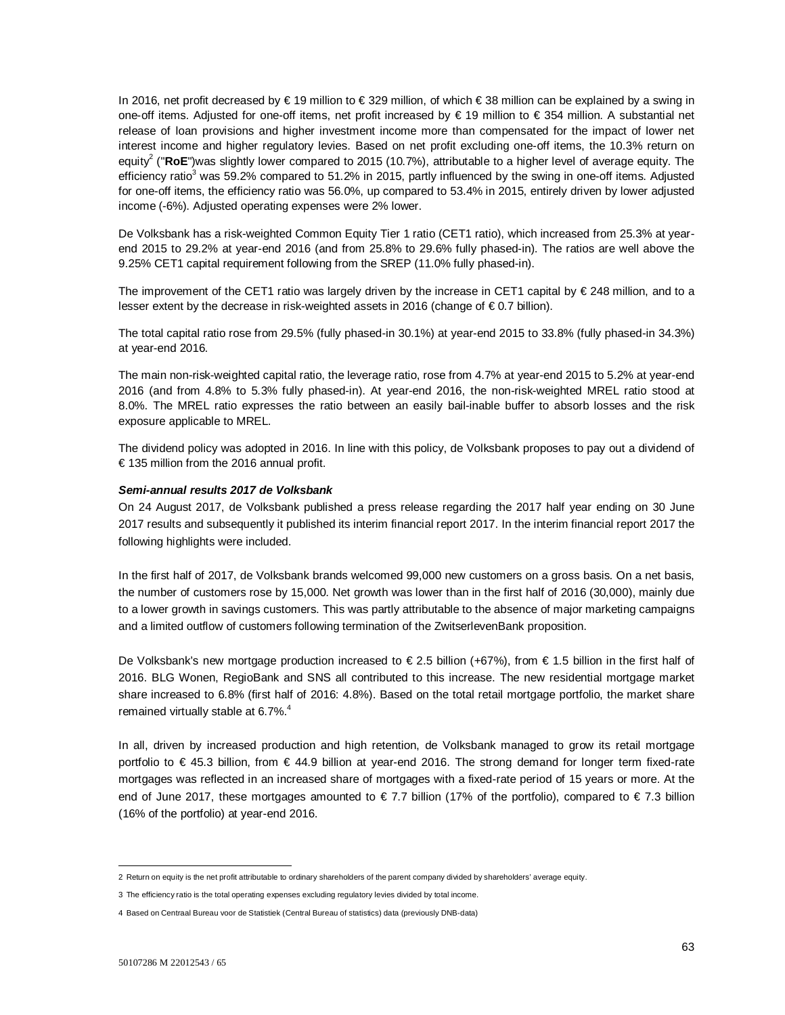In 2016, net profit decreased by € 19 million to € 329 million, of which € 38 million can be explained by a swing in one-off items. Adjusted for one-off items, net profit increased by € 19 million to € 354 million. A substantial net release of loan provisions and higher investment income more than compensated for the impact of lower net interest income and higher regulatory levies. Based on net profit excluding one-off items, the 10.3% return on equity<sup>2</sup> ("RoE")was slightly lower compared to 2015 (10.7%), attributable to a higher level of average equity. The efficiency ratio<sup>3</sup> was 59.2% compared to 51.2% in 2015, partly influenced by the swing in one-off items. Adjusted for one-off items, the efficiency ratio was 56.0%, up compared to 53.4% in 2015, entirely driven by lower adjusted income (-6%). Adjusted operating expenses were 2% lower.

De Volksbank has a risk-weighted Common Equity Tier 1 ratio (CET1 ratio), which increased from 25.3% at yearend 2015 to 29.2% at year-end 2016 (and from 25.8% to 29.6% fully phased-in). The ratios are well above the 9.25% CET1 capital requirement following from the SREP (11.0% fully phased-in).

The improvement of the CET1 ratio was largely driven by the increase in CET1 capital by € 248 million, and to a lesser extent by the decrease in risk-weighted assets in 2016 (change of € 0.7 billion).

The total capital ratio rose from 29.5% (fully phased-in 30.1%) at year-end 2015 to 33.8% (fully phased-in 34.3%) at year-end 2016.

The main non-risk-weighted capital ratio, the leverage ratio, rose from 4.7% at year-end 2015 to 5.2% at year-end 2016 (and from 4.8% to 5.3% fully phased-in). At year-end 2016, the non-risk-weighted MREL ratio stood at 8.0%. The MREL ratio expresses the ratio between an easily bail-inable buffer to absorb losses and the risk exposure applicable to MREL.

The dividend policy was adopted in 2016. In line with this policy, de Volksbank proposes to pay out a dividend of € 135 million from the 2016 annual profit.

### *Semi-annual results 2017 de Volksbank*

On 24 August 2017, de Volksbank published a press release regarding the 2017 half year ending on 30 June 2017 results and subsequently it published its interim financial report 2017. In the interim financial report 2017 the following highlights were included.

In the first half of 2017, de Volksbank brands welcomed 99,000 new customers on a gross basis. On a net basis, the number of customers rose by 15,000. Net growth was lower than in the first half of 2016 (30,000), mainly due to a lower growth in savings customers. This was partly attributable to the absence of major marketing campaigns and a limited outflow of customers following termination of the ZwitserlevenBank proposition.

De Volksbank's new mortgage production increased to € 2.5 billion (+67%), from € 1.5 billion in the first half of 2016. BLG Wonen, RegioBank and SNS all contributed to this increase. The new residential mortgage market share increased to 6.8% (first half of 2016: 4.8%). Based on the total retail mortgage portfolio, the market share remained virtually stable at 6.7%.<sup>4</sup>

In all, driven by increased production and high retention, de Volksbank managed to grow its retail mortgage portfolio to € 45.3 billion, from € 44.9 billion at year-end 2016. The strong demand for longer term fixed-rate mortgages was reflected in an increased share of mortgages with a fixed-rate period of 15 years or more. At the end of June 2017, these mortgages amounted to € 7.7 billion (17% of the portfolio), compared to € 7.3 billion (16% of the portfolio) at year-end 2016.

j

<sup>2</sup> Return on equity is the net profit attributable to ordinary shareholders of the parent company divided by shareholders' average equity.

<sup>3</sup> The efficiency ratio is the total operating expenses excluding regulatory levies divided by total income.

<sup>4</sup> Based on Centraal Bureau voor de Statistiek (Central Bureau of statistics) data (previously DNB-data)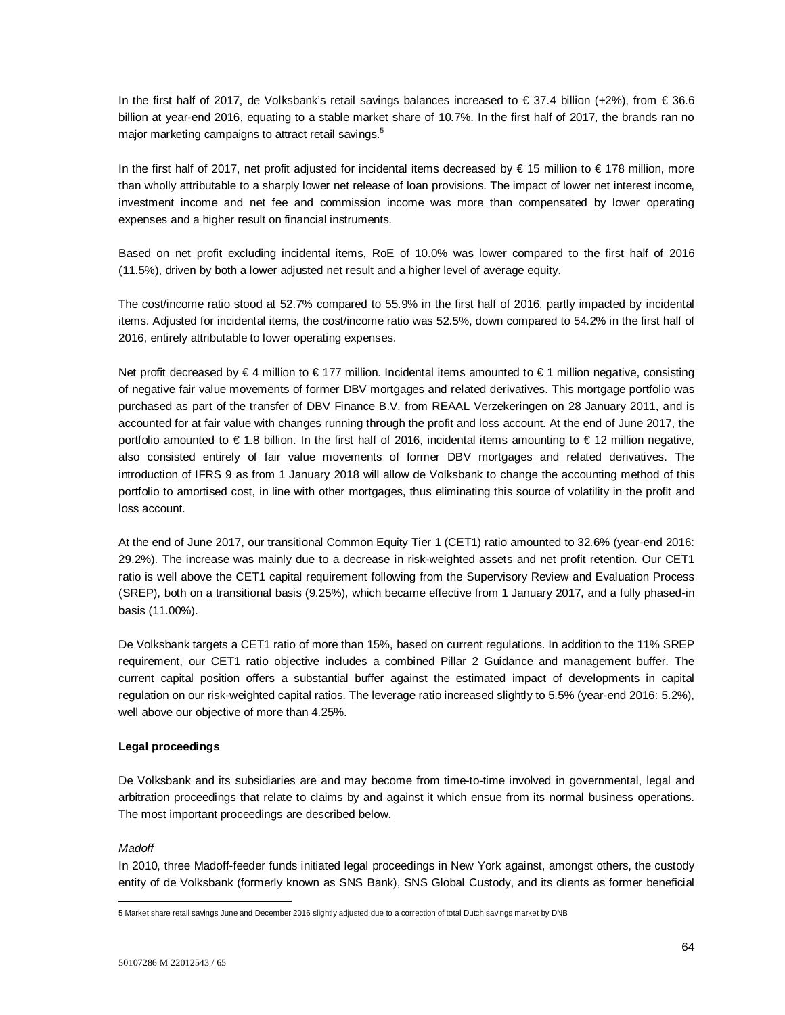In the first half of 2017, de Volksbank's retail savings balances increased to € 37.4 billion (+2%), from € 36.6 billion at year-end 2016, equating to a stable market share of 10.7%. In the first half of 2017, the brands ran no major marketing campaigns to attract retail savings.<sup>5</sup>

In the first half of 2017, net profit adjusted for incidental items decreased by € 15 million to € 178 million, more than wholly attributable to a sharply lower net release of loan provisions. The impact of lower net interest income, investment income and net fee and commission income was more than compensated by lower operating expenses and a higher result on financial instruments.

Based on net profit excluding incidental items, RoE of 10.0% was lower compared to the first half of 2016 (11.5%), driven by both a lower adjusted net result and a higher level of average equity.

The cost/income ratio stood at 52.7% compared to 55.9% in the first half of 2016, partly impacted by incidental items. Adjusted for incidental items, the cost/income ratio was 52.5%, down compared to 54.2% in the first half of 2016, entirely attributable to lower operating expenses.

Net profit decreased by €4 million to €177 million. Incidental items amounted to €1 million negative, consisting of negative fair value movements of former DBV mortgages and related derivatives. This mortgage portfolio was purchased as part of the transfer of DBV Finance B.V. from REAAL Verzekeringen on 28 January 2011, and is accounted for at fair value with changes running through the profit and loss account. At the end of June 2017, the portfolio amounted to  $\epsilon$  1.8 billion. In the first half of 2016, incidental items amounting to  $\epsilon$  12 million negative, also consisted entirely of fair value movements of former DBV mortgages and related derivatives. The introduction of IFRS 9 as from 1 January 2018 will allow de Volksbank to change the accounting method of this portfolio to amortised cost, in line with other mortgages, thus eliminating this source of volatility in the profit and loss account.

At the end of June 2017, our transitional Common Equity Tier 1 (CET1) ratio amounted to 32.6% (year-end 2016: 29.2%). The increase was mainly due to a decrease in risk-weighted assets and net profit retention. Our CET1 ratio is well above the CET1 capital requirement following from the Supervisory Review and Evaluation Process (SREP), both on a transitional basis (9.25%), which became effective from 1 January 2017, and a fully phased-in basis (11.00%).

De Volksbank targets a CET1 ratio of more than 15%, based on current regulations. In addition to the 11% SREP requirement, our CET1 ratio objective includes a combined Pillar 2 Guidance and management buffer. The current capital position offers a substantial buffer against the estimated impact of developments in capital regulation on our risk-weighted capital ratios. The leverage ratio increased slightly to 5.5% (year-end 2016: 5.2%), well above our objective of more than 4.25%.

## **Legal proceedings**

De Volksbank and its subsidiaries are and may become from time-to-time involved in governmental, legal and arbitration proceedings that relate to claims by and against it which ensue from its normal business operations. The most important proceedings are described below.

## *Madoff*

l

In 2010, three Madoff-feeder funds initiated legal proceedings in New York against, amongst others, the custody entity of de Volksbank (formerly known as SNS Bank), SNS Global Custody, and its clients as former beneficial

<sup>5</sup> Market share retail savings June and December 2016 slightly adjusted due to a correction of total Dutch savings market by DNB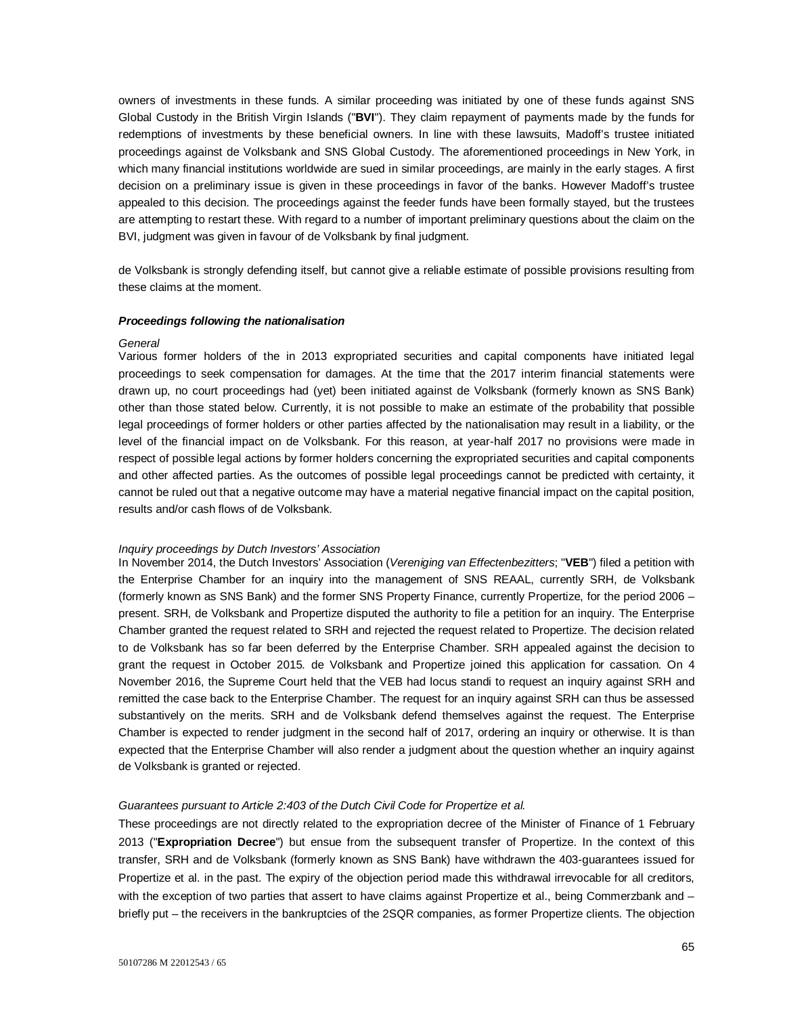owners of investments in these funds. A similar proceeding was initiated by one of these funds against SNS Global Custody in the British Virgin Islands ("**BVI**"). They claim repayment of payments made by the funds for redemptions of investments by these beneficial owners. In line with these lawsuits, Madoff's trustee initiated proceedings against de Volksbank and SNS Global Custody. The aforementioned proceedings in New York, in which many financial institutions worldwide are sued in similar proceedings, are mainly in the early stages. A first decision on a preliminary issue is given in these proceedings in favor of the banks. However Madoff's trustee appealed to this decision. The proceedings against the feeder funds have been formally stayed, but the trustees are attempting to restart these. With regard to a number of important preliminary questions about the claim on the BVI, judgment was given in favour of de Volksbank by final judgment.

de Volksbank is strongly defending itself, but cannot give a reliable estimate of possible provisions resulting from these claims at the moment.

#### *Proceedings following the nationalisation*

#### *General*

Various former holders of the in 2013 expropriated securities and capital components have initiated legal proceedings to seek compensation for damages. At the time that the 2017 interim financial statements were drawn up, no court proceedings had (yet) been initiated against de Volksbank (formerly known as SNS Bank) other than those stated below. Currently, it is not possible to make an estimate of the probability that possible legal proceedings of former holders or other parties affected by the nationalisation may result in a liability, or the level of the financial impact on de Volksbank. For this reason, at year-half 2017 no provisions were made in respect of possible legal actions by former holders concerning the expropriated securities and capital components and other affected parties. As the outcomes of possible legal proceedings cannot be predicted with certainty, it cannot be ruled out that a negative outcome may have a material negative financial impact on the capital position, results and/or cash flows of de Volksbank.

### *Inquiry proceedings by Dutch Investors' Association*

In November 2014, the Dutch Investors' Association (*Vereniging van Effectenbezitters*; "**VEB**") filed a petition with the Enterprise Chamber for an inquiry into the management of SNS REAAL, currently SRH, de Volksbank (formerly known as SNS Bank) and the former SNS Property Finance, currently Propertize, for the period 2006 – present. SRH, de Volksbank and Propertize disputed the authority to file a petition for an inquiry. The Enterprise Chamber granted the request related to SRH and rejected the request related to Propertize. The decision related to de Volksbank has so far been deferred by the Enterprise Chamber. SRH appealed against the decision to grant the request in October 2015. de Volksbank and Propertize joined this application for cassation. On 4 November 2016, the Supreme Court held that the VEB had locus standi to request an inquiry against SRH and remitted the case back to the Enterprise Chamber. The request for an inquiry against SRH can thus be assessed substantively on the merits. SRH and de Volksbank defend themselves against the request. The Enterprise Chamber is expected to render judgment in the second half of 2017, ordering an inquiry or otherwise. It is than expected that the Enterprise Chamber will also render a judgment about the question whether an inquiry against de Volksbank is granted or rejected.

#### *Guarantees pursuant to Article 2:403 of the Dutch Civil Code for Propertize et al.*

These proceedings are not directly related to the expropriation decree of the Minister of Finance of 1 February 2013 ("**Expropriation Decree**") but ensue from the subsequent transfer of Propertize. In the context of this transfer, SRH and de Volksbank (formerly known as SNS Bank) have withdrawn the 403-guarantees issued for Propertize et al. in the past. The expiry of the objection period made this withdrawal irrevocable for all creditors, with the exception of two parties that assert to have claims against Propertize et al., being Commerzbank and briefly put – the receivers in the bankruptcies of the 2SQR companies, as former Propertize clients. The objection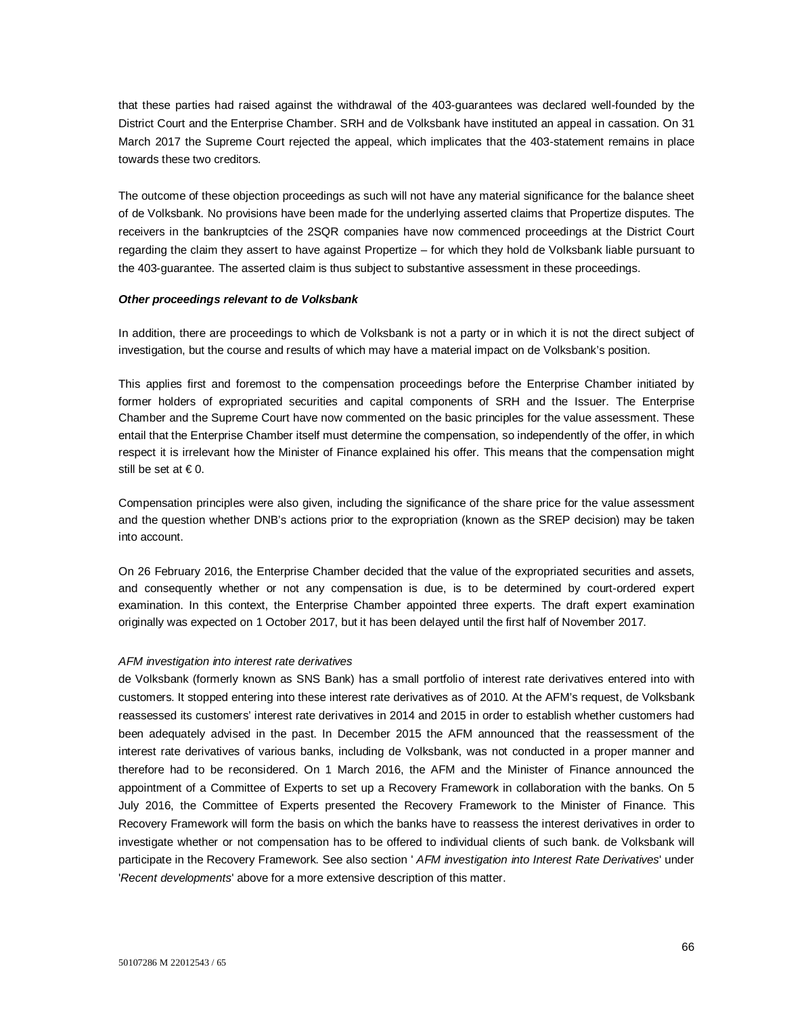that these parties had raised against the withdrawal of the 403-guarantees was declared well-founded by the District Court and the Enterprise Chamber. SRH and de Volksbank have instituted an appeal in cassation. On 31 March 2017 the Supreme Court rejected the appeal, which implicates that the 403-statement remains in place towards these two creditors.

The outcome of these objection proceedings as such will not have any material significance for the balance sheet of de Volksbank. No provisions have been made for the underlying asserted claims that Propertize disputes. The receivers in the bankruptcies of the 2SQR companies have now commenced proceedings at the District Court regarding the claim they assert to have against Propertize – for which they hold de Volksbank liable pursuant to the 403-guarantee. The asserted claim is thus subject to substantive assessment in these proceedings.

#### *Other proceedings relevant to de Volksbank*

In addition, there are proceedings to which de Volksbank is not a party or in which it is not the direct subject of investigation, but the course and results of which may have a material impact on de Volksbank's position.

This applies first and foremost to the compensation proceedings before the Enterprise Chamber initiated by former holders of expropriated securities and capital components of SRH and the Issuer. The Enterprise Chamber and the Supreme Court have now commented on the basic principles for the value assessment. These entail that the Enterprise Chamber itself must determine the compensation, so independently of the offer, in which respect it is irrelevant how the Minister of Finance explained his offer. This means that the compensation might still be set at  $\in$  0.

Compensation principles were also given, including the significance of the share price for the value assessment and the question whether DNB's actions prior to the expropriation (known as the SREP decision) may be taken into account.

On 26 February 2016, the Enterprise Chamber decided that the value of the expropriated securities and assets, and consequently whether or not any compensation is due, is to be determined by court-ordered expert examination. In this context, the Enterprise Chamber appointed three experts. The draft expert examination originally was expected on 1 October 2017, but it has been delayed until the first half of November 2017.

#### *AFM investigation into interest rate derivatives*

de Volksbank (formerly known as SNS Bank) has a small portfolio of interest rate derivatives entered into with customers. It stopped entering into these interest rate derivatives as of 2010. At the AFM's request, de Volksbank reassessed its customers' interest rate derivatives in 2014 and 2015 in order to establish whether customers had been adequately advised in the past. In December 2015 the AFM announced that the reassessment of the interest rate derivatives of various banks, including de Volksbank, was not conducted in a proper manner and therefore had to be reconsidered. On 1 March 2016, the AFM and the Minister of Finance announced the appointment of a Committee of Experts to set up a Recovery Framework in collaboration with the banks. On 5 July 2016, the Committee of Experts presented the Recovery Framework to the Minister of Finance. This Recovery Framework will form the basis on which the banks have to reassess the interest derivatives in order to investigate whether or not compensation has to be offered to individual clients of such bank. de Volksbank will participate in the Recovery Framework. See also section ' *AFM investigation into Interest Rate Derivatives*' under '*Recent developments*' above for a more extensive description of this matter.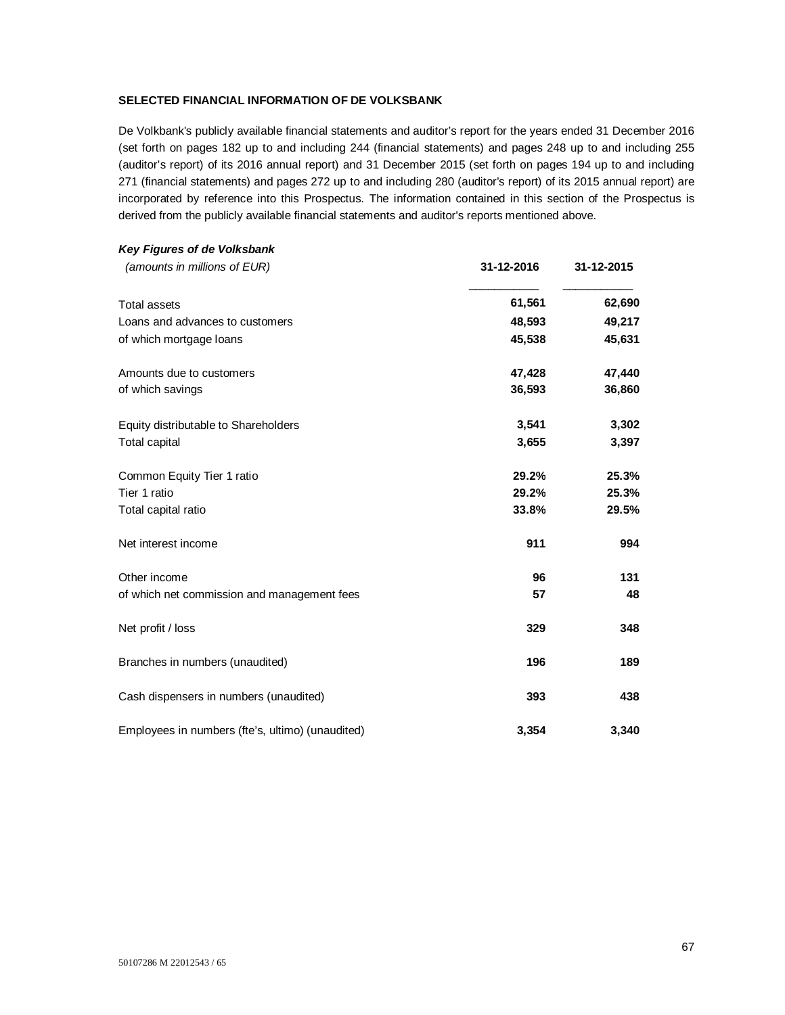# **SELECTED FINANCIAL INFORMATION OF DE VOLKSBANK**

De Volkbank's publicly available financial statements and auditor's report for the years ended 31 December 2016 (set forth on pages 182 up to and including 244 (financial statements) and pages 248 up to and including 255 (auditor's report) of its 2016 annual report) and 31 December 2015 (set forth on pages 194 up to and including 271 (financial statements) and pages 272 up to and including 280 (auditor's report) of its 2015 annual report) are incorporated by reference into this Prospectus. The information contained in this section of the Prospectus is derived from the publicly available financial statements and auditor's reports mentioned above.

| Key Figures of de Volksbank                      |            |            |
|--------------------------------------------------|------------|------------|
| (amounts in millions of EUR)                     | 31-12-2016 | 31-12-2015 |
| <b>Total assets</b>                              | 61,561     | 62,690     |
| Loans and advances to customers                  | 48,593     | 49,217     |
| of which mortgage loans                          | 45,538     | 45,631     |
| Amounts due to customers                         | 47,428     | 47,440     |
| of which savings                                 | 36,593     | 36,860     |
| Equity distributable to Shareholders             | 3,541      | 3,302      |
| Total capital                                    | 3,655      | 3,397      |
| Common Equity Tier 1 ratio                       | 29.2%      | 25.3%      |
| Tier 1 ratio                                     | 29.2%      | 25.3%      |
| Total capital ratio                              | 33.8%      | 29.5%      |
| Net interest income                              | 911        | 994        |
| Other income                                     | 96         | 131        |
| of which net commission and management fees      | 57         | 48         |
| Net profit / loss                                | 329        | 348        |
| Branches in numbers (unaudited)                  | 196        | 189        |
| Cash dispensers in numbers (unaudited)           | 393        | 438        |
| Employees in numbers (fte's, ultimo) (unaudited) | 3,354      | 3,340      |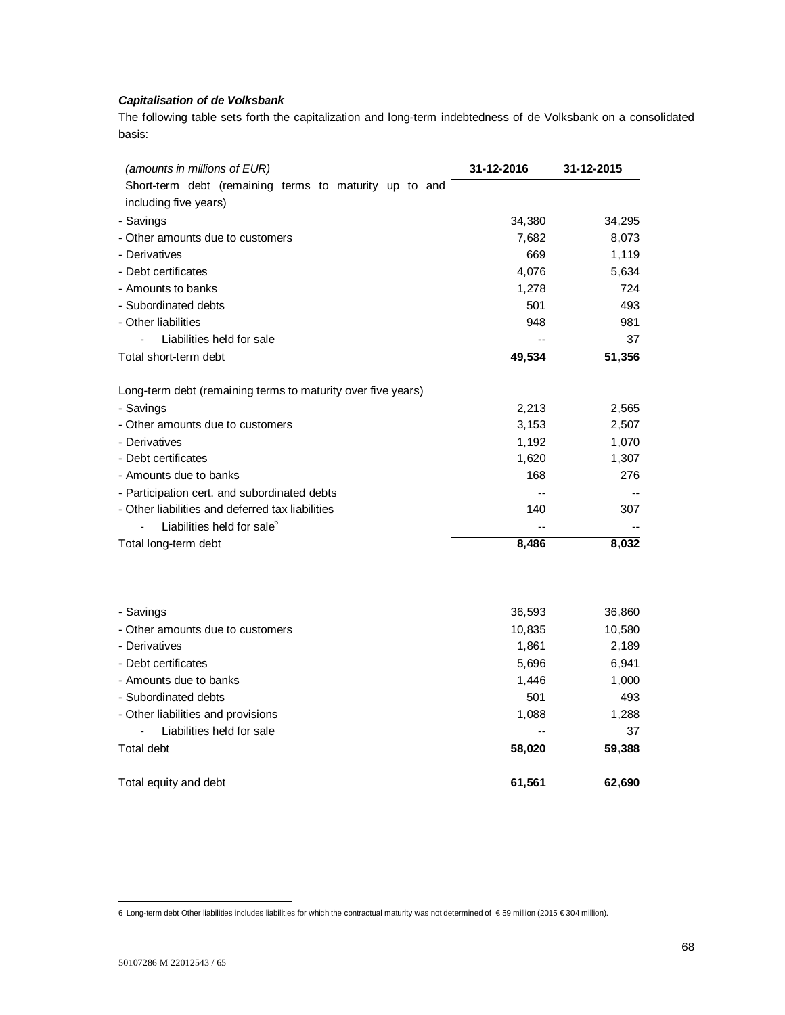# *Capitalisation of de Volksbank*

The following table sets forth the capitalization and long-term indebtedness of de Volksbank on a consolidated basis:

| (amounts in millions of EUR)                                 | 31-12-2016 | 31-12-2015 |
|--------------------------------------------------------------|------------|------------|
| Short-term debt (remaining terms to maturity up to and       |            |            |
| including five years)                                        |            |            |
| - Savings                                                    | 34,380     | 34,295     |
| - Other amounts due to customers                             | 7,682      | 8,073      |
| - Derivatives                                                | 669        | 1,119      |
| - Debt certificates                                          | 4,076      | 5,634      |
| - Amounts to banks                                           | 1,278      | 724        |
| - Subordinated debts                                         | 501        | 493        |
| - Other liabilities                                          | 948        | 981        |
| Liabilities held for sale                                    |            | 37         |
| Total short-term debt                                        | 49,534     | 51,356     |
| Long-term debt (remaining terms to maturity over five years) |            |            |
| - Savings                                                    | 2,213      | 2,565      |
| - Other amounts due to customers                             | 3,153      | 2,507      |
| - Derivatives                                                | 1,192      | 1,070      |
| - Debt certificates                                          | 1,620      | 1,307      |
| - Amounts due to banks                                       | 168        | 276        |
| - Participation cert. and subordinated debts                 | --         |            |
| - Other liabilities and deferred tax liabilities             | 140        | 307        |
| Liabilities held for sale <sup>6</sup>                       |            |            |
| Total long-term debt                                         | 8,486      | 8,032      |
|                                                              |            |            |
| - Savings                                                    | 36,593     | 36,860     |
| - Other amounts due to customers                             | 10,835     | 10,580     |
| - Derivatives                                                | 1,861      | 2,189      |
| - Debt certificates                                          | 5,696      | 6,941      |
| - Amounts due to banks                                       | 1,446      | 1,000      |
| - Subordinated debts                                         | 501        | 493        |
| - Other liabilities and provisions                           | 1,088      | 1,288      |
| Liabilities held for sale                                    |            | 37         |
| <b>Total debt</b>                                            | 58,020     | 59,388     |
| Total equity and debt                                        | 61,561     | 62.690     |

l

<sup>6</sup> Long-term debt Other liabilities includes liabilities for which the contractual maturity was not determined of € 59 million (2015 € 304 million).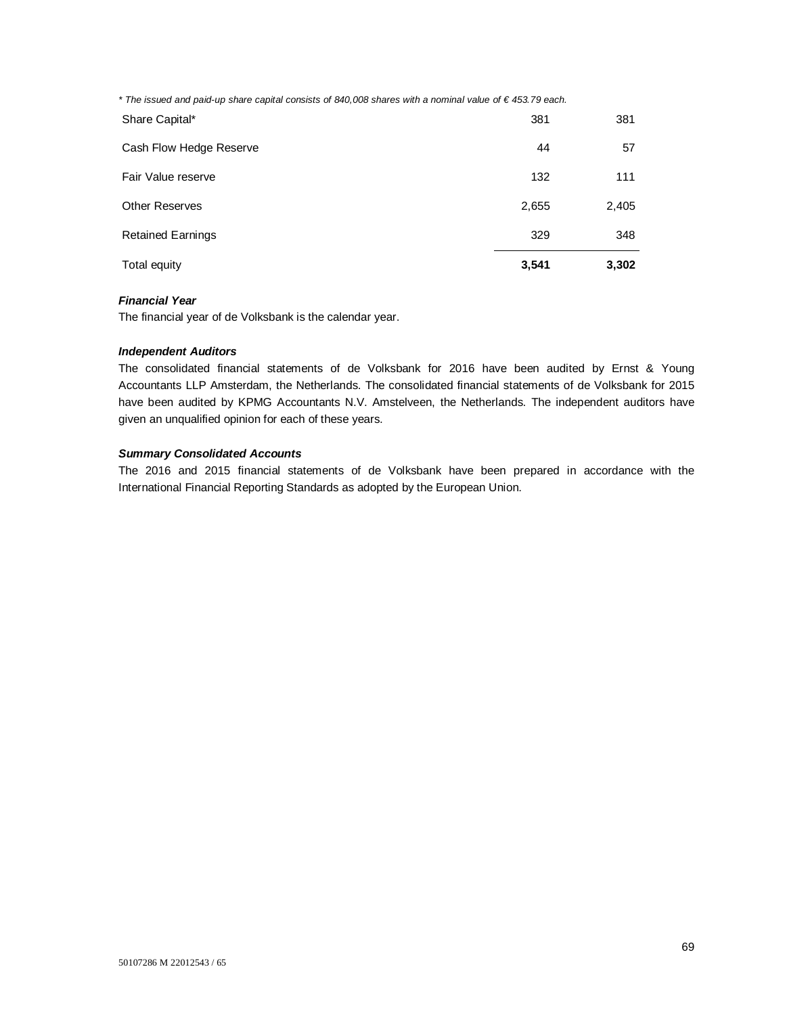*\* The issued and paid-up share capital consists of 840,008 shares with a nominal value of € 453.79 each.*

| Total equity             | 3,541 | 3,302 |
|--------------------------|-------|-------|
| <b>Retained Earnings</b> | 329   | 348   |
| <b>Other Reserves</b>    | 2,655 | 2,405 |
| Fair Value reserve       | 132   | 111   |
| Cash Flow Hedge Reserve  | 44    | 57    |
| Share Capital*           | 381   | 381   |

# *Financial Year*

The financial year of de Volksbank is the calendar year.

## *Independent Auditors*

The consolidated financial statements of de Volksbank for 2016 have been audited by Ernst & Young Accountants LLP Amsterdam, the Netherlands. The consolidated financial statements of de Volksbank for 2015 have been audited by KPMG Accountants N.V. Amstelveen, the Netherlands. The independent auditors have given an unqualified opinion for each of these years.

# *Summary Consolidated Accounts*

The 2016 and 2015 financial statements of de Volksbank have been prepared in accordance with the International Financial Reporting Standards as adopted by the European Union.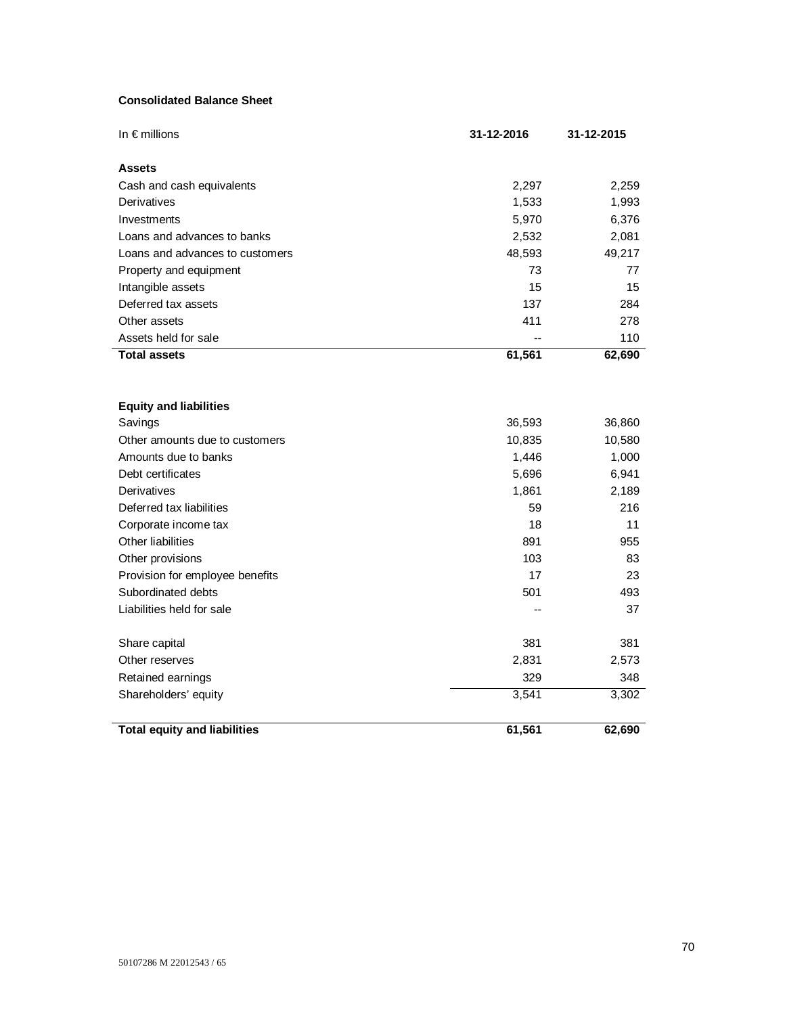# **Consolidated Balance Sheet**

| In € millions                       | 31-12-2016 | 31-12-2015 |
|-------------------------------------|------------|------------|
| <b>Assets</b>                       |            |            |
| Cash and cash equivalents           | 2,297      | 2,259      |
| Derivatives                         | 1,533      | 1,993      |
| Investments                         | 5,970      | 6,376      |
| Loans and advances to banks         | 2,532      | 2,081      |
| Loans and advances to customers     | 48,593     | 49,217     |
| Property and equipment              | 73         | 77         |
| Intangible assets                   | 15         | 15         |
| Deferred tax assets                 | 137        | 284        |
| Other assets                        | 411        | 278        |
| Assets held for sale                |            | 110        |
| <b>Total assets</b>                 | 61,561     | 62,690     |
| <b>Equity and liabilities</b>       |            |            |
| Savings                             | 36,593     | 36,860     |
| Other amounts due to customers      | 10,835     | 10,580     |
| Amounts due to banks                | 1,446      | 1,000      |
| Debt certificates                   | 5,696      | 6,941      |
| Derivatives                         | 1,861      | 2,189      |
| Deferred tax liabilities            | 59         | 216        |
| Corporate income tax                | 18         | 11         |
| Other liabilities                   | 891        | 955        |
| Other provisions                    | 103        | 83         |
| Provision for employee benefits     | 17         | 23         |
| Subordinated debts                  | 501        | 493        |
| Liabilities held for sale           |            | 37         |
| Share capital                       | 381        | 381        |
| Other reserves                      | 2,831      | 2,573      |
| Retained earnings                   | 329        | 348        |
| Shareholders' equity                | 3,541      | 3,302      |
| <b>Total equity and liabilities</b> | 61,561     | 62,690     |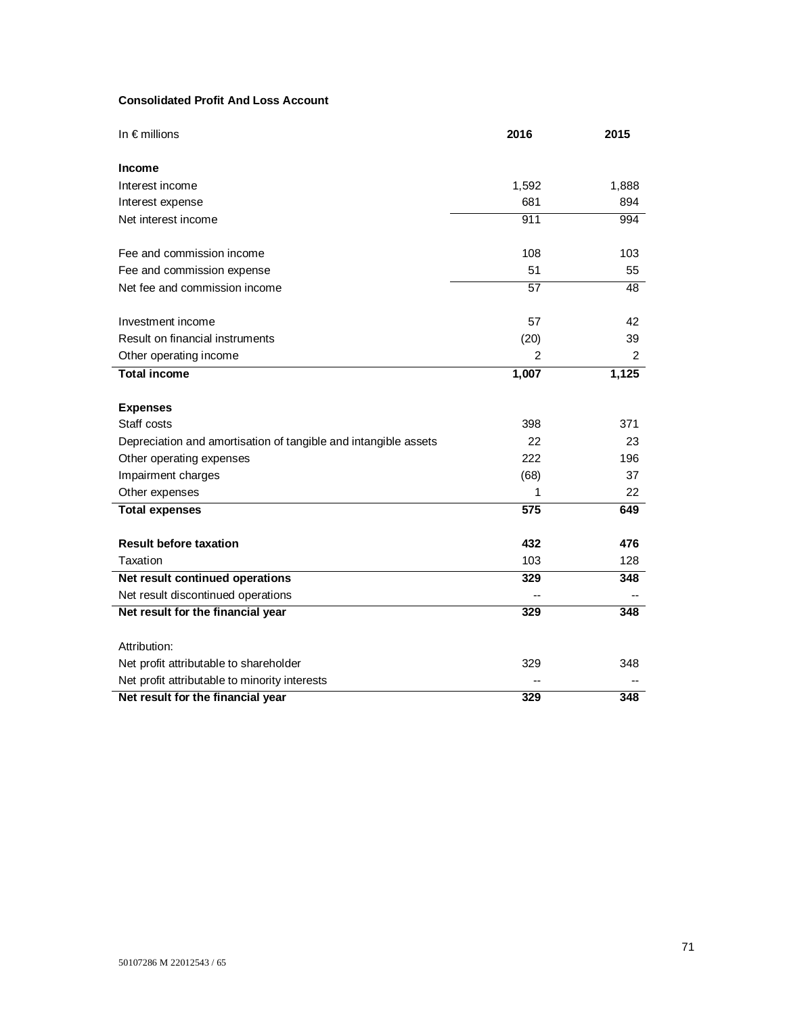# **Consolidated Profit And Loss Account**

| In $\epsilon$ millions                                          | 2016  | 2015  |
|-----------------------------------------------------------------|-------|-------|
| <b>Income</b>                                                   |       |       |
| Interest income                                                 | 1,592 | 1,888 |
| Interest expense                                                | 681   | 894   |
| Net interest income                                             | 911   | 994   |
| Fee and commission income                                       | 108   | 103   |
| Fee and commission expense                                      | 51    | 55    |
| Net fee and commission income                                   | 57    | 48    |
| Investment income                                               | 57    | 42    |
| Result on financial instruments                                 | (20)  | 39    |
| Other operating income                                          | 2     | 2     |
| <b>Total income</b>                                             | 1,007 | 1,125 |
|                                                                 |       |       |
| <b>Expenses</b>                                                 |       |       |
| Staff costs                                                     | 398   | 371   |
| Depreciation and amortisation of tangible and intangible assets | 22    | 23    |
| Other operating expenses                                        | 222   | 196   |
| Impairment charges                                              | (68)  | 37    |
| Other expenses                                                  | 1     | 22    |
| <b>Total expenses</b>                                           | 575   | 649   |
| <b>Result before taxation</b>                                   | 432   | 476   |
| Taxation                                                        | 103   | 128   |
| Net result continued operations                                 | 329   | 348   |
| Net result discontinued operations                              |       |       |
| Net result for the financial year                               | 329   | 348   |
| Attribution:                                                    |       |       |
| Net profit attributable to shareholder                          | 329   | 348   |
| Net profit attributable to minority interests                   |       |       |
| Net result for the financial year                               | 329   | 348   |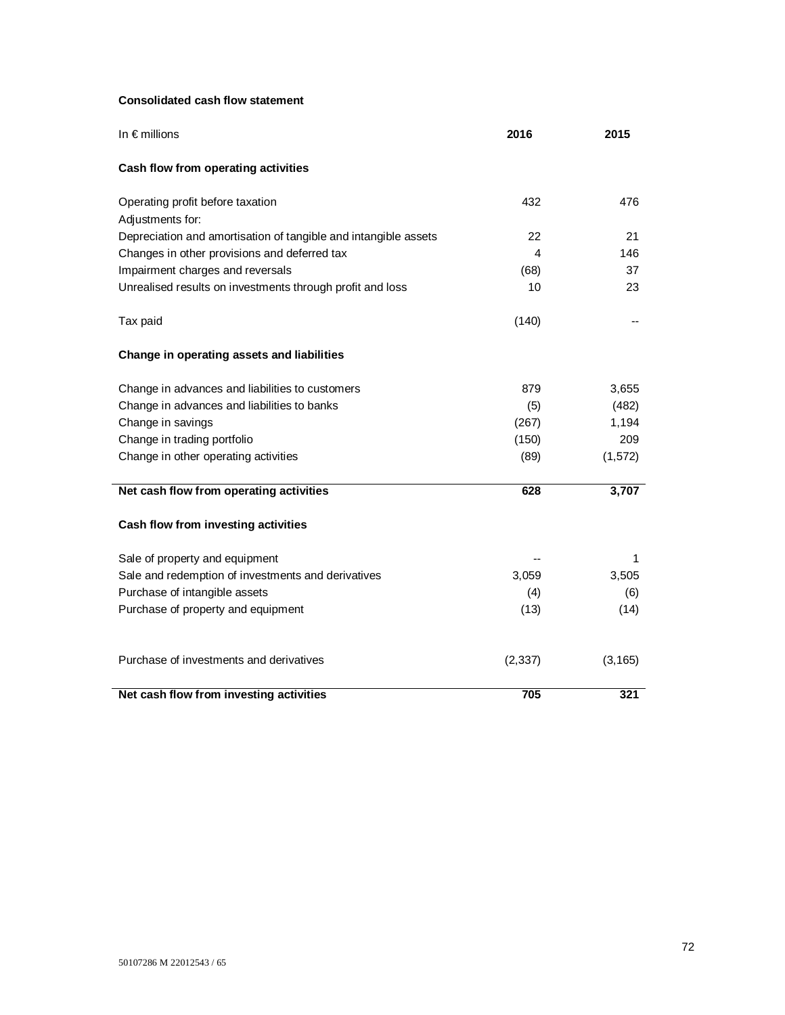# **Consolidated cash flow statement**

| In $\epsilon$ millions                                          | 2016       | 2015      |
|-----------------------------------------------------------------|------------|-----------|
| Cash flow from operating activities                             |            |           |
| Operating profit before taxation                                | 432        | 476       |
| Adjustments for:                                                |            |           |
| Depreciation and amortisation of tangible and intangible assets | 22         | 21        |
| Changes in other provisions and deferred tax                    | 4          | 146<br>37 |
| Impairment charges and reversals                                | (68)<br>10 | 23        |
| Unrealised results on investments through profit and loss       |            |           |
| Tax paid                                                        | (140)      |           |
| Change in operating assets and liabilities                      |            |           |
| Change in advances and liabilities to customers                 | 879        | 3,655     |
| Change in advances and liabilities to banks                     | (5)        | (482)     |
| Change in savings                                               | (267)      | 1,194     |
| Change in trading portfolio                                     | (150)      | 209       |
| Change in other operating activities                            | (89)       | (1, 572)  |
| Net cash flow from operating activities                         | 628        | 3,707     |
| Cash flow from investing activities                             |            |           |
| Sale of property and equipment                                  |            | 1         |
| Sale and redemption of investments and derivatives              | 3,059      | 3,505     |
| Purchase of intangible assets                                   | (4)        | (6)       |
| Purchase of property and equipment                              | (13)       | (14)      |
| Purchase of investments and derivatives                         | (2, 337)   | (3, 165)  |
| Net cash flow from investing activities                         | 705        | 321       |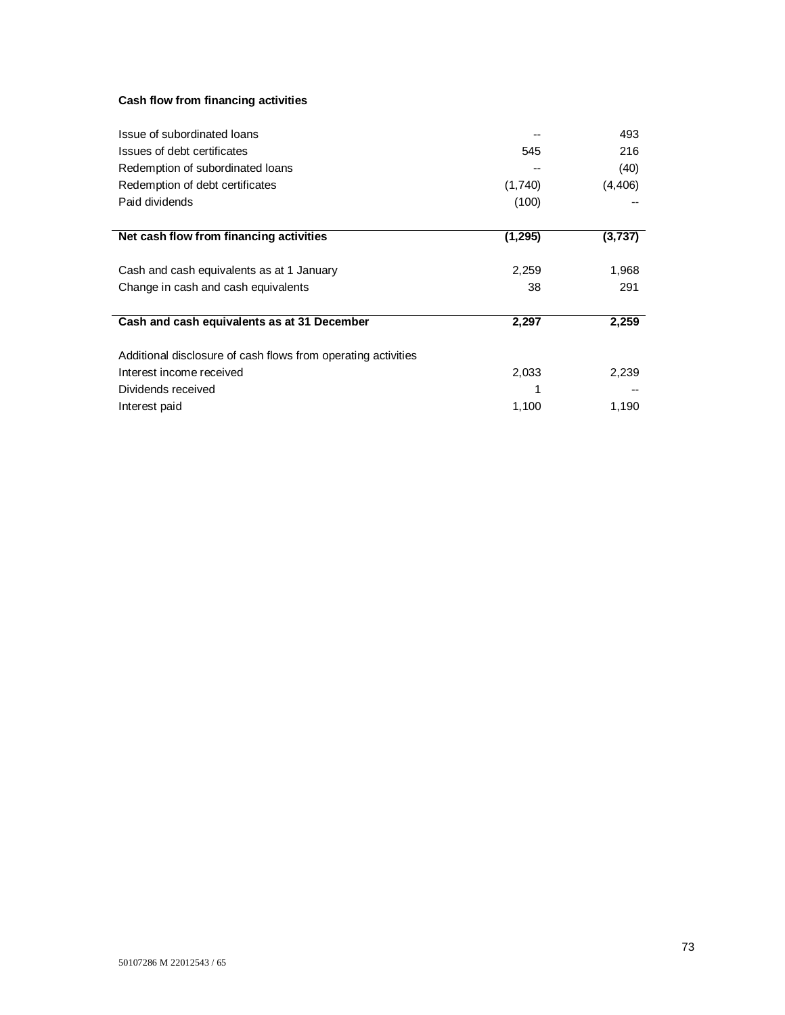# **Cash flow from financing activities**

| Issue of subordinated loans                                   |          | 493      |
|---------------------------------------------------------------|----------|----------|
| Issues of debt certificates                                   | 545      | 216      |
| Redemption of subordinated loans                              |          | (40)     |
| Redemption of debt certificates                               | (1,740)  | (4, 406) |
| Paid dividends                                                | (100)    |          |
| Net cash flow from financing activities                       | (1, 295) | (3,737)  |
| Cash and cash equivalents as at 1 January                     | 2,259    | 1,968    |
| Change in cash and cash equivalents                           | 38       | 291      |
| Cash and cash equivalents as at 31 December                   | 2,297    | 2,259    |
| Additional disclosure of cash flows from operating activities |          |          |
| Interest income received                                      | 2,033    | 2,239    |
| Dividends received                                            |          |          |
| Interest paid                                                 | 1,100    | 1,190    |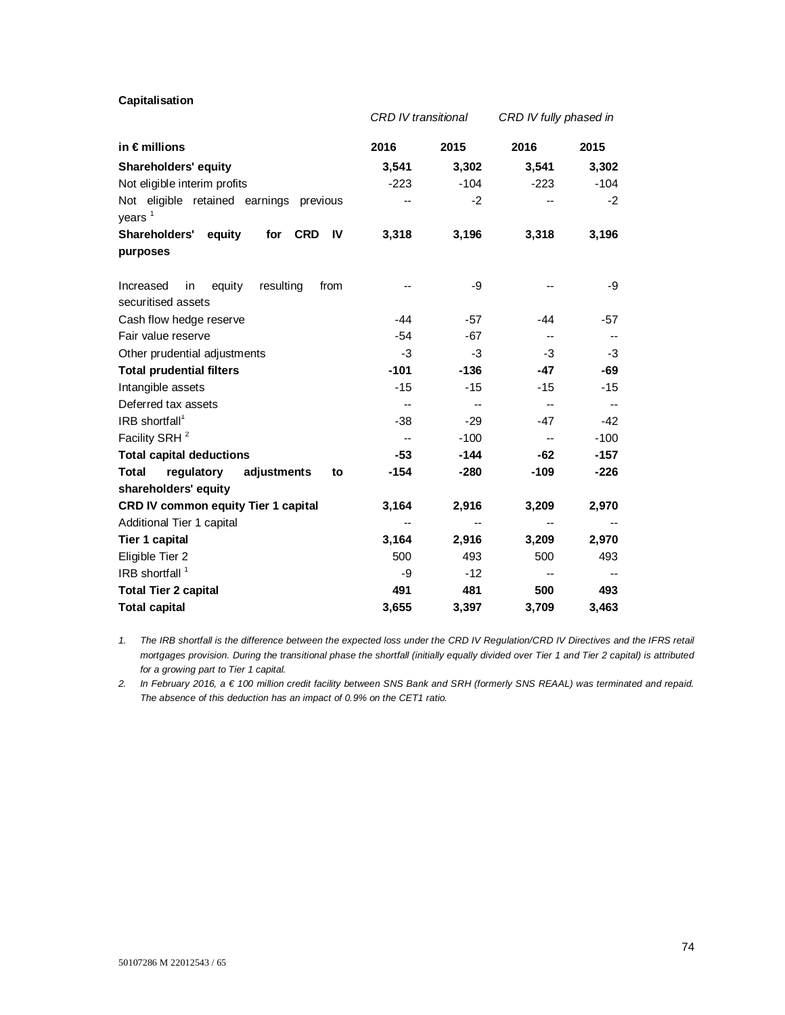**Capitalisation** 

|                                                                      | <b>CRD IV transitional</b> |        | CRD IV fully phased in   |        |
|----------------------------------------------------------------------|----------------------------|--------|--------------------------|--------|
| in €millions                                                         | 2016                       | 2015   | 2016                     | 2015   |
| Shareholders' equity                                                 | 3,541                      | 3,302  | 3,541                    | 3,302  |
| Not eligible interim profits                                         | $-223$                     | $-104$ | $-223$                   | $-104$ |
| Not eligible retained earnings previous<br>years <sup>1</sup>        |                            | $-2$   |                          | $-2$   |
| Shareholders'<br>equity<br>for<br><b>CRD</b><br><b>IV</b>            | 3,318                      | 3,196  | 3,318                    | 3,196  |
| purposes                                                             |                            |        |                          |        |
| equity<br>resulting<br>from<br>Increased<br>in<br>securitised assets |                            | -9     |                          | -9     |
| Cash flow hedge reserve                                              | $-44$                      | $-57$  | $-44$                    | $-57$  |
| Fair value reserve                                                   | $-54$                      | $-67$  | $\overline{\phantom{a}}$ |        |
| Other prudential adjustments                                         | $-3$                       | -3     | $-3$                     | -3     |
| <b>Total prudential filters</b>                                      | $-101$                     | $-136$ | $-47$                    | $-69$  |
| Intangible assets                                                    | $-15$                      | $-15$  | $-15$                    | $-15$  |
| Deferred tax assets                                                  | $-$                        |        |                          |        |
| $IRB$ shortfall <sup>1</sup>                                         | $-38$                      | $-29$  | $-47$                    | $-42$  |
| Facility SRH <sup>2</sup>                                            | $\overline{a}$             | $-100$ | $\overline{\phantom{a}}$ | $-100$ |
| <b>Total capital deductions</b>                                      | $-53$                      | $-144$ | $-62$                    | $-157$ |
| <b>Total</b><br>regulatory<br>adjustments<br>to                      | $-154$                     | $-280$ | $-109$                   | $-226$ |
| shareholders' equity                                                 |                            |        |                          |        |
| <b>CRD IV common equity Tier 1 capital</b>                           | 3,164                      | 2,916  | 3,209                    | 2,970  |
| Additional Tier 1 capital                                            |                            |        |                          |        |
| <b>Tier 1 capital</b>                                                | 3,164                      | 2,916  | 3,209                    | 2,970  |
| Eligible Tier 2                                                      | 500                        | 493    | 500                      | 493    |
| IRB shortfall <sup>1</sup>                                           | -9                         | $-12$  |                          |        |
| <b>Total Tier 2 capital</b>                                          | 491                        | 481    | 500                      | 493    |
| <b>Total capital</b>                                                 | 3,655                      | 3,397  | 3,709                    | 3,463  |

*1. The IRB shortfall is the difference between the expected loss under the CRD IV Regulation/CRD IV Directives and the IFRS retail mortgages provision. During the transitional phase the shortfall (initially equally divided over Tier 1 and Tier 2 capital) is attributed for a growing part to Tier 1 capital.*

*2. In February 2016, a € 100 million credit facility between SNS Bank and SRH (formerly SNS REAAL) was terminated and repaid. The absence of this deduction has an impact of 0.9% on the CET1 ratio.*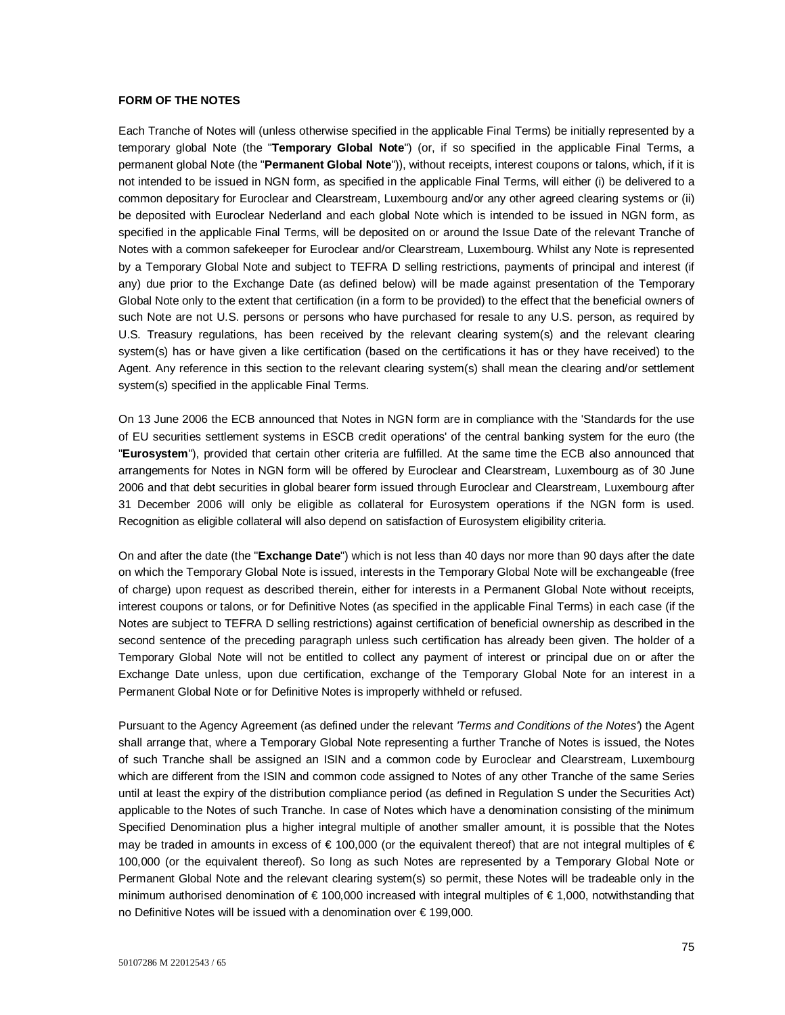## **FORM OF THE NOTES**

Each Tranche of Notes will (unless otherwise specified in the applicable Final Terms) be initially represented by a temporary global Note (the "**Temporary Global Note**") (or, if so specified in the applicable Final Terms, a permanent global Note (the "**Permanent Global Note**")), without receipts, interest coupons or talons, which, if it is not intended to be issued in NGN form, as specified in the applicable Final Terms, will either (i) be delivered to a common depositary for Euroclear and Clearstream, Luxembourg and/or any other agreed clearing systems or (ii) be deposited with Euroclear Nederland and each global Note which is intended to be issued in NGN form, as specified in the applicable Final Terms, will be deposited on or around the Issue Date of the relevant Tranche of Notes with a common safekeeper for Euroclear and/or Clearstream, Luxembourg. Whilst any Note is represented by a Temporary Global Note and subject to TEFRA D selling restrictions, payments of principal and interest (if any) due prior to the Exchange Date (as defined below) will be made against presentation of the Temporary Global Note only to the extent that certification (in a form to be provided) to the effect that the beneficial owners of such Note are not U.S. persons or persons who have purchased for resale to any U.S. person, as required by U.S. Treasury regulations, has been received by the relevant clearing system(s) and the relevant clearing system(s) has or have given a like certification (based on the certifications it has or they have received) to the Agent. Any reference in this section to the relevant clearing system(s) shall mean the clearing and/or settlement system(s) specified in the applicable Final Terms.

On 13 June 2006 the ECB announced that Notes in NGN form are in compliance with the 'Standards for the use of EU securities settlement systems in ESCB credit operations' of the central banking system for the euro (the "**Eurosystem**"), provided that certain other criteria are fulfilled. At the same time the ECB also announced that arrangements for Notes in NGN form will be offered by Euroclear and Clearstream, Luxembourg as of 30 June 2006 and that debt securities in global bearer form issued through Euroclear and Clearstream, Luxembourg after 31 December 2006 will only be eligible as collateral for Eurosystem operations if the NGN form is used. Recognition as eligible collateral will also depend on satisfaction of Eurosystem eligibility criteria.

On and after the date (the "**Exchange Date**") which is not less than 40 days nor more than 90 days after the date on which the Temporary Global Note is issued, interests in the Temporary Global Note will be exchangeable (free of charge) upon request as described therein, either for interests in a Permanent Global Note without receipts, interest coupons or talons, or for Definitive Notes (as specified in the applicable Final Terms) in each case (if the Notes are subject to TEFRA D selling restrictions) against certification of beneficial ownership as described in the second sentence of the preceding paragraph unless such certification has already been given. The holder of a Temporary Global Note will not be entitled to collect any payment of interest or principal due on or after the Exchange Date unless, upon due certification, exchange of the Temporary Global Note for an interest in a Permanent Global Note or for Definitive Notes is improperly withheld or refused.

Pursuant to the Agency Agreement (as defined under the relevant *'Terms and Conditions of the Notes'*) the Agent shall arrange that, where a Temporary Global Note representing a further Tranche of Notes is issued, the Notes of such Tranche shall be assigned an ISIN and a common code by Euroclear and Clearstream, Luxembourg which are different from the ISIN and common code assigned to Notes of any other Tranche of the same Series until at least the expiry of the distribution compliance period (as defined in Regulation S under the Securities Act) applicable to the Notes of such Tranche. In case of Notes which have a denomination consisting of the minimum Specified Denomination plus a higher integral multiple of another smaller amount, it is possible that the Notes may be traded in amounts in excess of  $\epsilon$  100,000 (or the equivalent thereof) that are not integral multiples of  $\epsilon$ 100,000 (or the equivalent thereof). So long as such Notes are represented by a Temporary Global Note or Permanent Global Note and the relevant clearing system(s) so permit, these Notes will be tradeable only in the minimum authorised denomination of € 100,000 increased with integral multiples of € 1,000, notwithstanding that no Definitive Notes will be issued with a denomination over € 199,000.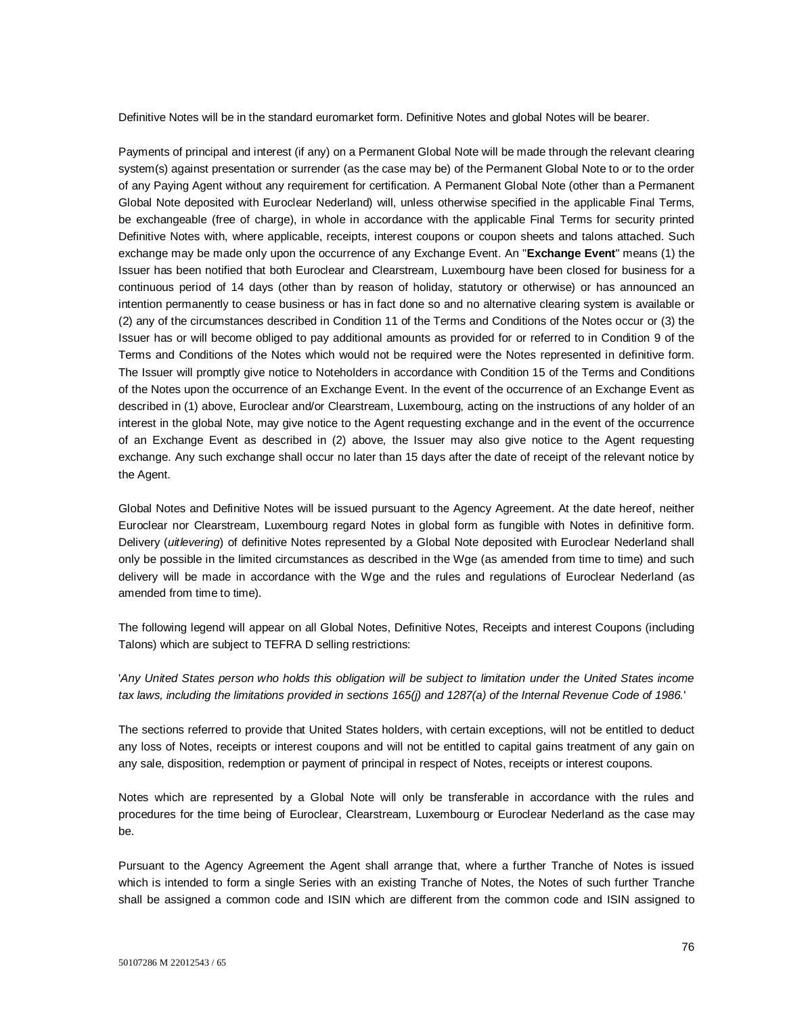Definitive Notes will be in the standard euromarket form. Definitive Notes and global Notes will be bearer.

Payments of principal and interest (if any) on a Permanent Global Note will be made through the relevant clearing system(s) against presentation or surrender (as the case may be) of the Permanent Global Note to or to the order of any Paying Agent without any requirement for certification. A Permanent Global Note (other than a Permanent Global Note deposited with Euroclear Nederland) will, unless otherwise specified in the applicable Final Terms, be exchangeable (free of charge), in whole in accordance with the applicable Final Terms for security printed Definitive Notes with, where applicable, receipts, interest coupons or coupon sheets and talons attached. Such exchange may be made only upon the occurrence of any Exchange Event. An "**Exchange Event**" means (1) the Issuer has been notified that both Euroclear and Clearstream, Luxembourg have been closed for business for a continuous period of 14 days (other than by reason of holiday, statutory or otherwise) or has announced an intention permanently to cease business or has in fact done so and no alternative clearing system is available or (2) any of the circumstances described in Condition 11 of the Terms and Conditions of the Notes occur or (3) the Issuer has or will become obliged to pay additional amounts as provided for or referred to in Condition 9 of the Terms and Conditions of the Notes which would not be required were the Notes represented in definitive form. The Issuer will promptly give notice to Noteholders in accordance with Condition 15 of the Terms and Conditions of the Notes upon the occurrence of an Exchange Event. In the event of the occurrence of an Exchange Event as described in (1) above, Euroclear and/or Clearstream, Luxembourg, acting on the instructions of any holder of an interest in the global Note, may give notice to the Agent requesting exchange and in the event of the occurrence of an Exchange Event as described in (2) above, the Issuer may also give notice to the Agent requesting exchange. Any such exchange shall occur no later than 15 days after the date of receipt of the relevant notice by the Agent.

Global Notes and Definitive Notes will be issued pursuant to the Agency Agreement. At the date hereof, neither Euroclear nor Clearstream, Luxembourg regard Notes in global form as fungible with Notes in definitive form. Delivery (*uitlevering*) of definitive Notes represented by a Global Note deposited with Euroclear Nederland shall only be possible in the limited circumstances as described in the Wge (as amended from time to time) and such delivery will be made in accordance with the Wge and the rules and regulations of Euroclear Nederland (as amended from time to time).

The following legend will appear on all Global Notes, Definitive Notes, Receipts and interest Coupons (including Talons) which are subject to TEFRA D selling restrictions:

'*Any United States person who holds this obligation will be subject to limitation under the United States income tax laws, including the limitations provided in sections 165(j) and 1287(a) of the Internal Revenue Code of 1986.*'

The sections referred to provide that United States holders, with certain exceptions, will not be entitled to deduct any loss of Notes, receipts or interest coupons and will not be entitled to capital gains treatment of any gain on any sale, disposition, redemption or payment of principal in respect of Notes, receipts or interest coupons.

Notes which are represented by a Global Note will only be transferable in accordance with the rules and procedures for the time being of Euroclear, Clearstream, Luxembourg or Euroclear Nederland as the case may be.

Pursuant to the Agency Agreement the Agent shall arrange that, where a further Tranche of Notes is issued which is intended to form a single Series with an existing Tranche of Notes, the Notes of such further Tranche shall be assigned a common code and ISIN which are different from the common code and ISIN assigned to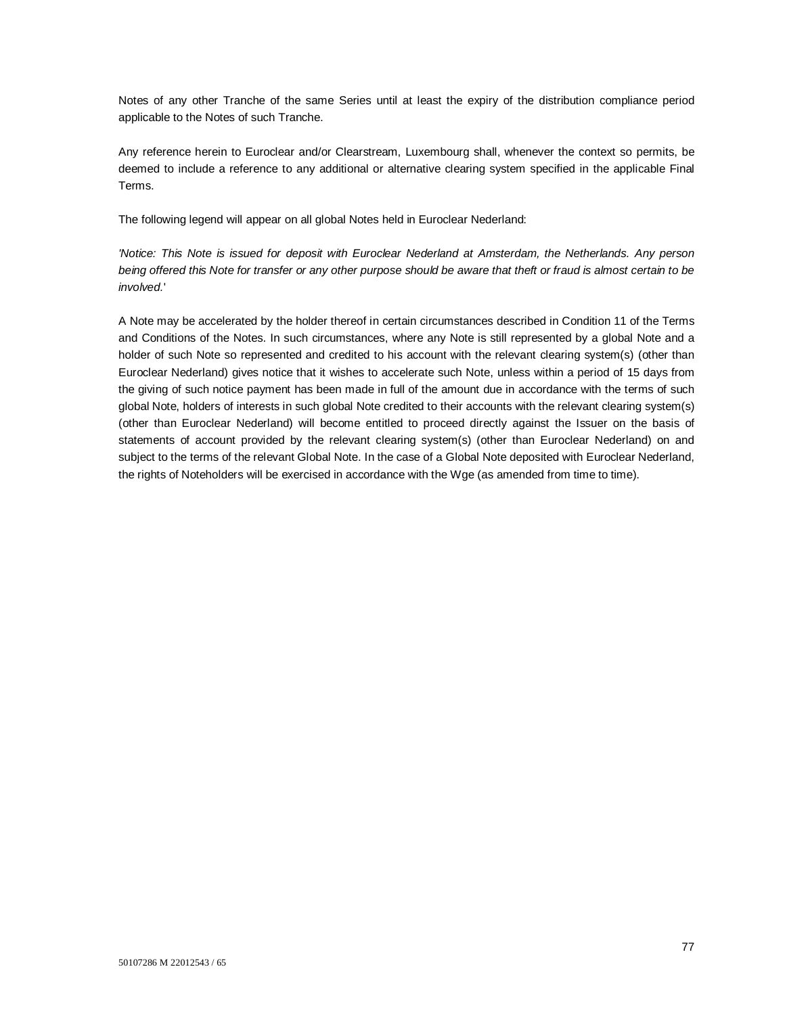Notes of any other Tranche of the same Series until at least the expiry of the distribution compliance period applicable to the Notes of such Tranche.

Any reference herein to Euroclear and/or Clearstream, Luxembourg shall, whenever the context so permits, be deemed to include a reference to any additional or alternative clearing system specified in the applicable Final Terms.

The following legend will appear on all global Notes held in Euroclear Nederland:

*'Notice: This Note is issued for deposit with Euroclear Nederland at Amsterdam, the Netherlands. Any person being offered this Note for transfer or any other purpose should be aware that theft or fraud is almost certain to be involved.*'

A Note may be accelerated by the holder thereof in certain circumstances described in Condition 11 of the Terms and Conditions of the Notes. In such circumstances, where any Note is still represented by a global Note and a holder of such Note so represented and credited to his account with the relevant clearing system(s) (other than Euroclear Nederland) gives notice that it wishes to accelerate such Note, unless within a period of 15 days from the giving of such notice payment has been made in full of the amount due in accordance with the terms of such global Note, holders of interests in such global Note credited to their accounts with the relevant clearing system(s) (other than Euroclear Nederland) will become entitled to proceed directly against the Issuer on the basis of statements of account provided by the relevant clearing system(s) (other than Euroclear Nederland) on and subject to the terms of the relevant Global Note. In the case of a Global Note deposited with Euroclear Nederland, the rights of Noteholders will be exercised in accordance with the Wge (as amended from time to time).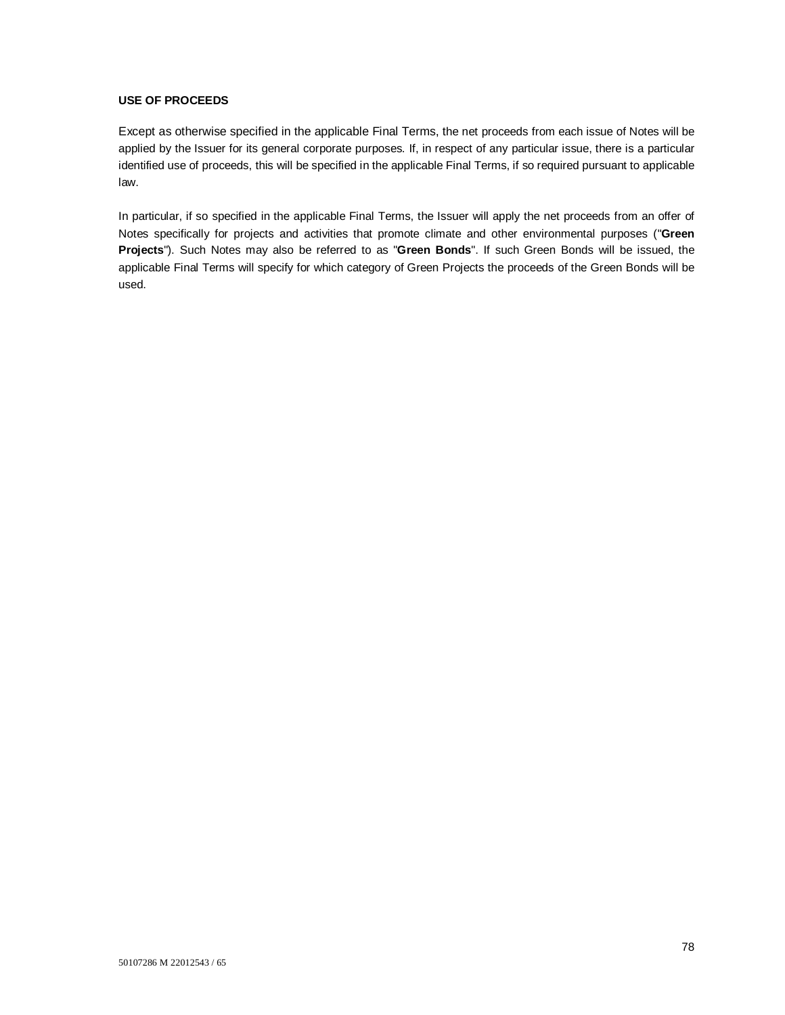## **USE OF PROCEEDS**

Except as otherwise specified in the applicable Final Terms, the net proceeds from each issue of Notes will be applied by the Issuer for its general corporate purposes. If, in respect of any particular issue, there is a particular identified use of proceeds, this will be specified in the applicable Final Terms, if so required pursuant to applicable law.

In particular, if so specified in the applicable Final Terms, the Issuer will apply the net proceeds from an offer of Notes specifically for projects and activities that promote climate and other environmental purposes ("**Green Projects**"). Such Notes may also be referred to as "**Green Bonds**". If such Green Bonds will be issued, the applicable Final Terms will specify for which category of Green Projects the proceeds of the Green Bonds will be used.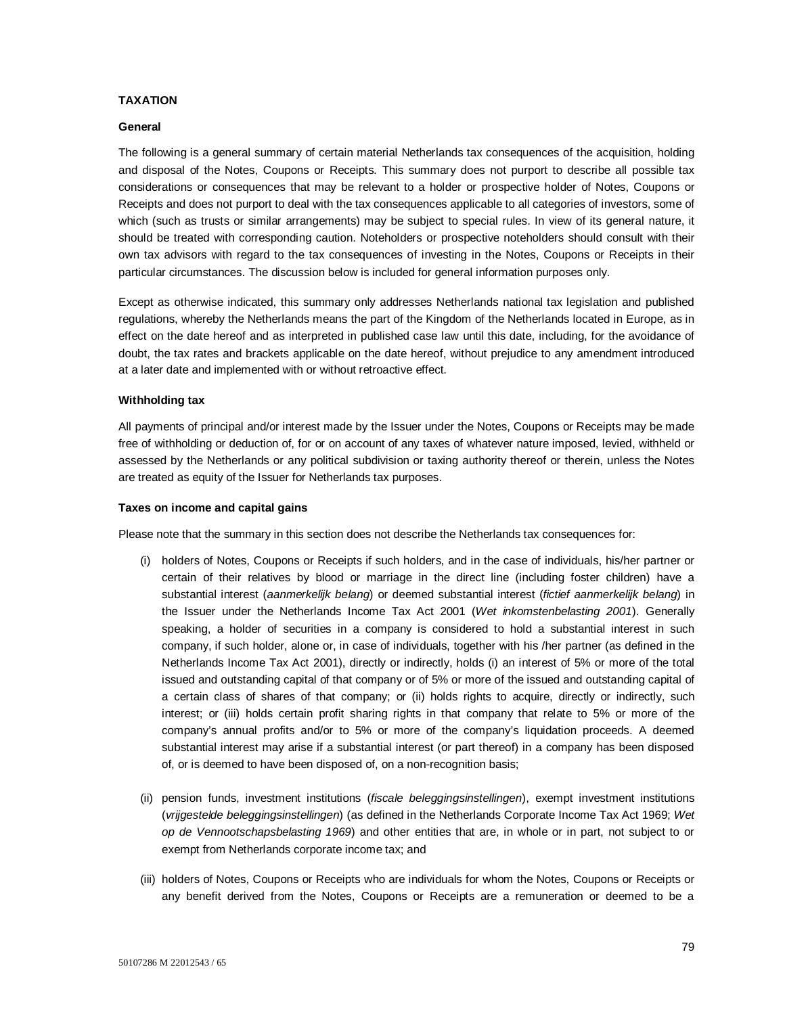## **TAXATION**

#### **General**

The following is a general summary of certain material Netherlands tax consequences of the acquisition, holding and disposal of the Notes, Coupons or Receipts. This summary does not purport to describe all possible tax considerations or consequences that may be relevant to a holder or prospective holder of Notes, Coupons or Receipts and does not purport to deal with the tax consequences applicable to all categories of investors, some of which (such as trusts or similar arrangements) may be subject to special rules. In view of its general nature, it should be treated with corresponding caution. Noteholders or prospective noteholders should consult with their own tax advisors with regard to the tax consequences of investing in the Notes, Coupons or Receipts in their particular circumstances. The discussion below is included for general information purposes only.

Except as otherwise indicated, this summary only addresses Netherlands national tax legislation and published regulations, whereby the Netherlands means the part of the Kingdom of the Netherlands located in Europe, as in effect on the date hereof and as interpreted in published case law until this date, including, for the avoidance of doubt, the tax rates and brackets applicable on the date hereof, without prejudice to any amendment introduced at a later date and implemented with or without retroactive effect.

#### **Withholding tax**

All payments of principal and/or interest made by the Issuer under the Notes, Coupons or Receipts may be made free of withholding or deduction of, for or on account of any taxes of whatever nature imposed, levied, withheld or assessed by the Netherlands or any political subdivision or taxing authority thereof or therein, unless the Notes are treated as equity of the Issuer for Netherlands tax purposes.

#### **Taxes on income and capital gains**

Please note that the summary in this section does not describe the Netherlands tax consequences for:

- (i) holders of Notes, Coupons or Receipts if such holders, and in the case of individuals, his/her partner or certain of their relatives by blood or marriage in the direct line (including foster children) have a substantial interest (*aanmerkelijk belang*) or deemed substantial interest (*fictief aanmerkelijk belang*) in the Issuer under the Netherlands Income Tax Act 2001 (*Wet inkomstenbelasting 2001*). Generally speaking, a holder of securities in a company is considered to hold a substantial interest in such company, if such holder, alone or, in case of individuals, together with his /her partner (as defined in the Netherlands Income Tax Act 2001), directly or indirectly, holds (i) an interest of 5% or more of the total issued and outstanding capital of that company or of 5% or more of the issued and outstanding capital of a certain class of shares of that company; or (ii) holds rights to acquire, directly or indirectly, such interest; or (iii) holds certain profit sharing rights in that company that relate to 5% or more of the company's annual profits and/or to 5% or more of the company's liquidation proceeds. A deemed substantial interest may arise if a substantial interest (or part thereof) in a company has been disposed of, or is deemed to have been disposed of, on a non-recognition basis;
- (ii) pension funds, investment institutions (*fiscale beleggingsinstellingen*), exempt investment institutions (*vrijgestelde beleggingsinstellingen*) (as defined in the Netherlands Corporate Income Tax Act 1969; *Wet op de Vennootschapsbelasting 1969*) and other entities that are, in whole or in part, not subject to or exempt from Netherlands corporate income tax; and
- (iii) holders of Notes, Coupons or Receipts who are individuals for whom the Notes, Coupons or Receipts or any benefit derived from the Notes, Coupons or Receipts are a remuneration or deemed to be a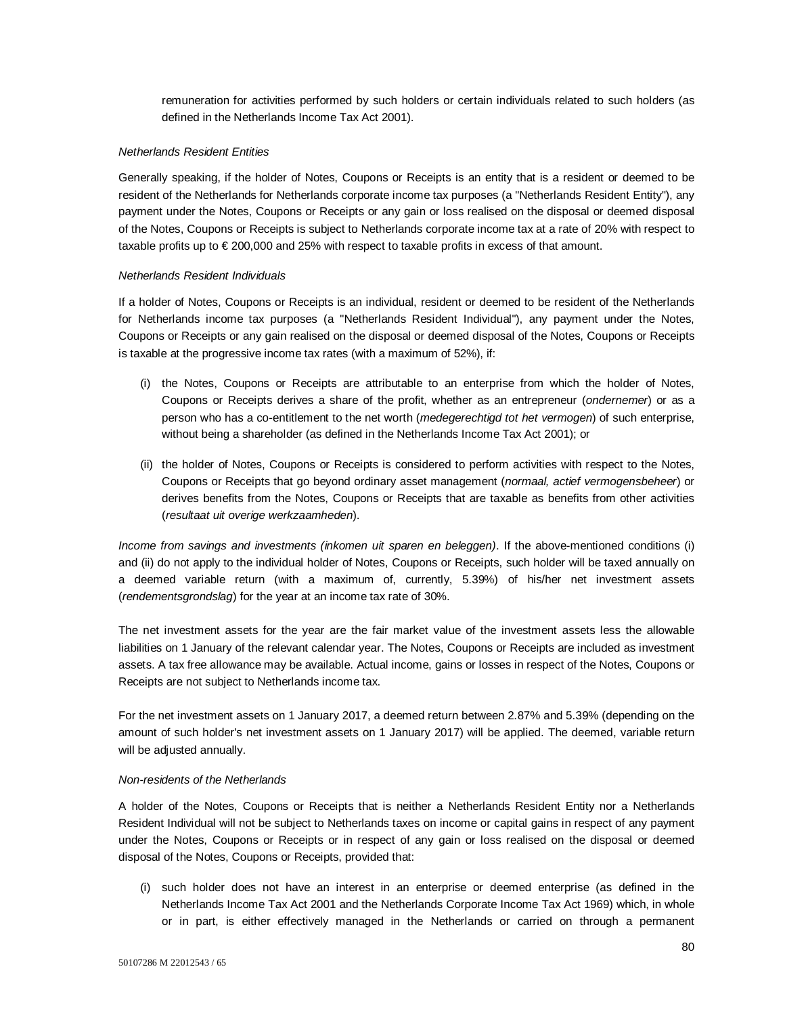remuneration for activities performed by such holders or certain individuals related to such holders (as defined in the Netherlands Income Tax Act 2001).

## *Netherlands Resident Entities*

Generally speaking, if the holder of Notes, Coupons or Receipts is an entity that is a resident or deemed to be resident of the Netherlands for Netherlands corporate income tax purposes (a "Netherlands Resident Entity"), any payment under the Notes, Coupons or Receipts or any gain or loss realised on the disposal or deemed disposal of the Notes, Coupons or Receipts is subject to Netherlands corporate income tax at a rate of 20% with respect to taxable profits up to € 200,000 and 25% with respect to taxable profits in excess of that amount.

## *Netherlands Resident Individuals*

If a holder of Notes, Coupons or Receipts is an individual, resident or deemed to be resident of the Netherlands for Netherlands income tax purposes (a "Netherlands Resident Individual"), any payment under the Notes, Coupons or Receipts or any gain realised on the disposal or deemed disposal of the Notes, Coupons or Receipts is taxable at the progressive income tax rates (with a maximum of 52%), if:

- (i) the Notes, Coupons or Receipts are attributable to an enterprise from which the holder of Notes, Coupons or Receipts derives a share of the profit, whether as an entrepreneur (*ondernemer*) or as a person who has a co-entitlement to the net worth (*medegerechtigd tot het vermogen*) of such enterprise, without being a shareholder (as defined in the Netherlands Income Tax Act 2001); or
- (ii) the holder of Notes, Coupons or Receipts is considered to perform activities with respect to the Notes, Coupons or Receipts that go beyond ordinary asset management (*normaal, actief vermogensbeheer*) or derives benefits from the Notes, Coupons or Receipts that are taxable as benefits from other activities (*resultaat uit overige werkzaamheden*).

*Income from savings and investments (inkomen uit sparen en beleggen)*. If the above-mentioned conditions (i) and (ii) do not apply to the individual holder of Notes, Coupons or Receipts, such holder will be taxed annually on a deemed variable return (with a maximum of, currently, 5.39%) of his/her net investment assets (*rendementsgrondslag*) for the year at an income tax rate of 30%.

The net investment assets for the year are the fair market value of the investment assets less the allowable liabilities on 1 January of the relevant calendar year. The Notes, Coupons or Receipts are included as investment assets. A tax free allowance may be available. Actual income, gains or losses in respect of the Notes, Coupons or Receipts are not subject to Netherlands income tax.

For the net investment assets on 1 January 2017, a deemed return between 2.87% and 5.39% (depending on the amount of such holder's net investment assets on 1 January 2017) will be applied. The deemed, variable return will be adjusted annually.

## *Non-residents of the Netherlands*

A holder of the Notes, Coupons or Receipts that is neither a Netherlands Resident Entity nor a Netherlands Resident Individual will not be subject to Netherlands taxes on income or capital gains in respect of any payment under the Notes, Coupons or Receipts or in respect of any gain or loss realised on the disposal or deemed disposal of the Notes, Coupons or Receipts, provided that:

(i) such holder does not have an interest in an enterprise or deemed enterprise (as defined in the Netherlands Income Tax Act 2001 and the Netherlands Corporate Income Tax Act 1969) which, in whole or in part, is either effectively managed in the Netherlands or carried on through a permanent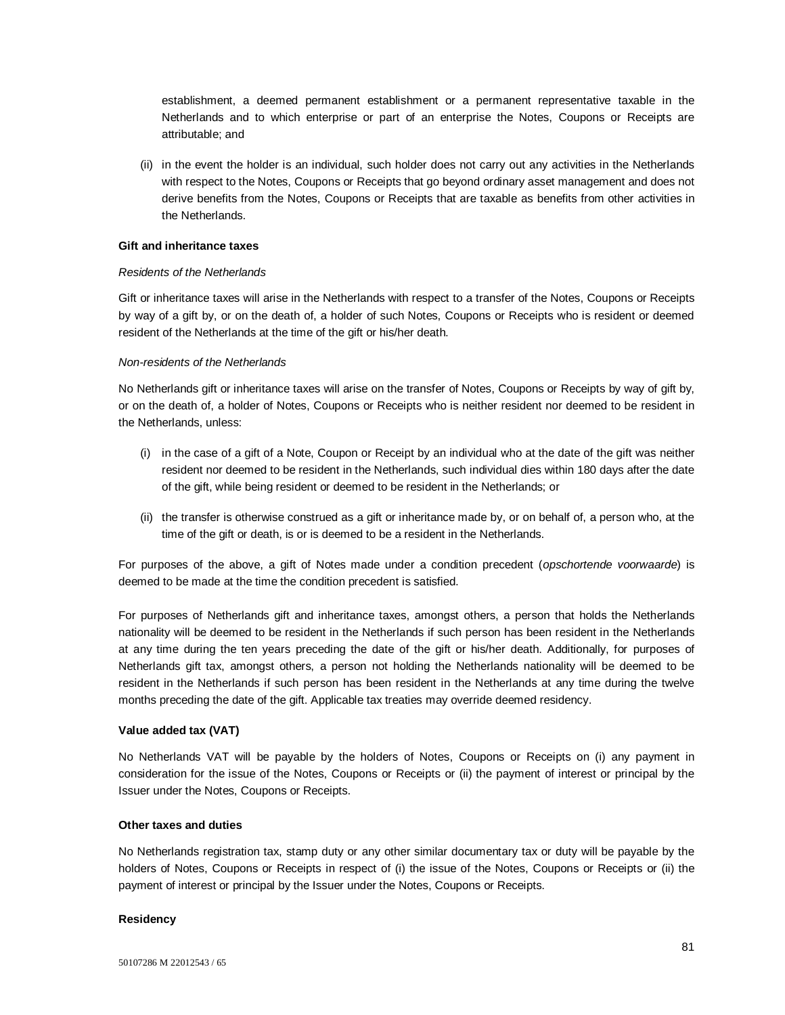establishment, a deemed permanent establishment or a permanent representative taxable in the Netherlands and to which enterprise or part of an enterprise the Notes, Coupons or Receipts are attributable; and

(ii) in the event the holder is an individual, such holder does not carry out any activities in the Netherlands with respect to the Notes, Coupons or Receipts that go beyond ordinary asset management and does not derive benefits from the Notes, Coupons or Receipts that are taxable as benefits from other activities in the Netherlands.

## **Gift and inheritance taxes**

#### *Residents of the Netherlands*

Gift or inheritance taxes will arise in the Netherlands with respect to a transfer of the Notes, Coupons or Receipts by way of a gift by, or on the death of, a holder of such Notes, Coupons or Receipts who is resident or deemed resident of the Netherlands at the time of the gift or his/her death.

#### *Non-residents of the Netherlands*

No Netherlands gift or inheritance taxes will arise on the transfer of Notes, Coupons or Receipts by way of gift by, or on the death of, a holder of Notes, Coupons or Receipts who is neither resident nor deemed to be resident in the Netherlands, unless:

- (i) in the case of a gift of a Note, Coupon or Receipt by an individual who at the date of the gift was neither resident nor deemed to be resident in the Netherlands, such individual dies within 180 days after the date of the gift, while being resident or deemed to be resident in the Netherlands; or
- (ii) the transfer is otherwise construed as a gift or inheritance made by, or on behalf of, a person who, at the time of the gift or death, is or is deemed to be a resident in the Netherlands.

For purposes of the above, a gift of Notes made under a condition precedent (*opschortende voorwaarde*) is deemed to be made at the time the condition precedent is satisfied.

For purposes of Netherlands gift and inheritance taxes, amongst others, a person that holds the Netherlands nationality will be deemed to be resident in the Netherlands if such person has been resident in the Netherlands at any time during the ten years preceding the date of the gift or his/her death. Additionally, for purposes of Netherlands gift tax, amongst others, a person not holding the Netherlands nationality will be deemed to be resident in the Netherlands if such person has been resident in the Netherlands at any time during the twelve months preceding the date of the gift. Applicable tax treaties may override deemed residency.

## **Value added tax (VAT)**

No Netherlands VAT will be payable by the holders of Notes, Coupons or Receipts on (i) any payment in consideration for the issue of the Notes, Coupons or Receipts or (ii) the payment of interest or principal by the Issuer under the Notes, Coupons or Receipts.

### **Other taxes and duties**

No Netherlands registration tax, stamp duty or any other similar documentary tax or duty will be payable by the holders of Notes, Coupons or Receipts in respect of (i) the issue of the Notes, Coupons or Receipts or (ii) the payment of interest or principal by the Issuer under the Notes, Coupons or Receipts.

#### **Residency**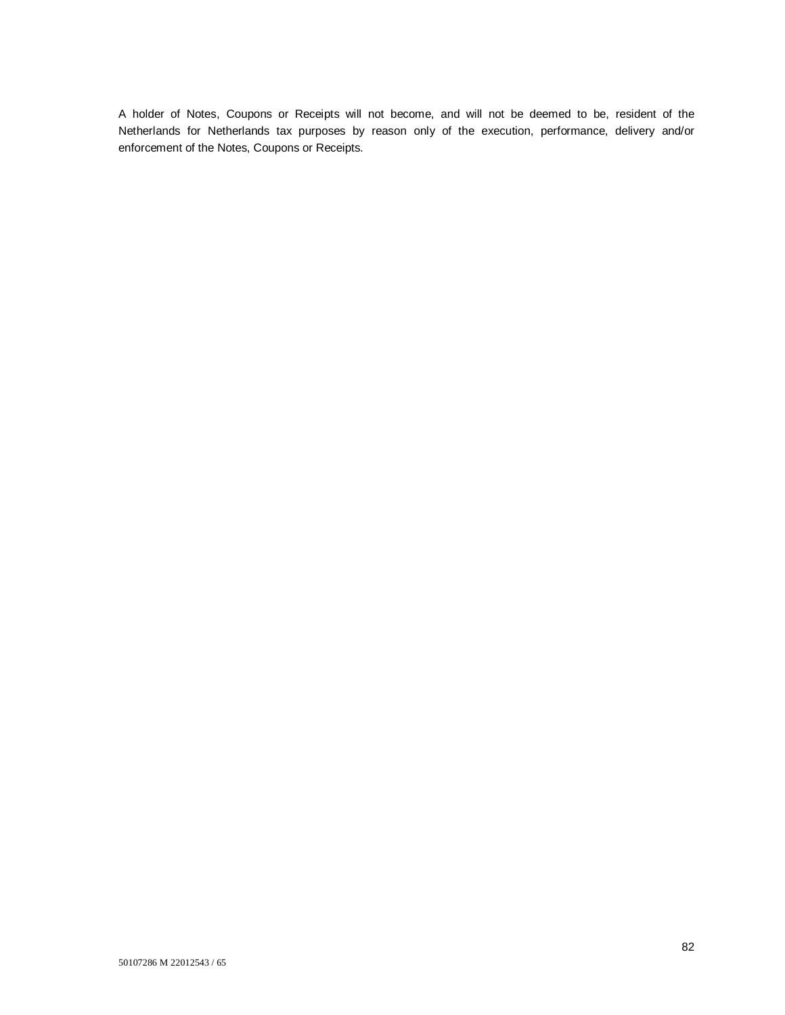A holder of Notes, Coupons or Receipts will not become, and will not be deemed to be, resident of the Netherlands for Netherlands tax purposes by reason only of the execution, performance, delivery and/or enforcement of the Notes, Coupons or Receipts.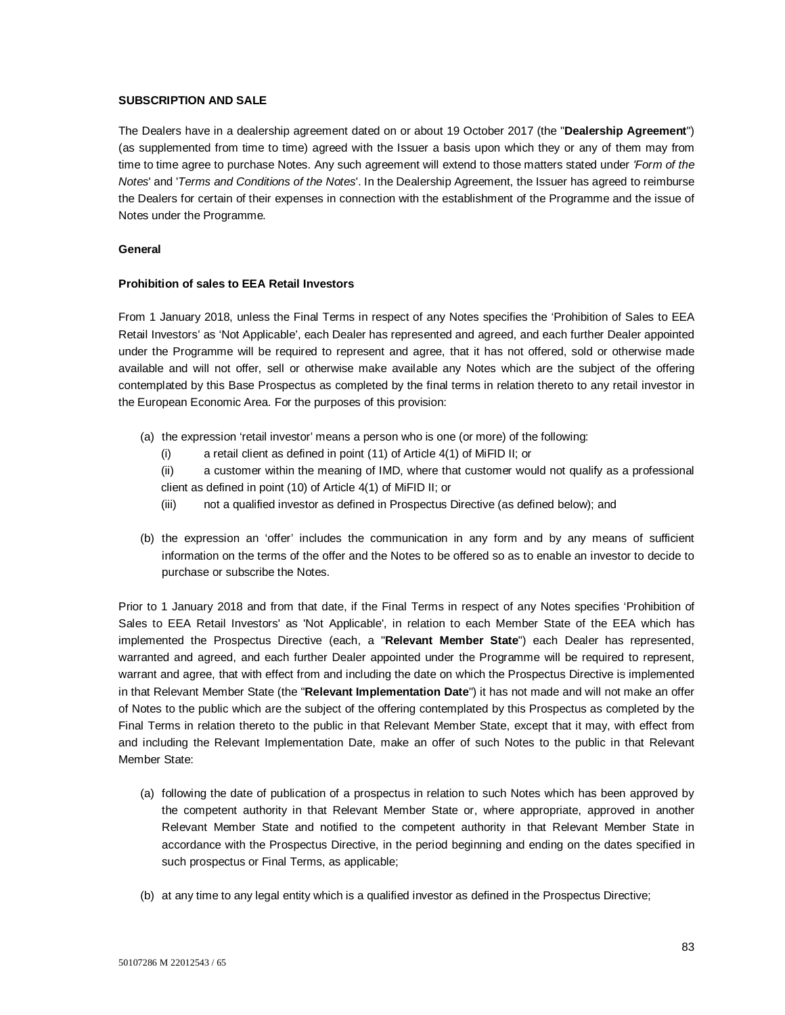## **SUBSCRIPTION AND SALE**

The Dealers have in a dealership agreement dated on or about 19 October 2017 (the "**Dealership Agreement**") (as supplemented from time to time) agreed with the Issuer a basis upon which they or any of them may from time to time agree to purchase Notes. Any such agreement will extend to those matters stated under *'Form of the Notes*' and '*Terms and Conditions of the Notes*'. In the Dealership Agreement, the Issuer has agreed to reimburse the Dealers for certain of their expenses in connection with the establishment of the Programme and the issue of Notes under the Programme.

#### **General**

## **Prohibition of sales to EEA Retail Investors**

From 1 January 2018, unless the Final Terms in respect of any Notes specifies the 'Prohibition of Sales to EEA Retail Investors' as 'Not Applicable', each Dealer has represented and agreed, and each further Dealer appointed under the Programme will be required to represent and agree, that it has not offered, sold or otherwise made available and will not offer, sell or otherwise make available any Notes which are the subject of the offering contemplated by this Base Prospectus as completed by the final terms in relation thereto to any retail investor in the European Economic Area. For the purposes of this provision:

- (a) the expression 'retail investor' means a person who is one (or more) of the following:
	- (i) a retail client as defined in point (11) of Article 4(1) of MiFID II; or

(ii) a customer within the meaning of IMD, where that customer would not qualify as a professional client as defined in point (10) of Article 4(1) of MiFID II; or

- (iii) not a qualified investor as defined in Prospectus Directive (as defined below); and
- (b) the expression an 'offer' includes the communication in any form and by any means of sufficient information on the terms of the offer and the Notes to be offered so as to enable an investor to decide to purchase or subscribe the Notes.

Prior to 1 January 2018 and from that date, if the Final Terms in respect of any Notes specifies 'Prohibition of Sales to EEA Retail Investors' as 'Not Applicable', in relation to each Member State of the EEA which has implemented the Prospectus Directive (each, a "**Relevant Member State**") each Dealer has represented, warranted and agreed, and each further Dealer appointed under the Programme will be required to represent, warrant and agree, that with effect from and including the date on which the Prospectus Directive is implemented in that Relevant Member State (the "**Relevant Implementation Date**") it has not made and will not make an offer of Notes to the public which are the subject of the offering contemplated by this Prospectus as completed by the Final Terms in relation thereto to the public in that Relevant Member State, except that it may, with effect from and including the Relevant Implementation Date, make an offer of such Notes to the public in that Relevant Member State:

- (a) following the date of publication of a prospectus in relation to such Notes which has been approved by the competent authority in that Relevant Member State or, where appropriate, approved in another Relevant Member State and notified to the competent authority in that Relevant Member State in accordance with the Prospectus Directive, in the period beginning and ending on the dates specified in such prospectus or Final Terms, as applicable;
- (b) at any time to any legal entity which is a qualified investor as defined in the Prospectus Directive;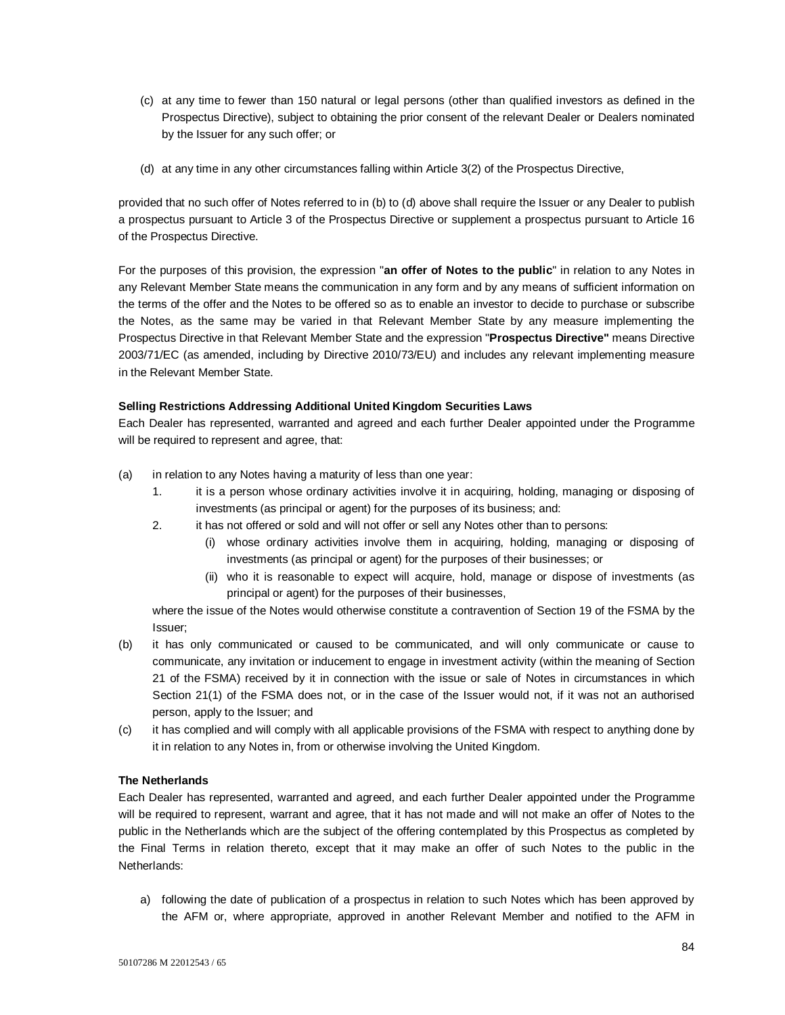- (c) at any time to fewer than 150 natural or legal persons (other than qualified investors as defined in the Prospectus Directive), subject to obtaining the prior consent of the relevant Dealer or Dealers nominated by the Issuer for any such offer; or
- (d) at any time in any other circumstances falling within Article 3(2) of the Prospectus Directive,

provided that no such offer of Notes referred to in (b) to (d) above shall require the Issuer or any Dealer to publish a prospectus pursuant to Article 3 of the Prospectus Directive or supplement a prospectus pursuant to Article 16 of the Prospectus Directive.

For the purposes of this provision, the expression "**an offer of Notes to the public**" in relation to any Notes in any Relevant Member State means the communication in any form and by any means of sufficient information on the terms of the offer and the Notes to be offered so as to enable an investor to decide to purchase or subscribe the Notes, as the same may be varied in that Relevant Member State by any measure implementing the Prospectus Directive in that Relevant Member State and the expression "**Prospectus Directive"** means Directive 2003/71/EC (as amended, including by Directive 2010/73/EU) and includes any relevant implementing measure in the Relevant Member State.

## **Selling Restrictions Addressing Additional United Kingdom Securities Laws**

Each Dealer has represented, warranted and agreed and each further Dealer appointed under the Programme will be required to represent and agree, that:

- (a) in relation to any Notes having a maturity of less than one year:
	- 1. it is a person whose ordinary activities involve it in acquiring, holding, managing or disposing of investments (as principal or agent) for the purposes of its business; and:
	- 2. it has not offered or sold and will not offer or sell any Notes other than to persons:
		- (i) whose ordinary activities involve them in acquiring, holding, managing or disposing of investments (as principal or agent) for the purposes of their businesses; or
		- (ii) who it is reasonable to expect will acquire, hold, manage or dispose of investments (as principal or agent) for the purposes of their businesses,

where the issue of the Notes would otherwise constitute a contravention of Section 19 of the FSMA by the Issuer;

- (b) it has only communicated or caused to be communicated, and will only communicate or cause to communicate, any invitation or inducement to engage in investment activity (within the meaning of Section 21 of the FSMA) received by it in connection with the issue or sale of Notes in circumstances in which Section 21(1) of the FSMA does not, or in the case of the Issuer would not, if it was not an authorised person, apply to the Issuer; and
- (c) it has complied and will comply with all applicable provisions of the FSMA with respect to anything done by it in relation to any Notes in, from or otherwise involving the United Kingdom.

## **The Netherlands**

Each Dealer has represented, warranted and agreed, and each further Dealer appointed under the Programme will be required to represent, warrant and agree, that it has not made and will not make an offer of Notes to the public in the Netherlands which are the subject of the offering contemplated by this Prospectus as completed by the Final Terms in relation thereto, except that it may make an offer of such Notes to the public in the Netherlands:

a) following the date of publication of a prospectus in relation to such Notes which has been approved by the AFM or, where appropriate, approved in another Relevant Member and notified to the AFM in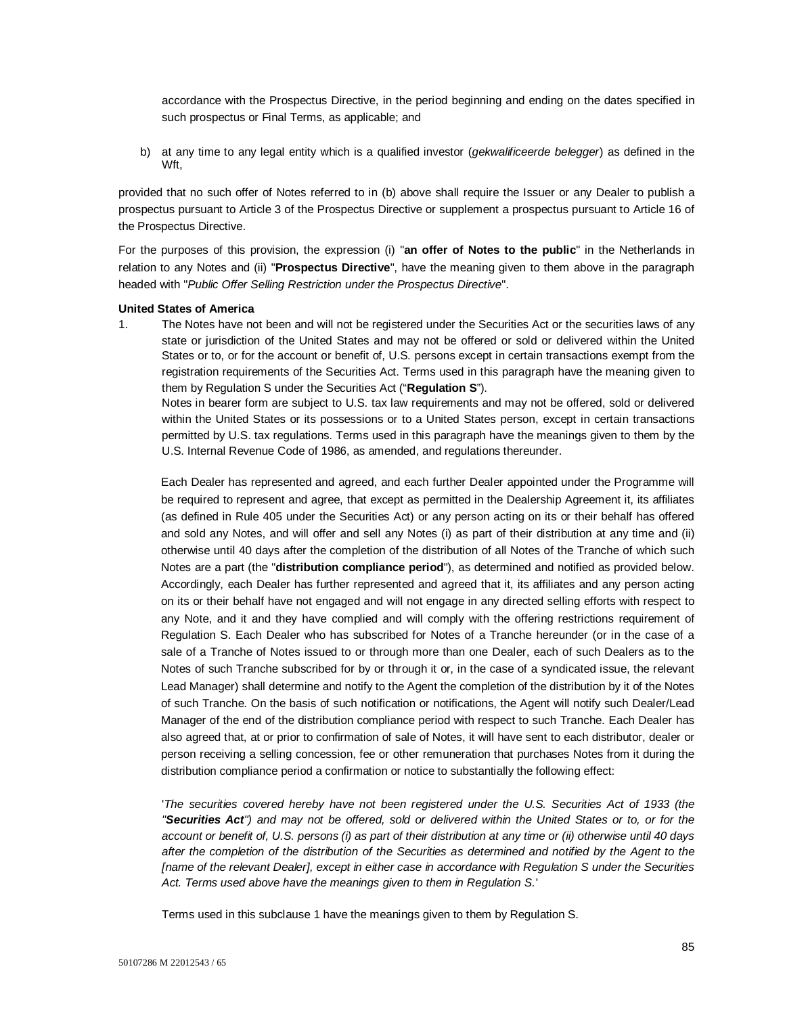accordance with the Prospectus Directive, in the period beginning and ending on the dates specified in such prospectus or Final Terms, as applicable; and

b) at any time to any legal entity which is a qualified investor (*gekwalificeerde belegger*) as defined in the Wft,

provided that no such offer of Notes referred to in (b) above shall require the Issuer or any Dealer to publish a prospectus pursuant to Article 3 of the Prospectus Directive or supplement a prospectus pursuant to Article 16 of the Prospectus Directive.

For the purposes of this provision, the expression (i) "**an offer of Notes to the public**" in the Netherlands in relation to any Notes and (ii) "**Prospectus Directive**", have the meaning given to them above in the paragraph headed with "*Public Offer Selling Restriction under the Prospectus Directive*".

#### **United States of America**

1. The Notes have not been and will not be registered under the Securities Act or the securities laws of any state or jurisdiction of the United States and may not be offered or sold or delivered within the United States or to, or for the account or benefit of, U.S. persons except in certain transactions exempt from the registration requirements of the Securities Act. Terms used in this paragraph have the meaning given to them by Regulation S under the Securities Act ("**Regulation S**").

Notes in bearer form are subject to U.S. tax law requirements and may not be offered, sold or delivered within the United States or its possessions or to a United States person, except in certain transactions permitted by U.S. tax regulations. Terms used in this paragraph have the meanings given to them by the U.S. Internal Revenue Code of 1986, as amended, and regulations thereunder.

Each Dealer has represented and agreed, and each further Dealer appointed under the Programme will be required to represent and agree, that except as permitted in the Dealership Agreement it, its affiliates (as defined in Rule 405 under the Securities Act) or any person acting on its or their behalf has offered and sold any Notes, and will offer and sell any Notes (i) as part of their distribution at any time and (ii) otherwise until 40 days after the completion of the distribution of all Notes of the Tranche of which such Notes are a part (the "**distribution compliance period**"), as determined and notified as provided below. Accordingly, each Dealer has further represented and agreed that it, its affiliates and any person acting on its or their behalf have not engaged and will not engage in any directed selling efforts with respect to any Note, and it and they have complied and will comply with the offering restrictions requirement of Regulation S. Each Dealer who has subscribed for Notes of a Tranche hereunder (or in the case of a sale of a Tranche of Notes issued to or through more than one Dealer, each of such Dealers as to the Notes of such Tranche subscribed for by or through it or, in the case of a syndicated issue, the relevant Lead Manager) shall determine and notify to the Agent the completion of the distribution by it of the Notes of such Tranche. On the basis of such notification or notifications, the Agent will notify such Dealer/Lead Manager of the end of the distribution compliance period with respect to such Tranche. Each Dealer has also agreed that, at or prior to confirmation of sale of Notes, it will have sent to each distributor, dealer or person receiving a selling concession, fee or other remuneration that purchases Notes from it during the distribution compliance period a confirmation or notice to substantially the following effect:

'*The securities covered hereby have not been registered under the U.S. Securities Act of 1933 (the "Securities Act") and may not be offered, sold or delivered within the United States or to, or for the account or benefit of, U.S. persons (i) as part of their distribution at any time or (ii) otherwise until 40 days after the completion of the distribution of the Securities as determined and notified by the Agent to the [name of the relevant Dealer], except in either case in accordance with Regulation S under the Securities Act. Terms used above have the meanings given to them in Regulation S.*'

Terms used in this subclause 1 have the meanings given to them by Regulation S.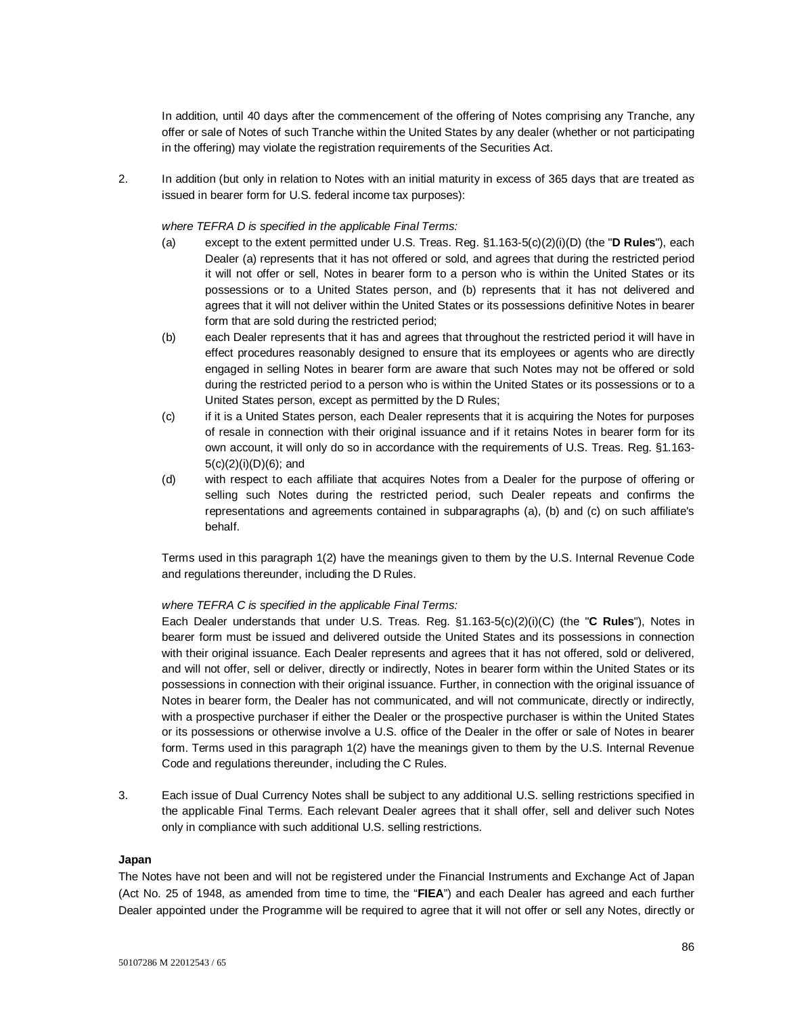In addition, until 40 days after the commencement of the offering of Notes comprising any Tranche, any offer or sale of Notes of such Tranche within the United States by any dealer (whether or not participating in the offering) may violate the registration requirements of the Securities Act.

2. In addition (but only in relation to Notes with an initial maturity in excess of 365 days that are treated as issued in bearer form for U.S. federal income tax purposes):

#### *where TEFRA D is specified in the applicable Final Terms:*

- (a) except to the extent permitted under U.S. Treas. Reg. §1.163-5(c)(2)(i)(D) (the "**D Rules**"), each Dealer (a) represents that it has not offered or sold, and agrees that during the restricted period it will not offer or sell, Notes in bearer form to a person who is within the United States or its possessions or to a United States person, and (b) represents that it has not delivered and agrees that it will not deliver within the United States or its possessions definitive Notes in bearer form that are sold during the restricted period;
- (b) each Dealer represents that it has and agrees that throughout the restricted period it will have in effect procedures reasonably designed to ensure that its employees or agents who are directly engaged in selling Notes in bearer form are aware that such Notes may not be offered or sold during the restricted period to a person who is within the United States or its possessions or to a United States person, except as permitted by the D Rules;
- (c) if it is a United States person, each Dealer represents that it is acquiring the Notes for purposes of resale in connection with their original issuance and if it retains Notes in bearer form for its own account, it will only do so in accordance with the requirements of U.S. Treas. Reg. §1.163- 5(c)(2)(i)(D)(6); and
- (d) with respect to each affiliate that acquires Notes from a Dealer for the purpose of offering or selling such Notes during the restricted period, such Dealer repeats and confirms the representations and agreements contained in subparagraphs (a), (b) and (c) on such affiliate's behalf.

Terms used in this paragraph 1(2) have the meanings given to them by the U.S. Internal Revenue Code and regulations thereunder, including the D Rules.

#### *where TEFRA C is specified in the applicable Final Terms:*

Each Dealer understands that under U.S. Treas. Reg. §1.163-5(c)(2)(i)(C) (the "**C Rules**"), Notes in bearer form must be issued and delivered outside the United States and its possessions in connection with their original issuance. Each Dealer represents and agrees that it has not offered, sold or delivered, and will not offer, sell or deliver, directly or indirectly, Notes in bearer form within the United States or its possessions in connection with their original issuance. Further, in connection with the original issuance of Notes in bearer form, the Dealer has not communicated, and will not communicate, directly or indirectly, with a prospective purchaser if either the Dealer or the prospective purchaser is within the United States or its possessions or otherwise involve a U.S. office of the Dealer in the offer or sale of Notes in bearer form. Terms used in this paragraph 1(2) have the meanings given to them by the U.S. Internal Revenue Code and regulations thereunder, including the C Rules.

3. Each issue of Dual Currency Notes shall be subject to any additional U.S. selling restrictions specified in the applicable Final Terms. Each relevant Dealer agrees that it shall offer, sell and deliver such Notes only in compliance with such additional U.S. selling restrictions.

#### **Japan**

The Notes have not been and will not be registered under the Financial Instruments and Exchange Act of Japan (Act No. 25 of 1948, as amended from time to time, the "**FIEA**") and each Dealer has agreed and each further Dealer appointed under the Programme will be required to agree that it will not offer or sell any Notes, directly or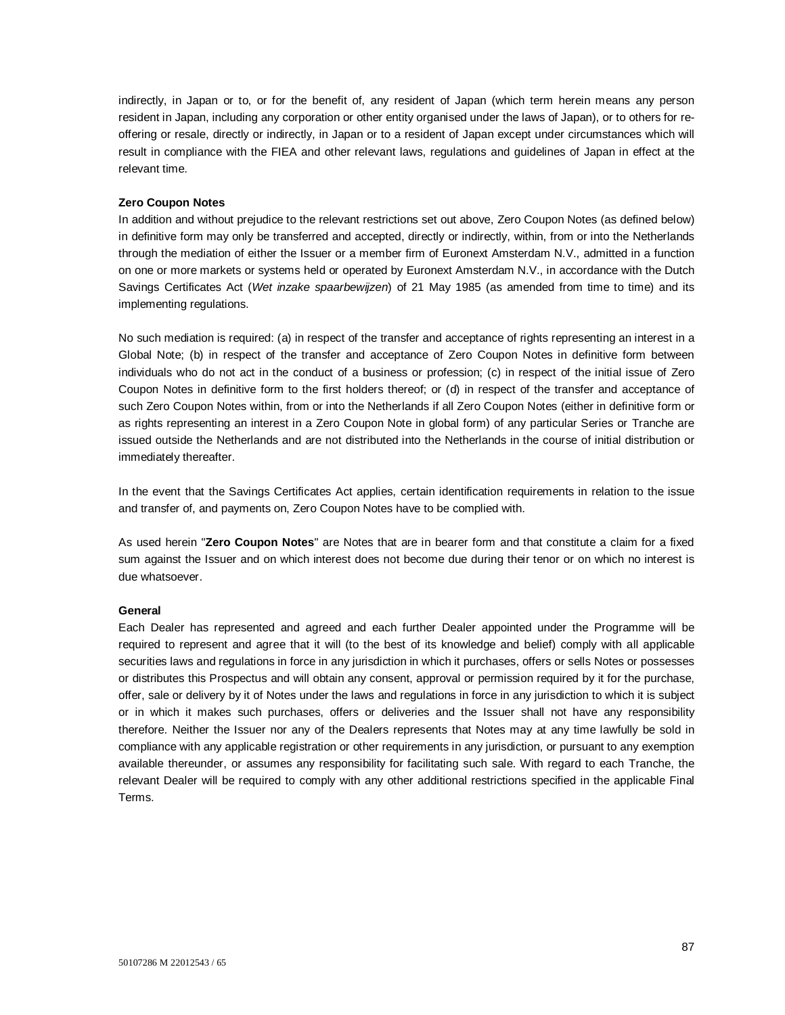indirectly, in Japan or to, or for the benefit of, any resident of Japan (which term herein means any person resident in Japan, including any corporation or other entity organised under the laws of Japan), or to others for reoffering or resale, directly or indirectly, in Japan or to a resident of Japan except under circumstances which will result in compliance with the FIEA and other relevant laws, regulations and guidelines of Japan in effect at the relevant time.

#### **Zero Coupon Notes**

In addition and without prejudice to the relevant restrictions set out above, Zero Coupon Notes (as defined below) in definitive form may only be transferred and accepted, directly or indirectly, within, from or into the Netherlands through the mediation of either the Issuer or a member firm of Euronext Amsterdam N.V., admitted in a function on one or more markets or systems held or operated by Euronext Amsterdam N.V., in accordance with the Dutch Savings Certificates Act (*Wet inzake spaarbewijzen*) of 21 May 1985 (as amended from time to time) and its implementing regulations.

No such mediation is required: (a) in respect of the transfer and acceptance of rights representing an interest in a Global Note; (b) in respect of the transfer and acceptance of Zero Coupon Notes in definitive form between individuals who do not act in the conduct of a business or profession; (c) in respect of the initial issue of Zero Coupon Notes in definitive form to the first holders thereof; or (d) in respect of the transfer and acceptance of such Zero Coupon Notes within, from or into the Netherlands if all Zero Coupon Notes (either in definitive form or as rights representing an interest in a Zero Coupon Note in global form) of any particular Series or Tranche are issued outside the Netherlands and are not distributed into the Netherlands in the course of initial distribution or immediately thereafter.

In the event that the Savings Certificates Act applies, certain identification requirements in relation to the issue and transfer of, and payments on, Zero Coupon Notes have to be complied with.

As used herein "**Zero Coupon Notes**" are Notes that are in bearer form and that constitute a claim for a fixed sum against the Issuer and on which interest does not become due during their tenor or on which no interest is due whatsoever.

## **General**

Each Dealer has represented and agreed and each further Dealer appointed under the Programme will be required to represent and agree that it will (to the best of its knowledge and belief) comply with all applicable securities laws and regulations in force in any jurisdiction in which it purchases, offers or sells Notes or possesses or distributes this Prospectus and will obtain any consent, approval or permission required by it for the purchase, offer, sale or delivery by it of Notes under the laws and regulations in force in any jurisdiction to which it is subject or in which it makes such purchases, offers or deliveries and the Issuer shall not have any responsibility therefore. Neither the Issuer nor any of the Dealers represents that Notes may at any time lawfully be sold in compliance with any applicable registration or other requirements in any jurisdiction, or pursuant to any exemption available thereunder, or assumes any responsibility for facilitating such sale. With regard to each Tranche, the relevant Dealer will be required to comply with any other additional restrictions specified in the applicable Final Terms.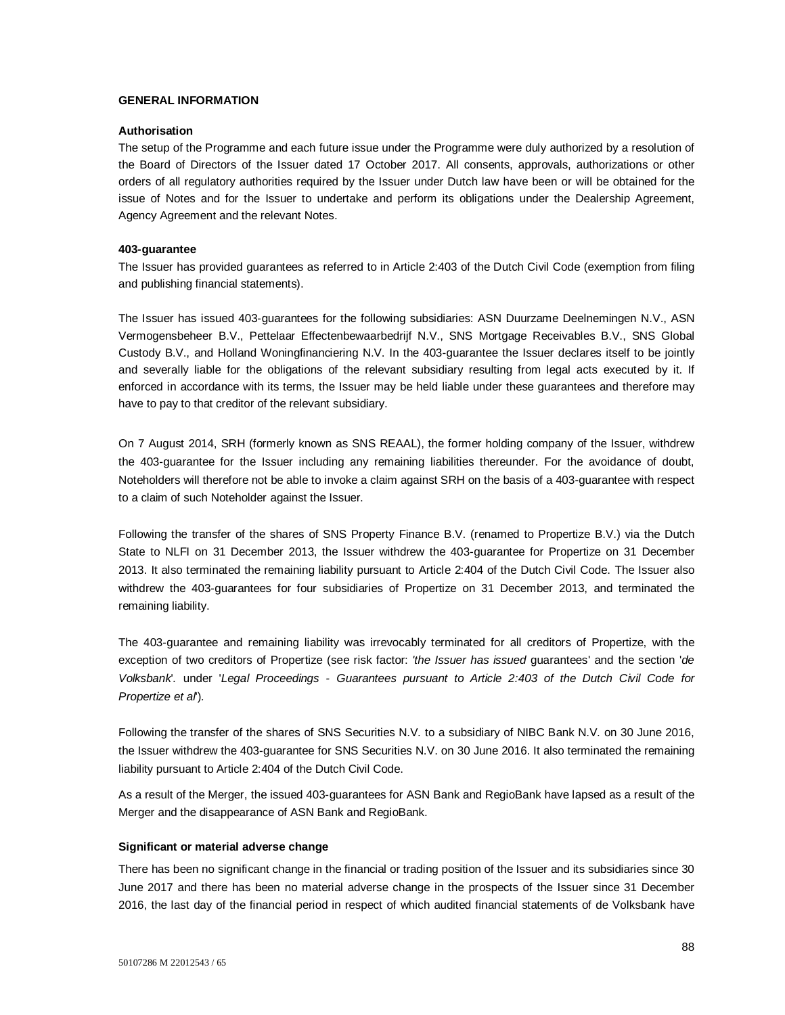## **GENERAL INFORMATION**

#### **Authorisation**

The setup of the Programme and each future issue under the Programme were duly authorized by a resolution of the Board of Directors of the Issuer dated 17 October 2017. All consents, approvals, authorizations or other orders of all regulatory authorities required by the Issuer under Dutch law have been or will be obtained for the issue of Notes and for the Issuer to undertake and perform its obligations under the Dealership Agreement, Agency Agreement and the relevant Notes.

#### **403-guarantee**

The Issuer has provided guarantees as referred to in Article 2:403 of the Dutch Civil Code (exemption from filing and publishing financial statements).

The Issuer has issued 403-guarantees for the following subsidiaries: ASN Duurzame Deelnemingen N.V., ASN Vermogensbeheer B.V., Pettelaar Effectenbewaarbedrijf N.V., SNS Mortgage Receivables B.V., SNS Global Custody B.V., and Holland Woningfinanciering N.V. In the 403-guarantee the Issuer declares itself to be jointly and severally liable for the obligations of the relevant subsidiary resulting from legal acts executed by it. If enforced in accordance with its terms, the Issuer may be held liable under these guarantees and therefore may have to pay to that creditor of the relevant subsidiary.

On 7 August 2014, SRH (formerly known as SNS REAAL), the former holding company of the Issuer, withdrew the 403-guarantee for the Issuer including any remaining liabilities thereunder. For the avoidance of doubt, Noteholders will therefore not be able to invoke a claim against SRH on the basis of a 403-guarantee with respect to a claim of such Noteholder against the Issuer.

Following the transfer of the shares of SNS Property Finance B.V. (renamed to Propertize B.V.) via the Dutch State to NLFI on 31 December 2013, the Issuer withdrew the 403-guarantee for Propertize on 31 December 2013. It also terminated the remaining liability pursuant to Article 2:404 of the Dutch Civil Code. The Issuer also withdrew the 403-guarantees for four subsidiaries of Propertize on 31 December 2013, and terminated the remaining liability.

The 403-guarantee and remaining liability was irrevocably terminated for all creditors of Propertize, with the exception of two creditors of Propertize (see risk factor: *'the Issuer has issued* guarantees' and the section '*de Volksbank*'*.* under '*Legal Proceedings - Guarantees pursuant to Article 2:403 of the Dutch Civil Code for Propertize et al*')*.*

Following the transfer of the shares of SNS Securities N.V. to a subsidiary of NIBC Bank N.V. on 30 June 2016, the Issuer withdrew the 403-guarantee for SNS Securities N.V. on 30 June 2016. It also terminated the remaining liability pursuant to Article 2:404 of the Dutch Civil Code.

As a result of the Merger, the issued 403-guarantees for ASN Bank and RegioBank have lapsed as a result of the Merger and the disappearance of ASN Bank and RegioBank.

#### **Significant or material adverse change**

There has been no significant change in the financial or trading position of the Issuer and its subsidiaries since 30 June 2017 and there has been no material adverse change in the prospects of the Issuer since 31 December 2016, the last day of the financial period in respect of which audited financial statements of de Volksbank have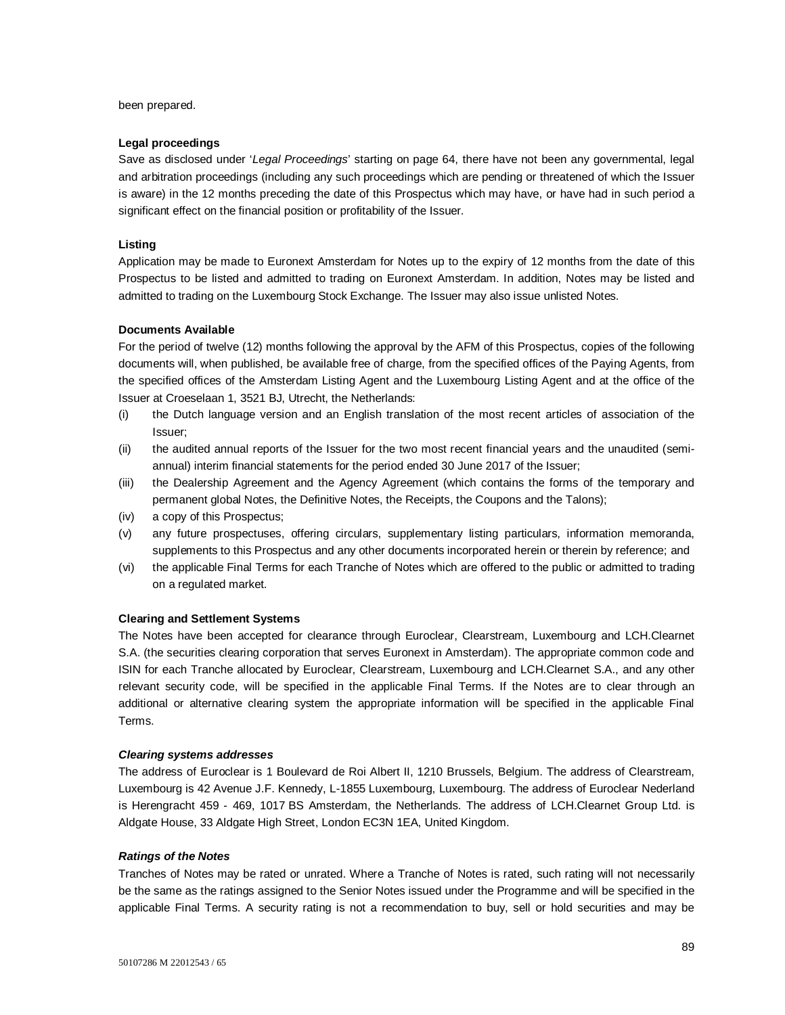been prepared.

#### **Legal proceedings**

Save as disclosed under '*Legal Proceedings*' starting on page 64, there have not been any governmental, legal and arbitration proceedings (including any such proceedings which are pending or threatened of which the Issuer is aware) in the 12 months preceding the date of this Prospectus which may have, or have had in such period a significant effect on the financial position or profitability of the Issuer.

#### **Listing**

Application may be made to Euronext Amsterdam for Notes up to the expiry of 12 months from the date of this Prospectus to be listed and admitted to trading on Euronext Amsterdam. In addition, Notes may be listed and admitted to trading on the Luxembourg Stock Exchange. The Issuer may also issue unlisted Notes.

#### **Documents Available**

For the period of twelve (12) months following the approval by the AFM of this Prospectus, copies of the following documents will, when published, be available free of charge, from the specified offices of the Paying Agents, from the specified offices of the Amsterdam Listing Agent and the Luxembourg Listing Agent and at the office of the Issuer at Croeselaan 1, 3521 BJ, Utrecht, the Netherlands:

- (i) the Dutch language version and an English translation of the most recent articles of association of the Issuer;
- (ii) the audited annual reports of the Issuer for the two most recent financial years and the unaudited (semiannual) interim financial statements for the period ended 30 June 2017 of the Issuer;
- (iii) the Dealership Agreement and the Agency Agreement (which contains the forms of the temporary and permanent global Notes, the Definitive Notes, the Receipts, the Coupons and the Talons);
- (iv) a copy of this Prospectus;
- (v) any future prospectuses, offering circulars, supplementary listing particulars, information memoranda, supplements to this Prospectus and any other documents incorporated herein or therein by reference; and
- (vi) the applicable Final Terms for each Tranche of Notes which are offered to the public or admitted to trading on a regulated market.

#### **Clearing and Settlement Systems**

The Notes have been accepted for clearance through Euroclear, Clearstream, Luxembourg and LCH.Clearnet S.A. (the securities clearing corporation that serves Euronext in Amsterdam). The appropriate common code and ISIN for each Tranche allocated by Euroclear, Clearstream, Luxembourg and LCH.Clearnet S.A., and any other relevant security code, will be specified in the applicable Final Terms. If the Notes are to clear through an additional or alternative clearing system the appropriate information will be specified in the applicable Final Terms.

#### *Clearing systems addresses*

The address of Euroclear is 1 Boulevard de Roi Albert II, 1210 Brussels, Belgium. The address of Clearstream, Luxembourg is 42 Avenue J.F. Kennedy, L-1855 Luxembourg, Luxembourg. The address of Euroclear Nederland is Herengracht 459 - 469, 1017 BS Amsterdam, the Netherlands. The address of LCH.Clearnet Group Ltd. is Aldgate House, 33 Aldgate High Street, London EC3N 1EA, United Kingdom.

#### *Ratings of the Notes*

Tranches of Notes may be rated or unrated. Where a Tranche of Notes is rated, such rating will not necessarily be the same as the ratings assigned to the Senior Notes issued under the Programme and will be specified in the applicable Final Terms. A security rating is not a recommendation to buy, sell or hold securities and may be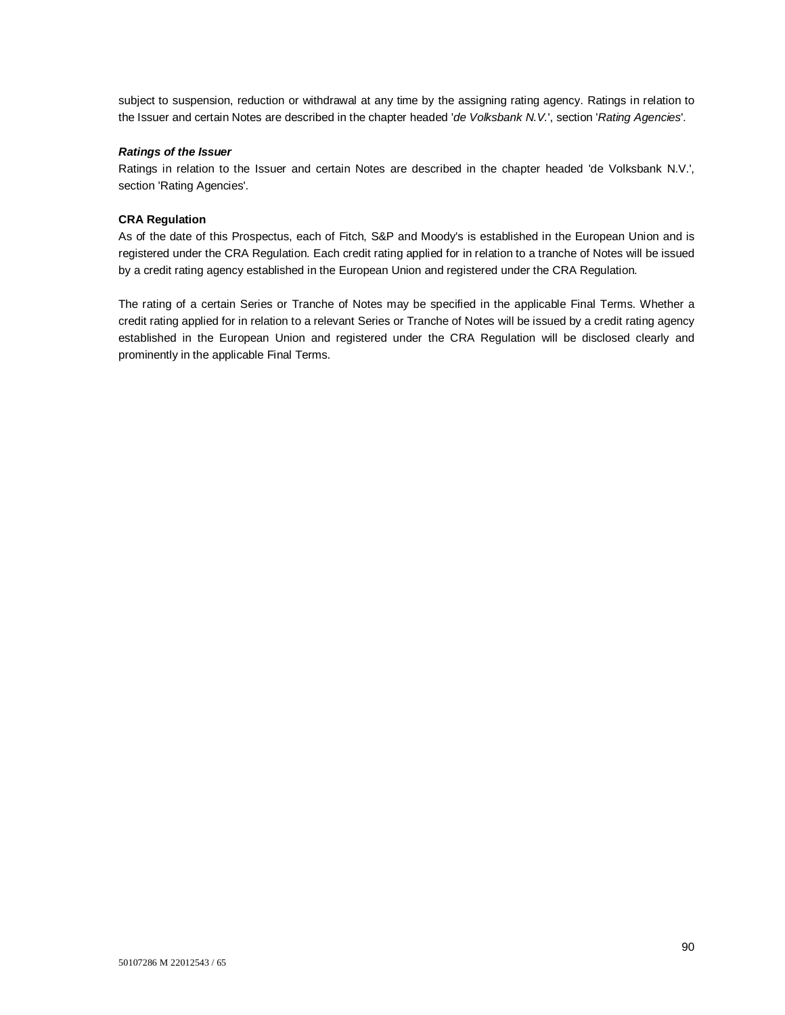subject to suspension, reduction or withdrawal at any time by the assigning rating agency. Ratings in relation to the Issuer and certain Notes are described in the chapter headed '*de Volksbank N.V.*', section '*Rating Agencies*'.

## *Ratings of the Issuer*

Ratings in relation to the Issuer and certain Notes are described in the chapter headed 'de Volksbank N.V.', section 'Rating Agencies'.

## **CRA Regulation**

As of the date of this Prospectus, each of Fitch, S&P and Moody's is established in the European Union and is registered under the CRA Regulation. Each credit rating applied for in relation to a tranche of Notes will be issued by a credit rating agency established in the European Union and registered under the CRA Regulation.

The rating of a certain Series or Tranche of Notes may be specified in the applicable Final Terms. Whether a credit rating applied for in relation to a relevant Series or Tranche of Notes will be issued by a credit rating agency established in the European Union and registered under the CRA Regulation will be disclosed clearly and prominently in the applicable Final Terms.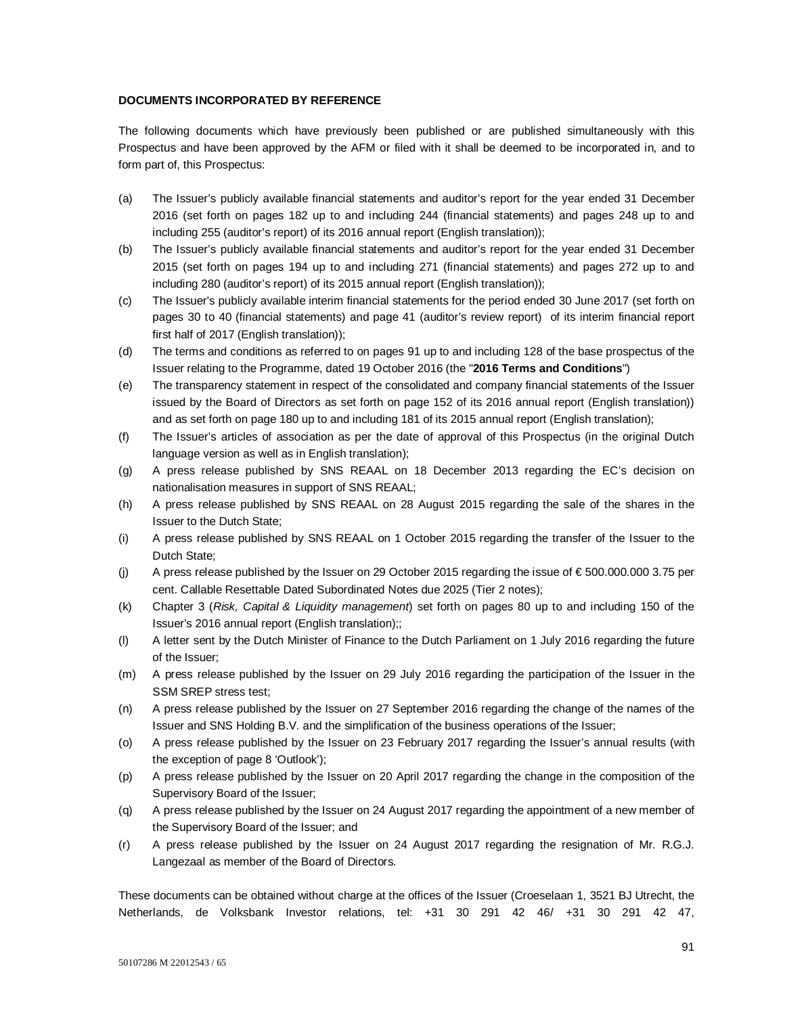## **DOCUMENTS INCORPORATED BY REFERENCE**

The following documents which have previously been published or are published simultaneously with this Prospectus and have been approved by the AFM or filed with it shall be deemed to be incorporated in, and to form part of, this Prospectus:

- (a) The Issuer's publicly available financial statements and auditor's report for the year ended 31 December 2016 (set forth on pages 182 up to and including 244 (financial statements) and pages 248 up to and including 255 (auditor's report) of its 2016 annual report (English translation));
- (b) The Issuer's publicly available financial statements and auditor's report for the year ended 31 December 2015 (set forth on pages 194 up to and including 271 (financial statements) and pages 272 up to and including 280 (auditor's report) of its 2015 annual report (English translation));
- (c) The Issuer's publicly available interim financial statements for the period ended 30 June 2017 (set forth on pages 30 to 40 (financial statements) and page 41 (auditor's review report) of its interim financial report first half of 2017 (English translation));
- (d) The terms and conditions as referred to on pages 91 up to and including 128 of the base prospectus of the Issuer relating to the Programme, dated 19 October 2016 (the "**2016 Terms and Conditions**")
- (e) The transparency statement in respect of the consolidated and company financial statements of the Issuer issued by the Board of Directors as set forth on page 152 of its 2016 annual report (English translation)) and as set forth on page 180 up to and including 181 of its 2015 annual report (English translation);
- (f) The Issuer's articles of association as per the date of approval of this Prospectus (in the original Dutch language version as well as in English translation);
- (g) A press release published by SNS REAAL on 18 December 2013 regarding the EC's decision on nationalisation measures in support of SNS REAAL;
- (h) A press release published by SNS REAAL on 28 August 2015 regarding the sale of the shares in the Issuer to the Dutch State;
- (i) A press release published by SNS REAAL on 1 October 2015 regarding the transfer of the Issuer to the Dutch State;
- (j) A press release published by the Issuer on 29 October 2015 regarding the issue of  $\epsilon$  500.000.000 3.75 per cent. Callable Resettable Dated Subordinated Notes due 2025 (Tier 2 notes);
- (k) Chapter 3 (*Risk, Capital & Liquidity management*) set forth on pages 80 up to and including 150 of the Issuer's 2016 annual report (English translation);;
- (l) A letter sent by the Dutch Minister of Finance to the Dutch Parliament on 1 July 2016 regarding the future of the Issuer;
- (m) A press release published by the Issuer on 29 July 2016 regarding the participation of the Issuer in the SSM SREP stress test;
- (n) A press release published by the Issuer on 27 September 2016 regarding the change of the names of the Issuer and SNS Holding B.V. and the simplification of the business operations of the Issuer;
- (o) A press release published by the Issuer on 23 February 2017 regarding the Issuer's annual results (with the exception of page 8 'Outlook');
- (p) A press release published by the Issuer on 20 April 2017 regarding the change in the composition of the Supervisory Board of the Issuer;
- (q) A press release published by the Issuer on 24 August 2017 regarding the appointment of a new member of the Supervisory Board of the Issuer; and
- (r) A press release published by the Issuer on 24 August 2017 regarding the resignation of Mr. R.G.J. Langezaal as member of the Board of Directors.

These documents can be obtained without charge at the offices of the Issuer (Croeselaan 1, 3521 BJ Utrecht, the Netherlands, de Volksbank Investor relations, tel: +31 30 291 42 46/ +31 30 291 42 47,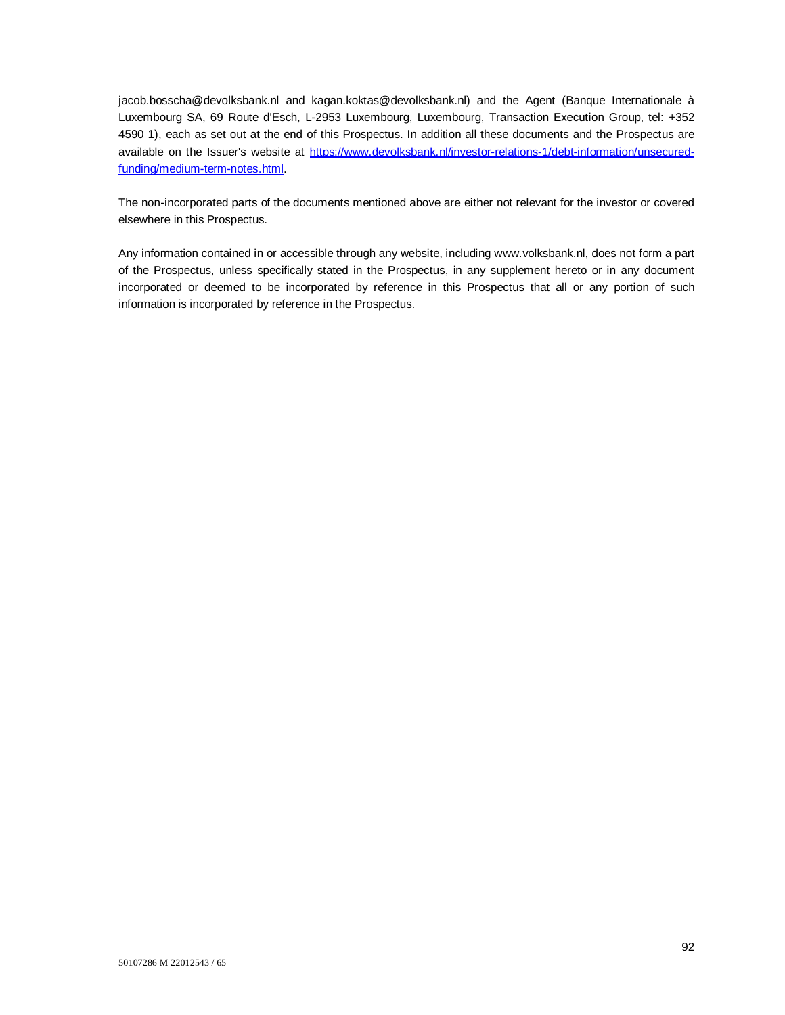jacob.bosscha@devolksbank.nl and kagan.koktas@devolksbank.nl) and the Agent (Banque Internationale à Luxembourg SA, 69 Route d'Esch, L-2953 Luxembourg, Luxembourg, Transaction Execution Group, tel: +352 4590 1), each as set out at the end of this Prospectus. In addition all these documents and the Prospectus are available on the Issuer's website at https://www.devolksbank.nl/investor-relations-1/debt-information/unsecuredfunding/medium-term-notes.html.

The non-incorporated parts of the documents mentioned above are either not relevant for the investor or covered elsewhere in this Prospectus.

Any information contained in or accessible through any website, including www.volksbank.nl, does not form a part of the Prospectus, unless specifically stated in the Prospectus, in any supplement hereto or in any document incorporated or deemed to be incorporated by reference in this Prospectus that all or any portion of such information is incorporated by reference in the Prospectus.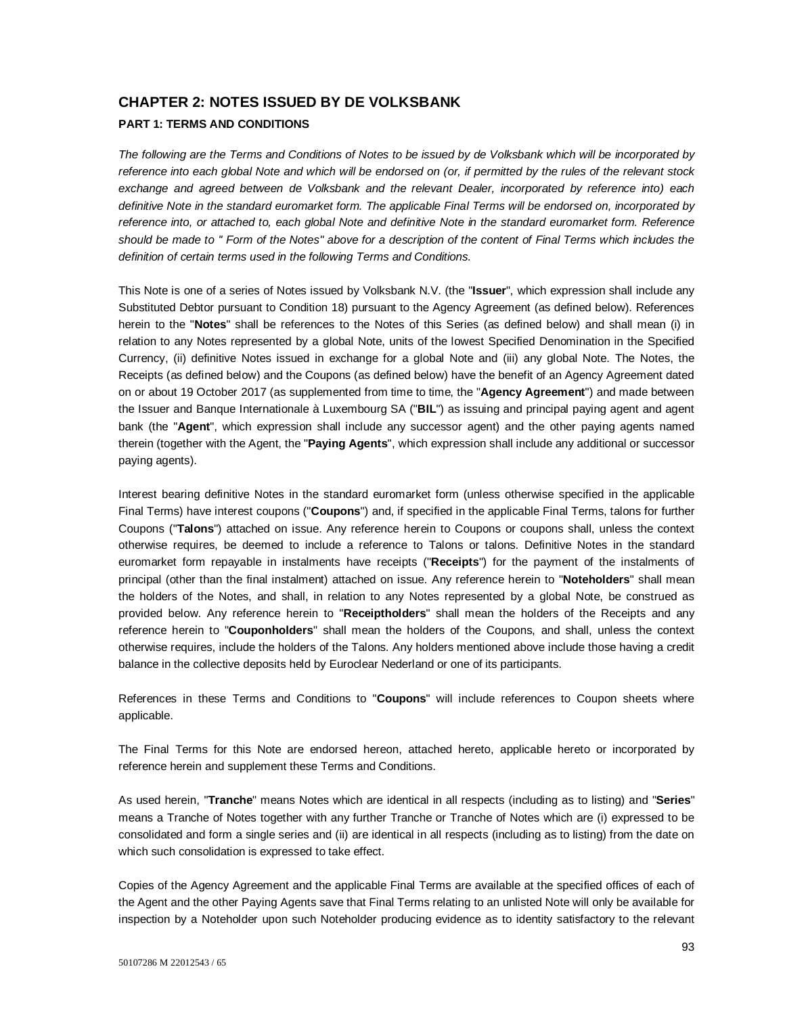# **CHAPTER 2: NOTES ISSUED BY DE VOLKSBANK PART 1: TERMS AND CONDITIONS**

*The following are the Terms and Conditions of Notes to be issued by de Volksbank which will be incorporated by reference into each global Note and which will be endorsed on (or, if permitted by the rules of the relevant stock exchange and agreed between de Volksbank and the relevant Dealer, incorporated by reference into) each definitive Note in the standard euromarket form. The applicable Final Terms will be endorsed on, incorporated by reference into, or attached to, each global Note and definitive Note in the standard euromarket form. Reference should be made to '' Form of the Notes" above for a description of the content of Final Terms which includes the definition of certain terms used in the following Terms and Conditions.* 

This Note is one of a series of Notes issued by Volksbank N.V. (the "**Issuer**", which expression shall include any Substituted Debtor pursuant to Condition 18) pursuant to the Agency Agreement (as defined below). References herein to the "**Notes**" shall be references to the Notes of this Series (as defined below) and shall mean (i) in relation to any Notes represented by a global Note, units of the lowest Specified Denomination in the Specified Currency, (ii) definitive Notes issued in exchange for a global Note and (iii) any global Note. The Notes, the Receipts (as defined below) and the Coupons (as defined below) have the benefit of an Agency Agreement dated on or about 19 October 2017 (as supplemented from time to time, the "**Agency Agreement**") and made between the Issuer and Banque Internationale à Luxembourg SA ("**BIL**") as issuing and principal paying agent and agent bank (the "**Agent**", which expression shall include any successor agent) and the other paying agents named therein (together with the Agent, the "**Paying Agents**", which expression shall include any additional or successor paying agents).

Interest bearing definitive Notes in the standard euromarket form (unless otherwise specified in the applicable Final Terms) have interest coupons ("**Coupons**") and, if specified in the applicable Final Terms, talons for further Coupons ("**Talons**") attached on issue. Any reference herein to Coupons or coupons shall, unless the context otherwise requires, be deemed to include a reference to Talons or talons. Definitive Notes in the standard euromarket form repayable in instalments have receipts ("**Receipts**") for the payment of the instalments of principal (other than the final instalment) attached on issue. Any reference herein to "**Noteholders**" shall mean the holders of the Notes, and shall, in relation to any Notes represented by a global Note, be construed as provided below. Any reference herein to "**Receiptholders**" shall mean the holders of the Receipts and any reference herein to "**Couponholders**" shall mean the holders of the Coupons, and shall, unless the context otherwise requires, include the holders of the Talons. Any holders mentioned above include those having a credit balance in the collective deposits held by Euroclear Nederland or one of its participants.

References in these Terms and Conditions to "**Coupons**" will include references to Coupon sheets where applicable.

The Final Terms for this Note are endorsed hereon, attached hereto, applicable hereto or incorporated by reference herein and supplement these Terms and Conditions.

As used herein, "**Tranche**" means Notes which are identical in all respects (including as to listing) and "**Series**" means a Tranche of Notes together with any further Tranche or Tranche of Notes which are (i) expressed to be consolidated and form a single series and (ii) are identical in all respects (including as to listing) from the date on which such consolidation is expressed to take effect.

Copies of the Agency Agreement and the applicable Final Terms are available at the specified offices of each of the Agent and the other Paying Agents save that Final Terms relating to an unlisted Note will only be available for inspection by a Noteholder upon such Noteholder producing evidence as to identity satisfactory to the relevant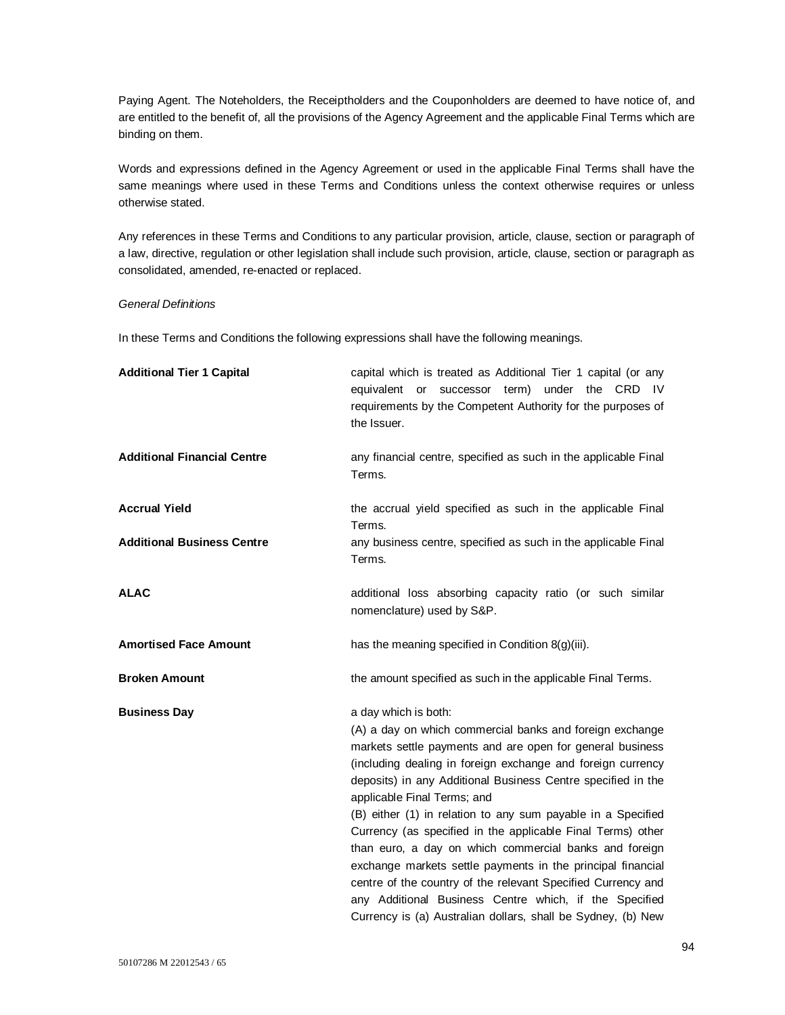Paying Agent. The Noteholders, the Receiptholders and the Couponholders are deemed to have notice of, and are entitled to the benefit of, all the provisions of the Agency Agreement and the applicable Final Terms which are binding on them.

Words and expressions defined in the Agency Agreement or used in the applicable Final Terms shall have the same meanings where used in these Terms and Conditions unless the context otherwise requires or unless otherwise stated.

Any references in these Terms and Conditions to any particular provision, article, clause, section or paragraph of a law, directive, regulation or other legislation shall include such provision, article, clause, section or paragraph as consolidated, amended, re-enacted or replaced.

## *General Definitions*

In these Terms and Conditions the following expressions shall have the following meanings.

| <b>Additional Tier 1 Capital</b>   | capital which is treated as Additional Tier 1 capital (or any<br>equivalent or<br>successor term) under the CRD IV<br>requirements by the Competent Authority for the purposes of<br>the Issuer.                                                                                                                                                                                                                                                                                                                                                                                                                                                                                                                                                              |
|------------------------------------|---------------------------------------------------------------------------------------------------------------------------------------------------------------------------------------------------------------------------------------------------------------------------------------------------------------------------------------------------------------------------------------------------------------------------------------------------------------------------------------------------------------------------------------------------------------------------------------------------------------------------------------------------------------------------------------------------------------------------------------------------------------|
| <b>Additional Financial Centre</b> | any financial centre, specified as such in the applicable Final<br>Terms.                                                                                                                                                                                                                                                                                                                                                                                                                                                                                                                                                                                                                                                                                     |
| <b>Accrual Yield</b>               | the accrual yield specified as such in the applicable Final<br>Terms.                                                                                                                                                                                                                                                                                                                                                                                                                                                                                                                                                                                                                                                                                         |
| <b>Additional Business Centre</b>  | any business centre, specified as such in the applicable Final<br>Terms.                                                                                                                                                                                                                                                                                                                                                                                                                                                                                                                                                                                                                                                                                      |
| <b>ALAC</b>                        | additional loss absorbing capacity ratio (or such similar<br>nomenclature) used by S&P.                                                                                                                                                                                                                                                                                                                                                                                                                                                                                                                                                                                                                                                                       |
| <b>Amortised Face Amount</b>       | has the meaning specified in Condition $8(g)(iii)$ .                                                                                                                                                                                                                                                                                                                                                                                                                                                                                                                                                                                                                                                                                                          |
| <b>Broken Amount</b>               | the amount specified as such in the applicable Final Terms.                                                                                                                                                                                                                                                                                                                                                                                                                                                                                                                                                                                                                                                                                                   |
| <b>Business Day</b>                | a day which is both:<br>(A) a day on which commercial banks and foreign exchange<br>markets settle payments and are open for general business<br>(including dealing in foreign exchange and foreign currency<br>deposits) in any Additional Business Centre specified in the<br>applicable Final Terms; and<br>(B) either (1) in relation to any sum payable in a Specified<br>Currency (as specified in the applicable Final Terms) other<br>than euro, a day on which commercial banks and foreign<br>exchange markets settle payments in the principal financial<br>centre of the country of the relevant Specified Currency and<br>any Additional Business Centre which, if the Specified<br>Currency is (a) Australian dollars, shall be Sydney, (b) New |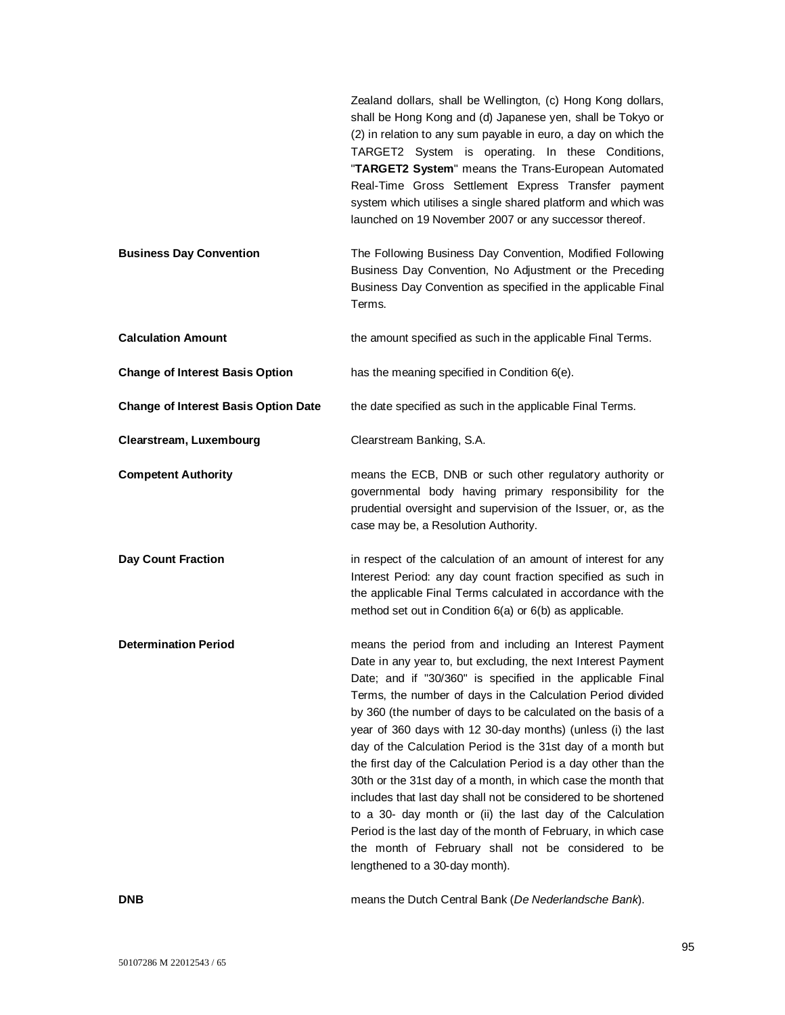|                                             | Zealand dollars, shall be Wellington, (c) Hong Kong dollars,<br>shall be Hong Kong and (d) Japanese yen, shall be Tokyo or<br>(2) in relation to any sum payable in euro, a day on which the<br>TARGET2 System is operating. In these Conditions,<br>"TARGET2 System" means the Trans-European Automated<br>Real-Time Gross Settlement Express Transfer payment<br>system which utilises a single shared platform and which was<br>launched on 19 November 2007 or any successor thereof.                                                                                                                                                                                                                                                                                                                                                                                             |
|---------------------------------------------|---------------------------------------------------------------------------------------------------------------------------------------------------------------------------------------------------------------------------------------------------------------------------------------------------------------------------------------------------------------------------------------------------------------------------------------------------------------------------------------------------------------------------------------------------------------------------------------------------------------------------------------------------------------------------------------------------------------------------------------------------------------------------------------------------------------------------------------------------------------------------------------|
| <b>Business Day Convention</b>              | The Following Business Day Convention, Modified Following<br>Business Day Convention, No Adjustment or the Preceding<br>Business Day Convention as specified in the applicable Final<br>Terms.                                                                                                                                                                                                                                                                                                                                                                                                                                                                                                                                                                                                                                                                                        |
| <b>Calculation Amount</b>                   | the amount specified as such in the applicable Final Terms.                                                                                                                                                                                                                                                                                                                                                                                                                                                                                                                                                                                                                                                                                                                                                                                                                           |
| <b>Change of Interest Basis Option</b>      | has the meaning specified in Condition 6(e).                                                                                                                                                                                                                                                                                                                                                                                                                                                                                                                                                                                                                                                                                                                                                                                                                                          |
| <b>Change of Interest Basis Option Date</b> | the date specified as such in the applicable Final Terms.                                                                                                                                                                                                                                                                                                                                                                                                                                                                                                                                                                                                                                                                                                                                                                                                                             |
| Clearstream, Luxembourg                     | Clearstream Banking, S.A.                                                                                                                                                                                                                                                                                                                                                                                                                                                                                                                                                                                                                                                                                                                                                                                                                                                             |
| <b>Competent Authority</b>                  | means the ECB, DNB or such other regulatory authority or<br>governmental body having primary responsibility for the<br>prudential oversight and supervision of the Issuer, or, as the<br>case may be, a Resolution Authority.                                                                                                                                                                                                                                                                                                                                                                                                                                                                                                                                                                                                                                                         |
| <b>Day Count Fraction</b>                   | in respect of the calculation of an amount of interest for any<br>Interest Period: any day count fraction specified as such in<br>the applicable Final Terms calculated in accordance with the<br>method set out in Condition 6(a) or 6(b) as applicable.                                                                                                                                                                                                                                                                                                                                                                                                                                                                                                                                                                                                                             |
| <b>Determination Period</b>                 | means the period from and including an Interest Payment<br>Date in any year to, but excluding, the next Interest Payment<br>Date; and if "30/360" is specified in the applicable Final<br>Terms, the number of days in the Calculation Period divided<br>by 360 (the number of days to be calculated on the basis of a<br>year of 360 days with 12 30-day months) (unless (i) the last<br>day of the Calculation Period is the 31st day of a month but<br>the first day of the Calculation Period is a day other than the<br>30th or the 31st day of a month, in which case the month that<br>includes that last day shall not be considered to be shortened<br>to a 30- day month or (ii) the last day of the Calculation<br>Period is the last day of the month of February, in which case<br>the month of February shall not be considered to be<br>lengthened to a 30-day month). |

**DNB** means the Dutch Central Bank (*De Nederlandsche Bank*).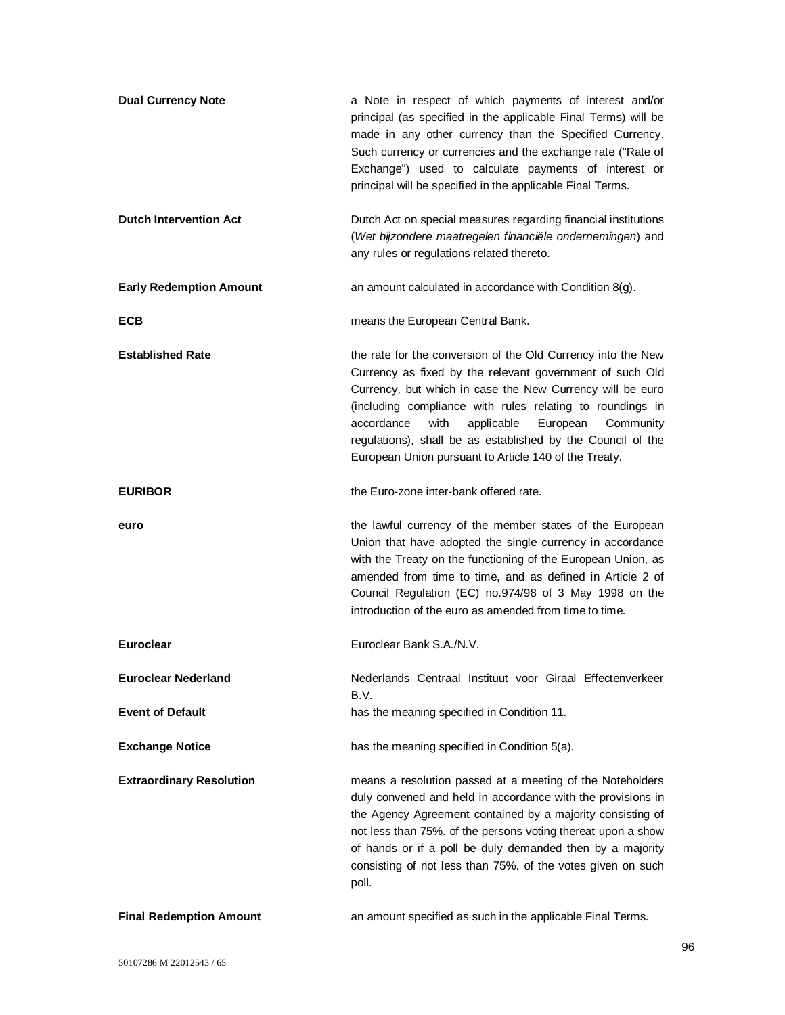| <b>Dual Currency Note</b>       | a Note in respect of which payments of interest and/or<br>principal (as specified in the applicable Final Terms) will be<br>made in any other currency than the Specified Currency.<br>Such currency or currencies and the exchange rate ("Rate of<br>Exchange") used to calculate payments of interest or<br>principal will be specified in the applicable Final Terms.                                                                |
|---------------------------------|-----------------------------------------------------------------------------------------------------------------------------------------------------------------------------------------------------------------------------------------------------------------------------------------------------------------------------------------------------------------------------------------------------------------------------------------|
| <b>Dutch Intervention Act</b>   | Dutch Act on special measures regarding financial institutions<br>(Wet bijzondere maatregelen financiële ondernemingen) and<br>any rules or regulations related thereto.                                                                                                                                                                                                                                                                |
| <b>Early Redemption Amount</b>  | an amount calculated in accordance with Condition 8(g).                                                                                                                                                                                                                                                                                                                                                                                 |
| ECB                             | means the European Central Bank.                                                                                                                                                                                                                                                                                                                                                                                                        |
| <b>Established Rate</b>         | the rate for the conversion of the Old Currency into the New<br>Currency as fixed by the relevant government of such Old<br>Currency, but which in case the New Currency will be euro<br>(including compliance with rules relating to roundings in<br>accordance<br>with<br>applicable<br>European<br>Community<br>regulations), shall be as established by the Council of the<br>European Union pursuant to Article 140 of the Treaty. |
| <b>EURIBOR</b>                  | the Euro-zone inter-bank offered rate.                                                                                                                                                                                                                                                                                                                                                                                                  |
| euro                            | the lawful currency of the member states of the European<br>Union that have adopted the single currency in accordance<br>with the Treaty on the functioning of the European Union, as<br>amended from time to time, and as defined in Article 2 of<br>Council Regulation (EC) no.974/98 of 3 May 1998 on the<br>introduction of the euro as amended from time to time.                                                                  |
| <b>Euroclear</b>                | Euroclear Bank S.A./N.V.                                                                                                                                                                                                                                                                                                                                                                                                                |
| <b>Euroclear Nederland</b>      | Nederlands Centraal Instituut voor Giraal Effectenverkeer<br>B.V.                                                                                                                                                                                                                                                                                                                                                                       |
| <b>Event of Default</b>         | has the meaning specified in Condition 11.                                                                                                                                                                                                                                                                                                                                                                                              |
| <b>Exchange Notice</b>          | has the meaning specified in Condition 5(a).                                                                                                                                                                                                                                                                                                                                                                                            |
| <b>Extraordinary Resolution</b> | means a resolution passed at a meeting of the Noteholders<br>duly convened and held in accordance with the provisions in<br>the Agency Agreement contained by a majority consisting of<br>not less than 75%. of the persons voting thereat upon a show<br>of hands or if a poll be duly demanded then by a majority<br>consisting of not less than 75%. of the votes given on such<br>poll.                                             |
| <b>Final Redemption Amount</b>  | an amount specified as such in the applicable Final Terms.                                                                                                                                                                                                                                                                                                                                                                              |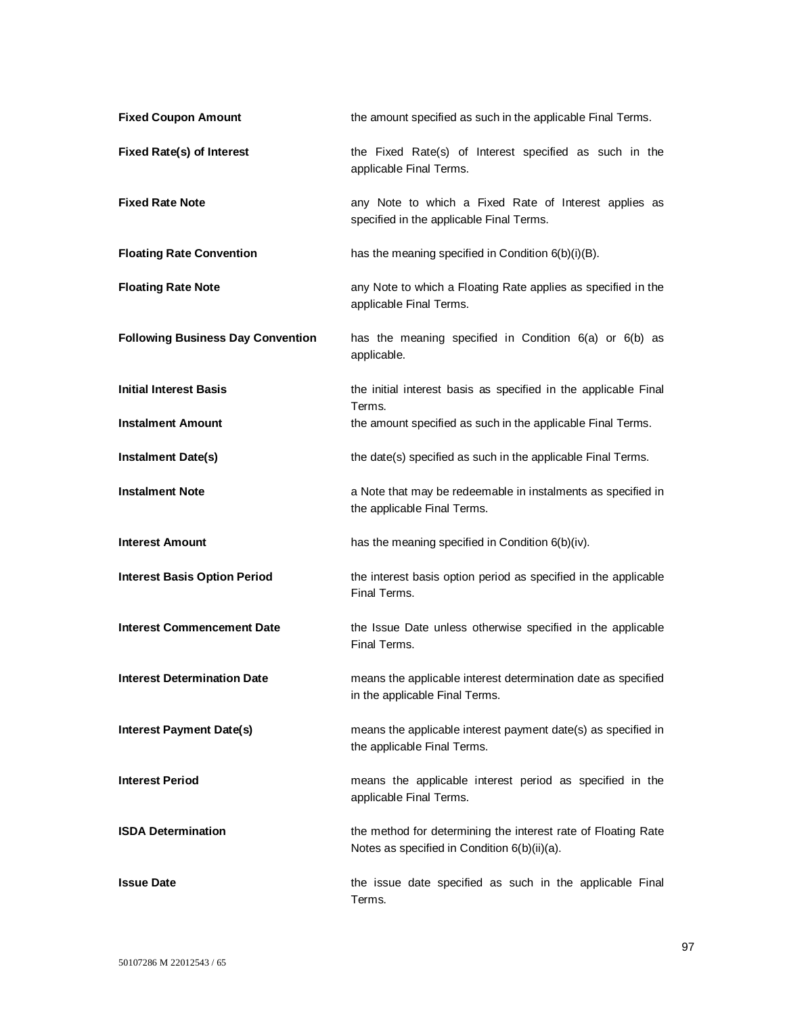| <b>Fixed Coupon Amount</b>               | the amount specified as such in the applicable Final Terms.                                                   |
|------------------------------------------|---------------------------------------------------------------------------------------------------------------|
| <b>Fixed Rate(s) of Interest</b>         | the Fixed Rate(s) of Interest specified as such in the<br>applicable Final Terms.                             |
| <b>Fixed Rate Note</b>                   | any Note to which a Fixed Rate of Interest applies as<br>specified in the applicable Final Terms.             |
| <b>Floating Rate Convention</b>          | has the meaning specified in Condition 6(b)(i)(B).                                                            |
| <b>Floating Rate Note</b>                | any Note to which a Floating Rate applies as specified in the<br>applicable Final Terms.                      |
| <b>Following Business Day Convention</b> | has the meaning specified in Condition 6(a) or 6(b) as<br>applicable.                                         |
| <b>Initial Interest Basis</b>            | the initial interest basis as specified in the applicable Final                                               |
| <b>Instalment Amount</b>                 | Terms.<br>the amount specified as such in the applicable Final Terms.                                         |
| <b>Instalment Date(s)</b>                | the date(s) specified as such in the applicable Final Terms.                                                  |
| <b>Instalment Note</b>                   | a Note that may be redeemable in instalments as specified in<br>the applicable Final Terms.                   |
| <b>Interest Amount</b>                   | has the meaning specified in Condition 6(b)(iv).                                                              |
| <b>Interest Basis Option Period</b>      | the interest basis option period as specified in the applicable<br>Final Terms.                               |
| <b>Interest Commencement Date</b>        | the Issue Date unless otherwise specified in the applicable<br>Final Terms.                                   |
| <b>Interest Determination Date</b>       | means the applicable interest determination date as specified<br>in the applicable Final Terms.               |
| <b>Interest Payment Date(s)</b>          | means the applicable interest payment date(s) as specified in<br>the applicable Final Terms.                  |
| <b>Interest Period</b>                   | means the applicable interest period as specified in the<br>applicable Final Terms.                           |
| <b>ISDA Determination</b>                | the method for determining the interest rate of Floating Rate<br>Notes as specified in Condition 6(b)(ii)(a). |
| <b>Issue Date</b>                        | the issue date specified as such in the applicable Final<br>Terms.                                            |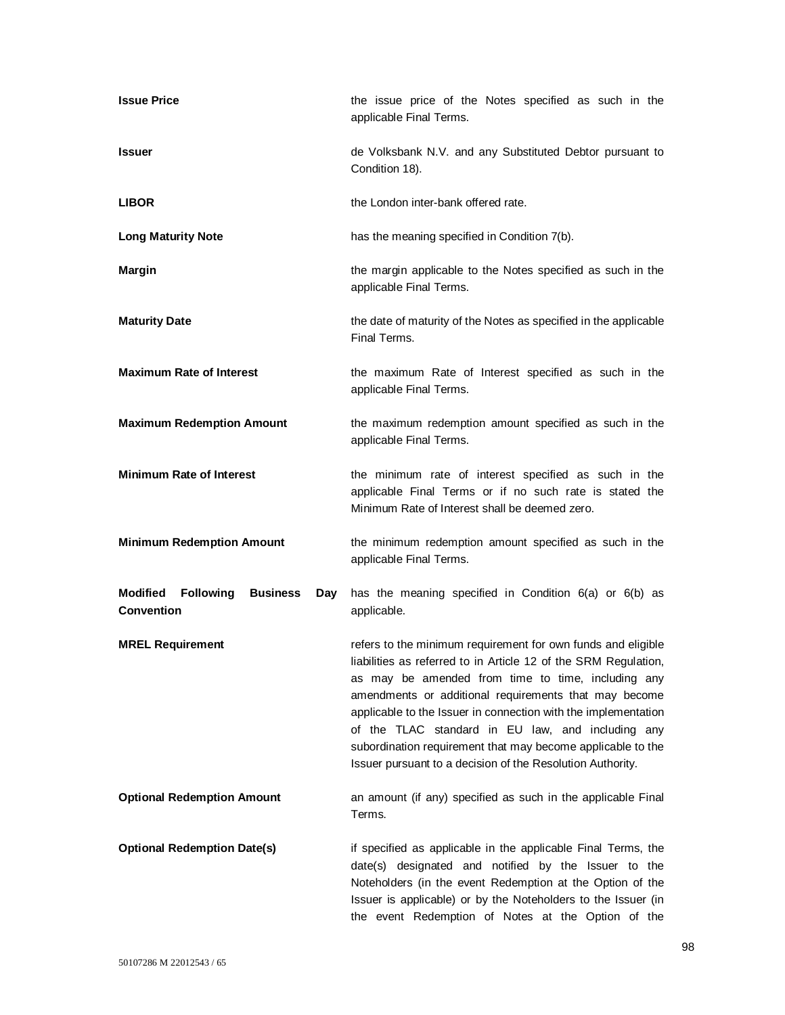| <b>Issue Price</b>                                                                 | the issue price of the Notes specified as such in the<br>applicable Final Terms.                                                                                                                                                                                                                                                                                                                                                                                                                   |
|------------------------------------------------------------------------------------|----------------------------------------------------------------------------------------------------------------------------------------------------------------------------------------------------------------------------------------------------------------------------------------------------------------------------------------------------------------------------------------------------------------------------------------------------------------------------------------------------|
| <b>Issuer</b>                                                                      | de Volksbank N.V. and any Substituted Debtor pursuant to<br>Condition 18).                                                                                                                                                                                                                                                                                                                                                                                                                         |
| <b>LIBOR</b>                                                                       | the London inter-bank offered rate.                                                                                                                                                                                                                                                                                                                                                                                                                                                                |
| <b>Long Maturity Note</b>                                                          | has the meaning specified in Condition 7(b).                                                                                                                                                                                                                                                                                                                                                                                                                                                       |
| <b>Margin</b>                                                                      | the margin applicable to the Notes specified as such in the<br>applicable Final Terms.                                                                                                                                                                                                                                                                                                                                                                                                             |
| <b>Maturity Date</b>                                                               | the date of maturity of the Notes as specified in the applicable<br>Final Terms.                                                                                                                                                                                                                                                                                                                                                                                                                   |
| <b>Maximum Rate of Interest</b>                                                    | the maximum Rate of Interest specified as such in the<br>applicable Final Terms.                                                                                                                                                                                                                                                                                                                                                                                                                   |
| <b>Maximum Redemption Amount</b>                                                   | the maximum redemption amount specified as such in the<br>applicable Final Terms.                                                                                                                                                                                                                                                                                                                                                                                                                  |
| <b>Minimum Rate of Interest</b>                                                    | the minimum rate of interest specified as such in the<br>applicable Final Terms or if no such rate is stated the<br>Minimum Rate of Interest shall be deemed zero.                                                                                                                                                                                                                                                                                                                                 |
| <b>Minimum Redemption Amount</b>                                                   | the minimum redemption amount specified as such in the<br>applicable Final Terms.                                                                                                                                                                                                                                                                                                                                                                                                                  |
| <b>Modified</b><br><b>Following</b><br><b>Business</b><br>Day<br><b>Convention</b> | has the meaning specified in Condition 6(a) or 6(b) as<br>applicable.                                                                                                                                                                                                                                                                                                                                                                                                                              |
| <b>MREL Requirement</b>                                                            | refers to the minimum requirement for own funds and eligible<br>liabilities as referred to in Article 12 of the SRM Regulation,<br>as may be amended from time to time, including any<br>amendments or additional requirements that may become<br>applicable to the Issuer in connection with the implementation<br>of the TLAC standard in EU law, and including any<br>subordination requirement that may become applicable to the<br>Issuer pursuant to a decision of the Resolution Authority. |
| <b>Optional Redemption Amount</b>                                                  | an amount (if any) specified as such in the applicable Final<br>Terms.                                                                                                                                                                                                                                                                                                                                                                                                                             |
| <b>Optional Redemption Date(s)</b>                                                 | if specified as applicable in the applicable Final Terms, the<br>date(s) designated and notified by the Issuer to the<br>Noteholders (in the event Redemption at the Option of the<br>Issuer is applicable) or by the Noteholders to the Issuer (in<br>the event Redemption of Notes at the Option of the                                                                                                                                                                                          |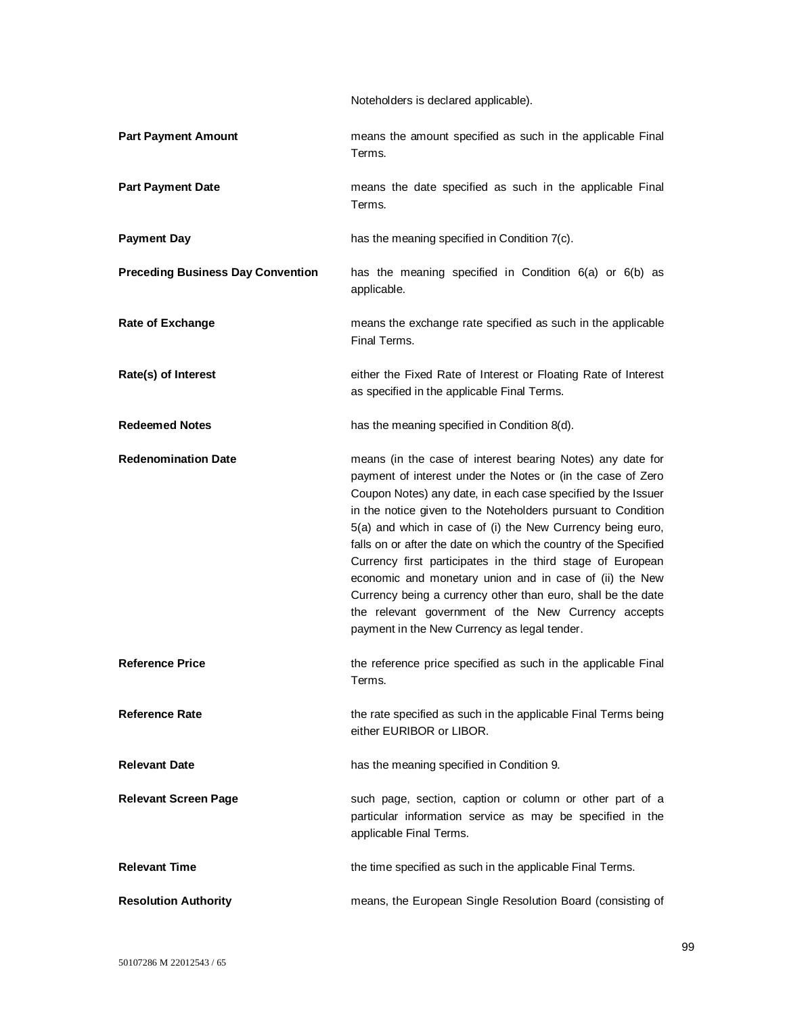Noteholders is declared applicable).

| <b>Part Payment Amount</b>               | means the amount specified as such in the applicable Final<br>Terms.                                                                                                                                                                                                                                                                                                                                                                                                                                                                                                                                                                                                                        |
|------------------------------------------|---------------------------------------------------------------------------------------------------------------------------------------------------------------------------------------------------------------------------------------------------------------------------------------------------------------------------------------------------------------------------------------------------------------------------------------------------------------------------------------------------------------------------------------------------------------------------------------------------------------------------------------------------------------------------------------------|
| <b>Part Payment Date</b>                 | means the date specified as such in the applicable Final<br>Terms.                                                                                                                                                                                                                                                                                                                                                                                                                                                                                                                                                                                                                          |
| <b>Payment Day</b>                       | has the meaning specified in Condition 7(c).                                                                                                                                                                                                                                                                                                                                                                                                                                                                                                                                                                                                                                                |
| <b>Preceding Business Day Convention</b> | has the meaning specified in Condition $6(a)$ or $6(b)$ as<br>applicable.                                                                                                                                                                                                                                                                                                                                                                                                                                                                                                                                                                                                                   |
| <b>Rate of Exchange</b>                  | means the exchange rate specified as such in the applicable<br>Final Terms.                                                                                                                                                                                                                                                                                                                                                                                                                                                                                                                                                                                                                 |
| Rate(s) of Interest                      | either the Fixed Rate of Interest or Floating Rate of Interest<br>as specified in the applicable Final Terms.                                                                                                                                                                                                                                                                                                                                                                                                                                                                                                                                                                               |
| <b>Redeemed Notes</b>                    | has the meaning specified in Condition 8(d).                                                                                                                                                                                                                                                                                                                                                                                                                                                                                                                                                                                                                                                |
| <b>Redenomination Date</b>               | means (in the case of interest bearing Notes) any date for<br>payment of interest under the Notes or (in the case of Zero<br>Coupon Notes) any date, in each case specified by the Issuer<br>in the notice given to the Noteholders pursuant to Condition<br>5(a) and which in case of (i) the New Currency being euro,<br>falls on or after the date on which the country of the Specified<br>Currency first participates in the third stage of European<br>economic and monetary union and in case of (ii) the New<br>Currency being a currency other than euro, shall be the date<br>the relevant government of the New Currency accepts<br>payment in the New Currency as legal tender. |
| <b>Reference Price</b>                   | the reference price specified as such in the applicable Final<br>Terms.                                                                                                                                                                                                                                                                                                                                                                                                                                                                                                                                                                                                                     |
| <b>Reference Rate</b>                    | the rate specified as such in the applicable Final Terms being<br>either EURIBOR or LIBOR.                                                                                                                                                                                                                                                                                                                                                                                                                                                                                                                                                                                                  |
| <b>Relevant Date</b>                     | has the meaning specified in Condition 9.                                                                                                                                                                                                                                                                                                                                                                                                                                                                                                                                                                                                                                                   |
| <b>Relevant Screen Page</b>              | such page, section, caption or column or other part of a<br>particular information service as may be specified in the<br>applicable Final Terms.                                                                                                                                                                                                                                                                                                                                                                                                                                                                                                                                            |
| <b>Relevant Time</b>                     | the time specified as such in the applicable Final Terms.                                                                                                                                                                                                                                                                                                                                                                                                                                                                                                                                                                                                                                   |
| <b>Resolution Authority</b>              | means, the European Single Resolution Board (consisting of                                                                                                                                                                                                                                                                                                                                                                                                                                                                                                                                                                                                                                  |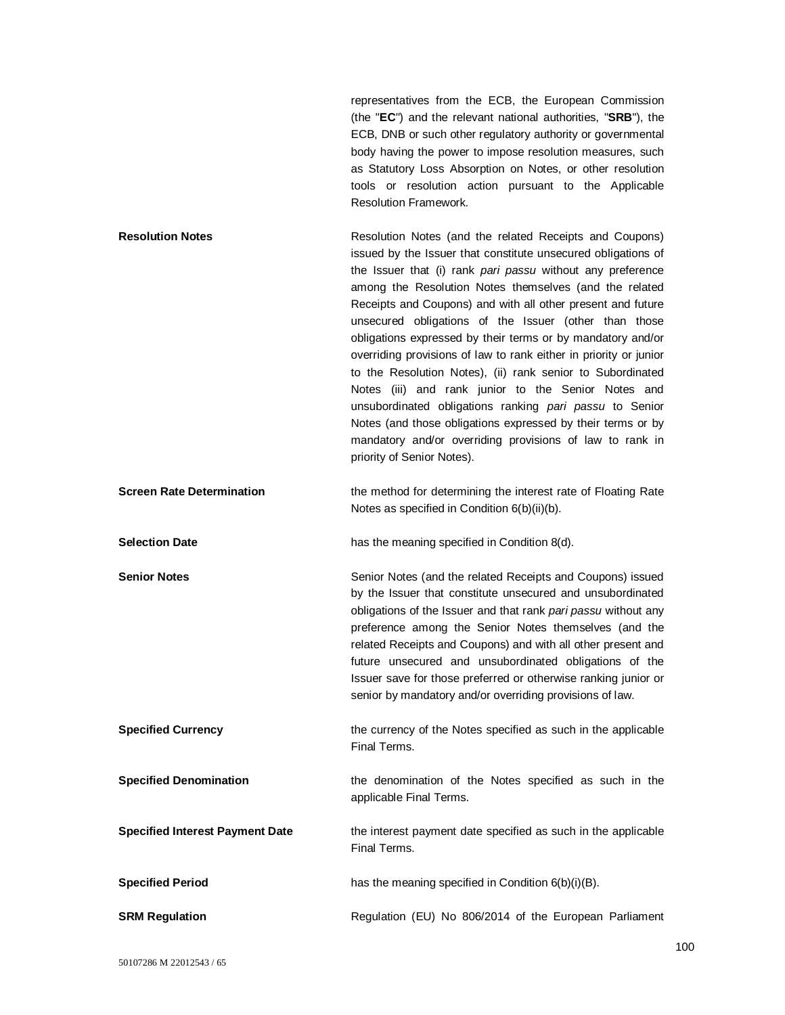representatives from the ECB, the European Commission (the "**EC**") and the relevant national authorities, "**SRB**"), the ECB, DNB or such other regulatory authority or governmental body having the power to impose resolution measures, such as Statutory Loss Absorption on Notes, or other resolution tools or resolution action pursuant to the Applicable Resolution Framework.

| <b>Resolution Notes</b>          | Resolution Notes (and the related Receipts and Coupons)<br>issued by the Issuer that constitute unsecured obligations of<br>the Issuer that (i) rank pari passu without any preference<br>among the Resolution Notes themselves (and the related<br>Receipts and Coupons) and with all other present and future<br>unsecured obligations of the Issuer (other than those<br>obligations expressed by their terms or by mandatory and/or<br>overriding provisions of law to rank either in priority or junior<br>to the Resolution Notes), (ii) rank senior to Subordinated<br>Notes (iii) and rank junior to the Senior Notes and<br>unsubordinated obligations ranking pari passu to Senior<br>Notes (and those obligations expressed by their terms or by |
|----------------------------------|-------------------------------------------------------------------------------------------------------------------------------------------------------------------------------------------------------------------------------------------------------------------------------------------------------------------------------------------------------------------------------------------------------------------------------------------------------------------------------------------------------------------------------------------------------------------------------------------------------------------------------------------------------------------------------------------------------------------------------------------------------------|
|                                  | mandatory and/or overriding provisions of law to rank in<br>priority of Senior Notes).                                                                                                                                                                                                                                                                                                                                                                                                                                                                                                                                                                                                                                                                      |
| <b>Screen Rate Determination</b> | the method for determining the interest rate of Floating Rate<br>Notes as specified in Condition 6(b)(ii)(b).                                                                                                                                                                                                                                                                                                                                                                                                                                                                                                                                                                                                                                               |
| <b>Selection Date</b>            | has the meaning specified in Condition 8(d).                                                                                                                                                                                                                                                                                                                                                                                                                                                                                                                                                                                                                                                                                                                |

**Senior Notes** Senior Notes (and the related Receipts and Coupons) issued by the Issuer that constitute unsecured and unsubordinated obligations of the Issuer and that rank *pari passu* without any preference among the Senior Notes themselves (and the related Receipts and Coupons) and with all other present and future unsecured and unsubordinated obligations of the Issuer save for those preferred or otherwise ranking junior or senior by mandatory and/or overriding provisions of law.

**Specified Currency** the currency of the Notes specified as such in the applicable Final Terms.

Final Terms.

**Specified Denomination** the denomination of the Notes specified as such in the applicable Final Terms.

**Specified Interest Payment Date** the interest payment date specified as such in the applicable

**Specified Period has the meaning specified in Condition 6(b)(i)(B).** has the meaning specified in Condition 6(b)(i)(B).

**SRM Regulation Regulation** Regulation (EU) No 806/2014 of the European Parliament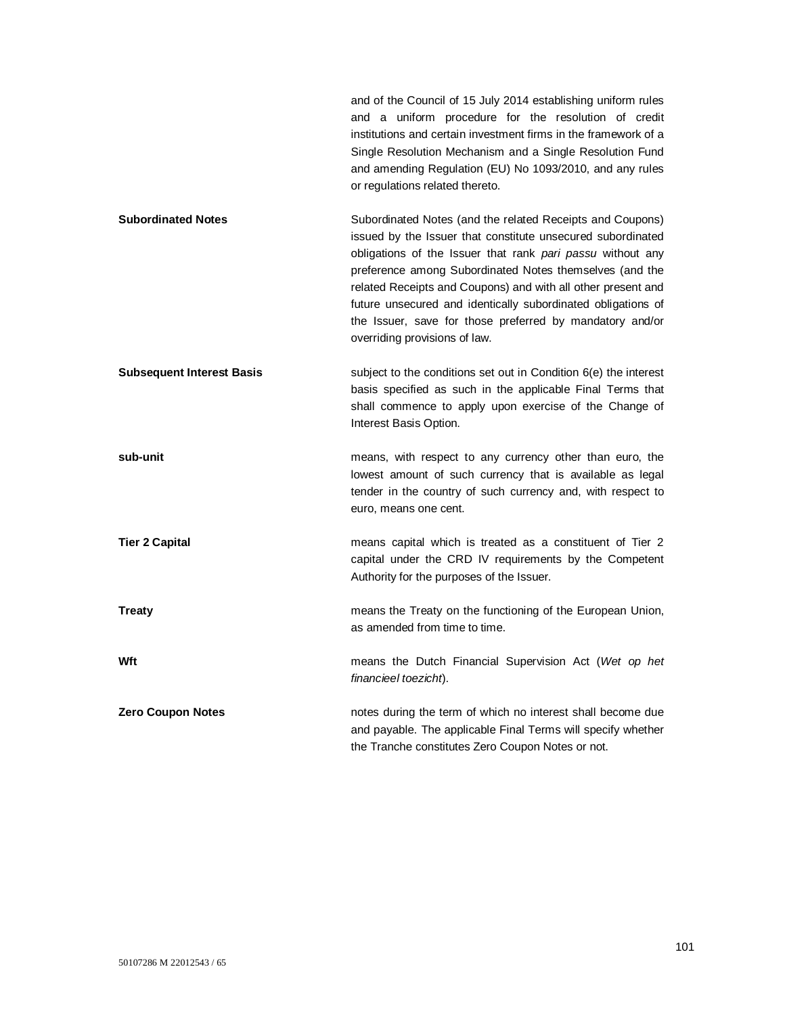and of the Council of 15 July 2014 establishing uniform rules and a uniform procedure for the resolution of credit institutions and certain investment firms in the framework of a Single Resolution Mechanism and a Single Resolution Fund and amending Regulation (EU) No 1093/2010, and any rules or regulations related thereto.

- **Subordinated Notes** Subordinated Notes (and the related Receipts and Coupons) issued by the Issuer that constitute unsecured subordinated obligations of the Issuer that rank *pari passu* without any preference among Subordinated Notes themselves (and the related Receipts and Coupons) and with all other present and future unsecured and identically subordinated obligations of the Issuer, save for those preferred by mandatory and/or overriding provisions of law.
- **Subsequent Interest Basis** subject to the conditions set out in Condition 6(e) the interest basis specified as such in the applicable Final Terms that shall commence to apply upon exercise of the Change of Interest Basis Option.

**sub-unit** means, with respect to any currency other than euro, the lowest amount of such currency that is available as legal tender in the country of such currency and, with respect to euro, means one cent.

**Tier 2 Capital Tier 2 Capital** means capital which is treated as a constituent of Tier 2 capital under the CRD IV requirements by the Competent Authority for the purposes of the Issuer.

**Treaty Treaty means the Treaty on the functioning of the European Union,** as amended from time to time.

**Wft** means the Dutch Financial Supervision Act (*Wet op het financieel toezicht*).

**Zero Coupon Notes notes** notes during the term of which no interest shall become due and payable. The applicable Final Terms will specify whether the Tranche constitutes Zero Coupon Notes or not.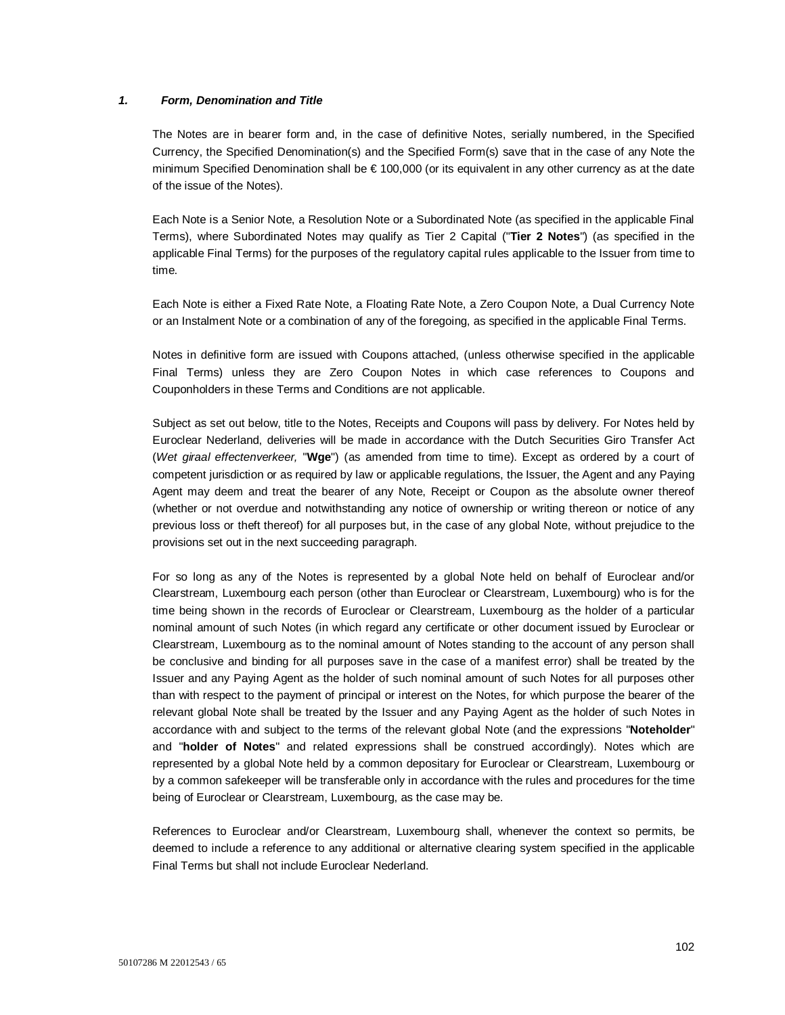## *1. Form, Denomination and Title*

The Notes are in bearer form and, in the case of definitive Notes, serially numbered, in the Specified Currency, the Specified Denomination(s) and the Specified Form(s) save that in the case of any Note the minimum Specified Denomination shall be € 100,000 (or its equivalent in any other currency as at the date of the issue of the Notes).

Each Note is a Senior Note, a Resolution Note or a Subordinated Note (as specified in the applicable Final Terms), where Subordinated Notes may qualify as Tier 2 Capital ("**Tier 2 Notes**") (as specified in the applicable Final Terms) for the purposes of the regulatory capital rules applicable to the Issuer from time to time.

Each Note is either a Fixed Rate Note, a Floating Rate Note, a Zero Coupon Note, a Dual Currency Note or an Instalment Note or a combination of any of the foregoing, as specified in the applicable Final Terms.

Notes in definitive form are issued with Coupons attached, (unless otherwise specified in the applicable Final Terms) unless they are Zero Coupon Notes in which case references to Coupons and Couponholders in these Terms and Conditions are not applicable.

Subject as set out below, title to the Notes, Receipts and Coupons will pass by delivery. For Notes held by Euroclear Nederland, deliveries will be made in accordance with the Dutch Securities Giro Transfer Act (*Wet giraal effectenverkeer,* "**Wge**") (as amended from time to time). Except as ordered by a court of competent jurisdiction or as required by law or applicable regulations, the Issuer, the Agent and any Paying Agent may deem and treat the bearer of any Note, Receipt or Coupon as the absolute owner thereof (whether or not overdue and notwithstanding any notice of ownership or writing thereon or notice of any previous loss or theft thereof) for all purposes but, in the case of any global Note, without prejudice to the provisions set out in the next succeeding paragraph.

For so long as any of the Notes is represented by a global Note held on behalf of Euroclear and/or Clearstream, Luxembourg each person (other than Euroclear or Clearstream, Luxembourg) who is for the time being shown in the records of Euroclear or Clearstream, Luxembourg as the holder of a particular nominal amount of such Notes (in which regard any certificate or other document issued by Euroclear or Clearstream, Luxembourg as to the nominal amount of Notes standing to the account of any person shall be conclusive and binding for all purposes save in the case of a manifest error) shall be treated by the Issuer and any Paying Agent as the holder of such nominal amount of such Notes for all purposes other than with respect to the payment of principal or interest on the Notes, for which purpose the bearer of the relevant global Note shall be treated by the Issuer and any Paying Agent as the holder of such Notes in accordance with and subject to the terms of the relevant global Note (and the expressions "**Noteholder**" and "**holder of Notes**" and related expressions shall be construed accordingly). Notes which are represented by a global Note held by a common depositary for Euroclear or Clearstream, Luxembourg or by a common safekeeper will be transferable only in accordance with the rules and procedures for the time being of Euroclear or Clearstream, Luxembourg, as the case may be.

References to Euroclear and/or Clearstream, Luxembourg shall, whenever the context so permits, be deemed to include a reference to any additional or alternative clearing system specified in the applicable Final Terms but shall not include Euroclear Nederland.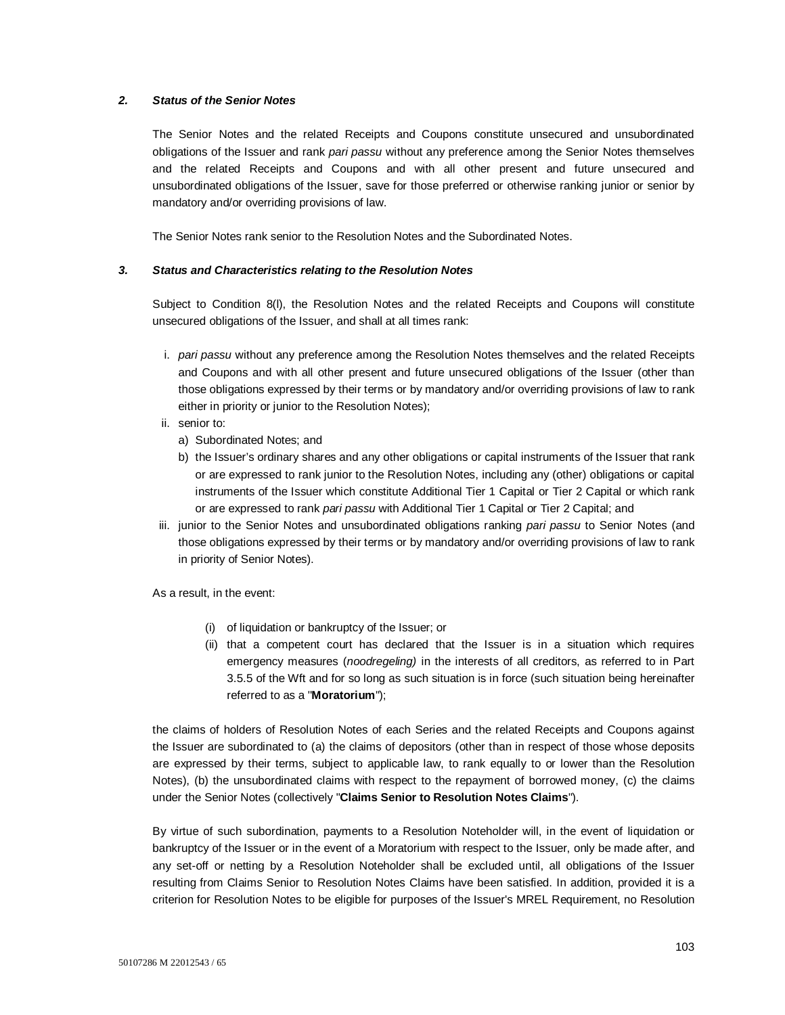## *2. Status of the Senior Notes*

The Senior Notes and the related Receipts and Coupons constitute unsecured and unsubordinated obligations of the Issuer and rank *pari passu* without any preference among the Senior Notes themselves and the related Receipts and Coupons and with all other present and future unsecured and unsubordinated obligations of the Issuer, save for those preferred or otherwise ranking junior or senior by mandatory and/or overriding provisions of law.

The Senior Notes rank senior to the Resolution Notes and the Subordinated Notes.

## *3. Status and Characteristics relating to the Resolution Notes*

Subject to Condition 8(l), the Resolution Notes and the related Receipts and Coupons will constitute unsecured obligations of the Issuer, and shall at all times rank:

- i. *pari passu* without any preference among the Resolution Notes themselves and the related Receipts and Coupons and with all other present and future unsecured obligations of the Issuer (other than those obligations expressed by their terms or by mandatory and/or overriding provisions of law to rank either in priority or junior to the Resolution Notes);
- ii. senior to:
	- a) Subordinated Notes; and
	- b) the Issuer's ordinary shares and any other obligations or capital instruments of the Issuer that rank or are expressed to rank junior to the Resolution Notes, including any (other) obligations or capital instruments of the Issuer which constitute Additional Tier 1 Capital or Tier 2 Capital or which rank or are expressed to rank *pari passu* with Additional Tier 1 Capital or Tier 2 Capital; and
- iii. junior to the Senior Notes and unsubordinated obligations ranking *pari passu* to Senior Notes (and those obligations expressed by their terms or by mandatory and/or overriding provisions of law to rank in priority of Senior Notes).

As a result, in the event:

- (i) of liquidation or bankruptcy of the Issuer; or
- (ii) that a competent court has declared that the Issuer is in a situation which requires emergency measures (*noodregeling)* in the interests of all creditors, as referred to in Part 3.5.5 of the Wft and for so long as such situation is in force (such situation being hereinafter referred to as a ''**Moratorium**'');

the claims of holders of Resolution Notes of each Series and the related Receipts and Coupons against the Issuer are subordinated to (a) the claims of depositors (other than in respect of those whose deposits are expressed by their terms, subject to applicable law, to rank equally to or lower than the Resolution Notes), (b) the unsubordinated claims with respect to the repayment of borrowed money, (c) the claims under the Senior Notes (collectively "**Claims Senior to Resolution Notes Claims**").

By virtue of such subordination, payments to a Resolution Noteholder will, in the event of liquidation or bankruptcy of the Issuer or in the event of a Moratorium with respect to the Issuer, only be made after, and any set-off or netting by a Resolution Noteholder shall be excluded until, all obligations of the Issuer resulting from Claims Senior to Resolution Notes Claims have been satisfied. In addition, provided it is a criterion for Resolution Notes to be eligible for purposes of the Issuer's MREL Requirement, no Resolution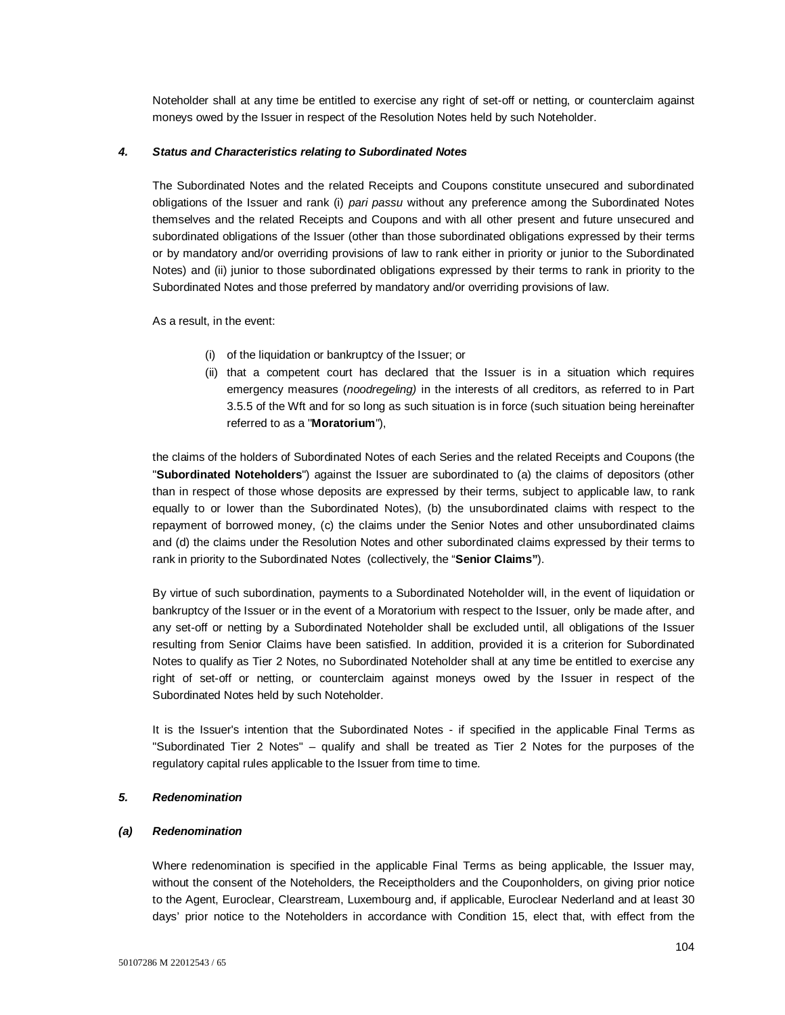Noteholder shall at any time be entitled to exercise any right of set-off or netting, or counterclaim against moneys owed by the Issuer in respect of the Resolution Notes held by such Noteholder.

#### *4. Status and Characteristics relating to Subordinated Notes*

The Subordinated Notes and the related Receipts and Coupons constitute unsecured and subordinated obligations of the Issuer and rank (i) *pari passu* without any preference among the Subordinated Notes themselves and the related Receipts and Coupons and with all other present and future unsecured and subordinated obligations of the Issuer (other than those subordinated obligations expressed by their terms or by mandatory and/or overriding provisions of law to rank either in priority or junior to the Subordinated Notes) and (ii) junior to those subordinated obligations expressed by their terms to rank in priority to the Subordinated Notes and those preferred by mandatory and/or overriding provisions of law.

As a result, in the event:

- (i) of the liquidation or bankruptcy of the Issuer; or
- (ii) that a competent court has declared that the Issuer is in a situation which requires emergency measures (*noodregeling)* in the interests of all creditors, as referred to in Part 3.5.5 of the Wft and for so long as such situation is in force (such situation being hereinafter referred to as a ''**Moratorium**''),

the claims of the holders of Subordinated Notes of each Series and the related Receipts and Coupons (the "**Subordinated Noteholders**") against the Issuer are subordinated to (a) the claims of depositors (other than in respect of those whose deposits are expressed by their terms, subject to applicable law, to rank equally to or lower than the Subordinated Notes), (b) the unsubordinated claims with respect to the repayment of borrowed money, (c) the claims under the Senior Notes and other unsubordinated claims and (d) the claims under the Resolution Notes and other subordinated claims expressed by their terms to rank in priority to the Subordinated Notes (collectively, the "**Senior Claims"**).

By virtue of such subordination, payments to a Subordinated Noteholder will, in the event of liquidation or bankruptcy of the Issuer or in the event of a Moratorium with respect to the Issuer, only be made after, and any set-off or netting by a Subordinated Noteholder shall be excluded until, all obligations of the Issuer resulting from Senior Claims have been satisfied. In addition, provided it is a criterion for Subordinated Notes to qualify as Tier 2 Notes, no Subordinated Noteholder shall at any time be entitled to exercise any right of set-off or netting, or counterclaim against moneys owed by the Issuer in respect of the Subordinated Notes held by such Noteholder.

It is the Issuer's intention that the Subordinated Notes - if specified in the applicable Final Terms as "Subordinated Tier 2 Notes" – qualify and shall be treated as Tier 2 Notes for the purposes of the regulatory capital rules applicable to the Issuer from time to time.

## *5. Redenomination*

#### *(a) Redenomination*

Where redenomination is specified in the applicable Final Terms as being applicable, the Issuer may, without the consent of the Noteholders, the Receiptholders and the Couponholders, on giving prior notice to the Agent, Euroclear, Clearstream, Luxembourg and, if applicable, Euroclear Nederland and at least 30 days' prior notice to the Noteholders in accordance with Condition 15, elect that, with effect from the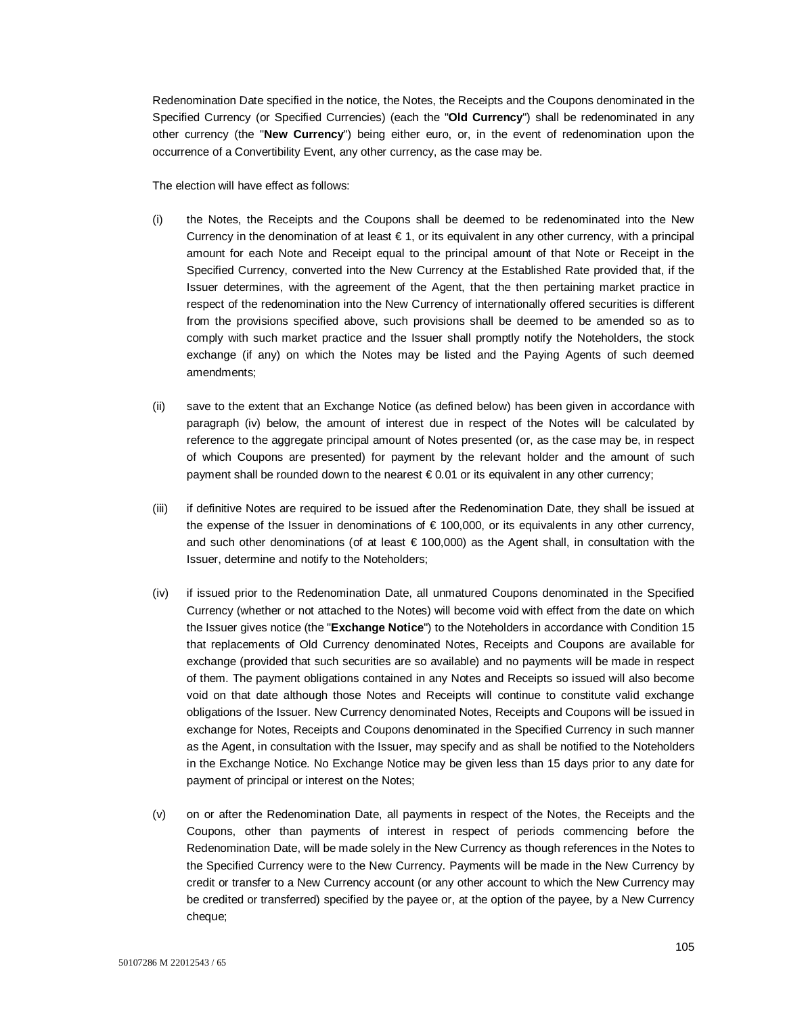Redenomination Date specified in the notice, the Notes, the Receipts and the Coupons denominated in the Specified Currency (or Specified Currencies) (each the "**Old Currency**") shall be redenominated in any other currency (the "**New Currency**") being either euro, or, in the event of redenomination upon the occurrence of a Convertibility Event, any other currency, as the case may be.

The election will have effect as follows:

- (i) the Notes, the Receipts and the Coupons shall be deemed to be redenominated into the New Currency in the denomination of at least  $\epsilon$  1, or its equivalent in any other currency, with a principal amount for each Note and Receipt equal to the principal amount of that Note or Receipt in the Specified Currency, converted into the New Currency at the Established Rate provided that, if the Issuer determines, with the agreement of the Agent, that the then pertaining market practice in respect of the redenomination into the New Currency of internationally offered securities is different from the provisions specified above, such provisions shall be deemed to be amended so as to comply with such market practice and the Issuer shall promptly notify the Noteholders, the stock exchange (if any) on which the Notes may be listed and the Paying Agents of such deemed amendments;
- (ii) save to the extent that an Exchange Notice (as defined below) has been given in accordance with paragraph (iv) below, the amount of interest due in respect of the Notes will be calculated by reference to the aggregate principal amount of Notes presented (or, as the case may be, in respect of which Coupons are presented) for payment by the relevant holder and the amount of such payment shall be rounded down to the nearest  $\epsilon$  0.01 or its equivalent in any other currency;
- (iii) if definitive Notes are required to be issued after the Redenomination Date, they shall be issued at the expense of the Issuer in denominations of € 100,000, or its equivalents in any other currency, and such other denominations (of at least € 100,000) as the Agent shall, in consultation with the Issuer, determine and notify to the Noteholders;
- (iv) if issued prior to the Redenomination Date, all unmatured Coupons denominated in the Specified Currency (whether or not attached to the Notes) will become void with effect from the date on which the Issuer gives notice (the "**Exchange Notice**") to the Noteholders in accordance with Condition 15 that replacements of Old Currency denominated Notes, Receipts and Coupons are available for exchange (provided that such securities are so available) and no payments will be made in respect of them. The payment obligations contained in any Notes and Receipts so issued will also become void on that date although those Notes and Receipts will continue to constitute valid exchange obligations of the Issuer. New Currency denominated Notes, Receipts and Coupons will be issued in exchange for Notes, Receipts and Coupons denominated in the Specified Currency in such manner as the Agent, in consultation with the Issuer, may specify and as shall be notified to the Noteholders in the Exchange Notice. No Exchange Notice may be given less than 15 days prior to any date for payment of principal or interest on the Notes;
- (v) on or after the Redenomination Date, all payments in respect of the Notes, the Receipts and the Coupons, other than payments of interest in respect of periods commencing before the Redenomination Date, will be made solely in the New Currency as though references in the Notes to the Specified Currency were to the New Currency. Payments will be made in the New Currency by credit or transfer to a New Currency account (or any other account to which the New Currency may be credited or transferred) specified by the payee or, at the option of the payee, by a New Currency cheque;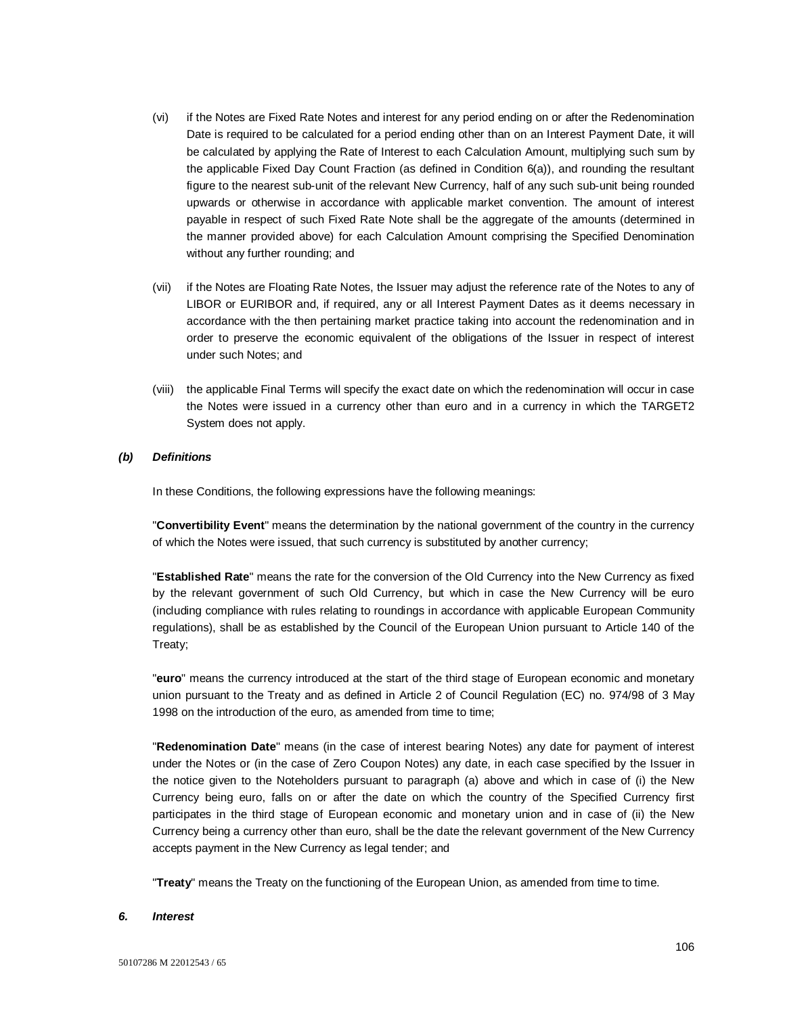- (vi) if the Notes are Fixed Rate Notes and interest for any period ending on or after the Redenomination Date is required to be calculated for a period ending other than on an Interest Payment Date, it will be calculated by applying the Rate of Interest to each Calculation Amount, multiplying such sum by the applicable Fixed Day Count Fraction (as defined in Condition 6(a)), and rounding the resultant figure to the nearest sub-unit of the relevant New Currency, half of any such sub-unit being rounded upwards or otherwise in accordance with applicable market convention. The amount of interest payable in respect of such Fixed Rate Note shall be the aggregate of the amounts (determined in the manner provided above) for each Calculation Amount comprising the Specified Denomination without any further rounding; and
- (vii) if the Notes are Floating Rate Notes, the Issuer may adjust the reference rate of the Notes to any of LIBOR or EURIBOR and, if required, any or all Interest Payment Dates as it deems necessary in accordance with the then pertaining market practice taking into account the redenomination and in order to preserve the economic equivalent of the obligations of the Issuer in respect of interest under such Notes; and
- (viii) the applicable Final Terms will specify the exact date on which the redenomination will occur in case the Notes were issued in a currency other than euro and in a currency in which the TARGET2 System does not apply.

## *(b) Definitions*

In these Conditions, the following expressions have the following meanings:

"**Convertibility Event**" means the determination by the national government of the country in the currency of which the Notes were issued, that such currency is substituted by another currency;

"**Established Rate**" means the rate for the conversion of the Old Currency into the New Currency as fixed by the relevant government of such Old Currency, but which in case the New Currency will be euro (including compliance with rules relating to roundings in accordance with applicable European Community regulations), shall be as established by the Council of the European Union pursuant to Article 140 of the Treaty;

"**euro**" means the currency introduced at the start of the third stage of European economic and monetary union pursuant to the Treaty and as defined in Article 2 of Council Regulation (EC) no. 974/98 of 3 May 1998 on the introduction of the euro, as amended from time to time;

"**Redenomination Date**" means (in the case of interest bearing Notes) any date for payment of interest under the Notes or (in the case of Zero Coupon Notes) any date, in each case specified by the Issuer in the notice given to the Noteholders pursuant to paragraph (a) above and which in case of (i) the New Currency being euro, falls on or after the date on which the country of the Specified Currency first participates in the third stage of European economic and monetary union and in case of (ii) the New Currency being a currency other than euro, shall be the date the relevant government of the New Currency accepts payment in the New Currency as legal tender; and

"**Treaty**" means the Treaty on the functioning of the European Union, as amended from time to time.

#### *6. Interest*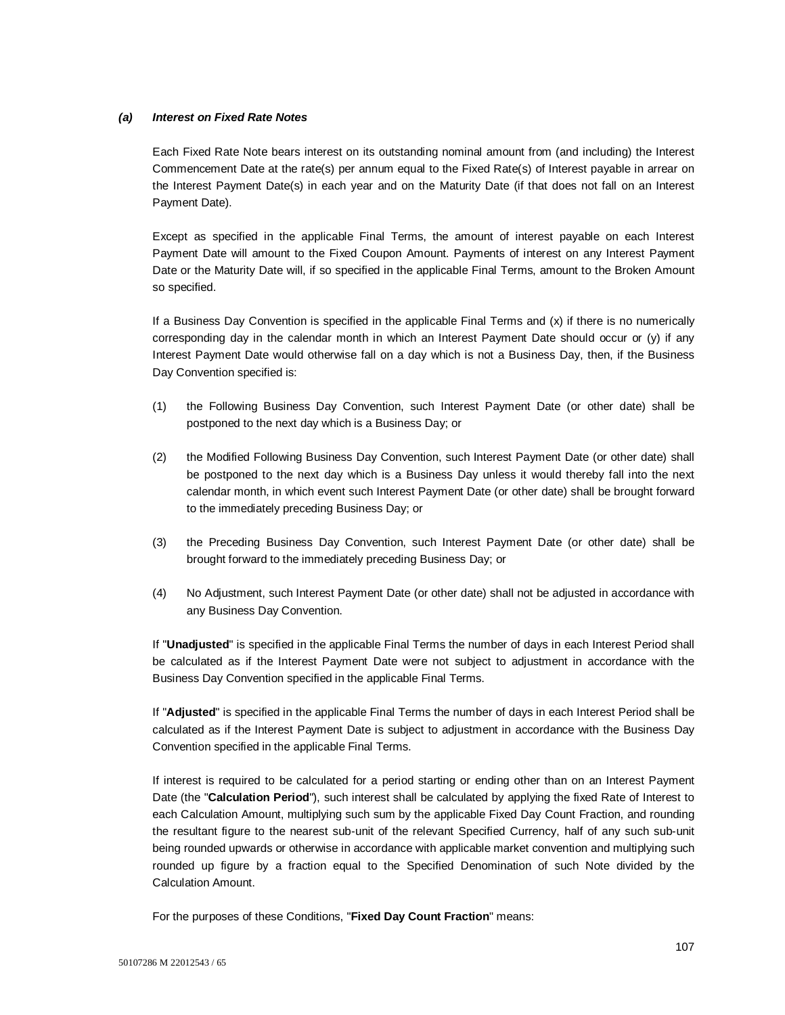## *(a) Interest on Fixed Rate Notes*

Each Fixed Rate Note bears interest on its outstanding nominal amount from (and including) the Interest Commencement Date at the rate(s) per annum equal to the Fixed Rate(s) of Interest payable in arrear on the Interest Payment Date(s) in each year and on the Maturity Date (if that does not fall on an Interest Payment Date).

Except as specified in the applicable Final Terms, the amount of interest payable on each Interest Payment Date will amount to the Fixed Coupon Amount. Payments of interest on any Interest Payment Date or the Maturity Date will, if so specified in the applicable Final Terms, amount to the Broken Amount so specified.

If a Business Day Convention is specified in the applicable Final Terms and (x) if there is no numerically corresponding day in the calendar month in which an Interest Payment Date should occur or (y) if any Interest Payment Date would otherwise fall on a day which is not a Business Day, then, if the Business Day Convention specified is:

- (1) the Following Business Day Convention, such Interest Payment Date (or other date) shall be postponed to the next day which is a Business Day; or
- (2) the Modified Following Business Day Convention, such Interest Payment Date (or other date) shall be postponed to the next day which is a Business Day unless it would thereby fall into the next calendar month, in which event such Interest Payment Date (or other date) shall be brought forward to the immediately preceding Business Day; or
- (3) the Preceding Business Day Convention, such Interest Payment Date (or other date) shall be brought forward to the immediately preceding Business Day; or
- (4) No Adjustment, such Interest Payment Date (or other date) shall not be adjusted in accordance with any Business Day Convention.

If "**Unadjusted**" is specified in the applicable Final Terms the number of days in each Interest Period shall be calculated as if the Interest Payment Date were not subject to adjustment in accordance with the Business Day Convention specified in the applicable Final Terms.

If "**Adjusted**" is specified in the applicable Final Terms the number of days in each Interest Period shall be calculated as if the Interest Payment Date is subject to adjustment in accordance with the Business Day Convention specified in the applicable Final Terms.

If interest is required to be calculated for a period starting or ending other than on an Interest Payment Date (the "**Calculation Period**"), such interest shall be calculated by applying the fixed Rate of Interest to each Calculation Amount, multiplying such sum by the applicable Fixed Day Count Fraction, and rounding the resultant figure to the nearest sub-unit of the relevant Specified Currency, half of any such sub-unit being rounded upwards or otherwise in accordance with applicable market convention and multiplying such rounded up figure by a fraction equal to the Specified Denomination of such Note divided by the Calculation Amount.

For the purposes of these Conditions, "**Fixed Day Count Fraction**" means: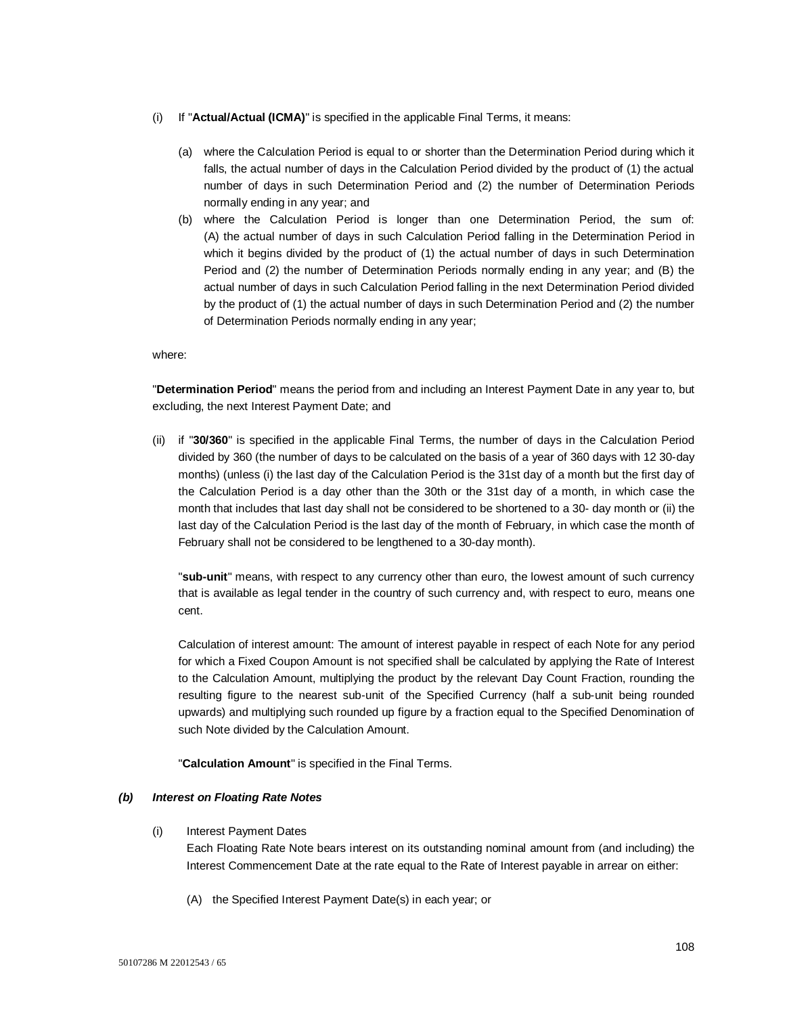- (i) If "**Actual/Actual (ICMA)**" is specified in the applicable Final Terms, it means:
	- (a) where the Calculation Period is equal to or shorter than the Determination Period during which it falls, the actual number of days in the Calculation Period divided by the product of (1) the actual number of days in such Determination Period and (2) the number of Determination Periods normally ending in any year; and
	- (b) where the Calculation Period is longer than one Determination Period, the sum of: (A) the actual number of days in such Calculation Period falling in the Determination Period in which it begins divided by the product of (1) the actual number of days in such Determination Period and (2) the number of Determination Periods normally ending in any year; and (B) the actual number of days in such Calculation Period falling in the next Determination Period divided by the product of (1) the actual number of days in such Determination Period and (2) the number of Determination Periods normally ending in any year;

where:

"**Determination Period**" means the period from and including an Interest Payment Date in any year to, but excluding, the next Interest Payment Date; and

(ii) if "**30/360**" is specified in the applicable Final Terms, the number of days in the Calculation Period divided by 360 (the number of days to be calculated on the basis of a year of 360 days with 12 30-day months) (unless (i) the last day of the Calculation Period is the 31st day of a month but the first day of the Calculation Period is a day other than the 30th or the 31st day of a month, in which case the month that includes that last day shall not be considered to be shortened to a 30- day month or (ii) the last day of the Calculation Period is the last day of the month of February, in which case the month of February shall not be considered to be lengthened to a 30-day month).

"**sub-unit**" means, with respect to any currency other than euro, the lowest amount of such currency that is available as legal tender in the country of such currency and, with respect to euro, means one cent.

Calculation of interest amount: The amount of interest payable in respect of each Note for any period for which a Fixed Coupon Amount is not specified shall be calculated by applying the Rate of Interest to the Calculation Amount, multiplying the product by the relevant Day Count Fraction, rounding the resulting figure to the nearest sub-unit of the Specified Currency (half a sub-unit being rounded upwards) and multiplying such rounded up figure by a fraction equal to the Specified Denomination of such Note divided by the Calculation Amount.

"**Calculation Amount**" is specified in the Final Terms.

## *(b) Interest on Floating Rate Notes*

(i) Interest Payment Dates

Each Floating Rate Note bears interest on its outstanding nominal amount from (and including) the Interest Commencement Date at the rate equal to the Rate of Interest payable in arrear on either:

(A) the Specified Interest Payment Date(s) in each year; or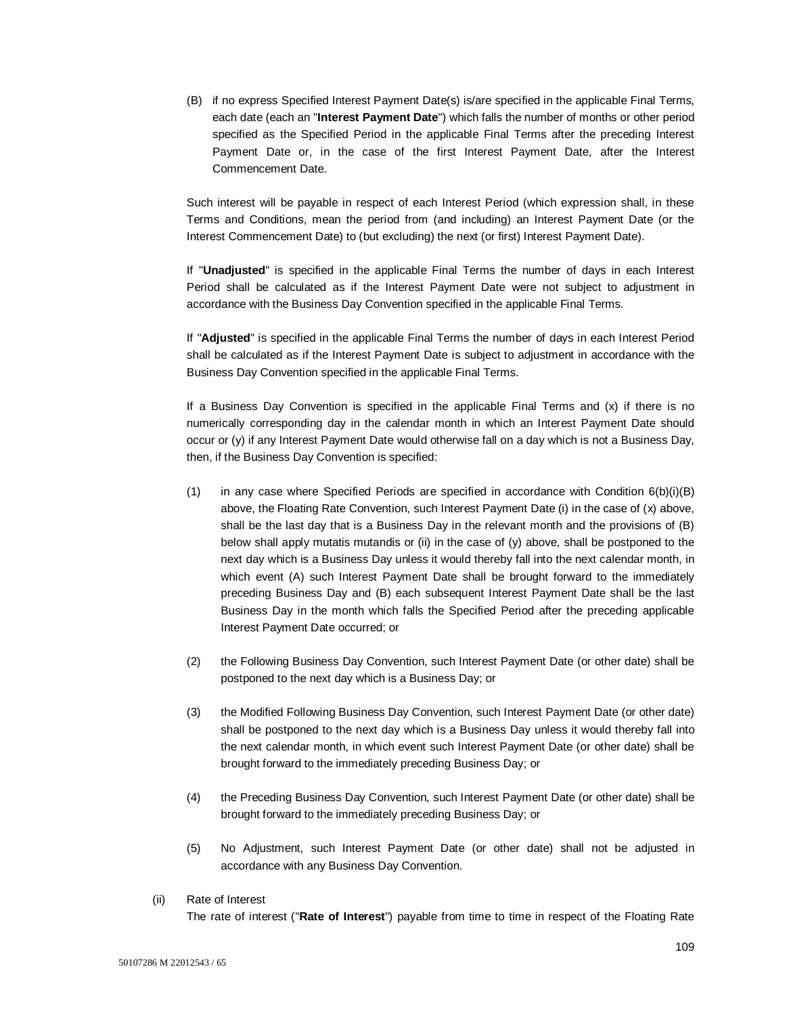(B) if no express Specified Interest Payment Date(s) is/are specified in the applicable Final Terms, each date (each an "**Interest Payment Date**") which falls the number of months or other period specified as the Specified Period in the applicable Final Terms after the preceding Interest Payment Date or, in the case of the first Interest Payment Date, after the Interest Commencement Date.

Such interest will be payable in respect of each Interest Period (which expression shall, in these Terms and Conditions, mean the period from (and including) an Interest Payment Date (or the Interest Commencement Date) to (but excluding) the next (or first) Interest Payment Date).

If "**Unadjusted**" is specified in the applicable Final Terms the number of days in each Interest Period shall be calculated as if the Interest Payment Date were not subject to adjustment in accordance with the Business Day Convention specified in the applicable Final Terms.

If "**Adjusted**" is specified in the applicable Final Terms the number of days in each Interest Period shall be calculated as if the Interest Payment Date is subject to adjustment in accordance with the Business Day Convention specified in the applicable Final Terms.

If a Business Day Convention is specified in the applicable Final Terms and (x) if there is no numerically corresponding day in the calendar month in which an Interest Payment Date should occur or (y) if any Interest Payment Date would otherwise fall on a day which is not a Business Day, then, if the Business Day Convention is specified:

- (1) in any case where Specified Periods are specified in accordance with Condition  $6(b)(i)(B)$ above, the Floating Rate Convention, such Interest Payment Date (i) in the case of (x) above, shall be the last day that is a Business Day in the relevant month and the provisions of (B) below shall apply mutatis mutandis or (ii) in the case of (y) above, shall be postponed to the next day which is a Business Day unless it would thereby fall into the next calendar month, in which event (A) such Interest Payment Date shall be brought forward to the immediately preceding Business Day and (B) each subsequent Interest Payment Date shall be the last Business Day in the month which falls the Specified Period after the preceding applicable Interest Payment Date occurred; or
- (2) the Following Business Day Convention, such Interest Payment Date (or other date) shall be postponed to the next day which is a Business Day; or
- (3) the Modified Following Business Day Convention, such Interest Payment Date (or other date) shall be postponed to the next day which is a Business Day unless it would thereby fall into the next calendar month, in which event such Interest Payment Date (or other date) shall be brought forward to the immediately preceding Business Day; or
- (4) the Preceding Business Day Convention, such Interest Payment Date (or other date) shall be brought forward to the immediately preceding Business Day; or
- (5) No Adjustment, such Interest Payment Date (or other date) shall not be adjusted in accordance with any Business Day Convention.
- (ii) Rate of Interest

The rate of interest ("**Rate of Interest**") payable from time to time in respect of the Floating Rate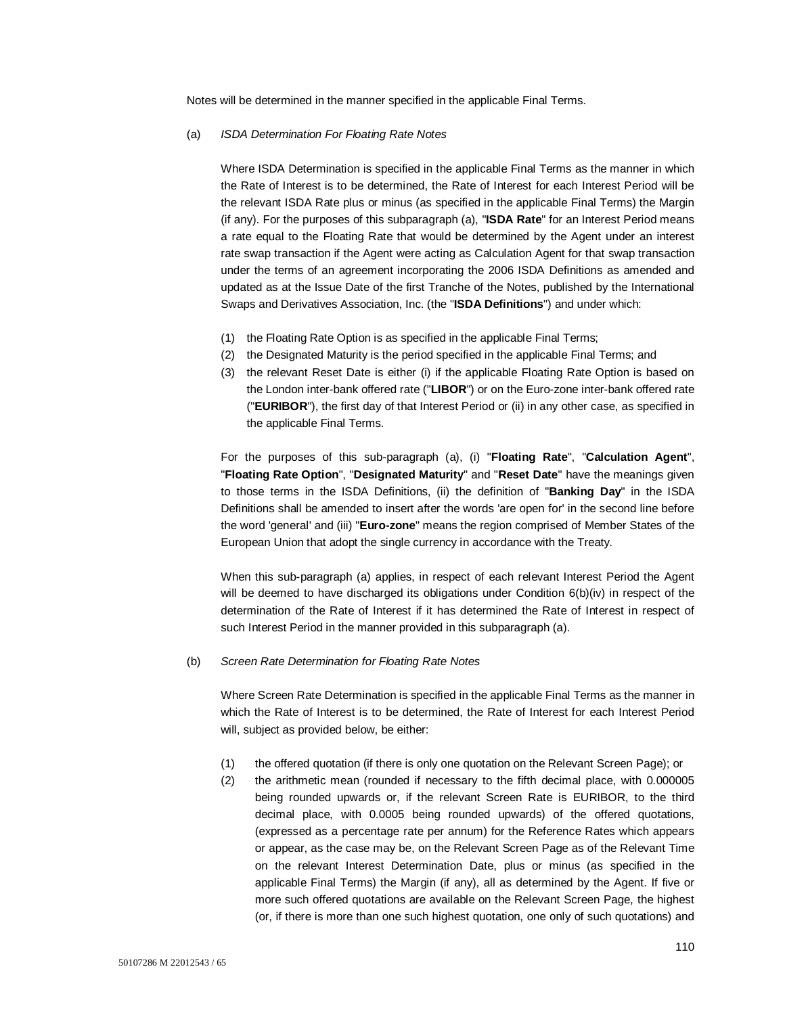Notes will be determined in the manner specified in the applicable Final Terms.

#### (a) *ISDA Determination For Floating Rate Notes*

Where ISDA Determination is specified in the applicable Final Terms as the manner in which the Rate of Interest is to be determined, the Rate of Interest for each Interest Period will be the relevant ISDA Rate plus or minus (as specified in the applicable Final Terms) the Margin (if any). For the purposes of this subparagraph (a), "**ISDA Rate**" for an Interest Period means a rate equal to the Floating Rate that would be determined by the Agent under an interest rate swap transaction if the Agent were acting as Calculation Agent for that swap transaction under the terms of an agreement incorporating the 2006 ISDA Definitions as amended and updated as at the Issue Date of the first Tranche of the Notes, published by the International Swaps and Derivatives Association, Inc. (the "**ISDA Definitions**") and under which:

- (1) the Floating Rate Option is as specified in the applicable Final Terms;
- (2) the Designated Maturity is the period specified in the applicable Final Terms; and
- (3) the relevant Reset Date is either (i) if the applicable Floating Rate Option is based on the London inter-bank offered rate ("**LIBOR**") or on the Euro-zone inter-bank offered rate ("**EURIBOR**"), the first day of that Interest Period or (ii) in any other case, as specified in the applicable Final Terms.

For the purposes of this sub-paragraph (a), (i) "**Floating Rate**", "**Calculation Agent**", "**Floating Rate Option**", "**Designated Maturity**" and "**Reset Date**" have the meanings given to those terms in the ISDA Definitions, (ii) the definition of "**Banking Day**" in the ISDA Definitions shall be amended to insert after the words 'are open for' in the second line before the word 'general' and (iii) "**Euro-zone**" means the region comprised of Member States of the European Union that adopt the single currency in accordance with the Treaty.

When this sub-paragraph (a) applies, in respect of each relevant Interest Period the Agent will be deemed to have discharged its obligations under Condition 6(b)(iv) in respect of the determination of the Rate of Interest if it has determined the Rate of Interest in respect of such Interest Period in the manner provided in this subparagraph (a).

#### (b) *Screen Rate Determination for Floating Rate Notes*

Where Screen Rate Determination is specified in the applicable Final Terms as the manner in which the Rate of Interest is to be determined, the Rate of Interest for each Interest Period will, subject as provided below, be either:

- (1) the offered quotation (if there is only one quotation on the Relevant Screen Page); or
- (2) the arithmetic mean (rounded if necessary to the fifth decimal place, with 0.000005 being rounded upwards or, if the relevant Screen Rate is EURIBOR, to the third decimal place, with 0.0005 being rounded upwards) of the offered quotations, (expressed as a percentage rate per annum) for the Reference Rates which appears or appear, as the case may be, on the Relevant Screen Page as of the Relevant Time on the relevant Interest Determination Date, plus or minus (as specified in the applicable Final Terms) the Margin (if any), all as determined by the Agent. If five or more such offered quotations are available on the Relevant Screen Page, the highest (or, if there is more than one such highest quotation, one only of such quotations) and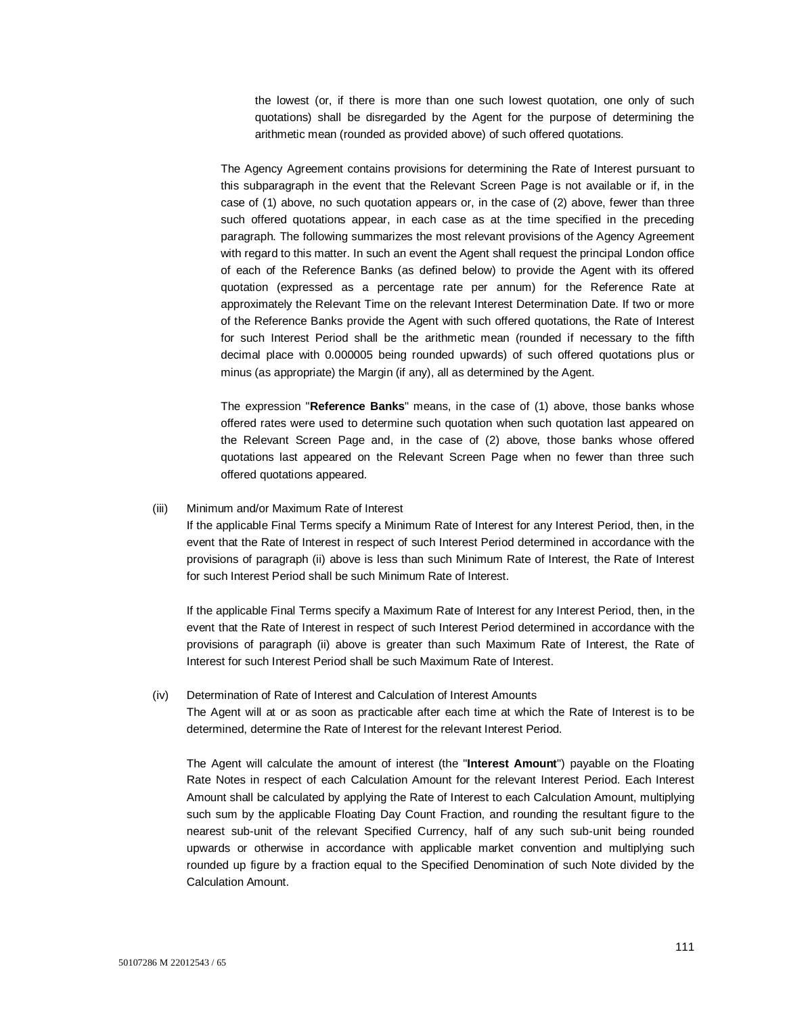the lowest (or, if there is more than one such lowest quotation, one only of such quotations) shall be disregarded by the Agent for the purpose of determining the arithmetic mean (rounded as provided above) of such offered quotations.

The Agency Agreement contains provisions for determining the Rate of Interest pursuant to this subparagraph in the event that the Relevant Screen Page is not available or if, in the case of (1) above, no such quotation appears or, in the case of (2) above, fewer than three such offered quotations appear, in each case as at the time specified in the preceding paragraph. The following summarizes the most relevant provisions of the Agency Agreement with regard to this matter. In such an event the Agent shall request the principal London office of each of the Reference Banks (as defined below) to provide the Agent with its offered quotation (expressed as a percentage rate per annum) for the Reference Rate at approximately the Relevant Time on the relevant Interest Determination Date. If two or more of the Reference Banks provide the Agent with such offered quotations, the Rate of Interest for such Interest Period shall be the arithmetic mean (rounded if necessary to the fifth decimal place with 0.000005 being rounded upwards) of such offered quotations plus or minus (as appropriate) the Margin (if any), all as determined by the Agent.

The expression "**Reference Banks**" means, in the case of (1) above, those banks whose offered rates were used to determine such quotation when such quotation last appeared on the Relevant Screen Page and, in the case of (2) above, those banks whose offered quotations last appeared on the Relevant Screen Page when no fewer than three such offered quotations appeared.

#### (iii) Minimum and/or Maximum Rate of Interest

If the applicable Final Terms specify a Minimum Rate of Interest for any Interest Period, then, in the event that the Rate of Interest in respect of such Interest Period determined in accordance with the provisions of paragraph (ii) above is less than such Minimum Rate of Interest, the Rate of Interest for such Interest Period shall be such Minimum Rate of Interest.

If the applicable Final Terms specify a Maximum Rate of Interest for any Interest Period, then, in the event that the Rate of Interest in respect of such Interest Period determined in accordance with the provisions of paragraph (ii) above is greater than such Maximum Rate of Interest, the Rate of Interest for such Interest Period shall be such Maximum Rate of Interest.

#### (iv) Determination of Rate of Interest and Calculation of Interest Amounts

The Agent will at or as soon as practicable after each time at which the Rate of Interest is to be determined, determine the Rate of Interest for the relevant Interest Period.

The Agent will calculate the amount of interest (the "**Interest Amount**") payable on the Floating Rate Notes in respect of each Calculation Amount for the relevant Interest Period. Each Interest Amount shall be calculated by applying the Rate of Interest to each Calculation Amount, multiplying such sum by the applicable Floating Day Count Fraction, and rounding the resultant figure to the nearest sub-unit of the relevant Specified Currency, half of any such sub-unit being rounded upwards or otherwise in accordance with applicable market convention and multiplying such rounded up figure by a fraction equal to the Specified Denomination of such Note divided by the Calculation Amount.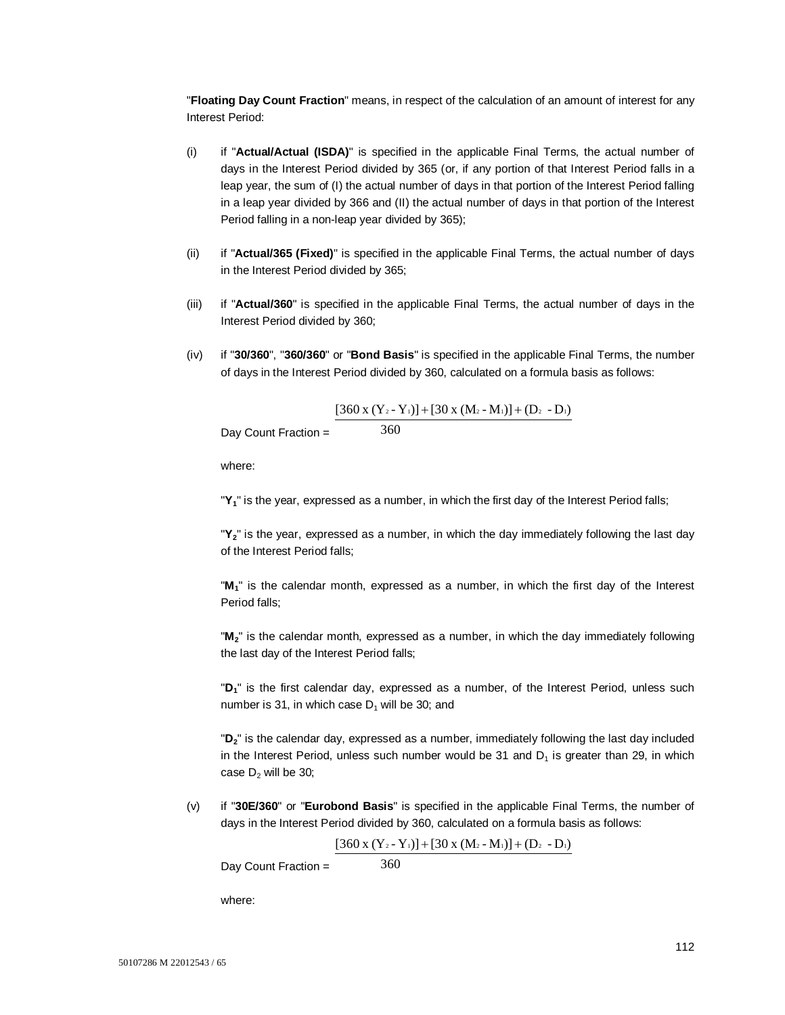"**Floating Day Count Fraction**" means, in respect of the calculation of an amount of interest for any Interest Period:

- (i) if "**Actual/Actual (ISDA)**" is specified in the applicable Final Terms, the actual number of days in the Interest Period divided by 365 (or, if any portion of that Interest Period falls in a leap year, the sum of (I) the actual number of days in that portion of the Interest Period falling in a leap year divided by 366 and (II) the actual number of days in that portion of the Interest Period falling in a non-leap year divided by 365);
- (ii) if "**Actual/365 (Fixed)**" is specified in the applicable Final Terms, the actual number of days in the Interest Period divided by 365;
- (iii) if "**Actual/360**" is specified in the applicable Final Terms, the actual number of days in the Interest Period divided by 360;
- (iv) if "**30/360**", "**360/360**" or "**Bond Basis**" is specified in the applicable Final Terms, the number of days in the Interest Period divided by 360, calculated on a formula basis as follows:

$$
\frac{[360 \times (Y_2 - Y_1)] + [30 \times (M_2 - M_1)] + (D_2 - D_1)}{360}
$$

Day Count Fraction =

where:

"**Y1**" is the year, expressed as a number, in which the first day of the Interest Period falls;

"**Y2**" is the year, expressed as a number, in which the day immediately following the last day of the Interest Period falls;

"**M1**" is the calendar month, expressed as a number, in which the first day of the Interest Period falls;

"**M2**" is the calendar month, expressed as a number, in which the day immediately following the last day of the Interest Period falls;

"**D1**" is the first calendar day, expressed as a number, of the Interest Period, unless such number is 31, in which case  $D_1$  will be 30; and

"**D2**" is the calendar day, expressed as a number, immediately following the last day included in the Interest Period, unless such number would be 31 and  $D_1$  is greater than 29, in which case  $D_2$  will be 30;

(v) if "**30E/360**" or "**Eurobond Basis**" is specified in the applicable Final Terms, the number of days in the Interest Period divided by 360, calculated on a formula basis as follows:

360

$$
[360 x (Y_2 - Y_1)] + [30 x (M_2 - M_1)] + (D_2 - D_1)
$$

Day Count Fraction =

where: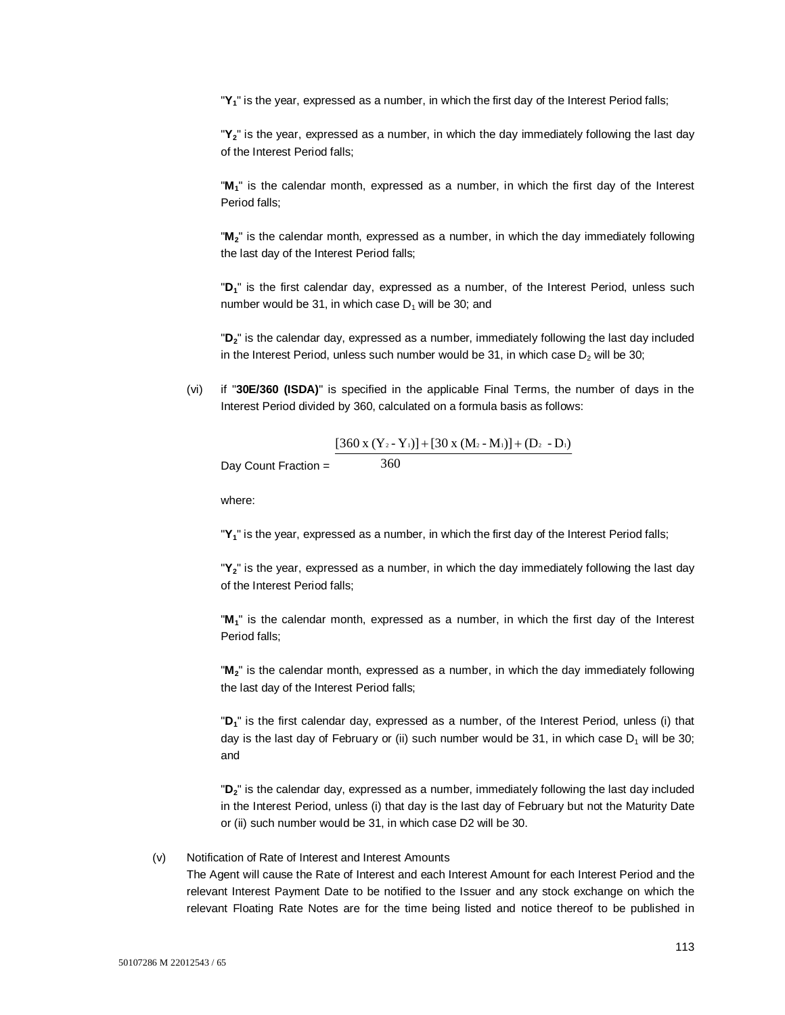"**Y1**" is the year, expressed as a number, in which the first day of the Interest Period falls;

"**Y2**" is the year, expressed as a number, in which the day immediately following the last day of the Interest Period falls;

"**M1**" is the calendar month, expressed as a number, in which the first day of the Interest Period falls;

"**M2**" is the calendar month, expressed as a number, in which the day immediately following the last day of the Interest Period falls;

"**D1**" is the first calendar day, expressed as a number, of the Interest Period, unless such number would be 31, in which case  $D_1$  will be 30; and

"**D2**" is the calendar day, expressed as a number, immediately following the last day included in the Interest Period, unless such number would be 31, in which case  $D_2$  will be 30;

(vi) if "**30E/360 (ISDA)**" is specified in the applicable Final Terms, the number of days in the Interest Period divided by 360, calculated on a formula basis as follows:

360

$$
[360 x (Y_2 - Y_1)] + [30 x (M_2 - M_1)] + (D_2 - D_1)
$$

Day Count Fraction =

where:

"**Y1**" is the year, expressed as a number, in which the first day of the Interest Period falls;

"**Y2**" is the year, expressed as a number, in which the day immediately following the last day of the Interest Period falls;

"**M1**" is the calendar month, expressed as a number, in which the first day of the Interest Period falls;

"**M2**" is the calendar month, expressed as a number, in which the day immediately following the last day of the Interest Period falls;

"**D1**" is the first calendar day, expressed as a number, of the Interest Period, unless (i) that day is the last day of February or (ii) such number would be 31, in which case  $D_1$  will be 30; and

"**D2**" is the calendar day, expressed as a number, immediately following the last day included in the Interest Period, unless (i) that day is the last day of February but not the Maturity Date or (ii) such number would be 31, in which case D2 will be 30.

## (v) Notification of Rate of Interest and Interest Amounts

The Agent will cause the Rate of Interest and each Interest Amount for each Interest Period and the relevant Interest Payment Date to be notified to the Issuer and any stock exchange on which the relevant Floating Rate Notes are for the time being listed and notice thereof to be published in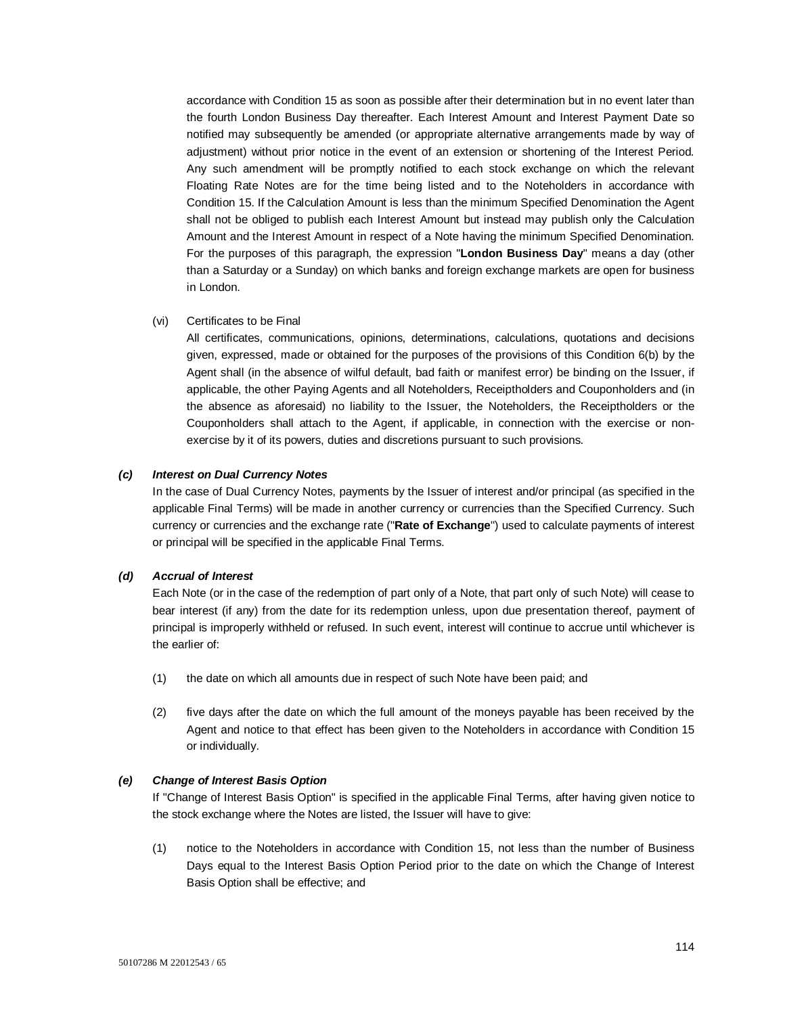accordance with Condition 15 as soon as possible after their determination but in no event later than the fourth London Business Day thereafter. Each Interest Amount and Interest Payment Date so notified may subsequently be amended (or appropriate alternative arrangements made by way of adjustment) without prior notice in the event of an extension or shortening of the Interest Period. Any such amendment will be promptly notified to each stock exchange on which the relevant Floating Rate Notes are for the time being listed and to the Noteholders in accordance with Condition 15. If the Calculation Amount is less than the minimum Specified Denomination the Agent shall not be obliged to publish each Interest Amount but instead may publish only the Calculation Amount and the Interest Amount in respect of a Note having the minimum Specified Denomination. For the purposes of this paragraph, the expression "**London Business Day**" means a day (other than a Saturday or a Sunday) on which banks and foreign exchange markets are open for business in London.

(vi) Certificates to be Final

All certificates, communications, opinions, determinations, calculations, quotations and decisions given, expressed, made or obtained for the purposes of the provisions of this Condition 6(b) by the Agent shall (in the absence of wilful default, bad faith or manifest error) be binding on the Issuer, if applicable, the other Paying Agents and all Noteholders, Receiptholders and Couponholders and (in the absence as aforesaid) no liability to the Issuer, the Noteholders, the Receiptholders or the Couponholders shall attach to the Agent, if applicable, in connection with the exercise or nonexercise by it of its powers, duties and discretions pursuant to such provisions.

## *(c) Interest on Dual Currency Notes*

In the case of Dual Currency Notes, payments by the Issuer of interest and/or principal (as specified in the applicable Final Terms) will be made in another currency or currencies than the Specified Currency. Such currency or currencies and the exchange rate ("**Rate of Exchange**") used to calculate payments of interest or principal will be specified in the applicable Final Terms.

## *(d) Accrual of Interest*

Each Note (or in the case of the redemption of part only of a Note, that part only of such Note) will cease to bear interest (if any) from the date for its redemption unless, upon due presentation thereof, payment of principal is improperly withheld or refused. In such event, interest will continue to accrue until whichever is the earlier of:

- (1) the date on which all amounts due in respect of such Note have been paid; and
- (2) five days after the date on which the full amount of the moneys payable has been received by the Agent and notice to that effect has been given to the Noteholders in accordance with Condition 15 or individually.

## *(e) Change of Interest Basis Option*

If "Change of Interest Basis Option" is specified in the applicable Final Terms, after having given notice to the stock exchange where the Notes are listed, the Issuer will have to give:

(1) notice to the Noteholders in accordance with Condition 15, not less than the number of Business Days equal to the Interest Basis Option Period prior to the date on which the Change of Interest Basis Option shall be effective; and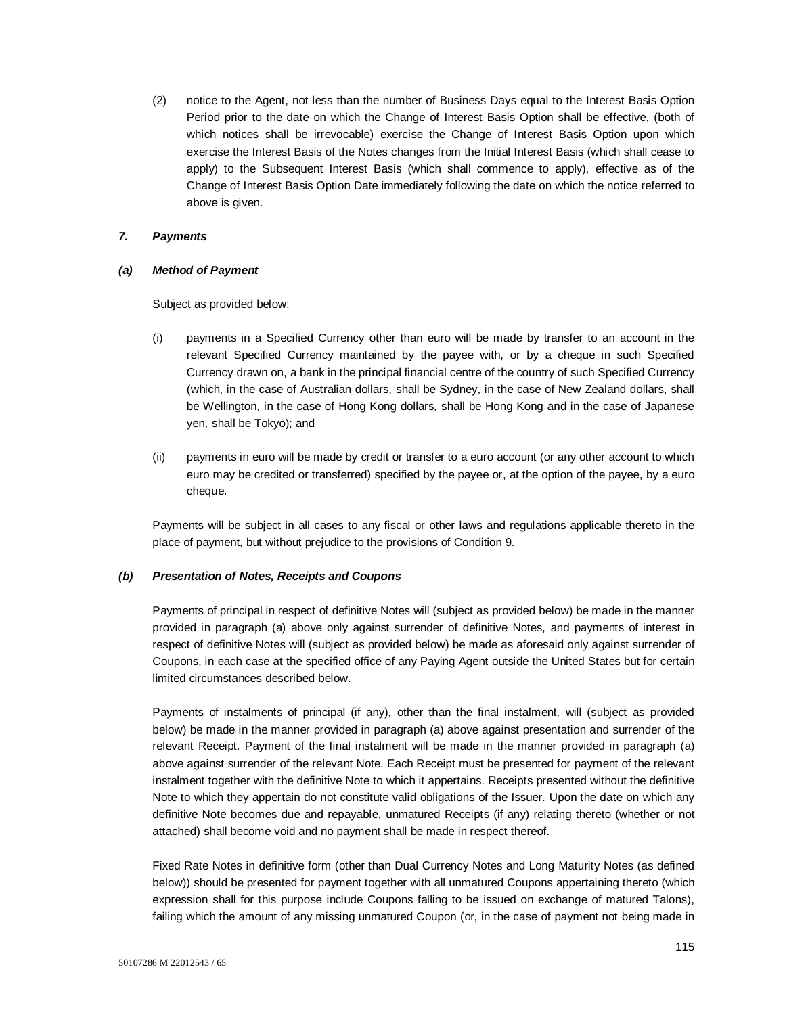(2) notice to the Agent, not less than the number of Business Days equal to the Interest Basis Option Period prior to the date on which the Change of Interest Basis Option shall be effective, (both of which notices shall be irrevocable) exercise the Change of Interest Basis Option upon which exercise the Interest Basis of the Notes changes from the Initial Interest Basis (which shall cease to apply) to the Subsequent Interest Basis (which shall commence to apply), effective as of the Change of Interest Basis Option Date immediately following the date on which the notice referred to above is given.

## *7. Payments*

## *(a) Method of Payment*

Subject as provided below:

- (i) payments in a Specified Currency other than euro will be made by transfer to an account in the relevant Specified Currency maintained by the payee with, or by a cheque in such Specified Currency drawn on, a bank in the principal financial centre of the country of such Specified Currency (which, in the case of Australian dollars, shall be Sydney, in the case of New Zealand dollars, shall be Wellington, in the case of Hong Kong dollars, shall be Hong Kong and in the case of Japanese yen, shall be Tokyo); and
- (ii) payments in euro will be made by credit or transfer to a euro account (or any other account to which euro may be credited or transferred) specified by the payee or, at the option of the payee, by a euro cheque.

Payments will be subject in all cases to any fiscal or other laws and regulations applicable thereto in the place of payment, but without prejudice to the provisions of Condition 9.

## *(b) Presentation of Notes, Receipts and Coupons*

Payments of principal in respect of definitive Notes will (subject as provided below) be made in the manner provided in paragraph (a) above only against surrender of definitive Notes, and payments of interest in respect of definitive Notes will (subject as provided below) be made as aforesaid only against surrender of Coupons, in each case at the specified office of any Paying Agent outside the United States but for certain limited circumstances described below.

Payments of instalments of principal (if any), other than the final instalment, will (subject as provided below) be made in the manner provided in paragraph (a) above against presentation and surrender of the relevant Receipt. Payment of the final instalment will be made in the manner provided in paragraph (a) above against surrender of the relevant Note. Each Receipt must be presented for payment of the relevant instalment together with the definitive Note to which it appertains. Receipts presented without the definitive Note to which they appertain do not constitute valid obligations of the Issuer. Upon the date on which any definitive Note becomes due and repayable, unmatured Receipts (if any) relating thereto (whether or not attached) shall become void and no payment shall be made in respect thereof.

Fixed Rate Notes in definitive form (other than Dual Currency Notes and Long Maturity Notes (as defined below)) should be presented for payment together with all unmatured Coupons appertaining thereto (which expression shall for this purpose include Coupons falling to be issued on exchange of matured Talons), failing which the amount of any missing unmatured Coupon (or, in the case of payment not being made in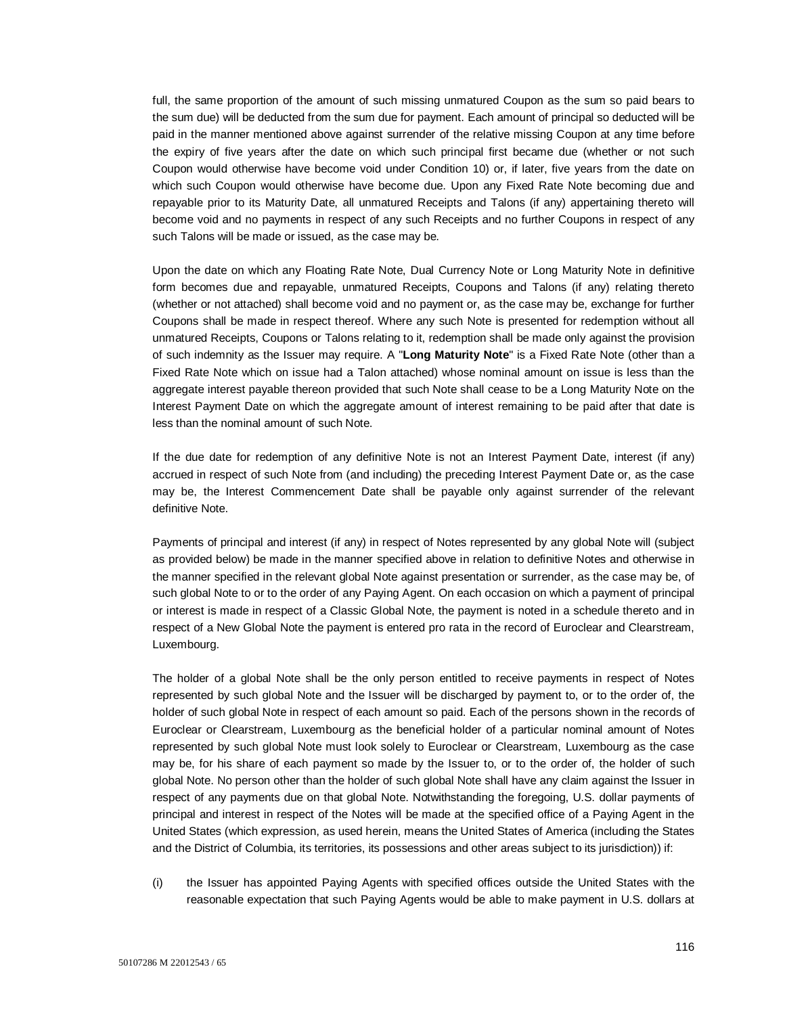full, the same proportion of the amount of such missing unmatured Coupon as the sum so paid bears to the sum due) will be deducted from the sum due for payment. Each amount of principal so deducted will be paid in the manner mentioned above against surrender of the relative missing Coupon at any time before the expiry of five years after the date on which such principal first became due (whether or not such Coupon would otherwise have become void under Condition 10) or, if later, five years from the date on which such Coupon would otherwise have become due. Upon any Fixed Rate Note becoming due and repayable prior to its Maturity Date, all unmatured Receipts and Talons (if any) appertaining thereto will become void and no payments in respect of any such Receipts and no further Coupons in respect of any such Talons will be made or issued, as the case may be.

Upon the date on which any Floating Rate Note, Dual Currency Note or Long Maturity Note in definitive form becomes due and repayable, unmatured Receipts, Coupons and Talons (if any) relating thereto (whether or not attached) shall become void and no payment or, as the case may be, exchange for further Coupons shall be made in respect thereof. Where any such Note is presented for redemption without all unmatured Receipts, Coupons or Talons relating to it, redemption shall be made only against the provision of such indemnity as the Issuer may require. A "**Long Maturity Note**" is a Fixed Rate Note (other than a Fixed Rate Note which on issue had a Talon attached) whose nominal amount on issue is less than the aggregate interest payable thereon provided that such Note shall cease to be a Long Maturity Note on the Interest Payment Date on which the aggregate amount of interest remaining to be paid after that date is less than the nominal amount of such Note.

If the due date for redemption of any definitive Note is not an Interest Payment Date, interest (if any) accrued in respect of such Note from (and including) the preceding Interest Payment Date or, as the case may be, the Interest Commencement Date shall be payable only against surrender of the relevant definitive Note.

Payments of principal and interest (if any) in respect of Notes represented by any global Note will (subject as provided below) be made in the manner specified above in relation to definitive Notes and otherwise in the manner specified in the relevant global Note against presentation or surrender, as the case may be, of such global Note to or to the order of any Paying Agent. On each occasion on which a payment of principal or interest is made in respect of a Classic Global Note, the payment is noted in a schedule thereto and in respect of a New Global Note the payment is entered pro rata in the record of Euroclear and Clearstream, Luxembourg.

The holder of a global Note shall be the only person entitled to receive payments in respect of Notes represented by such global Note and the Issuer will be discharged by payment to, or to the order of, the holder of such global Note in respect of each amount so paid. Each of the persons shown in the records of Euroclear or Clearstream, Luxembourg as the beneficial holder of a particular nominal amount of Notes represented by such global Note must look solely to Euroclear or Clearstream, Luxembourg as the case may be, for his share of each payment so made by the Issuer to, or to the order of, the holder of such global Note. No person other than the holder of such global Note shall have any claim against the Issuer in respect of any payments due on that global Note. Notwithstanding the foregoing, U.S. dollar payments of principal and interest in respect of the Notes will be made at the specified office of a Paying Agent in the United States (which expression, as used herein, means the United States of America (including the States and the District of Columbia, its territories, its possessions and other areas subject to its jurisdiction)) if:

(i) the Issuer has appointed Paying Agents with specified offices outside the United States with the reasonable expectation that such Paying Agents would be able to make payment in U.S. dollars at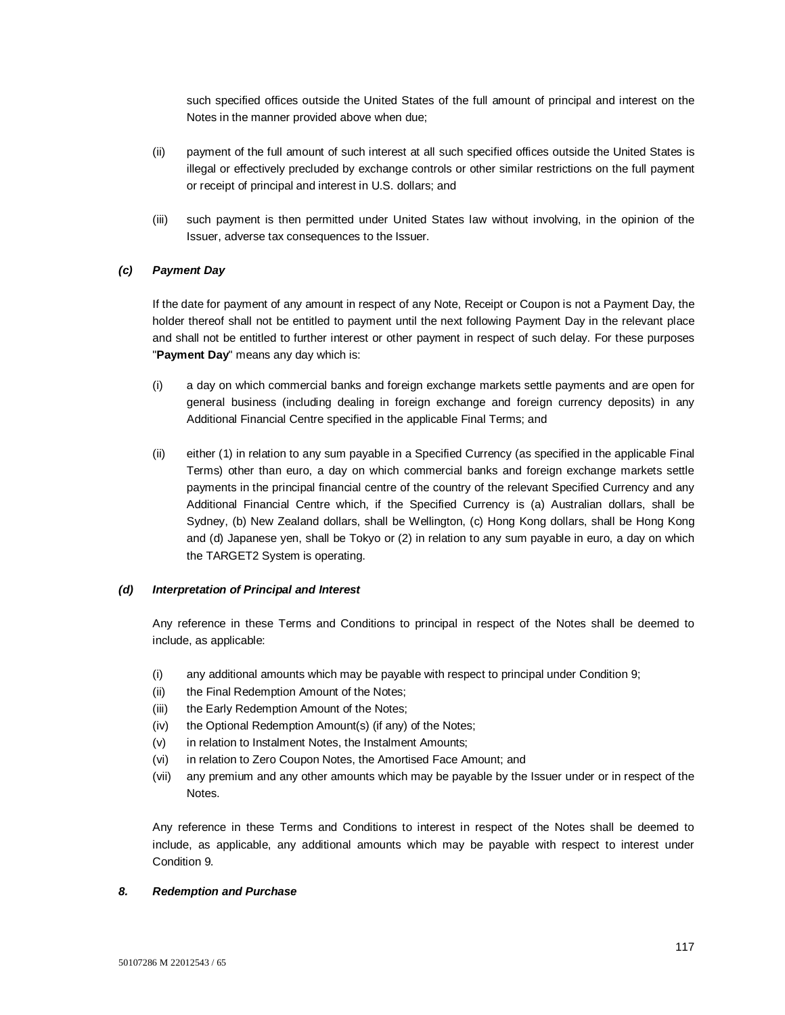such specified offices outside the United States of the full amount of principal and interest on the Notes in the manner provided above when due;

- (ii) payment of the full amount of such interest at all such specified offices outside the United States is illegal or effectively precluded by exchange controls or other similar restrictions on the full payment or receipt of principal and interest in U.S. dollars; and
- (iii) such payment is then permitted under United States law without involving, in the opinion of the Issuer, adverse tax consequences to the Issuer.

## *(c) Payment Day*

If the date for payment of any amount in respect of any Note, Receipt or Coupon is not a Payment Day, the holder thereof shall not be entitled to payment until the next following Payment Day in the relevant place and shall not be entitled to further interest or other payment in respect of such delay. For these purposes "**Payment Day**" means any day which is:

- (i) a day on which commercial banks and foreign exchange markets settle payments and are open for general business (including dealing in foreign exchange and foreign currency deposits) in any Additional Financial Centre specified in the applicable Final Terms; and
- (ii) either (1) in relation to any sum payable in a Specified Currency (as specified in the applicable Final Terms) other than euro, a day on which commercial banks and foreign exchange markets settle payments in the principal financial centre of the country of the relevant Specified Currency and any Additional Financial Centre which, if the Specified Currency is (a) Australian dollars, shall be Sydney, (b) New Zealand dollars, shall be Wellington, (c) Hong Kong dollars, shall be Hong Kong and (d) Japanese yen, shall be Tokyo or (2) in relation to any sum payable in euro, a day on which the TARGET2 System is operating.

## *(d) Interpretation of Principal and Interest*

Any reference in these Terms and Conditions to principal in respect of the Notes shall be deemed to include, as applicable:

- (i) any additional amounts which may be payable with respect to principal under Condition 9;
- (ii) the Final Redemption Amount of the Notes;
- (iii) the Early Redemption Amount of the Notes;
- (iv) the Optional Redemption Amount(s) (if any) of the Notes;
- (v) in relation to Instalment Notes, the Instalment Amounts;
- (vi) in relation to Zero Coupon Notes, the Amortised Face Amount; and
- (vii) any premium and any other amounts which may be payable by the Issuer under or in respect of the Notes.

Any reference in these Terms and Conditions to interest in respect of the Notes shall be deemed to include, as applicable, any additional amounts which may be payable with respect to interest under Condition 9.

## *8. Redemption and Purchase*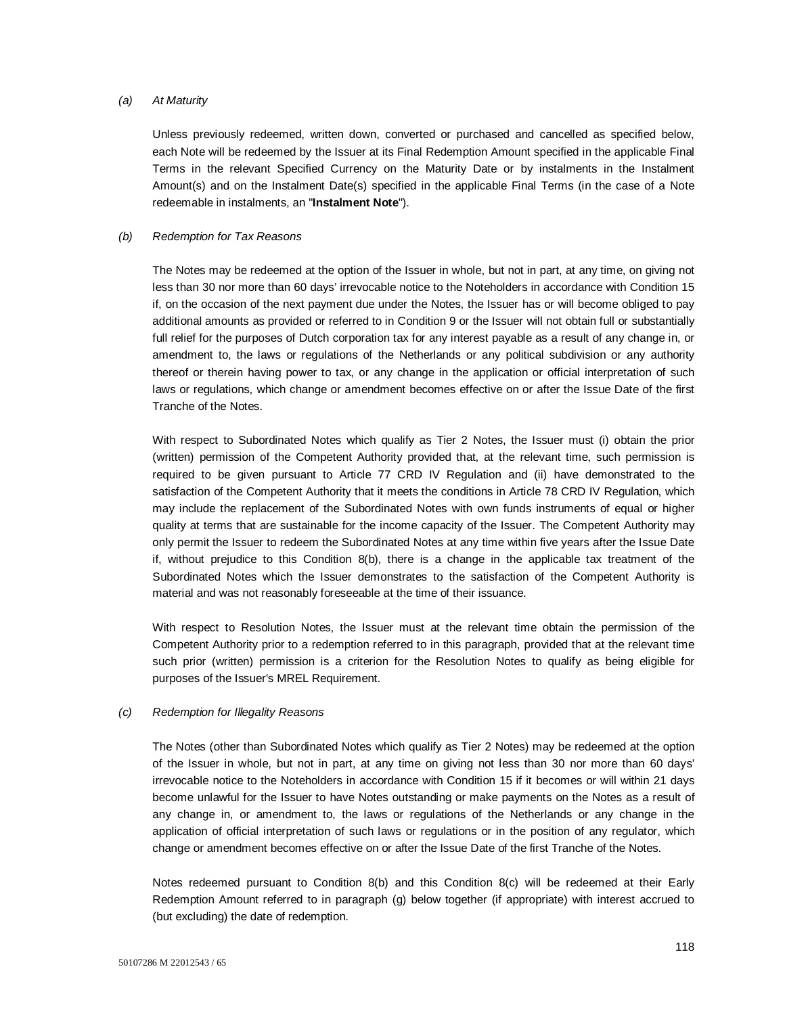#### *(a) At Maturity*

Unless previously redeemed, written down, converted or purchased and cancelled as specified below, each Note will be redeemed by the Issuer at its Final Redemption Amount specified in the applicable Final Terms in the relevant Specified Currency on the Maturity Date or by instalments in the Instalment Amount(s) and on the Instalment Date(s) specified in the applicable Final Terms (in the case of a Note redeemable in instalments, an "**Instalment Note**").

## *(b) Redemption for Tax Reasons*

The Notes may be redeemed at the option of the Issuer in whole, but not in part, at any time, on giving not less than 30 nor more than 60 days' irrevocable notice to the Noteholders in accordance with Condition 15 if, on the occasion of the next payment due under the Notes, the Issuer has or will become obliged to pay additional amounts as provided or referred to in Condition 9 or the Issuer will not obtain full or substantially full relief for the purposes of Dutch corporation tax for any interest payable as a result of any change in, or amendment to, the laws or regulations of the Netherlands or any political subdivision or any authority thereof or therein having power to tax, or any change in the application or official interpretation of such laws or regulations, which change or amendment becomes effective on or after the Issue Date of the first Tranche of the Notes.

With respect to Subordinated Notes which qualify as Tier 2 Notes, the Issuer must (i) obtain the prior (written) permission of the Competent Authority provided that, at the relevant time, such permission is required to be given pursuant to Article 77 CRD IV Regulation and (ii) have demonstrated to the satisfaction of the Competent Authority that it meets the conditions in Article 78 CRD IV Regulation, which may include the replacement of the Subordinated Notes with own funds instruments of equal or higher quality at terms that are sustainable for the income capacity of the Issuer. The Competent Authority may only permit the Issuer to redeem the Subordinated Notes at any time within five years after the Issue Date if, without prejudice to this Condition 8(b), there is a change in the applicable tax treatment of the Subordinated Notes which the Issuer demonstrates to the satisfaction of the Competent Authority is material and was not reasonably foreseeable at the time of their issuance.

With respect to Resolution Notes, the Issuer must at the relevant time obtain the permission of the Competent Authority prior to a redemption referred to in this paragraph, provided that at the relevant time such prior (written) permission is a criterion for the Resolution Notes to qualify as being eligible for purposes of the Issuer's MREL Requirement.

## *(c) Redemption for Illegality Reasons*

The Notes (other than Subordinated Notes which qualify as Tier 2 Notes) may be redeemed at the option of the Issuer in whole, but not in part, at any time on giving not less than 30 nor more than 60 days' irrevocable notice to the Noteholders in accordance with Condition 15 if it becomes or will within 21 days become unlawful for the Issuer to have Notes outstanding or make payments on the Notes as a result of any change in, or amendment to, the laws or regulations of the Netherlands or any change in the application of official interpretation of such laws or regulations or in the position of any regulator, which change or amendment becomes effective on or after the Issue Date of the first Tranche of the Notes.

Notes redeemed pursuant to Condition 8(b) and this Condition 8(c) will be redeemed at their Early Redemption Amount referred to in paragraph (g) below together (if appropriate) with interest accrued to (but excluding) the date of redemption.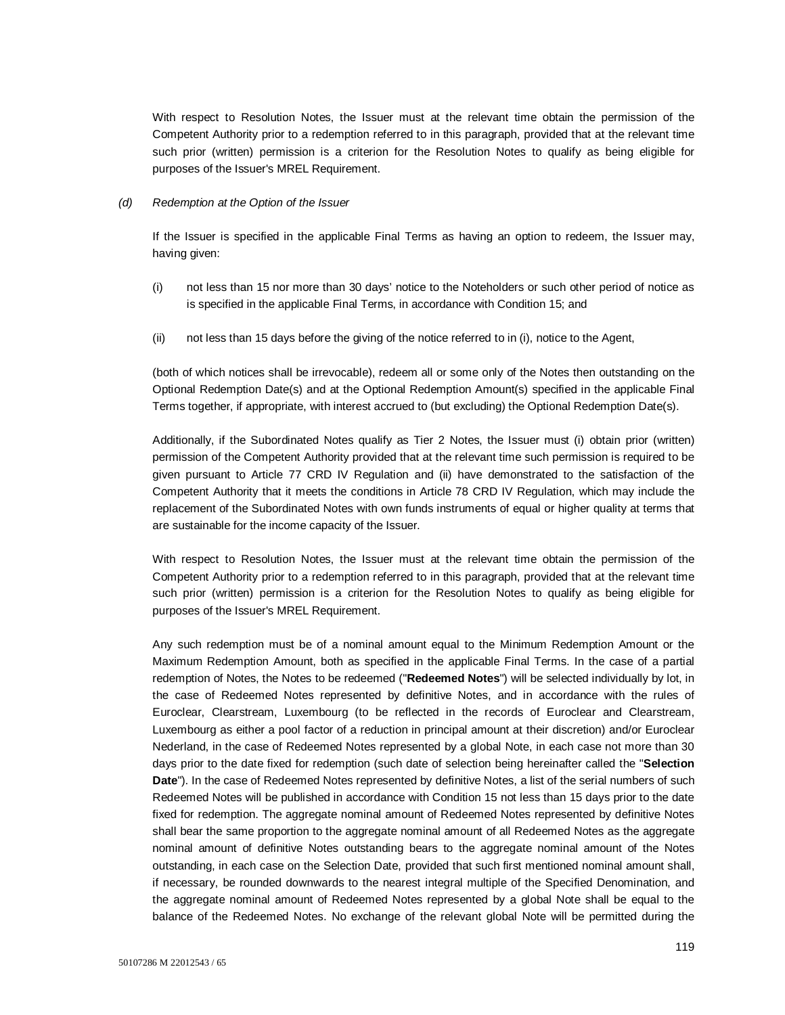With respect to Resolution Notes, the Issuer must at the relevant time obtain the permission of the Competent Authority prior to a redemption referred to in this paragraph, provided that at the relevant time such prior (written) permission is a criterion for the Resolution Notes to qualify as being eligible for purposes of the Issuer's MREL Requirement.

#### *(d) Redemption at the Option of the Issuer*

If the Issuer is specified in the applicable Final Terms as having an option to redeem, the Issuer may, having given:

- (i) not less than 15 nor more than 30 days' notice to the Noteholders or such other period of notice as is specified in the applicable Final Terms, in accordance with Condition 15; and
- (ii) not less than 15 days before the giving of the notice referred to in (i), notice to the Agent,

(both of which notices shall be irrevocable), redeem all or some only of the Notes then outstanding on the Optional Redemption Date(s) and at the Optional Redemption Amount(s) specified in the applicable Final Terms together, if appropriate, with interest accrued to (but excluding) the Optional Redemption Date(s).

Additionally, if the Subordinated Notes qualify as Tier 2 Notes, the Issuer must (i) obtain prior (written) permission of the Competent Authority provided that at the relevant time such permission is required to be given pursuant to Article 77 CRD IV Regulation and (ii) have demonstrated to the satisfaction of the Competent Authority that it meets the conditions in Article 78 CRD IV Regulation, which may include the replacement of the Subordinated Notes with own funds instruments of equal or higher quality at terms that are sustainable for the income capacity of the Issuer.

With respect to Resolution Notes, the Issuer must at the relevant time obtain the permission of the Competent Authority prior to a redemption referred to in this paragraph, provided that at the relevant time such prior (written) permission is a criterion for the Resolution Notes to qualify as being eligible for purposes of the Issuer's MREL Requirement.

Any such redemption must be of a nominal amount equal to the Minimum Redemption Amount or the Maximum Redemption Amount, both as specified in the applicable Final Terms. In the case of a partial redemption of Notes, the Notes to be redeemed ("**Redeemed Notes**") will be selected individually by lot, in the case of Redeemed Notes represented by definitive Notes, and in accordance with the rules of Euroclear, Clearstream, Luxembourg (to be reflected in the records of Euroclear and Clearstream, Luxembourg as either a pool factor of a reduction in principal amount at their discretion) and/or Euroclear Nederland, in the case of Redeemed Notes represented by a global Note, in each case not more than 30 days prior to the date fixed for redemption (such date of selection being hereinafter called the "**Selection Date**"). In the case of Redeemed Notes represented by definitive Notes, a list of the serial numbers of such Redeemed Notes will be published in accordance with Condition 15 not less than 15 days prior to the date fixed for redemption. The aggregate nominal amount of Redeemed Notes represented by definitive Notes shall bear the same proportion to the aggregate nominal amount of all Redeemed Notes as the aggregate nominal amount of definitive Notes outstanding bears to the aggregate nominal amount of the Notes outstanding, in each case on the Selection Date, provided that such first mentioned nominal amount shall, if necessary, be rounded downwards to the nearest integral multiple of the Specified Denomination, and the aggregate nominal amount of Redeemed Notes represented by a global Note shall be equal to the balance of the Redeemed Notes. No exchange of the relevant global Note will be permitted during the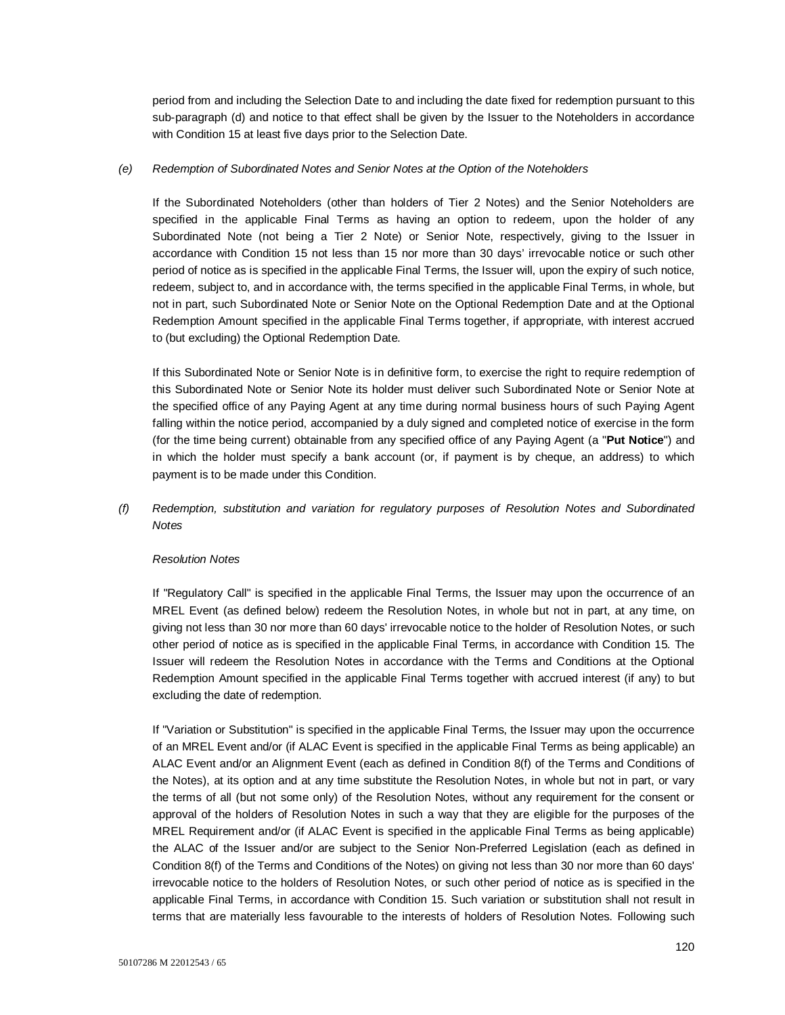period from and including the Selection Date to and including the date fixed for redemption pursuant to this sub-paragraph (d) and notice to that effect shall be given by the Issuer to the Noteholders in accordance with Condition 15 at least five days prior to the Selection Date.

## *(e) Redemption of Subordinated Notes and Senior Notes at the Option of the Noteholders*

If the Subordinated Noteholders (other than holders of Tier 2 Notes) and the Senior Noteholders are specified in the applicable Final Terms as having an option to redeem, upon the holder of any Subordinated Note (not being a Tier 2 Note) or Senior Note, respectively, giving to the Issuer in accordance with Condition 15 not less than 15 nor more than 30 days' irrevocable notice or such other period of notice as is specified in the applicable Final Terms, the Issuer will, upon the expiry of such notice, redeem, subject to, and in accordance with, the terms specified in the applicable Final Terms, in whole, but not in part, such Subordinated Note or Senior Note on the Optional Redemption Date and at the Optional Redemption Amount specified in the applicable Final Terms together, if appropriate, with interest accrued to (but excluding) the Optional Redemption Date.

If this Subordinated Note or Senior Note is in definitive form, to exercise the right to require redemption of this Subordinated Note or Senior Note its holder must deliver such Subordinated Note or Senior Note at the specified office of any Paying Agent at any time during normal business hours of such Paying Agent falling within the notice period, accompanied by a duly signed and completed notice of exercise in the form (for the time being current) obtainable from any specified office of any Paying Agent (a "**Put Notice**") and in which the holder must specify a bank account (or, if payment is by cheque, an address) to which payment is to be made under this Condition.

# *(f) Redemption, substitution and variation for regulatory purposes of Resolution Notes and Subordinated Notes*

## *Resolution Notes*

If "Regulatory Call" is specified in the applicable Final Terms, the Issuer may upon the occurrence of an MREL Event (as defined below) redeem the Resolution Notes, in whole but not in part, at any time, on giving not less than 30 nor more than 60 days' irrevocable notice to the holder of Resolution Notes, or such other period of notice as is specified in the applicable Final Terms, in accordance with Condition 15. The Issuer will redeem the Resolution Notes in accordance with the Terms and Conditions at the Optional Redemption Amount specified in the applicable Final Terms together with accrued interest (if any) to but excluding the date of redemption.

If "Variation or Substitution" is specified in the applicable Final Terms, the Issuer may upon the occurrence of an MREL Event and/or (if ALAC Event is specified in the applicable Final Terms as being applicable) an ALAC Event and/or an Alignment Event (each as defined in Condition 8(f) of the Terms and Conditions of the Notes), at its option and at any time substitute the Resolution Notes, in whole but not in part, or vary the terms of all (but not some only) of the Resolution Notes, without any requirement for the consent or approval of the holders of Resolution Notes in such a way that they are eligible for the purposes of the MREL Requirement and/or (if ALAC Event is specified in the applicable Final Terms as being applicable) the ALAC of the Issuer and/or are subject to the Senior Non-Preferred Legislation (each as defined in Condition 8(f) of the Terms and Conditions of the Notes) on giving not less than 30 nor more than 60 days' irrevocable notice to the holders of Resolution Notes, or such other period of notice as is specified in the applicable Final Terms, in accordance with Condition 15. Such variation or substitution shall not result in terms that are materially less favourable to the interests of holders of Resolution Notes. Following such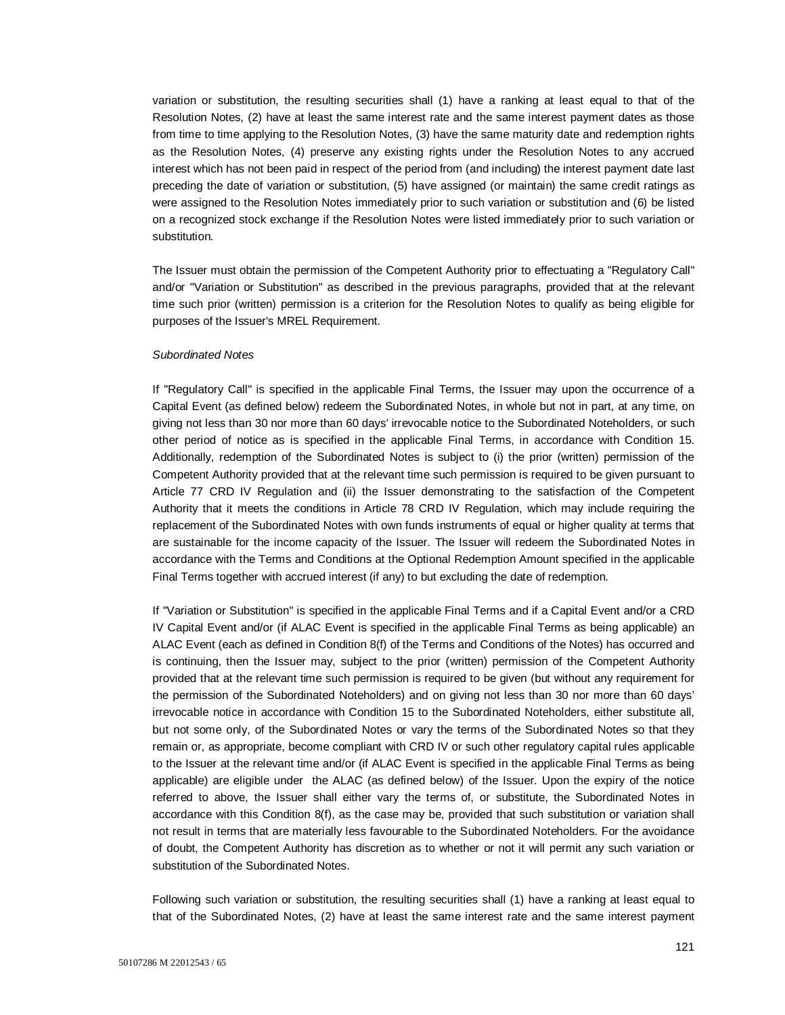variation or substitution, the resulting securities shall (1) have a ranking at least equal to that of the Resolution Notes, (2) have at least the same interest rate and the same interest payment dates as those from time to time applying to the Resolution Notes, (3) have the same maturity date and redemption rights as the Resolution Notes, (4) preserve any existing rights under the Resolution Notes to any accrued interest which has not been paid in respect of the period from (and including) the interest payment date last preceding the date of variation or substitution, (5) have assigned (or maintain) the same credit ratings as were assigned to the Resolution Notes immediately prior to such variation or substitution and (6) be listed on a recognized stock exchange if the Resolution Notes were listed immediately prior to such variation or substitution.

The Issuer must obtain the permission of the Competent Authority prior to effectuating a "Regulatory Call" and/or "Variation or Substitution" as described in the previous paragraphs, provided that at the relevant time such prior (written) permission is a criterion for the Resolution Notes to qualify as being eligible for purposes of the Issuer's MREL Requirement.

#### *Subordinated Notes*

If "Regulatory Call" is specified in the applicable Final Terms, the Issuer may upon the occurrence of a Capital Event (as defined below) redeem the Subordinated Notes, in whole but not in part, at any time, on giving not less than 30 nor more than 60 days' irrevocable notice to the Subordinated Noteholders, or such other period of notice as is specified in the applicable Final Terms, in accordance with Condition 15. Additionally, redemption of the Subordinated Notes is subject to (i) the prior (written) permission of the Competent Authority provided that at the relevant time such permission is required to be given pursuant to Article 77 CRD IV Regulation and (ii) the Issuer demonstrating to the satisfaction of the Competent Authority that it meets the conditions in Article 78 CRD IV Regulation, which may include requiring the replacement of the Subordinated Notes with own funds instruments of equal or higher quality at terms that are sustainable for the income capacity of the Issuer. The Issuer will redeem the Subordinated Notes in accordance with the Terms and Conditions at the Optional Redemption Amount specified in the applicable Final Terms together with accrued interest (if any) to but excluding the date of redemption.

If "Variation or Substitution" is specified in the applicable Final Terms and if a Capital Event and/or a CRD IV Capital Event and/or (if ALAC Event is specified in the applicable Final Terms as being applicable) an ALAC Event (each as defined in Condition 8(f) of the Terms and Conditions of the Notes) has occurred and is continuing, then the Issuer may, subject to the prior (written) permission of the Competent Authority provided that at the relevant time such permission is required to be given (but without any requirement for the permission of the Subordinated Noteholders) and on giving not less than 30 nor more than 60 days' irrevocable notice in accordance with Condition 15 to the Subordinated Noteholders, either substitute all, but not some only, of the Subordinated Notes or vary the terms of the Subordinated Notes so that they remain or, as appropriate, become compliant with CRD IV or such other regulatory capital rules applicable to the Issuer at the relevant time and/or (if ALAC Event is specified in the applicable Final Terms as being applicable) are eligible under the ALAC (as defined below) of the Issuer. Upon the expiry of the notice referred to above, the Issuer shall either vary the terms of, or substitute, the Subordinated Notes in accordance with this Condition 8(f), as the case may be, provided that such substitution or variation shall not result in terms that are materially less favourable to the Subordinated Noteholders. For the avoidance of doubt, the Competent Authority has discretion as to whether or not it will permit any such variation or substitution of the Subordinated Notes.

Following such variation or substitution, the resulting securities shall (1) have a ranking at least equal to that of the Subordinated Notes, (2) have at least the same interest rate and the same interest payment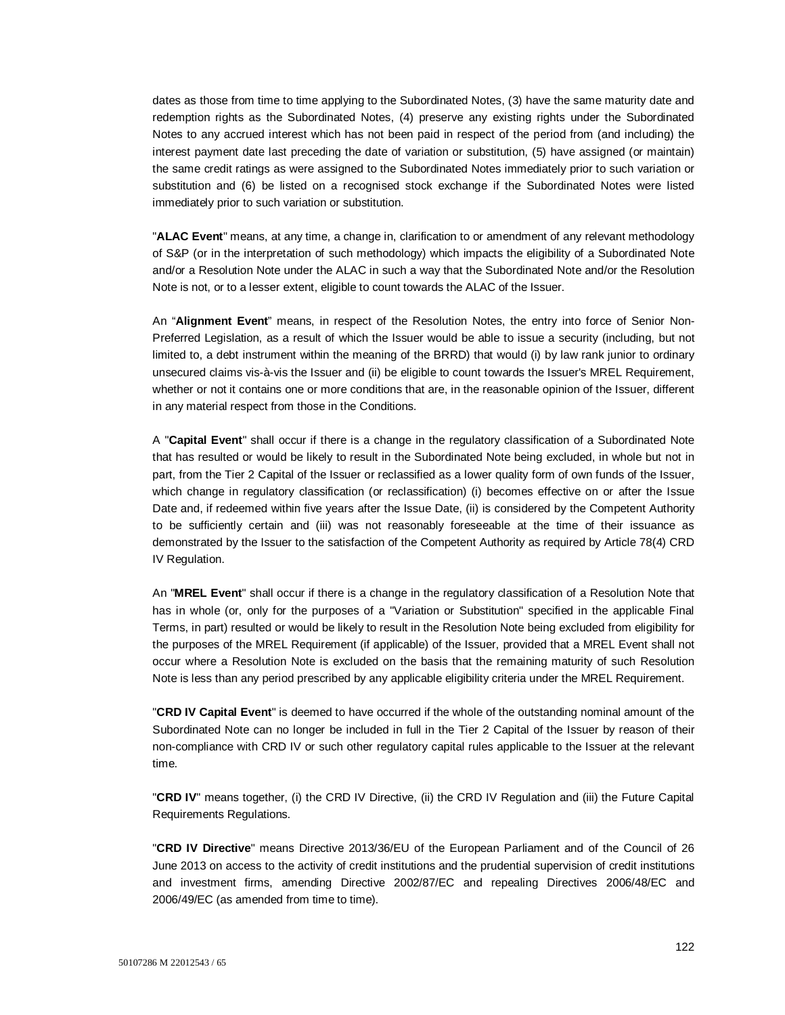dates as those from time to time applying to the Subordinated Notes, (3) have the same maturity date and redemption rights as the Subordinated Notes, (4) preserve any existing rights under the Subordinated Notes to any accrued interest which has not been paid in respect of the period from (and including) the interest payment date last preceding the date of variation or substitution, (5) have assigned (or maintain) the same credit ratings as were assigned to the Subordinated Notes immediately prior to such variation or substitution and (6) be listed on a recognised stock exchange if the Subordinated Notes were listed immediately prior to such variation or substitution.

"**ALAC Event**" means, at any time, a change in, clarification to or amendment of any relevant methodology of S&P (or in the interpretation of such methodology) which impacts the eligibility of a Subordinated Note and/or a Resolution Note under the ALAC in such a way that the Subordinated Note and/or the Resolution Note is not, or to a lesser extent, eligible to count towards the ALAC of the Issuer.

An "**Alignment Event**" means, in respect of the Resolution Notes, the entry into force of Senior Non-Preferred Legislation, as a result of which the Issuer would be able to issue a security (including, but not limited to, a debt instrument within the meaning of the BRRD) that would (i) by law rank junior to ordinary unsecured claims vis-à-vis the Issuer and (ii) be eligible to count towards the Issuer's MREL Requirement, whether or not it contains one or more conditions that are, in the reasonable opinion of the Issuer, different in any material respect from those in the Conditions.

A "**Capital Event**" shall occur if there is a change in the regulatory classification of a Subordinated Note that has resulted or would be likely to result in the Subordinated Note being excluded, in whole but not in part, from the Tier 2 Capital of the Issuer or reclassified as a lower quality form of own funds of the Issuer, which change in regulatory classification (or reclassification) (i) becomes effective on or after the Issue Date and, if redeemed within five years after the Issue Date, (ii) is considered by the Competent Authority to be sufficiently certain and (iii) was not reasonably foreseeable at the time of their issuance as demonstrated by the Issuer to the satisfaction of the Competent Authority as required by Article 78(4) CRD IV Regulation.

An "**MREL Event**" shall occur if there is a change in the regulatory classification of a Resolution Note that has in whole (or, only for the purposes of a "Variation or Substitution" specified in the applicable Final Terms, in part) resulted or would be likely to result in the Resolution Note being excluded from eligibility for the purposes of the MREL Requirement (if applicable) of the Issuer, provided that a MREL Event shall not occur where a Resolution Note is excluded on the basis that the remaining maturity of such Resolution Note is less than any period prescribed by any applicable eligibility criteria under the MREL Requirement.

"**CRD IV Capital Event**" is deemed to have occurred if the whole of the outstanding nominal amount of the Subordinated Note can no longer be included in full in the Tier 2 Capital of the Issuer by reason of their non-compliance with CRD IV or such other regulatory capital rules applicable to the Issuer at the relevant time.

"**CRD IV**" means together, (i) the CRD IV Directive, (ii) the CRD IV Regulation and (iii) the Future Capital Requirements Regulations.

"**CRD IV Directive**" means Directive 2013/36/EU of the European Parliament and of the Council of 26 June 2013 on access to the activity of credit institutions and the prudential supervision of credit institutions and investment firms, amending Directive 2002/87/EC and repealing Directives 2006/48/EC and 2006/49/EC (as amended from time to time).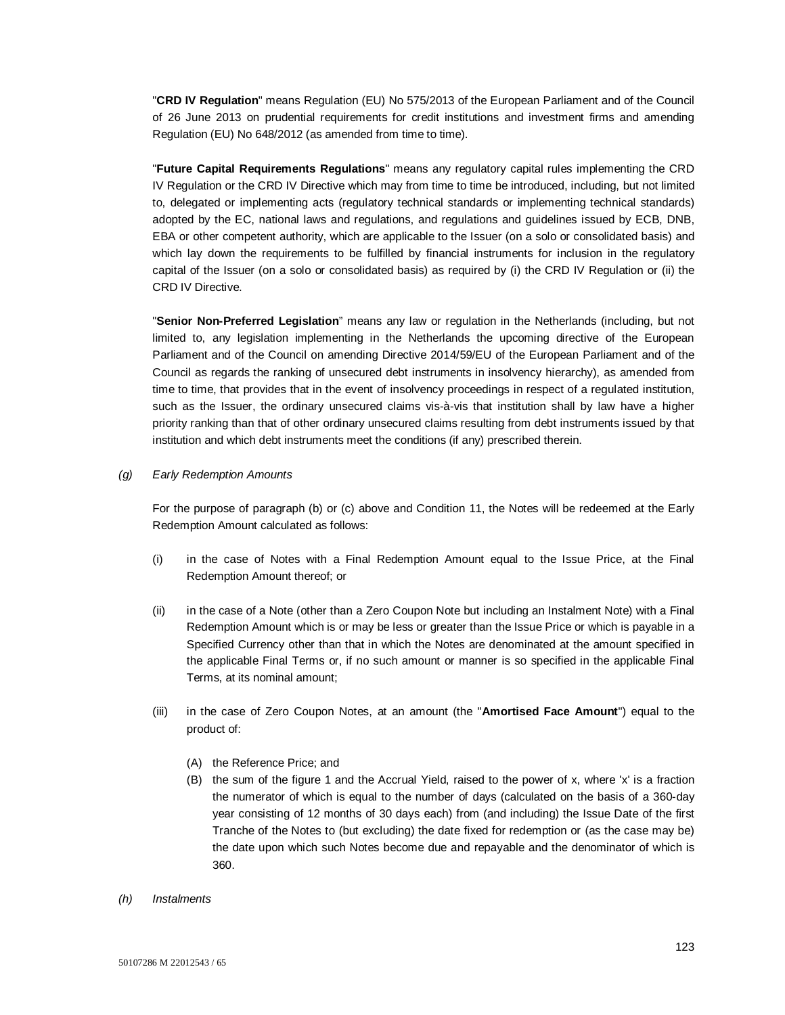"**CRD IV Regulation**" means Regulation (EU) No 575/2013 of the European Parliament and of the Council of 26 June 2013 on prudential requirements for credit institutions and investment firms and amending Regulation (EU) No 648/2012 (as amended from time to time).

"**Future Capital Requirements Regulations**" means any regulatory capital rules implementing the CRD IV Regulation or the CRD IV Directive which may from time to time be introduced, including, but not limited to, delegated or implementing acts (regulatory technical standards or implementing technical standards) adopted by the EC, national laws and regulations, and regulations and guidelines issued by ECB, DNB, EBA or other competent authority, which are applicable to the Issuer (on a solo or consolidated basis) and which lay down the requirements to be fulfilled by financial instruments for inclusion in the regulatory capital of the Issuer (on a solo or consolidated basis) as required by (i) the CRD IV Regulation or (ii) the CRD IV Directive.

"**Senior Non-Preferred Legislation**" means any law or regulation in the Netherlands (including, but not limited to, any legislation implementing in the Netherlands the upcoming directive of the European Parliament and of the Council on amending Directive 2014/59/EU of the European Parliament and of the Council as regards the ranking of unsecured debt instruments in insolvency hierarchy), as amended from time to time, that provides that in the event of insolvency proceedings in respect of a regulated institution, such as the Issuer, the ordinary unsecured claims vis-à-vis that institution shall by law have a higher priority ranking than that of other ordinary unsecured claims resulting from debt instruments issued by that institution and which debt instruments meet the conditions (if any) prescribed therein.

*(g) Early Redemption Amounts*

For the purpose of paragraph (b) or (c) above and Condition 11, the Notes will be redeemed at the Early Redemption Amount calculated as follows:

- (i) in the case of Notes with a Final Redemption Amount equal to the Issue Price, at the Final Redemption Amount thereof; or
- (ii) in the case of a Note (other than a Zero Coupon Note but including an Instalment Note) with a Final Redemption Amount which is or may be less or greater than the Issue Price or which is payable in a Specified Currency other than that in which the Notes are denominated at the amount specified in the applicable Final Terms or, if no such amount or manner is so specified in the applicable Final Terms, at its nominal amount;
- (iii) in the case of Zero Coupon Notes, at an amount (the "**Amortised Face Amount**") equal to the product of:
	- (A) the Reference Price; and
	- (B) the sum of the figure 1 and the Accrual Yield, raised to the power of x, where 'x' is a fraction the numerator of which is equal to the number of days (calculated on the basis of a 360-day year consisting of 12 months of 30 days each) from (and including) the Issue Date of the first Tranche of the Notes to (but excluding) the date fixed for redemption or (as the case may be) the date upon which such Notes become due and repayable and the denominator of which is 360.
- *(h) Instalments*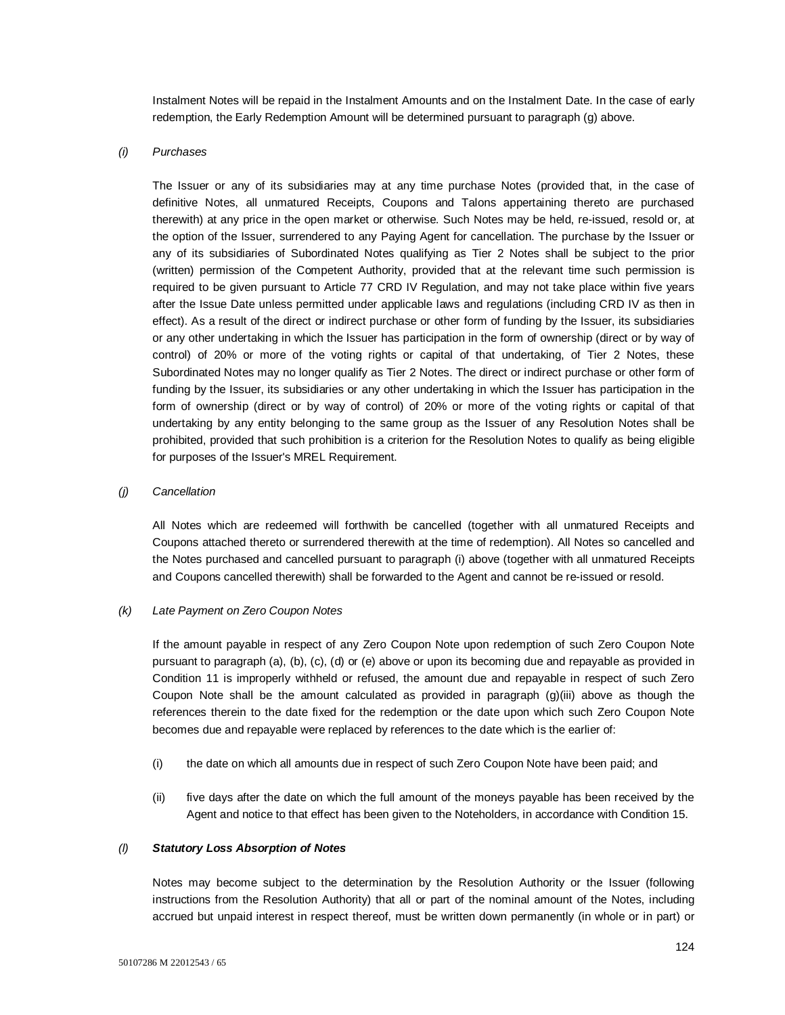Instalment Notes will be repaid in the Instalment Amounts and on the Instalment Date. In the case of early redemption, the Early Redemption Amount will be determined pursuant to paragraph (g) above.

## *(i) Purchases*

The Issuer or any of its subsidiaries may at any time purchase Notes (provided that, in the case of definitive Notes, all unmatured Receipts, Coupons and Talons appertaining thereto are purchased therewith) at any price in the open market or otherwise. Such Notes may be held, re-issued, resold or, at the option of the Issuer, surrendered to any Paying Agent for cancellation. The purchase by the Issuer or any of its subsidiaries of Subordinated Notes qualifying as Tier 2 Notes shall be subject to the prior (written) permission of the Competent Authority, provided that at the relevant time such permission is required to be given pursuant to Article 77 CRD IV Regulation, and may not take place within five years after the Issue Date unless permitted under applicable laws and regulations (including CRD IV as then in effect). As a result of the direct or indirect purchase or other form of funding by the Issuer, its subsidiaries or any other undertaking in which the Issuer has participation in the form of ownership (direct or by way of control) of 20% or more of the voting rights or capital of that undertaking, of Tier 2 Notes, these Subordinated Notes may no longer qualify as Tier 2 Notes. The direct or indirect purchase or other form of funding by the Issuer, its subsidiaries or any other undertaking in which the Issuer has participation in the form of ownership (direct or by way of control) of 20% or more of the voting rights or capital of that undertaking by any entity belonging to the same group as the Issuer of any Resolution Notes shall be prohibited, provided that such prohibition is a criterion for the Resolution Notes to qualify as being eligible for purposes of the Issuer's MREL Requirement.

#### *(j) Cancellation*

All Notes which are redeemed will forthwith be cancelled (together with all unmatured Receipts and Coupons attached thereto or surrendered therewith at the time of redemption). All Notes so cancelled and the Notes purchased and cancelled pursuant to paragraph (i) above (together with all unmatured Receipts and Coupons cancelled therewith) shall be forwarded to the Agent and cannot be re-issued or resold.

## *(k) Late Payment on Zero Coupon Notes*

If the amount payable in respect of any Zero Coupon Note upon redemption of such Zero Coupon Note pursuant to paragraph (a), (b), (c), (d) or (e) above or upon its becoming due and repayable as provided in Condition 11 is improperly withheld or refused, the amount due and repayable in respect of such Zero Coupon Note shall be the amount calculated as provided in paragraph (g)(iii) above as though the references therein to the date fixed for the redemption or the date upon which such Zero Coupon Note becomes due and repayable were replaced by references to the date which is the earlier of:

- (i) the date on which all amounts due in respect of such Zero Coupon Note have been paid; and
- (ii) five days after the date on which the full amount of the moneys payable has been received by the Agent and notice to that effect has been given to the Noteholders, in accordance with Condition 15.

#### *(l) Statutory Loss Absorption of Notes*

Notes may become subject to the determination by the Resolution Authority or the Issuer (following instructions from the Resolution Authority) that all or part of the nominal amount of the Notes, including accrued but unpaid interest in respect thereof, must be written down permanently (in whole or in part) or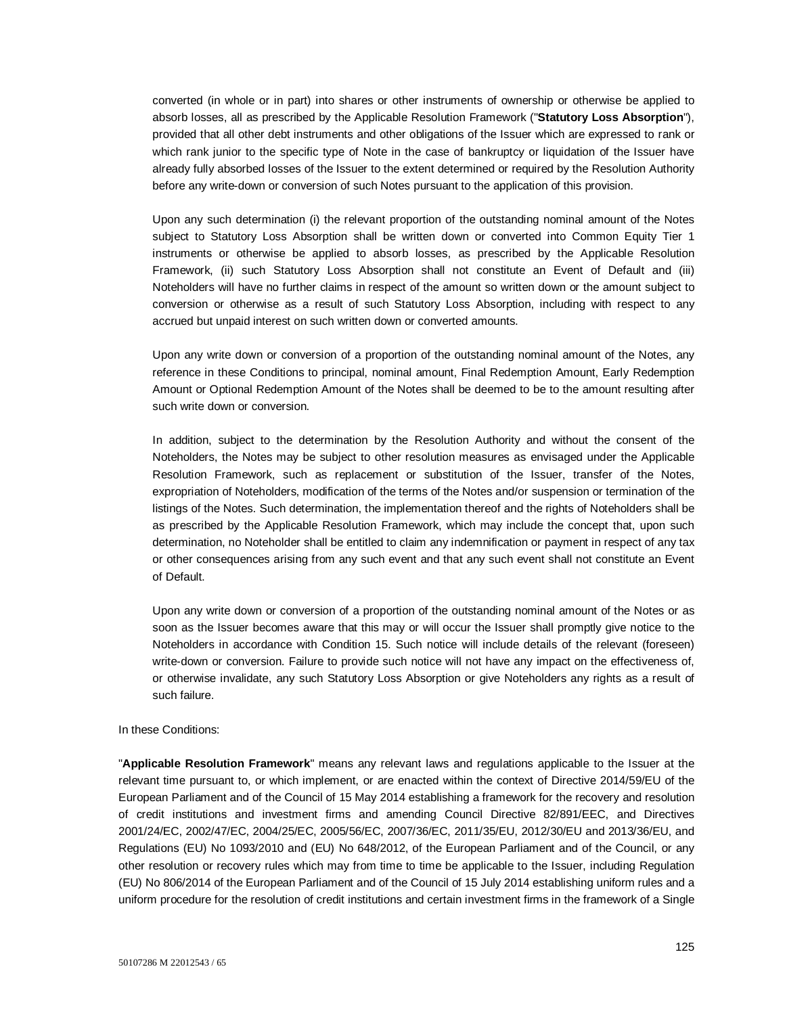converted (in whole or in part) into shares or other instruments of ownership or otherwise be applied to absorb losses, all as prescribed by the Applicable Resolution Framework ("**Statutory Loss Absorption**"), provided that all other debt instruments and other obligations of the Issuer which are expressed to rank or which rank junior to the specific type of Note in the case of bankruptcy or liquidation of the Issuer have already fully absorbed losses of the Issuer to the extent determined or required by the Resolution Authority before any write-down or conversion of such Notes pursuant to the application of this provision.

Upon any such determination (i) the relevant proportion of the outstanding nominal amount of the Notes subject to Statutory Loss Absorption shall be written down or converted into Common Equity Tier 1 instruments or otherwise be applied to absorb losses, as prescribed by the Applicable Resolution Framework, (ii) such Statutory Loss Absorption shall not constitute an Event of Default and (iii) Noteholders will have no further claims in respect of the amount so written down or the amount subject to conversion or otherwise as a result of such Statutory Loss Absorption, including with respect to any accrued but unpaid interest on such written down or converted amounts.

Upon any write down or conversion of a proportion of the outstanding nominal amount of the Notes, any reference in these Conditions to principal, nominal amount, Final Redemption Amount, Early Redemption Amount or Optional Redemption Amount of the Notes shall be deemed to be to the amount resulting after such write down or conversion.

In addition, subject to the determination by the Resolution Authority and without the consent of the Noteholders, the Notes may be subject to other resolution measures as envisaged under the Applicable Resolution Framework, such as replacement or substitution of the Issuer, transfer of the Notes, expropriation of Noteholders, modification of the terms of the Notes and/or suspension or termination of the listings of the Notes. Such determination, the implementation thereof and the rights of Noteholders shall be as prescribed by the Applicable Resolution Framework, which may include the concept that, upon such determination, no Noteholder shall be entitled to claim any indemnification or payment in respect of any tax or other consequences arising from any such event and that any such event shall not constitute an Event of Default.

Upon any write down or conversion of a proportion of the outstanding nominal amount of the Notes or as soon as the Issuer becomes aware that this may or will occur the Issuer shall promptly give notice to the Noteholders in accordance with Condition 15. Such notice will include details of the relevant (foreseen) write-down or conversion. Failure to provide such notice will not have any impact on the effectiveness of, or otherwise invalidate, any such Statutory Loss Absorption or give Noteholders any rights as a result of such failure.

#### In these Conditions:

"**Applicable Resolution Framework**" means any relevant laws and regulations applicable to the Issuer at the relevant time pursuant to, or which implement, or are enacted within the context of Directive 2014/59/EU of the European Parliament and of the Council of 15 May 2014 establishing a framework for the recovery and resolution of credit institutions and investment firms and amending Council Directive 82/891/EEC, and Directives 2001/24/EC, 2002/47/EC, 2004/25/EC, 2005/56/EC, 2007/36/EC, 2011/35/EU, 2012/30/EU and 2013/36/EU, and Regulations (EU) No 1093/2010 and (EU) No 648/2012, of the European Parliament and of the Council, or any other resolution or recovery rules which may from time to time be applicable to the Issuer, including Regulation (EU) No 806/2014 of the European Parliament and of the Council of 15 July 2014 establishing uniform rules and a uniform procedure for the resolution of credit institutions and certain investment firms in the framework of a Single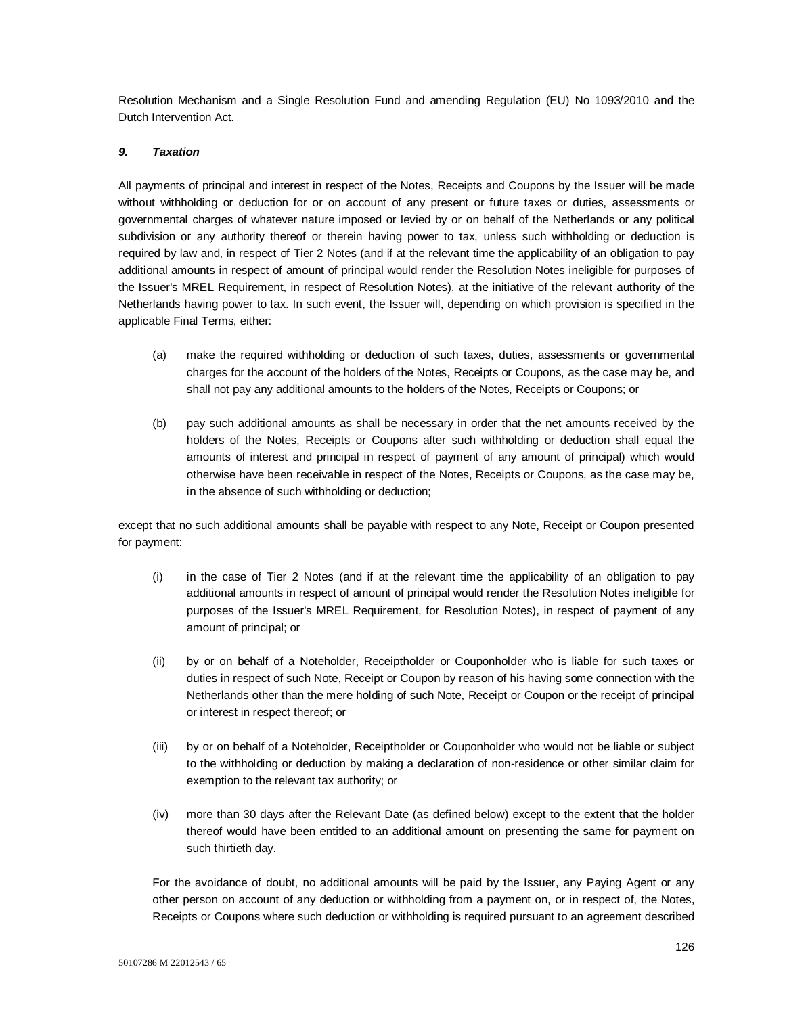Resolution Mechanism and a Single Resolution Fund and amending Regulation (EU) No 1093/2010 and the Dutch Intervention Act.

## *9. Taxation*

All payments of principal and interest in respect of the Notes, Receipts and Coupons by the Issuer will be made without withholding or deduction for or on account of any present or future taxes or duties, assessments or governmental charges of whatever nature imposed or levied by or on behalf of the Netherlands or any political subdivision or any authority thereof or therein having power to tax, unless such withholding or deduction is required by law and, in respect of Tier 2 Notes (and if at the relevant time the applicability of an obligation to pay additional amounts in respect of amount of principal would render the Resolution Notes ineligible for purposes of the Issuer's MREL Requirement, in respect of Resolution Notes), at the initiative of the relevant authority of the Netherlands having power to tax. In such event, the Issuer will, depending on which provision is specified in the applicable Final Terms, either:

- (a) make the required withholding or deduction of such taxes, duties, assessments or governmental charges for the account of the holders of the Notes, Receipts or Coupons, as the case may be, and shall not pay any additional amounts to the holders of the Notes, Receipts or Coupons; or
- (b) pay such additional amounts as shall be necessary in order that the net amounts received by the holders of the Notes, Receipts or Coupons after such withholding or deduction shall equal the amounts of interest and principal in respect of payment of any amount of principal) which would otherwise have been receivable in respect of the Notes, Receipts or Coupons, as the case may be, in the absence of such withholding or deduction;

except that no such additional amounts shall be payable with respect to any Note, Receipt or Coupon presented for payment:

- (i) in the case of Tier 2 Notes (and if at the relevant time the applicability of an obligation to pay additional amounts in respect of amount of principal would render the Resolution Notes ineligible for purposes of the Issuer's MREL Requirement, for Resolution Notes), in respect of payment of any amount of principal; or
- (ii) by or on behalf of a Noteholder, Receiptholder or Couponholder who is liable for such taxes or duties in respect of such Note, Receipt or Coupon by reason of his having some connection with the Netherlands other than the mere holding of such Note, Receipt or Coupon or the receipt of principal or interest in respect thereof; or
- (iii) by or on behalf of a Noteholder, Receiptholder or Couponholder who would not be liable or subject to the withholding or deduction by making a declaration of non-residence or other similar claim for exemption to the relevant tax authority; or
- (iv) more than 30 days after the Relevant Date (as defined below) except to the extent that the holder thereof would have been entitled to an additional amount on presenting the same for payment on such thirtieth day.

For the avoidance of doubt, no additional amounts will be paid by the Issuer, any Paying Agent or any other person on account of any deduction or withholding from a payment on, or in respect of, the Notes, Receipts or Coupons where such deduction or withholding is required pursuant to an agreement described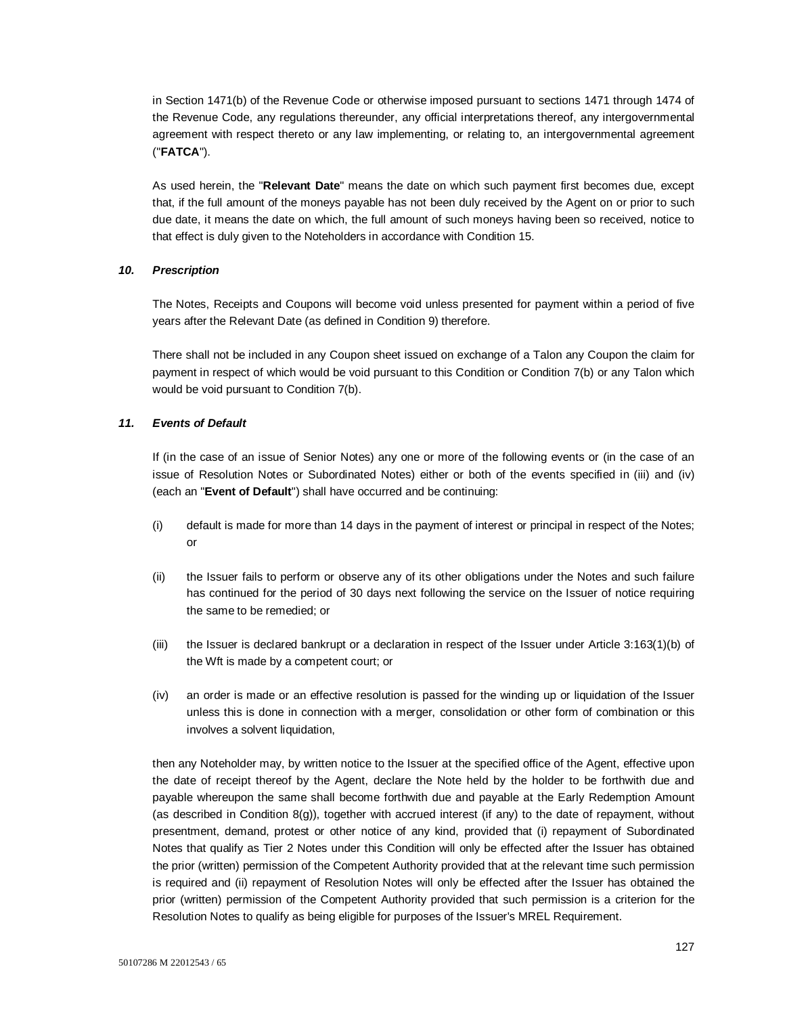in Section 1471(b) of the Revenue Code or otherwise imposed pursuant to sections 1471 through 1474 of the Revenue Code, any regulations thereunder, any official interpretations thereof, any intergovernmental agreement with respect thereto or any law implementing, or relating to, an intergovernmental agreement ("**FATCA**").

As used herein, the "**Relevant Date**" means the date on which such payment first becomes due, except that, if the full amount of the moneys payable has not been duly received by the Agent on or prior to such due date, it means the date on which, the full amount of such moneys having been so received, notice to that effect is duly given to the Noteholders in accordance with Condition 15.

## *10. Prescription*

The Notes, Receipts and Coupons will become void unless presented for payment within a period of five years after the Relevant Date (as defined in Condition 9) therefore.

There shall not be included in any Coupon sheet issued on exchange of a Talon any Coupon the claim for payment in respect of which would be void pursuant to this Condition or Condition 7(b) or any Talon which would be void pursuant to Condition 7(b).

## *11. Events of Default*

If (in the case of an issue of Senior Notes) any one or more of the following events or (in the case of an issue of Resolution Notes or Subordinated Notes) either or both of the events specified in (iii) and (iv) (each an "**Event of Default**") shall have occurred and be continuing:

- (i) default is made for more than 14 days in the payment of interest or principal in respect of the Notes; or
- (ii) the Issuer fails to perform or observe any of its other obligations under the Notes and such failure has continued for the period of 30 days next following the service on the Issuer of notice requiring the same to be remedied; or
- (iii) the Issuer is declared bankrupt or a declaration in respect of the Issuer under Article 3:163(1)(b) of the Wft is made by a competent court; or
- (iv) an order is made or an effective resolution is passed for the winding up or liquidation of the Issuer unless this is done in connection with a merger, consolidation or other form of combination or this involves a solvent liquidation,

then any Noteholder may, by written notice to the Issuer at the specified office of the Agent, effective upon the date of receipt thereof by the Agent, declare the Note held by the holder to be forthwith due and payable whereupon the same shall become forthwith due and payable at the Early Redemption Amount (as described in Condition 8(g)), together with accrued interest (if any) to the date of repayment, without presentment, demand, protest or other notice of any kind, provided that (i) repayment of Subordinated Notes that qualify as Tier 2 Notes under this Condition will only be effected after the Issuer has obtained the prior (written) permission of the Competent Authority provided that at the relevant time such permission is required and (ii) repayment of Resolution Notes will only be effected after the Issuer has obtained the prior (written) permission of the Competent Authority provided that such permission is a criterion for the Resolution Notes to qualify as being eligible for purposes of the Issuer's MREL Requirement.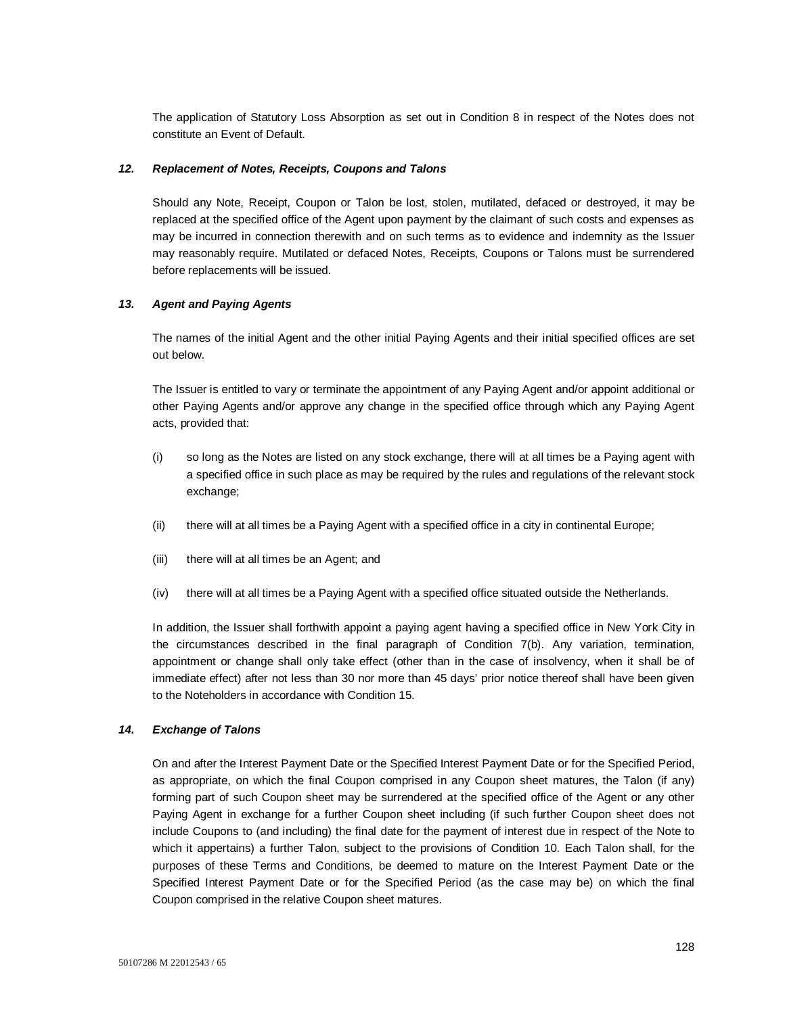The application of Statutory Loss Absorption as set out in Condition 8 in respect of the Notes does not constitute an Event of Default.

## *12. Replacement of Notes, Receipts, Coupons and Talons*

Should any Note, Receipt, Coupon or Talon be lost, stolen, mutilated, defaced or destroyed, it may be replaced at the specified office of the Agent upon payment by the claimant of such costs and expenses as may be incurred in connection therewith and on such terms as to evidence and indemnity as the Issuer may reasonably require. Mutilated or defaced Notes, Receipts, Coupons or Talons must be surrendered before replacements will be issued.

## *13. Agent and Paying Agents*

The names of the initial Agent and the other initial Paying Agents and their initial specified offices are set out below.

The Issuer is entitled to vary or terminate the appointment of any Paying Agent and/or appoint additional or other Paying Agents and/or approve any change in the specified office through which any Paying Agent acts, provided that:

- (i) so long as the Notes are listed on any stock exchange, there will at all times be a Paying agent with a specified office in such place as may be required by the rules and regulations of the relevant stock exchange;
- (ii) there will at all times be a Paying Agent with a specified office in a city in continental Europe;
- (iii) there will at all times be an Agent; and
- (iv) there will at all times be a Paying Agent with a specified office situated outside the Netherlands.

In addition, the Issuer shall forthwith appoint a paying agent having a specified office in New York City in the circumstances described in the final paragraph of Condition 7(b). Any variation, termination, appointment or change shall only take effect (other than in the case of insolvency, when it shall be of immediate effect) after not less than 30 nor more than 45 days' prior notice thereof shall have been given to the Noteholders in accordance with Condition 15.

## *14. Exchange of Talons*

On and after the Interest Payment Date or the Specified Interest Payment Date or for the Specified Period, as appropriate, on which the final Coupon comprised in any Coupon sheet matures, the Talon (if any) forming part of such Coupon sheet may be surrendered at the specified office of the Agent or any other Paying Agent in exchange for a further Coupon sheet including (if such further Coupon sheet does not include Coupons to (and including) the final date for the payment of interest due in respect of the Note to which it appertains) a further Talon, subject to the provisions of Condition 10. Each Talon shall, for the purposes of these Terms and Conditions, be deemed to mature on the Interest Payment Date or the Specified Interest Payment Date or for the Specified Period (as the case may be) on which the final Coupon comprised in the relative Coupon sheet matures.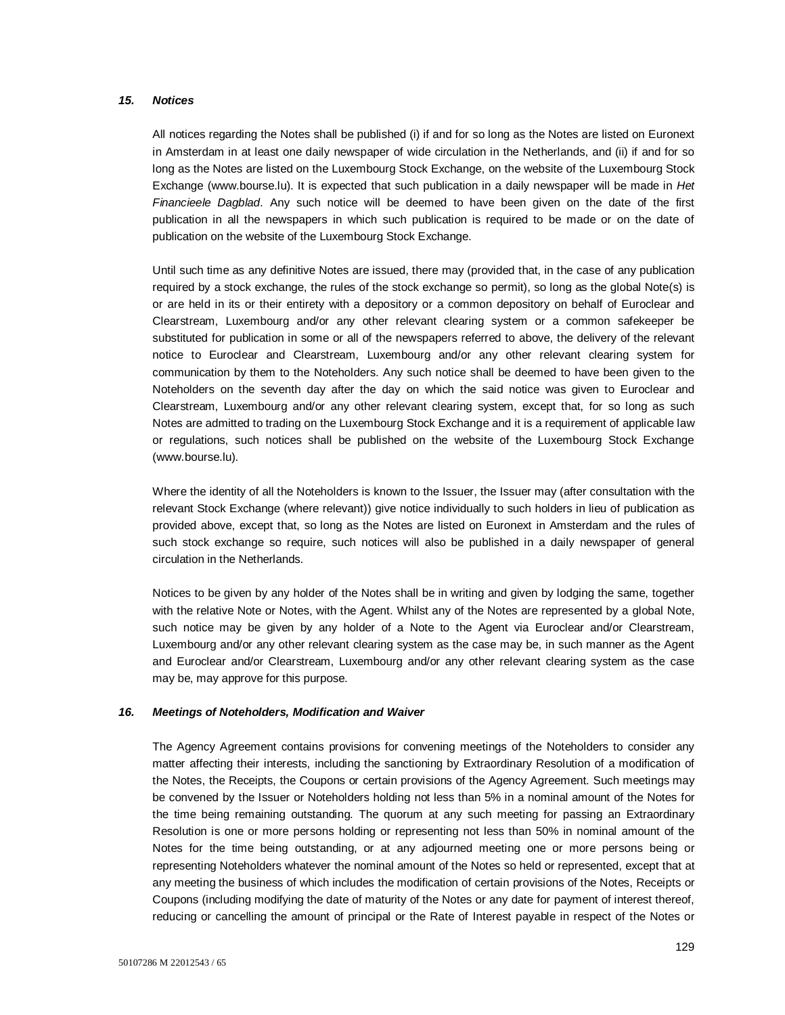## *15. Notices*

All notices regarding the Notes shall be published (i) if and for so long as the Notes are listed on Euronext in Amsterdam in at least one daily newspaper of wide circulation in the Netherlands, and (ii) if and for so long as the Notes are listed on the Luxembourg Stock Exchange, on the website of the Luxembourg Stock Exchange (www.bourse.lu). It is expected that such publication in a daily newspaper will be made in *Het Financieele Dagblad*. Any such notice will be deemed to have been given on the date of the first publication in all the newspapers in which such publication is required to be made or on the date of publication on the website of the Luxembourg Stock Exchange.

Until such time as any definitive Notes are issued, there may (provided that, in the case of any publication required by a stock exchange, the rules of the stock exchange so permit), so long as the global Note(s) is or are held in its or their entirety with a depository or a common depository on behalf of Euroclear and Clearstream, Luxembourg and/or any other relevant clearing system or a common safekeeper be substituted for publication in some or all of the newspapers referred to above, the delivery of the relevant notice to Euroclear and Clearstream, Luxembourg and/or any other relevant clearing system for communication by them to the Noteholders. Any such notice shall be deemed to have been given to the Noteholders on the seventh day after the day on which the said notice was given to Euroclear and Clearstream, Luxembourg and/or any other relevant clearing system, except that, for so long as such Notes are admitted to trading on the Luxembourg Stock Exchange and it is a requirement of applicable law or regulations, such notices shall be published on the website of the Luxembourg Stock Exchange (www.bourse.lu).

Where the identity of all the Noteholders is known to the Issuer, the Issuer may (after consultation with the relevant Stock Exchange (where relevant)) give notice individually to such holders in lieu of publication as provided above, except that, so long as the Notes are listed on Euronext in Amsterdam and the rules of such stock exchange so require, such notices will also be published in a daily newspaper of general circulation in the Netherlands.

Notices to be given by any holder of the Notes shall be in writing and given by lodging the same, together with the relative Note or Notes, with the Agent. Whilst any of the Notes are represented by a global Note, such notice may be given by any holder of a Note to the Agent via Euroclear and/or Clearstream, Luxembourg and/or any other relevant clearing system as the case may be, in such manner as the Agent and Euroclear and/or Clearstream, Luxembourg and/or any other relevant clearing system as the case may be, may approve for this purpose.

## *16. Meetings of Noteholders, Modification and Waiver*

The Agency Agreement contains provisions for convening meetings of the Noteholders to consider any matter affecting their interests, including the sanctioning by Extraordinary Resolution of a modification of the Notes, the Receipts, the Coupons or certain provisions of the Agency Agreement. Such meetings may be convened by the Issuer or Noteholders holding not less than 5% in a nominal amount of the Notes for the time being remaining outstanding. The quorum at any such meeting for passing an Extraordinary Resolution is one or more persons holding or representing not less than 50% in nominal amount of the Notes for the time being outstanding, or at any adjourned meeting one or more persons being or representing Noteholders whatever the nominal amount of the Notes so held or represented, except that at any meeting the business of which includes the modification of certain provisions of the Notes, Receipts or Coupons (including modifying the date of maturity of the Notes or any date for payment of interest thereof, reducing or cancelling the amount of principal or the Rate of Interest payable in respect of the Notes or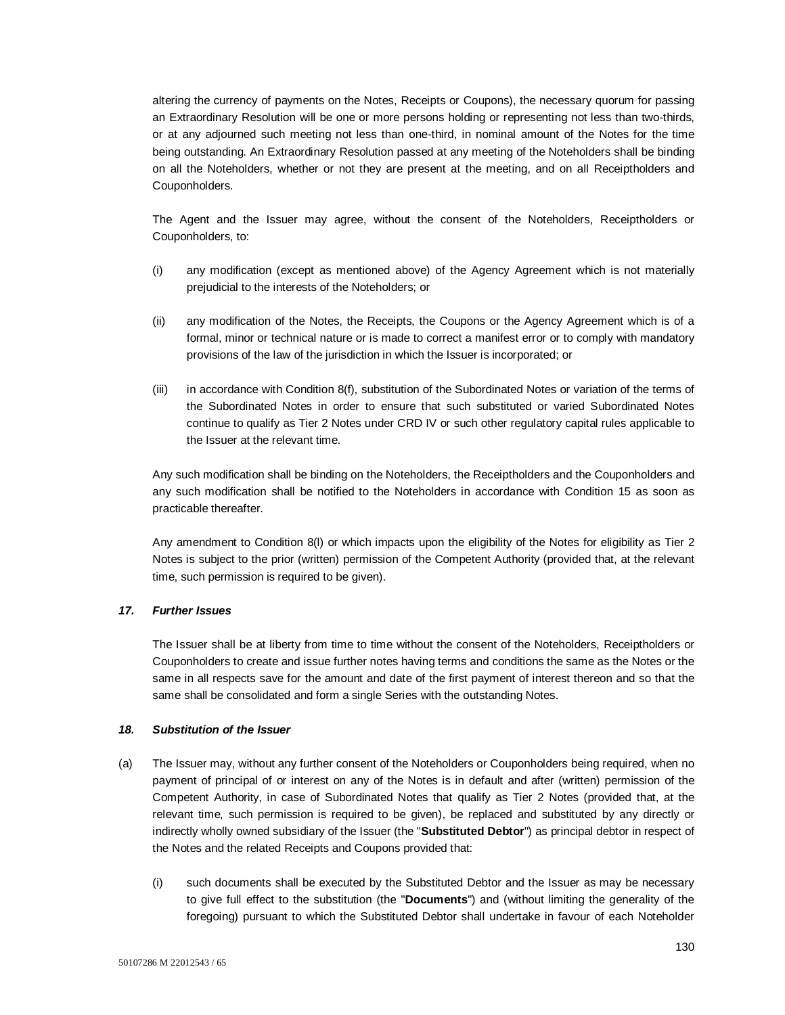altering the currency of payments on the Notes, Receipts or Coupons), the necessary quorum for passing an Extraordinary Resolution will be one or more persons holding or representing not less than two-thirds, or at any adjourned such meeting not less than one-third, in nominal amount of the Notes for the time being outstanding. An Extraordinary Resolution passed at any meeting of the Noteholders shall be binding on all the Noteholders, whether or not they are present at the meeting, and on all Receiptholders and Couponholders.

The Agent and the Issuer may agree, without the consent of the Noteholders, Receiptholders or Couponholders, to:

- (i) any modification (except as mentioned above) of the Agency Agreement which is not materially prejudicial to the interests of the Noteholders; or
- (ii) any modification of the Notes, the Receipts, the Coupons or the Agency Agreement which is of a formal, minor or technical nature or is made to correct a manifest error or to comply with mandatory provisions of the law of the jurisdiction in which the Issuer is incorporated; or
- (iii) in accordance with Condition 8(f), substitution of the Subordinated Notes or variation of the terms of the Subordinated Notes in order to ensure that such substituted or varied Subordinated Notes continue to qualify as Tier 2 Notes under CRD IV or such other regulatory capital rules applicable to the Issuer at the relevant time.

Any such modification shall be binding on the Noteholders, the Receiptholders and the Couponholders and any such modification shall be notified to the Noteholders in accordance with Condition 15 as soon as practicable thereafter.

Any amendment to Condition 8(l) or which impacts upon the eligibility of the Notes for eligibility as Tier 2 Notes is subject to the prior (written) permission of the Competent Authority (provided that, at the relevant time, such permission is required to be given).

## *17. Further Issues*

The Issuer shall be at liberty from time to time without the consent of the Noteholders, Receiptholders or Couponholders to create and issue further notes having terms and conditions the same as the Notes or the same in all respects save for the amount and date of the first payment of interest thereon and so that the same shall be consolidated and form a single Series with the outstanding Notes.

## *18. Substitution of the Issuer*

- (a) The Issuer may, without any further consent of the Noteholders or Couponholders being required, when no payment of principal of or interest on any of the Notes is in default and after (written) permission of the Competent Authority, in case of Subordinated Notes that qualify as Tier 2 Notes (provided that, at the relevant time, such permission is required to be given), be replaced and substituted by any directly or indirectly wholly owned subsidiary of the Issuer (the "**Substituted Debtor**") as principal debtor in respect of the Notes and the related Receipts and Coupons provided that:
	- (i) such documents shall be executed by the Substituted Debtor and the Issuer as may be necessary to give full effect to the substitution (the "**Documents**") and (without limiting the generality of the foregoing) pursuant to which the Substituted Debtor shall undertake in favour of each Noteholder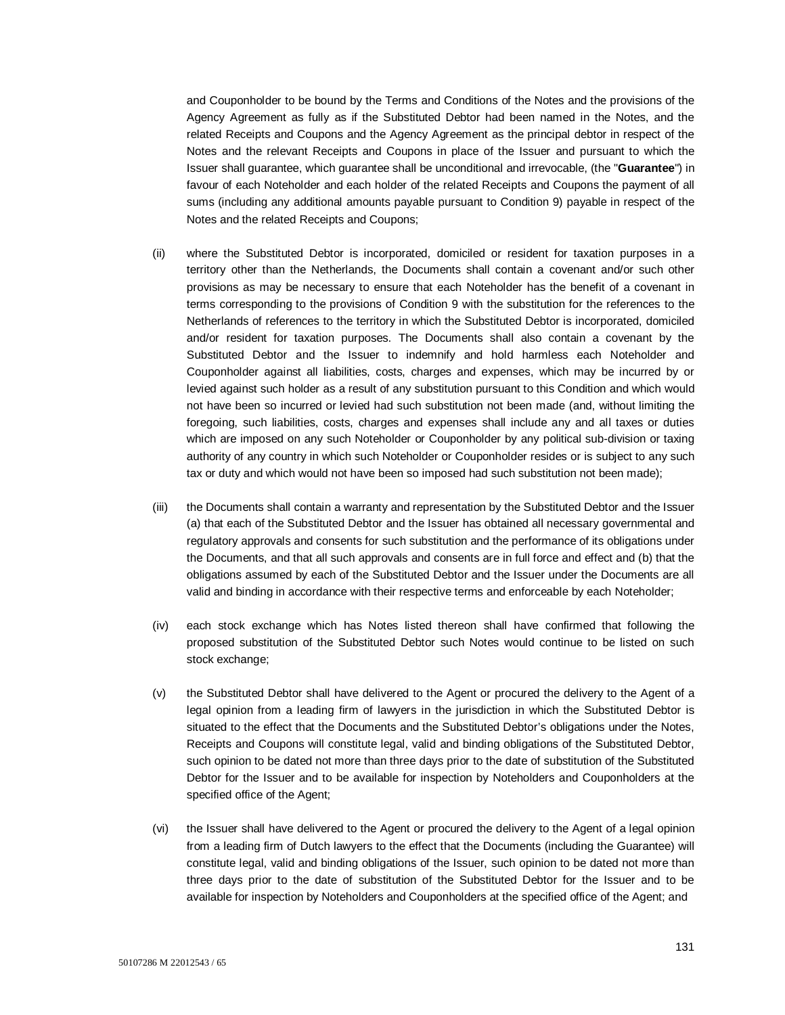and Couponholder to be bound by the Terms and Conditions of the Notes and the provisions of the Agency Agreement as fully as if the Substituted Debtor had been named in the Notes, and the related Receipts and Coupons and the Agency Agreement as the principal debtor in respect of the Notes and the relevant Receipts and Coupons in place of the Issuer and pursuant to which the Issuer shall guarantee, which guarantee shall be unconditional and irrevocable, (the "**Guarantee**") in favour of each Noteholder and each holder of the related Receipts and Coupons the payment of all sums (including any additional amounts payable pursuant to Condition 9) payable in respect of the Notes and the related Receipts and Coupons;

- (ii) where the Substituted Debtor is incorporated, domiciled or resident for taxation purposes in a territory other than the Netherlands, the Documents shall contain a covenant and/or such other provisions as may be necessary to ensure that each Noteholder has the benefit of a covenant in terms corresponding to the provisions of Condition 9 with the substitution for the references to the Netherlands of references to the territory in which the Substituted Debtor is incorporated, domiciled and/or resident for taxation purposes. The Documents shall also contain a covenant by the Substituted Debtor and the Issuer to indemnify and hold harmless each Noteholder and Couponholder against all liabilities, costs, charges and expenses, which may be incurred by or levied against such holder as a result of any substitution pursuant to this Condition and which would not have been so incurred or levied had such substitution not been made (and, without limiting the foregoing, such liabilities, costs, charges and expenses shall include any and all taxes or duties which are imposed on any such Noteholder or Couponholder by any political sub-division or taxing authority of any country in which such Noteholder or Couponholder resides or is subject to any such tax or duty and which would not have been so imposed had such substitution not been made);
- (iii) the Documents shall contain a warranty and representation by the Substituted Debtor and the Issuer (a) that each of the Substituted Debtor and the Issuer has obtained all necessary governmental and regulatory approvals and consents for such substitution and the performance of its obligations under the Documents, and that all such approvals and consents are in full force and effect and (b) that the obligations assumed by each of the Substituted Debtor and the Issuer under the Documents are all valid and binding in accordance with their respective terms and enforceable by each Noteholder;
- (iv) each stock exchange which has Notes listed thereon shall have confirmed that following the proposed substitution of the Substituted Debtor such Notes would continue to be listed on such stock exchange;
- (v) the Substituted Debtor shall have delivered to the Agent or procured the delivery to the Agent of a legal opinion from a leading firm of lawyers in the jurisdiction in which the Substituted Debtor is situated to the effect that the Documents and the Substituted Debtor's obligations under the Notes, Receipts and Coupons will constitute legal, valid and binding obligations of the Substituted Debtor, such opinion to be dated not more than three days prior to the date of substitution of the Substituted Debtor for the Issuer and to be available for inspection by Noteholders and Couponholders at the specified office of the Agent;
- (vi) the Issuer shall have delivered to the Agent or procured the delivery to the Agent of a legal opinion from a leading firm of Dutch lawyers to the effect that the Documents (including the Guarantee) will constitute legal, valid and binding obligations of the Issuer, such opinion to be dated not more than three days prior to the date of substitution of the Substituted Debtor for the Issuer and to be available for inspection by Noteholders and Couponholders at the specified office of the Agent; and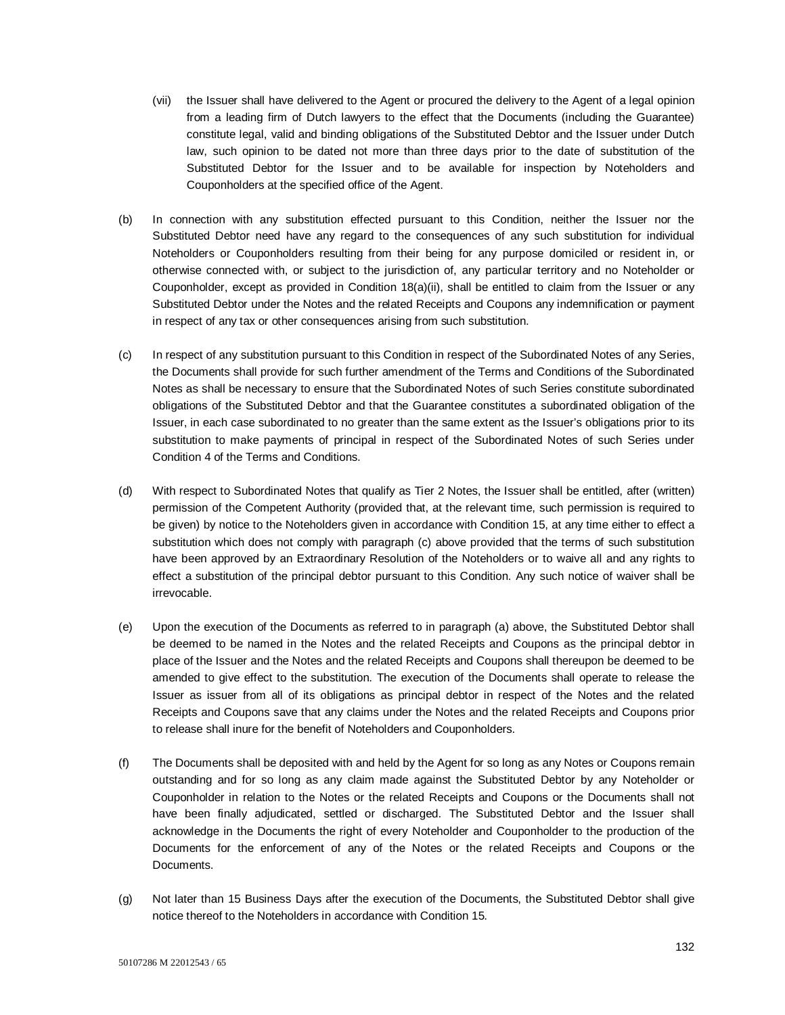- (vii) the Issuer shall have delivered to the Agent or procured the delivery to the Agent of a legal opinion from a leading firm of Dutch lawyers to the effect that the Documents (including the Guarantee) constitute legal, valid and binding obligations of the Substituted Debtor and the Issuer under Dutch law, such opinion to be dated not more than three days prior to the date of substitution of the Substituted Debtor for the Issuer and to be available for inspection by Noteholders and Couponholders at the specified office of the Agent.
- (b) In connection with any substitution effected pursuant to this Condition, neither the Issuer nor the Substituted Debtor need have any regard to the consequences of any such substitution for individual Noteholders or Couponholders resulting from their being for any purpose domiciled or resident in, or otherwise connected with, or subject to the jurisdiction of, any particular territory and no Noteholder or Couponholder, except as provided in Condition 18(a)(ii), shall be entitled to claim from the Issuer or any Substituted Debtor under the Notes and the related Receipts and Coupons any indemnification or payment in respect of any tax or other consequences arising from such substitution.
- (c) In respect of any substitution pursuant to this Condition in respect of the Subordinated Notes of any Series, the Documents shall provide for such further amendment of the Terms and Conditions of the Subordinated Notes as shall be necessary to ensure that the Subordinated Notes of such Series constitute subordinated obligations of the Substituted Debtor and that the Guarantee constitutes a subordinated obligation of the Issuer, in each case subordinated to no greater than the same extent as the Issuer's obligations prior to its substitution to make payments of principal in respect of the Subordinated Notes of such Series under Condition 4 of the Terms and Conditions.
- (d) With respect to Subordinated Notes that qualify as Tier 2 Notes, the Issuer shall be entitled, after (written) permission of the Competent Authority (provided that, at the relevant time, such permission is required to be given) by notice to the Noteholders given in accordance with Condition 15, at any time either to effect a substitution which does not comply with paragraph (c) above provided that the terms of such substitution have been approved by an Extraordinary Resolution of the Noteholders or to waive all and any rights to effect a substitution of the principal debtor pursuant to this Condition. Any such notice of waiver shall be irrevocable.
- (e) Upon the execution of the Documents as referred to in paragraph (a) above, the Substituted Debtor shall be deemed to be named in the Notes and the related Receipts and Coupons as the principal debtor in place of the Issuer and the Notes and the related Receipts and Coupons shall thereupon be deemed to be amended to give effect to the substitution. The execution of the Documents shall operate to release the Issuer as issuer from all of its obligations as principal debtor in respect of the Notes and the related Receipts and Coupons save that any claims under the Notes and the related Receipts and Coupons prior to release shall inure for the benefit of Noteholders and Couponholders.
- (f) The Documents shall be deposited with and held by the Agent for so long as any Notes or Coupons remain outstanding and for so long as any claim made against the Substituted Debtor by any Noteholder or Couponholder in relation to the Notes or the related Receipts and Coupons or the Documents shall not have been finally adjudicated, settled or discharged. The Substituted Debtor and the Issuer shall acknowledge in the Documents the right of every Noteholder and Couponholder to the production of the Documents for the enforcement of any of the Notes or the related Receipts and Coupons or the Documents.
- (g) Not later than 15 Business Days after the execution of the Documents, the Substituted Debtor shall give notice thereof to the Noteholders in accordance with Condition 15.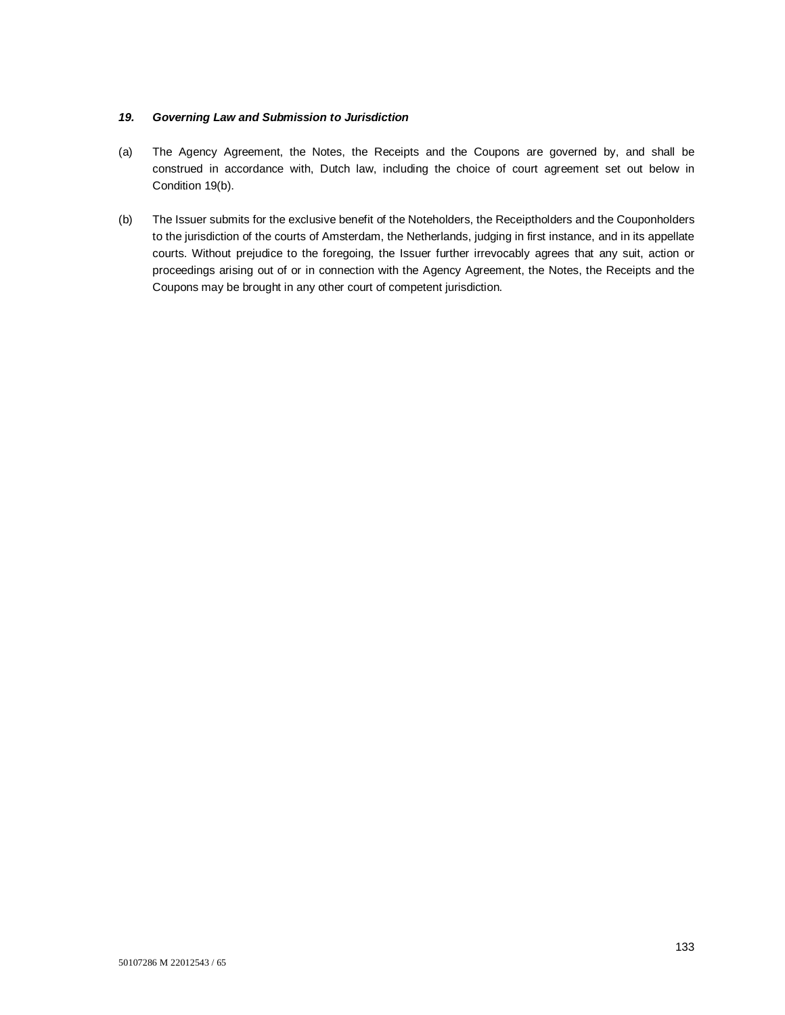## *19. Governing Law and Submission to Jurisdiction*

- (a) The Agency Agreement, the Notes, the Receipts and the Coupons are governed by, and shall be construed in accordance with, Dutch law, including the choice of court agreement set out below in Condition 19(b).
- (b) The Issuer submits for the exclusive benefit of the Noteholders, the Receiptholders and the Couponholders to the jurisdiction of the courts of Amsterdam, the Netherlands, judging in first instance, and in its appellate courts. Without prejudice to the foregoing, the Issuer further irrevocably agrees that any suit, action or proceedings arising out of or in connection with the Agency Agreement, the Notes, the Receipts and the Coupons may be brought in any other court of competent jurisdiction.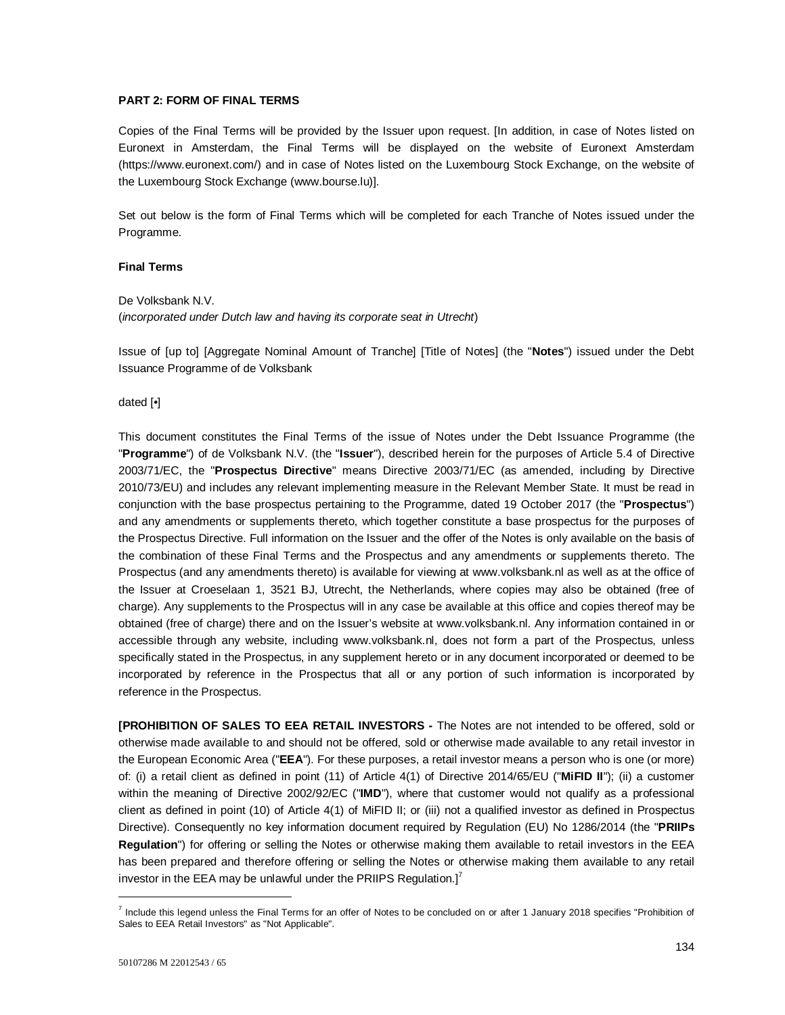## **PART 2: FORM OF FINAL TERMS**

Copies of the Final Terms will be provided by the Issuer upon request. [In addition, in case of Notes listed on Euronext in Amsterdam, the Final Terms will be displayed on the website of Euronext Amsterdam (https://www.euronext.com/) and in case of Notes listed on the Luxembourg Stock Exchange, on the website of the Luxembourg Stock Exchange (www.bourse.lu)].

Set out below is the form of Final Terms which will be completed for each Tranche of Notes issued under the Programme.

#### **Final Terms**

De Volksbank N.V. (*incorporated under Dutch law and having its corporate seat in Utrecht*)

Issue of [up to] [Aggregate Nominal Amount of Tranche] [Title of Notes] (the "**Notes**") issued under the Debt Issuance Programme of de Volksbank

dated [•]

This document constitutes the Final Terms of the issue of Notes under the Debt Issuance Programme (the "**Programme**") of de Volksbank N.V. (the "**Issuer**"), described herein for the purposes of Article 5.4 of Directive 2003/71/EC, the "**Prospectus Directive**" means Directive 2003/71/EC (as amended, including by Directive 2010/73/EU) and includes any relevant implementing measure in the Relevant Member State. It must be read in conjunction with the base prospectus pertaining to the Programme, dated 19 October 2017 (the "**Prospectus**") and any amendments or supplements thereto, which together constitute a base prospectus for the purposes of the Prospectus Directive. Full information on the Issuer and the offer of the Notes is only available on the basis of the combination of these Final Terms and the Prospectus and any amendments or supplements thereto. The Prospectus (and any amendments thereto) is available for viewing at www.volksbank.nl as well as at the office of the Issuer at Croeselaan 1, 3521 BJ, Utrecht, the Netherlands, where copies may also be obtained (free of charge). Any supplements to the Prospectus will in any case be available at this office and copies thereof may be obtained (free of charge) there and on the Issuer's website at www.volksbank.nl. Any information contained in or accessible through any website, including www.volksbank.nl, does not form a part of the Prospectus, unless specifically stated in the Prospectus, in any supplement hereto or in any document incorporated or deemed to be incorporated by reference in the Prospectus that all or any portion of such information is incorporated by reference in the Prospectus.

**[PROHIBITION OF SALES TO EEA RETAIL INVESTORS -** The Notes are not intended to be offered, sold or otherwise made available to and should not be offered, sold or otherwise made available to any retail investor in the European Economic Area ("**EEA**"). For these purposes, a retail investor means a person who is one (or more) of: (i) a retail client as defined in point (11) of Article 4(1) of Directive 2014/65/EU ("**MiFID II**"); (ii) a customer within the meaning of Directive 2002/92/EC ("**IMD**"), where that customer would not qualify as a professional client as defined in point (10) of Article 4(1) of MiFID II; or (iii) not a qualified investor as defined in Prospectus Directive). Consequently no key information document required by Regulation (EU) No 1286/2014 (the "**PRIIPs Regulation**") for offering or selling the Notes or otherwise making them available to retail investors in the EEA has been prepared and therefore offering or selling the Notes or otherwise making them available to any retail investor in the EEA may be unlawful under the PRIIPS Regulation. $I^7$ 

l

<sup>&</sup>lt;sup>7</sup> Include this legend unless the Final Terms for an offer of Notes to be concluded on or after 1 January 2018 specifies "Prohibition of Sales to EEA Retail Investors" as "Not Applicable".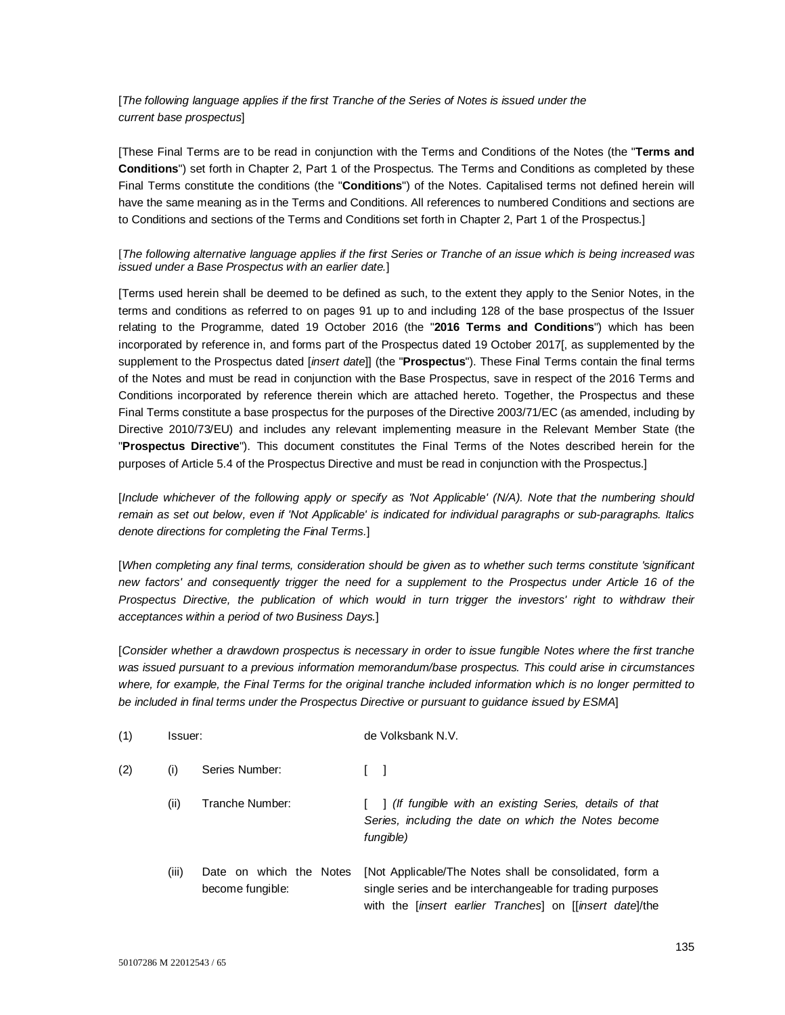# [*The following language applies if the first Tranche of the Series of Notes is issued under the current base prospectus*]

[These Final Terms are to be read in conjunction with the Terms and Conditions of the Notes (the "**Terms and Conditions**") set forth in Chapter 2, Part 1 of the Prospectus. The Terms and Conditions as completed by these Final Terms constitute the conditions (the "**Conditions**") of the Notes. Capitalised terms not defined herein will have the same meaning as in the Terms and Conditions. All references to numbered Conditions and sections are to Conditions and sections of the Terms and Conditions set forth in Chapter 2, Part 1 of the Prospectus.]

## [*The following alternative language applies if the first Series or Tranche of an issue which is being increased was issued under a Base Prospectus with an earlier date.*]

[Terms used herein shall be deemed to be defined as such, to the extent they apply to the Senior Notes, in the terms and conditions as referred to on pages 91 up to and including 128 of the base prospectus of the Issuer relating to the Programme, dated 19 October 2016 (the "**2016 Terms and Conditions**") which has been incorporated by reference in, and forms part of the Prospectus dated 19 October 2017[, as supplemented by the supplement to the Prospectus dated [*insert date*]] (the "**Prospectus**"). These Final Terms contain the final terms of the Notes and must be read in conjunction with the Base Prospectus, save in respect of the 2016 Terms and Conditions incorporated by reference therein which are attached hereto. Together, the Prospectus and these Final Terms constitute a base prospectus for the purposes of the Directive 2003/71/EC (as amended, including by Directive 2010/73/EU) and includes any relevant implementing measure in the Relevant Member State (the "**Prospectus Directive**"). This document constitutes the Final Terms of the Notes described herein for the purposes of Article 5.4 of the Prospectus Directive and must be read in conjunction with the Prospectus.]

[*Include whichever of the following apply or specify as 'Not Applicable' (N/A). Note that the numbering should remain as set out below, even if 'Not Applicable' is indicated for individual paragraphs or sub-paragraphs. Italics denote directions for completing the Final Terms.*]

[*When completing any final terms, consideration should be given as to whether such terms constitute 'significant new factors' and consequently trigger the need for a supplement to the Prospectus under Article 16 of the Prospectus Directive, the publication of which would in turn trigger the investors' right to withdraw their acceptances within a period of two Business Days.*]

[*Consider whether a drawdown prospectus is necessary in order to issue fungible Notes where the first tranche was issued pursuant to a previous information memorandum/base prospectus. This could arise in circumstances where, for example, the Final Terms for the original tranche included information which is no longer permitted to be included in final terms under the Prospectus Directive or pursuant to guidance issued by ESMA*]

| (1) | Issuer: |                                             | de Volksbank N.V.                                                                                                                                                                              |
|-----|---------|---------------------------------------------|------------------------------------------------------------------------------------------------------------------------------------------------------------------------------------------------|
| (2) | (i)     | Series Number:                              |                                                                                                                                                                                                |
|     | (ii)    | Tranche Number:                             | 1 (If fungible with an existing Series, details of that<br>Series, including the date on which the Notes become<br>fungible)                                                                   |
|     | (iii)   | Date on which the Notes<br>become fungible: | [Not Applicable/The Notes shall be consolidated, form a<br>single series and be interchangeable for trading purposes<br>with the <i>linsert earlier Tranches</i> on <i>[linsert date]</i> /the |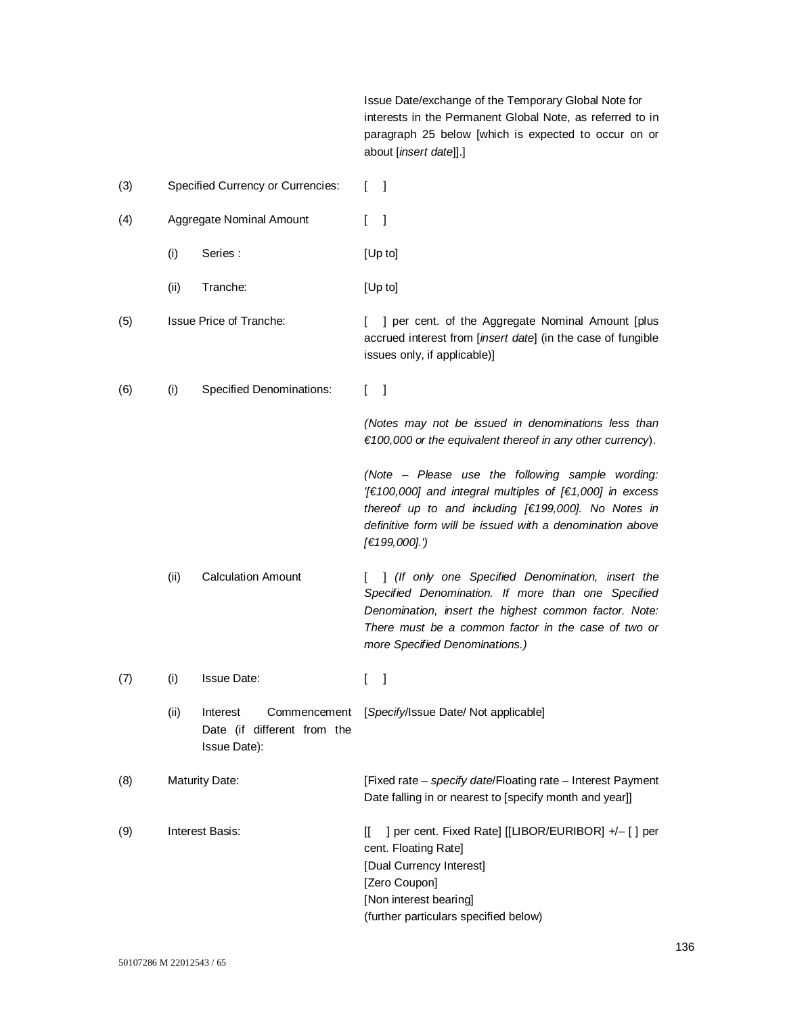Issue Date/exchange of the Temporary Global Note for interests in the Permanent Global Note, as referred to in paragraph 25 below [which is expected to occur on or about [*insert date*]].]

| (3) | <b>Specified Currency or Currencies:</b> |                                                                         | -1                                                                                                                                                                                                                                                        |
|-----|------------------------------------------|-------------------------------------------------------------------------|-----------------------------------------------------------------------------------------------------------------------------------------------------------------------------------------------------------------------------------------------------------|
| (4) |                                          | Aggregate Nominal Amount                                                | L<br>$\mathbf{I}$                                                                                                                                                                                                                                         |
|     | (i)                                      | Series:                                                                 | [Up to]                                                                                                                                                                                                                                                   |
|     | (ii)                                     | Tranche:                                                                | [Up to]                                                                                                                                                                                                                                                   |
| (5) |                                          | <b>Issue Price of Tranche:</b>                                          | ] per cent. of the Aggregate Nominal Amount [plus<br>L<br>accrued interest from [insert date] (in the case of fungible<br>issues only, if applicable)]                                                                                                    |
| (6) | (i)                                      | <b>Specified Denominations:</b>                                         | $\lceil$<br>L                                                                                                                                                                                                                                             |
|     |                                          |                                                                         | (Notes may not be issued in denominations less than<br>$f(100,000)$ or the equivalent thereof in any other currency).                                                                                                                                     |
|     |                                          |                                                                         | (Note - Please use the following sample wording:<br>[€100,000] and integral multiples of [€1,000] in excess<br>thereof up to and including [€199,000]. No Notes in<br>definitive form will be issued with a denomination above<br>[€199,000].')           |
|     | (ii)                                     | <b>Calculation Amount</b>                                               | ] (If only one Specified Denomination, insert the<br>Specified Denomination. If more than one Specified<br>Denomination, insert the highest common factor. Note:<br>There must be a common factor in the case of two or<br>more Specified Denominations.) |
| (7) | (i)                                      | <b>Issue Date:</b>                                                      | $\mathbf{I}$<br>L                                                                                                                                                                                                                                         |
|     | (ii)                                     | Interest<br>Commencement<br>Date (if different from the<br>Issue Date): | [Specify/Issue Date/ Not applicable]                                                                                                                                                                                                                      |
| (8) | <b>Maturity Date:</b>                    |                                                                         | [Fixed rate - specify date/Floating rate - Interest Payment<br>Date falling in or nearest to [specify month and year]]                                                                                                                                    |
| (9) | <b>Interest Basis:</b>                   |                                                                         | ] per cent. Fixed Rate] [[LIBOR/EURIBOR] +/- [] per<br>Ш.<br>cent. Floating Rate]<br>[Dual Currency Interest]<br>[Zero Coupon]<br>[Non interest bearing]<br>(further particulars specified below)                                                         |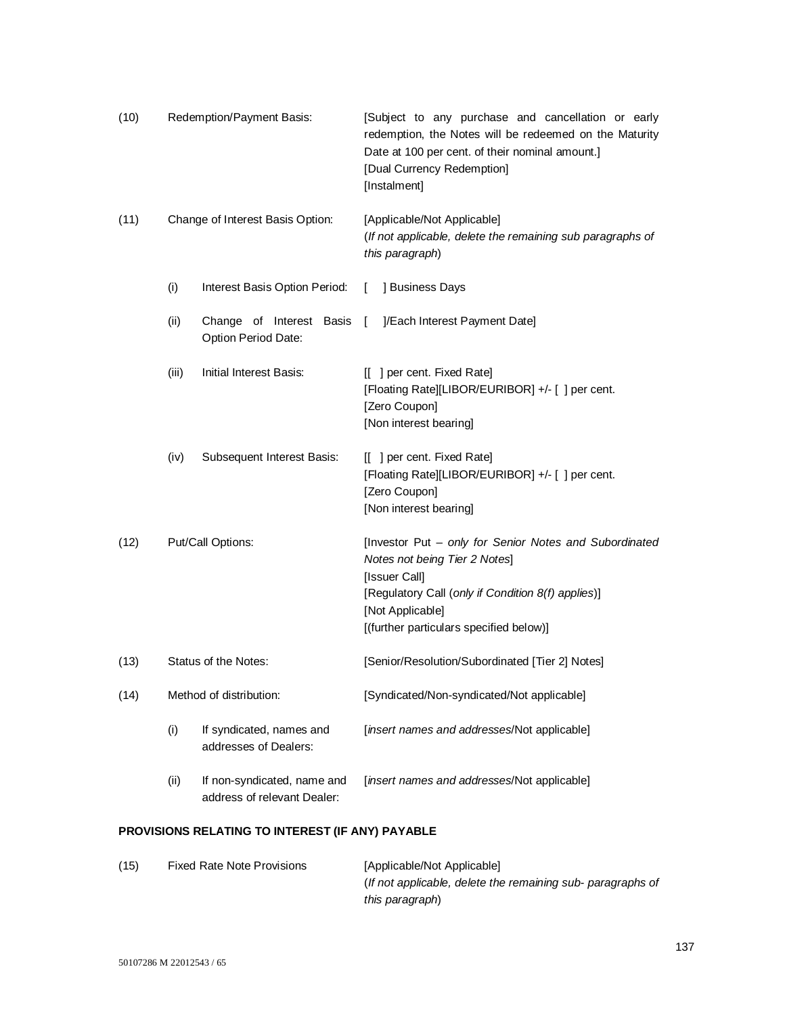| (10) | Redemption/Payment Basis: |                                                            |                | [Subject to any purchase and cancellation or early<br>redemption, the Notes will be redeemed on the Maturity<br>Date at 100 per cent. of their nominal amount.]<br>[Dual Currency Redemption]<br>[Instalment]                 |
|------|---------------------------|------------------------------------------------------------|----------------|-------------------------------------------------------------------------------------------------------------------------------------------------------------------------------------------------------------------------------|
| (11) |                           | Change of Interest Basis Option:                           |                | [Applicable/Not Applicable]<br>(If not applicable, delete the remaining sub paragraphs of<br>this paragraph)                                                                                                                  |
|      | (i)                       | Interest Basis Option Period:                              | $\mathbf{L}$   | ] Business Days                                                                                                                                                                                                               |
|      | (ii)                      | Change of Interest Basis<br>Option Period Date:            | $\overline{1}$ | ]/Each Interest Payment Date]                                                                                                                                                                                                 |
|      | (iii)                     | Initial Interest Basis:                                    |                | [[ ] per cent. Fixed Rate]<br>[Floating Rate][LIBOR/EURIBOR] +/- [ ] per cent.<br>[Zero Coupon]<br>[Non interest bearing]                                                                                                     |
|      | (iv)                      | Subsequent Interest Basis:                                 |                | [[ ] per cent. Fixed Rate]<br>[Floating Rate][LIBOR/EURIBOR] +/- [ ] per cent.<br>[Zero Coupon]<br>[Non interest bearing]                                                                                                     |
| (12) | Put/Call Options:         |                                                            |                | [Investor Put - only for Senior Notes and Subordinated<br>Notes not being Tier 2 Notes]<br>[Issuer Call]<br>[Regulatory Call (only if Condition 8(f) applies)]<br>[Not Applicable]<br>[(further particulars specified below)] |
| (13) | Status of the Notes:      |                                                            |                | [Senior/Resolution/Subordinated [Tier 2] Notes]                                                                                                                                                                               |
| (14) |                           | Method of distribution:                                    |                | [Syndicated/Non-syndicated/Not applicable]                                                                                                                                                                                    |
|      | (i)                       | If syndicated, names and<br>addresses of Dealers:          |                | [insert names and addresses/Not applicable]                                                                                                                                                                                   |
|      | (ii)                      | If non-syndicated, name and<br>address of relevant Dealer: |                | [insert names and addresses/Not applicable]                                                                                                                                                                                   |

# **PROVISIONS RELATING TO INTEREST (IF ANY) PAYABLE**

| (15) | <b>Fixed Rate Note Provisions</b> | [Applicable/Not Applicable]                                 |
|------|-----------------------------------|-------------------------------------------------------------|
|      |                                   | (If not applicable, delete the remaining sub- paragraphs of |
|      |                                   | this paragraph)                                             |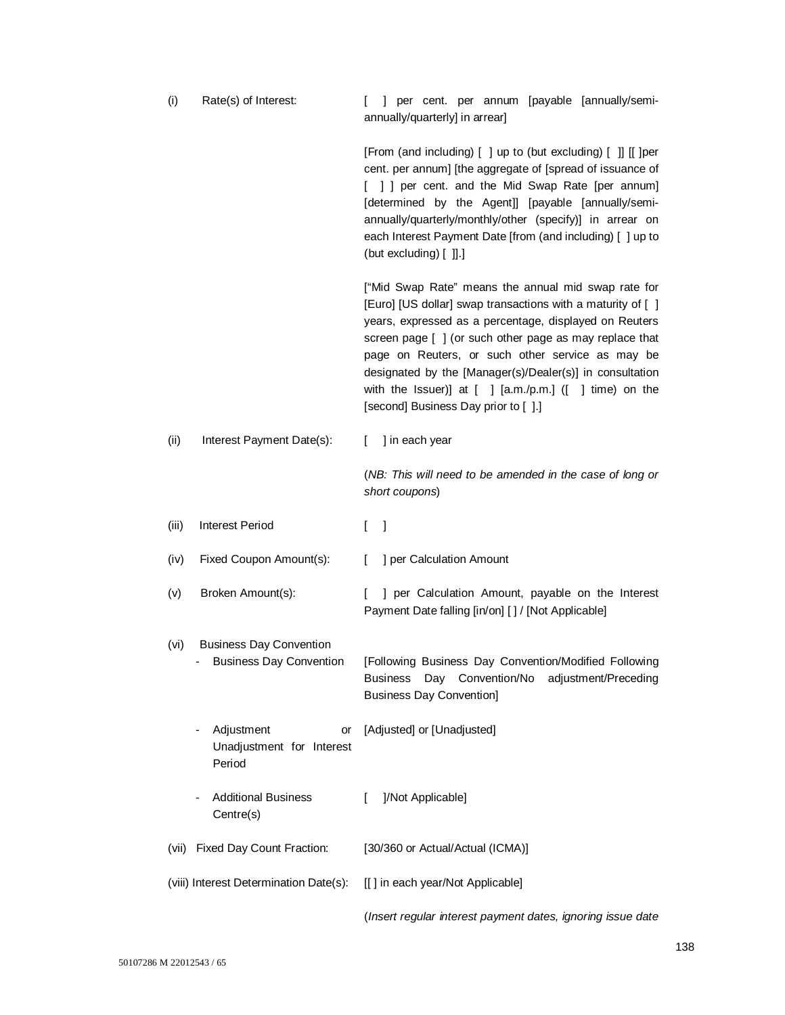| (i)                                    | Rate(s) of Interest:                                             | ] per cent. per annum [payable [annually/semi-<br>annually/quarterly] in arrear]                                                                                                                                                                                                                                                                                                                                                                              |
|----------------------------------------|------------------------------------------------------------------|---------------------------------------------------------------------------------------------------------------------------------------------------------------------------------------------------------------------------------------------------------------------------------------------------------------------------------------------------------------------------------------------------------------------------------------------------------------|
|                                        |                                                                  | [From (and including) [ ] up to (but excluding) [ ]] [[ ] per<br>cent. per annum] [the aggregate of [spread of issuance of<br>[ ] ] per cent. and the Mid Swap Rate [per annum]<br>[determined by the Agent]] [payable [annually/semi-<br>annually/quarterly/monthly/other (specify)] in arrear on<br>each Interest Payment Date [from (and including) [ ] up to<br>(but excluding) [ ]].]                                                                    |
|                                        |                                                                  | ["Mid Swap Rate" means the annual mid swap rate for<br>[Euro] [US dollar] swap transactions with a maturity of [ ]<br>years, expressed as a percentage, displayed on Reuters<br>screen page [ ] (or such other page as may replace that<br>page on Reuters, or such other service as may be<br>designated by the [Manager(s)/Dealer(s)] in consultation<br>with the Issuer)] at $[ ]$ [a.m./p.m.] ( $[ ]$ time) on the<br>[second] Business Day prior to [].] |
| (ii)                                   | Interest Payment Date(s):                                        | ] in each year<br>L                                                                                                                                                                                                                                                                                                                                                                                                                                           |
|                                        |                                                                  | (NB: This will need to be amended in the case of long or<br>short coupons)                                                                                                                                                                                                                                                                                                                                                                                    |
| (iii)                                  | <b>Interest Period</b>                                           | L<br>-1                                                                                                                                                                                                                                                                                                                                                                                                                                                       |
| (iv)                                   | Fixed Coupon Amount(s):                                          | ] per Calculation Amount<br>L                                                                                                                                                                                                                                                                                                                                                                                                                                 |
| (v)                                    | Broken Amount(s):                                                | ] per Calculation Amount, payable on the Interest<br>L<br>Payment Date falling [in/on] [] / [Not Applicable]                                                                                                                                                                                                                                                                                                                                                  |
| (vi)                                   | <b>Business Day Convention</b><br><b>Business Day Convention</b> | [Following Business Day Convention/Modified Following<br>Business Day Convention/No adjustment/Preceding<br><b>Business Day Convention]</b>                                                                                                                                                                                                                                                                                                                   |
|                                        | Adjustment<br>or<br>Unadjustment for Interest<br>Period          | [Adjusted] or [Unadjusted]                                                                                                                                                                                                                                                                                                                                                                                                                                    |
|                                        | <b>Additional Business</b><br>Centre(s)                          | ]/Not Applicable]<br>L                                                                                                                                                                                                                                                                                                                                                                                                                                        |
| (vii)                                  | Fixed Day Count Fraction:                                        | [30/360 or Actual/Actual (ICMA)]                                                                                                                                                                                                                                                                                                                                                                                                                              |
| (viii) Interest Determination Date(s): |                                                                  |                                                                                                                                                                                                                                                                                                                                                                                                                                                               |
|                                        |                                                                  | [[] in each year/Not Applicable]                                                                                                                                                                                                                                                                                                                                                                                                                              |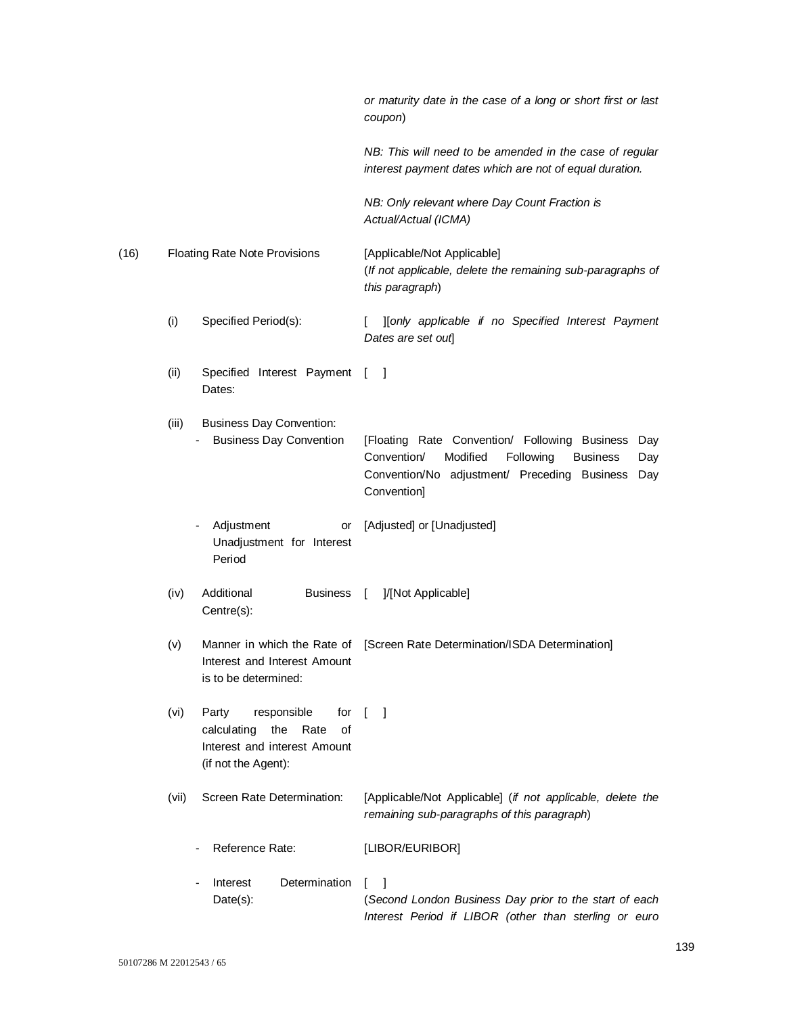|      |       |                                                                                                                        | or maturity date in the case of a long or short first or last<br>coupon)                                                                                                                     |
|------|-------|------------------------------------------------------------------------------------------------------------------------|----------------------------------------------------------------------------------------------------------------------------------------------------------------------------------------------|
|      |       |                                                                                                                        | NB: This will need to be amended in the case of regular<br>interest payment dates which are not of equal duration.                                                                           |
|      |       |                                                                                                                        | NB: Only relevant where Day Count Fraction is<br>Actual/Actual (ICMA)                                                                                                                        |
| (16) |       | <b>Floating Rate Note Provisions</b>                                                                                   | [Applicable/Not Applicable]<br>(If not applicable, delete the remaining sub-paragraphs of<br>this paragraph)                                                                                 |
|      | (i)   | Specified Period(s):                                                                                                   | ][only applicable if no Specified Interest Payment<br>Dates are set out                                                                                                                      |
|      | (ii)  | Specified Interest Payment [<br>Dates:                                                                                 | - 1                                                                                                                                                                                          |
|      | (iii) | <b>Business Day Convention:</b><br><b>Business Day Convention</b>                                                      | [Floating Rate Convention/ Following Business<br>Day<br>Modified<br>Following<br>Convention/<br><b>Business</b><br>Day<br>Convention/No adjustment/ Preceding Business<br>Day<br>Convention] |
|      |       | Adjustment<br>or<br>Unadjustment for Interest<br>Period                                                                | [Adjusted] or [Unadjusted]                                                                                                                                                                   |
|      | (iv)  | Additional<br><b>Business</b><br>Centre(s):                                                                            | ]/[Not Applicable]<br>$\sqrt{2}$                                                                                                                                                             |
|      | (v)   | Interest and Interest Amount<br>is to be determined:                                                                   | Manner in which the Rate of [Screen Rate Determination/ISDA Determination]                                                                                                                   |
|      | (vi)  | responsible<br>Party<br>for<br>the<br>calculating<br>Rate<br>οf<br>Interest and interest Amount<br>(if not the Agent): | T<br>- 1                                                                                                                                                                                     |
|      | (vii) | Screen Rate Determination:                                                                                             | [Applicable/Not Applicable] (if not applicable, delete the<br>remaining sub-paragraphs of this paragraph)                                                                                    |
|      |       | Reference Rate:                                                                                                        | [LIBOR/EURIBOR]                                                                                                                                                                              |
|      |       | Determination<br>Interest<br>Date(s):                                                                                  | -1<br>L<br>(Second London Business Day prior to the start of each<br>Interest Period if LIBOR (other than sterling or euro                                                                   |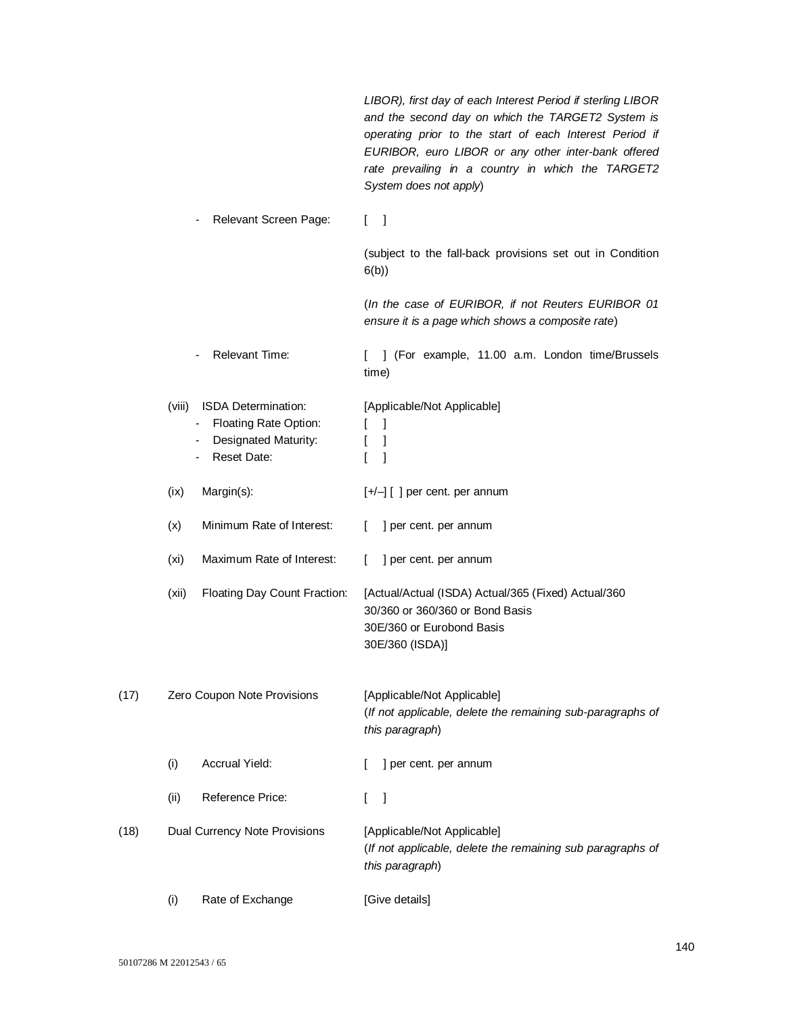|      |        |                                                                                                                                          | LIBOR), first day of each Interest Period if sterling LIBOR<br>and the second day on which the TARGET2 System is<br>operating prior to the start of each Interest Period if<br>EURIBOR, euro LIBOR or any other inter-bank offered<br>rate prevailing in a country in which the TARGET2<br>System does not apply) |
|------|--------|------------------------------------------------------------------------------------------------------------------------------------------|-------------------------------------------------------------------------------------------------------------------------------------------------------------------------------------------------------------------------------------------------------------------------------------------------------------------|
|      |        | Relevant Screen Page:                                                                                                                    | $\begin{bmatrix} 1 \end{bmatrix}$                                                                                                                                                                                                                                                                                 |
|      |        |                                                                                                                                          | (subject to the fall-back provisions set out in Condition<br>6(b)                                                                                                                                                                                                                                                 |
|      |        |                                                                                                                                          | (In the case of EURIBOR, if not Reuters EURIBOR 01<br>ensure it is a page which shows a composite rate)                                                                                                                                                                                                           |
|      |        | <b>Relevant Time:</b>                                                                                                                    | ] (For example, 11.00 a.m. London time/Brussels<br>L<br>time)                                                                                                                                                                                                                                                     |
|      | (viii) | <b>ISDA Determination:</b><br>Floating Rate Option:<br>$\qquad \qquad \blacksquare$<br><b>Designated Maturity:</b><br><b>Reset Date:</b> | [Applicable/Not Applicable]<br>-1<br>L<br>$\mathbf{I}$<br>L<br>L<br>1                                                                                                                                                                                                                                             |
|      | (ix)   | Margin(s):                                                                                                                               | $[+/+]$ [] per cent. per annum                                                                                                                                                                                                                                                                                    |
|      | (x)    | Minimum Rate of Interest:                                                                                                                | ] per cent. per annum<br>L                                                                                                                                                                                                                                                                                        |
|      | (xi)   | Maximum Rate of Interest:                                                                                                                | ] per cent. per annum<br>L                                                                                                                                                                                                                                                                                        |
|      | (xii)  | Floating Day Count Fraction:                                                                                                             | [Actual/Actual (ISDA) Actual/365 (Fixed) Actual/360<br>30/360 or 360/360 or Bond Basis<br>30E/360 or Eurobond Basis<br>30E/360 (ISDA)]                                                                                                                                                                            |
| (17) |        | Zero Coupon Note Provisions                                                                                                              | [Applicable/Not Applicable]<br>(If not applicable, delete the remaining sub-paragraphs of<br>this paragraph)                                                                                                                                                                                                      |
|      | (i)    | Accrual Yield:                                                                                                                           | ] per cent. per annum<br>L                                                                                                                                                                                                                                                                                        |
|      | (ii)   | Reference Price:                                                                                                                         | 1<br>L                                                                                                                                                                                                                                                                                                            |
| (18) |        | Dual Currency Note Provisions                                                                                                            | [Applicable/Not Applicable]<br>(If not applicable, delete the remaining sub paragraphs of<br>this paragraph)                                                                                                                                                                                                      |
|      | (i)    | Rate of Exchange                                                                                                                         | [Give details]                                                                                                                                                                                                                                                                                                    |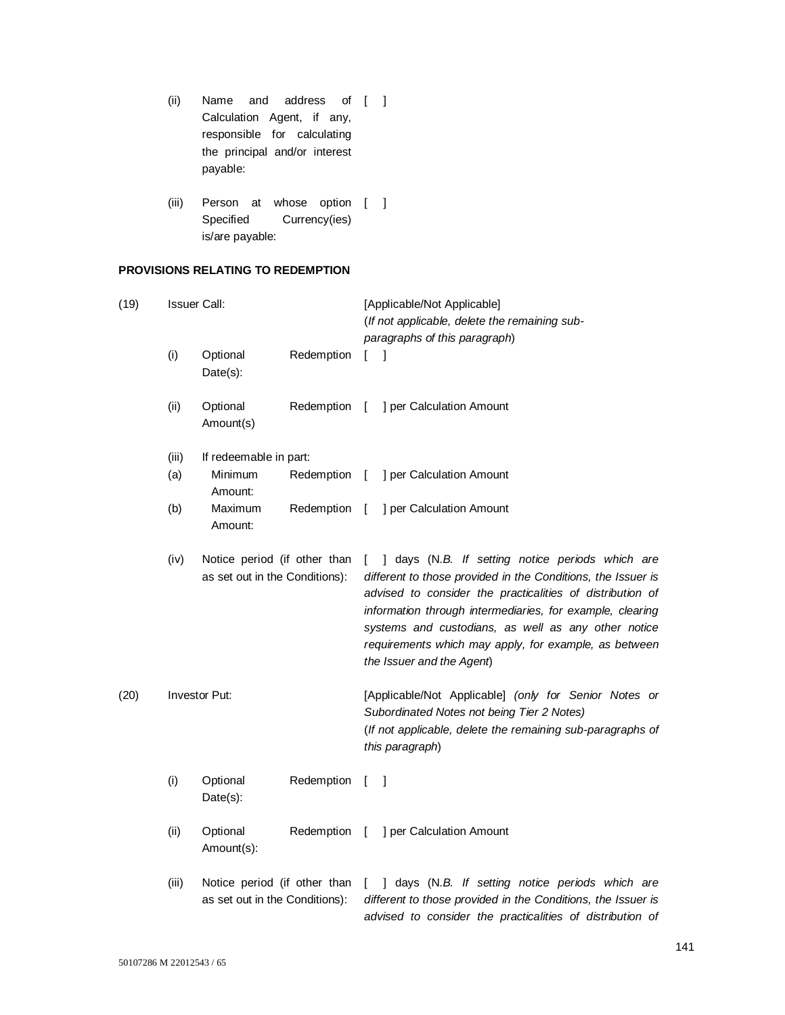- (ii) Name and address of [ ] Calculation Agent, if any, responsible for calculating the principal and/or interest payable:
- (iii) Person at whose option [ ] Specified Currency(ies) is/are payable:

# **PROVISIONS RELATING TO REDEMPTION**

| (19) |       | <b>Issuer Call:</b>                                            |            |              | [Applicable/Not Applicable]<br>(If not applicable, delete the remaining sub-<br>paragraphs of this paragraph)                                                                                                                                                                                                                                                                           |  |  |
|------|-------|----------------------------------------------------------------|------------|--------------|-----------------------------------------------------------------------------------------------------------------------------------------------------------------------------------------------------------------------------------------------------------------------------------------------------------------------------------------------------------------------------------------|--|--|
|      | (i)   | Optional<br>Date(s):                                           | Redemption | T            | -1                                                                                                                                                                                                                                                                                                                                                                                      |  |  |
|      | (ii)  | Optional<br>Amount(s)                                          | Redemption | $\lceil$     | ] per Calculation Amount                                                                                                                                                                                                                                                                                                                                                                |  |  |
|      | (iii) | If redeemable in part:                                         |            |              |                                                                                                                                                                                                                                                                                                                                                                                         |  |  |
|      | (a)   | Minimum<br>Amount:                                             | Redemption | $\lceil$     | ] per Calculation Amount                                                                                                                                                                                                                                                                                                                                                                |  |  |
|      | (b)   | Maximum<br>Amount:                                             | Redemption | T            | ] per Calculation Amount                                                                                                                                                                                                                                                                                                                                                                |  |  |
|      | (iv)  | Notice period (if other than<br>as set out in the Conditions): |            | L            | ] days (N.B. If setting notice periods which are<br>different to those provided in the Conditions, the Issuer is<br>advised to consider the practicalities of distribution of<br>information through intermediaries, for example, clearing<br>systems and custodians, as well as any other notice<br>requirements which may apply, for example, as between<br>the Issuer and the Agent) |  |  |
| (20) |       | <b>Investor Put:</b>                                           |            |              | [Applicable/Not Applicable] (only for Senior Notes or<br>Subordinated Notes not being Tier 2 Notes)<br>(If not applicable, delete the remaining sub-paragraphs of<br>this paragraph)                                                                                                                                                                                                    |  |  |
|      | (i)   | Optional<br>Date(s):                                           | Redemption | T            | 1                                                                                                                                                                                                                                                                                                                                                                                       |  |  |
|      | (ii)  | Optional<br>Amount(s):                                         | Redemption | Ι.           | ] per Calculation Amount                                                                                                                                                                                                                                                                                                                                                                |  |  |
|      | (iii) | Notice period (if other than<br>as set out in the Conditions): |            | $\mathbf{L}$ | ] days (N.B. If setting notice periods which are<br>different to those provided in the Conditions, the Issuer is<br>advised to consider the practicalities of distribution of                                                                                                                                                                                                           |  |  |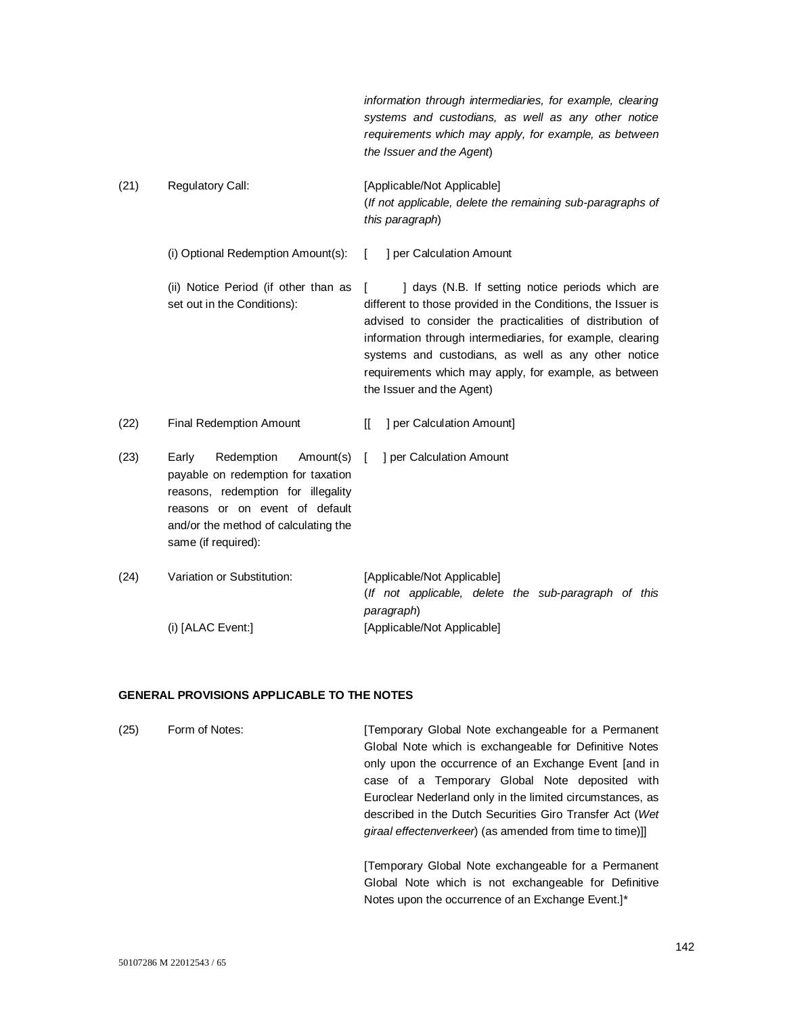*information through intermediaries, for example, clearing systems and custodians, as well as any other notice requirements which may apply, for example, as between the Issuer and the Agent*) (21) Regulatory Call: [Applicable/Not Applicable] (*If not applicable, delete the remaining sub-paragraphs of this paragraph*) (i) Optional Redemption Amount(s): [ ] per Calculation Amount (ii) Notice Period (if other than as [ set out in the Conditions): [ ] days (N.B. If setting notice periods which are different to those provided in the Conditions, the Issuer is advised to consider the practicalities of distribution of information through intermediaries, for example, clearing systems and custodians, as well as any other notice requirements which may apply, for example, as between the Issuer and the Agent) (22) Final Redemption Amount [[ ] per Calculation Amount] (23) Early Redemption payable on redemption for taxation reasons, redemption for illegality reasons or on event of default and/or the method of calculating the same (if required): Amount(s) [ ] per Calculation Amount (24) Variation or Substitution: [Applicable/Not Applicable] (*If not applicable, delete the sub-paragraph of this paragraph*)

**GENERAL PROVISIONS APPLICABLE TO THE NOTES**

(i) [ALAC Event:] [Applicable/Not Applicable]

| (25) | Form of Notes: | Temporary Global Note exchangeable for a Permanent<br>Global Note which is exchangeable for Definitive Notes<br>only upon the occurrence of an Exchange Event [and in<br>case of a Temporary Global Note deposited with<br>Euroclear Nederland only in the limited circumstances, as<br>described in the Dutch Securities Giro Transfer Act (Wet<br>giraal effectenverkeer) (as amended from time to time)]] |
|------|----------------|--------------------------------------------------------------------------------------------------------------------------------------------------------------------------------------------------------------------------------------------------------------------------------------------------------------------------------------------------------------------------------------------------------------|
|      |                | [Temporary Global Note exchangeable for a Permanent                                                                                                                                                                                                                                                                                                                                                          |

Global Note which is not exchangeable for Definitive Notes upon the occurrence of an Exchange Event.]\*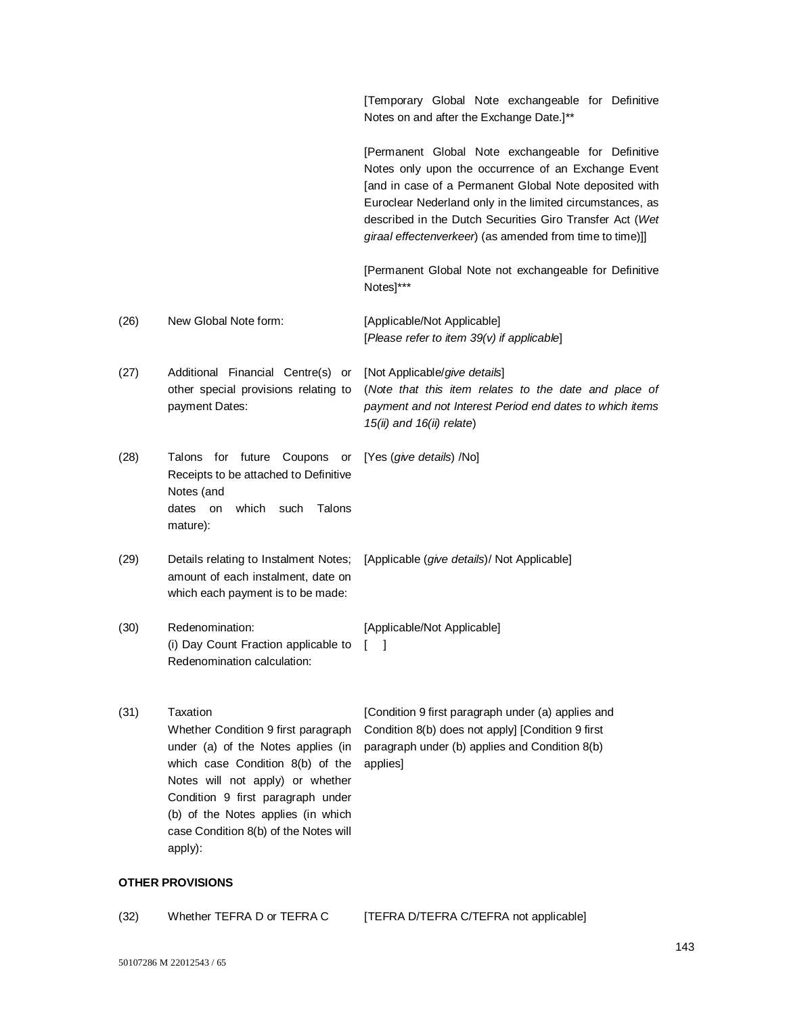[Temporary Global Note exchangeable for Definitive Notes on and after the Exchange Date.]\*\*

[Permanent Global Note exchangeable for Definitive Notes only upon the occurrence of an Exchange Event [and in case of a Permanent Global Note deposited with Euroclear Nederland only in the limited circumstances, as described in the Dutch Securities Giro Transfer Act (*Wet giraal effectenverkeer*) (as amended from time to time)]]

[Permanent Global Note not exchangeable for Definitive Notes]\*\*\*

- (26) New Global Note form: [Applicable/Not Applicable] [*Please refer to item 39(v) if applicable*]
- (27) Additional Financial Centre(s) or other special provisions relating to payment Dates: [Not Applicable/*give details*] (*Note that this item relates to the date and place of payment and not Interest Period end dates to which items 15(ii) and 16(ii) relate*)
- (28) Talons for future Coupons or [Yes (*give details*) /No] Receipts to be attached to Definitive Notes (and dates on which such Talons mature):
- (29) Details relating to Instalment Notes; [Applicable (*give details*)/ Not Applicable] amount of each instalment, date on which each payment is to be made:
- (30) Redenomination: [Applicable/Not Applicable] (i) Day Count Fraction applicable to Redenomination calculation:  $\lceil$  1
- (31) Taxation Whether Condition 9 first paragraph under (a) of the Notes applies (in which case Condition 8(b) of the Notes will not apply) or whether Condition 9 first paragraph under (b) of the Notes applies (in which case Condition 8(b) of the Notes will apply):

[Condition 9 first paragraph under (a) applies and Condition 8(b) does not apply] [Condition 9 first paragraph under (b) applies and Condition 8(b) applies]

## **OTHER PROVISIONS**

| (32) | Whether TEFRA D or TEFRA C | [TEFRA D/TEFRA C/TEFRA not applicable] |
|------|----------------------------|----------------------------------------|
|------|----------------------------|----------------------------------------|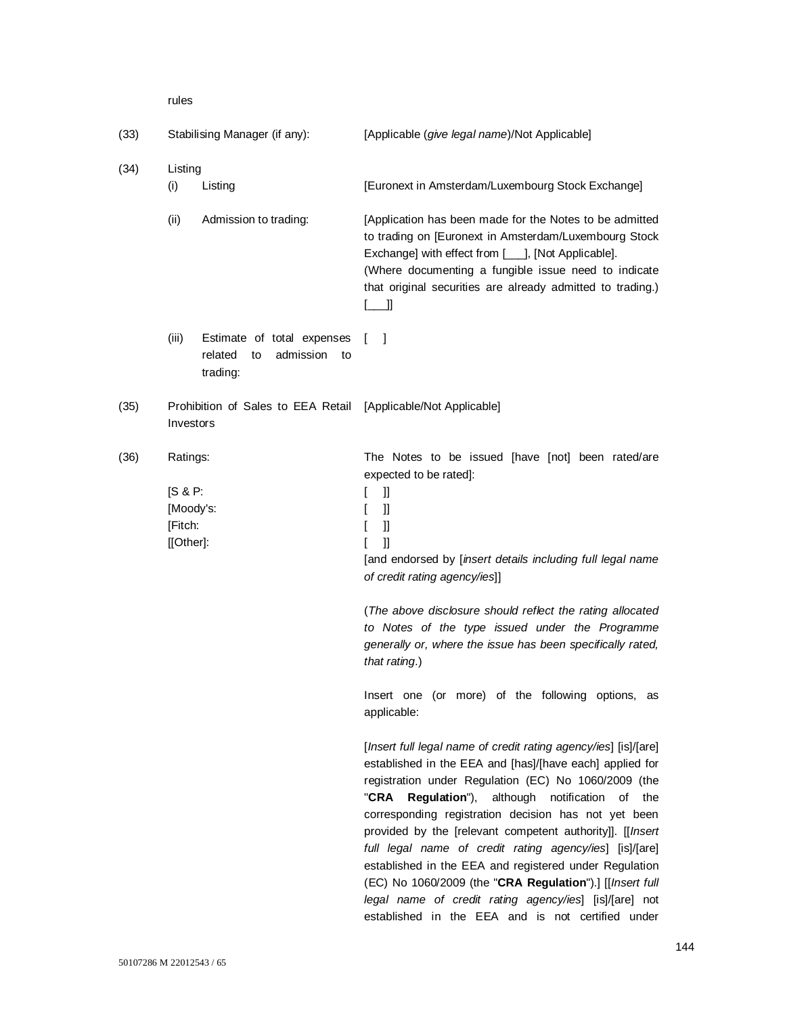rules

| (33) | Stabilising Manager (if any):                            |                                                                            | [Applicable (give legal name)/Not Applicable]                                                                                                                                                                                                                                                                                                                                                                                                                                                                                                                                                                                                                  |
|------|----------------------------------------------------------|----------------------------------------------------------------------------|----------------------------------------------------------------------------------------------------------------------------------------------------------------------------------------------------------------------------------------------------------------------------------------------------------------------------------------------------------------------------------------------------------------------------------------------------------------------------------------------------------------------------------------------------------------------------------------------------------------------------------------------------------------|
| (34) | Listing<br>(i)                                           | Listing                                                                    | [Euronext in Amsterdam/Luxembourg Stock Exchange]                                                                                                                                                                                                                                                                                                                                                                                                                                                                                                                                                                                                              |
|      | (ii)                                                     | Admission to trading:                                                      | [Application has been made for the Notes to be admitted<br>to trading on [Euronext in Amsterdam/Luxembourg Stock<br>Exchange] with effect from [___], [Not Applicable].<br>(Where documenting a fungible issue need to indicate<br>that original securities are already admitted to trading.)<br>$[\_$                                                                                                                                                                                                                                                                                                                                                         |
|      | (iii)                                                    | Estimate of total expenses<br>admission<br>related<br>to<br>to<br>trading: | L<br>-1                                                                                                                                                                                                                                                                                                                                                                                                                                                                                                                                                                                                                                                        |
| (35) | Investors                                                | Prohibition of Sales to EEA Retail                                         | [Applicable/Not Applicable]                                                                                                                                                                                                                                                                                                                                                                                                                                                                                                                                                                                                                                    |
| (36) | Ratings:<br>[S & P:<br>[Moody's:<br>[Fitch:<br>[[Other]: |                                                                            | The Notes to be issued [have [not] been rated/are<br>expected to be rated]:<br>$\mathbf{I}$<br>L<br>IJ<br>L<br>Ш<br>L<br>L<br>$\mathbf l$<br>[and endorsed by [insert details including full legal name<br>of credit rating agency/ies]]                                                                                                                                                                                                                                                                                                                                                                                                                       |
|      |                                                          |                                                                            | (The above disclosure should reflect the rating allocated<br>to Notes of the type issued under the Programme<br>generally or, where the issue has been specifically rated,<br>that rating.)                                                                                                                                                                                                                                                                                                                                                                                                                                                                    |
|      |                                                          |                                                                            | Insert one (or more) of the following options, as<br>applicable:                                                                                                                                                                                                                                                                                                                                                                                                                                                                                                                                                                                               |
|      |                                                          |                                                                            | [Insert full legal name of credit rating agency/ies] [is]/[are]<br>established in the EEA and [has]/[have each] applied for<br>registration under Regulation (EC) No 1060/2009 (the<br>"CRA<br>Regulation"), although notification of the<br>corresponding registration decision has not yet been<br>provided by the [relevant competent authority]]. [[Insert<br>full legal name of credit rating agency/ies] [is]/[are]<br>established in the EEA and registered under Regulation<br>(EC) No 1060/2009 (the "CRA Regulation").] [[Insert full<br>legal name of credit rating agency/ies] [is]/[are] not<br>established in the EEA and is not certified under |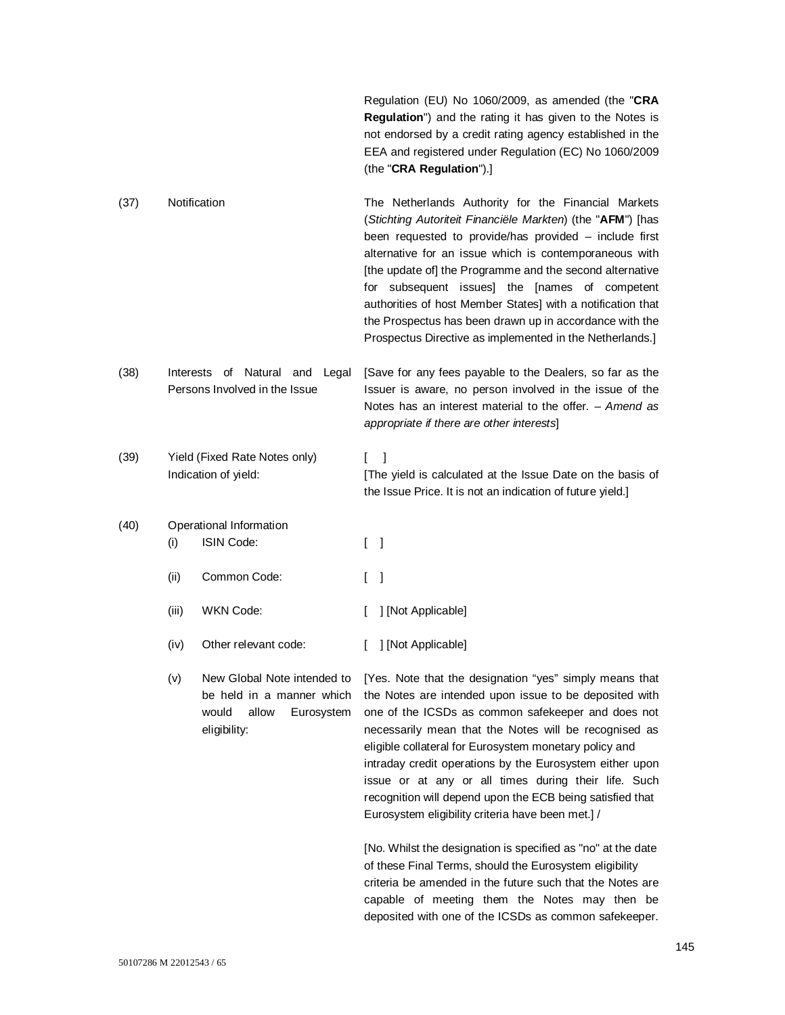Regulation (EU) No 1060/2009, as amended (the "**CRA Regulation**") and the rating it has given to the Notes is not endorsed by a credit rating agency established in the EEA and registered under Regulation (EC) No 1060/2009 (the "**CRA Regulation**").]

- (37) Notification The Netherlands Authority for the Financial Markets (*Stichting Autoriteit Financiële Markten*) (the "**AFM**") [has been requested to provide/has provided – include first alternative for an issue which is contemporaneous with [the update of] the Programme and the second alternative for subsequent issues] the [names of competent authorities of host Member States] with a notification that the Prospectus has been drawn up in accordance with the Prospectus Directive as implemented in the Netherlands.]
- (38) Interests of Natural and Legal Persons Involved in the Issue [Save for any fees payable to the Dealers, so far as the Issuer is aware, no person involved in the issue of the Notes has an interest material to the offer. – *Amend as appropriate if there are other interests*]
- (39) Yield (Fixed Rate Notes only) Indication of yield:  $\begin{bmatrix} 1 \end{bmatrix}$ [The yield is calculated at the Issue Date on the basis of the Issue Price. It is not an indication of future yield.]

# (40) Operational Information (i) ISIN Code: [ ] (ii) Common Code: [ ] (iii) WKN Code: [ ] [Not Applicable]

- (iv) Other relevant code: [ ] [Not Applicable]
- (v) New Global Note intended to be held in a manner which would allow Eurosystem eligibility:

[Yes. Note that the designation "yes" simply means that the Notes are intended upon issue to be deposited with one of the ICSDs as common safekeeper and does not necessarily mean that the Notes will be recognised as eligible collateral for Eurosystem monetary policy and intraday credit operations by the Eurosystem either upon issue or at any or all times during their life. Such recognition will depend upon the ECB being satisfied that Eurosystem eligibility criteria have been met.] /

[No. Whilst the designation is specified as "no" at the date of these Final Terms, should the Eurosystem eligibility criteria be amended in the future such that the Notes are capable of meeting them the Notes may then be deposited with one of the ICSDs as common safekeeper.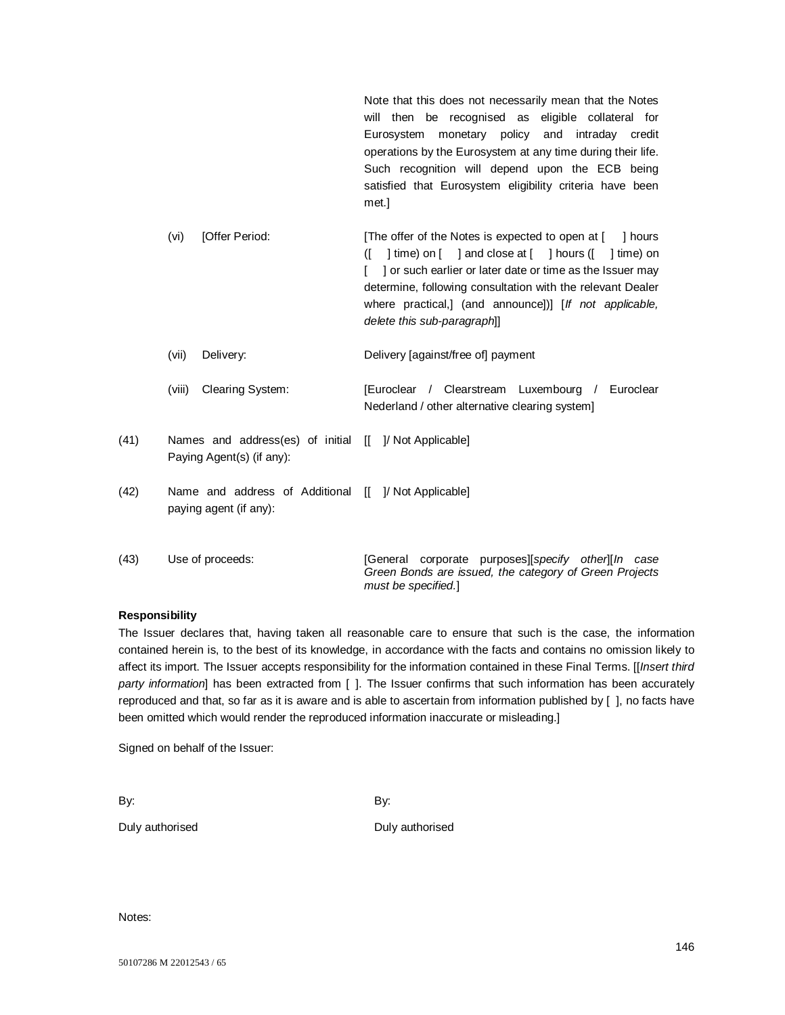Note that this does not necessarily mean that the Notes will then be recognised as eligible collateral for Eurosystem monetary policy and intraday credit operations by the Eurosystem at any time during their life. Such recognition will depend upon the ECB being satisfied that Eurosystem eligibility criteria have been met.]

- (vi) [Offer Period: [The offer of the Notes is expected to open at [ ] hours  $(I \mid \text{time})$  on  $[I \mid \text{and close at } [ \mid \text{hours } (I \mid \text{time})$  on [ ] or such earlier or later date or time as the Issuer may determine, following consultation with the relevant Dealer where practical,] (and announce])] [*If not applicable, delete this sub-paragraph*]] (vii) Delivery: Delivery [against/free of] payment
- (viii) Clearing System: [Euroclear / Clearstream Luxembourg / Euroclear Nederland / other alternative clearing system]
- (41) Names and address(es) of initial [[ ]/ Not Applicable] Paying Agent(s) (if any):
- (42) Name and address of Additional [[ ]/ Not Applicable] paying agent (if any):
- (43) Use of proceeds: [General corporate purposes][*specify other*][*In case Green Bonds are issued, the category of Green Projects must be specified.*]

# **Responsibility**

The Issuer declares that, having taken all reasonable care to ensure that such is the case, the information contained herein is, to the best of its knowledge, in accordance with the facts and contains no omission likely to affect its import. The Issuer accepts responsibility for the information contained in these Final Terms. [[*Insert third party information*] has been extracted from [ ]. The Issuer confirms that such information has been accurately reproduced and that, so far as it is aware and is able to ascertain from information published by [ ], no facts have been omitted which would render the reproduced information inaccurate or misleading.]

Signed on behalf of the Issuer:

By: By:

Duly authorised Duly authorised

Notes: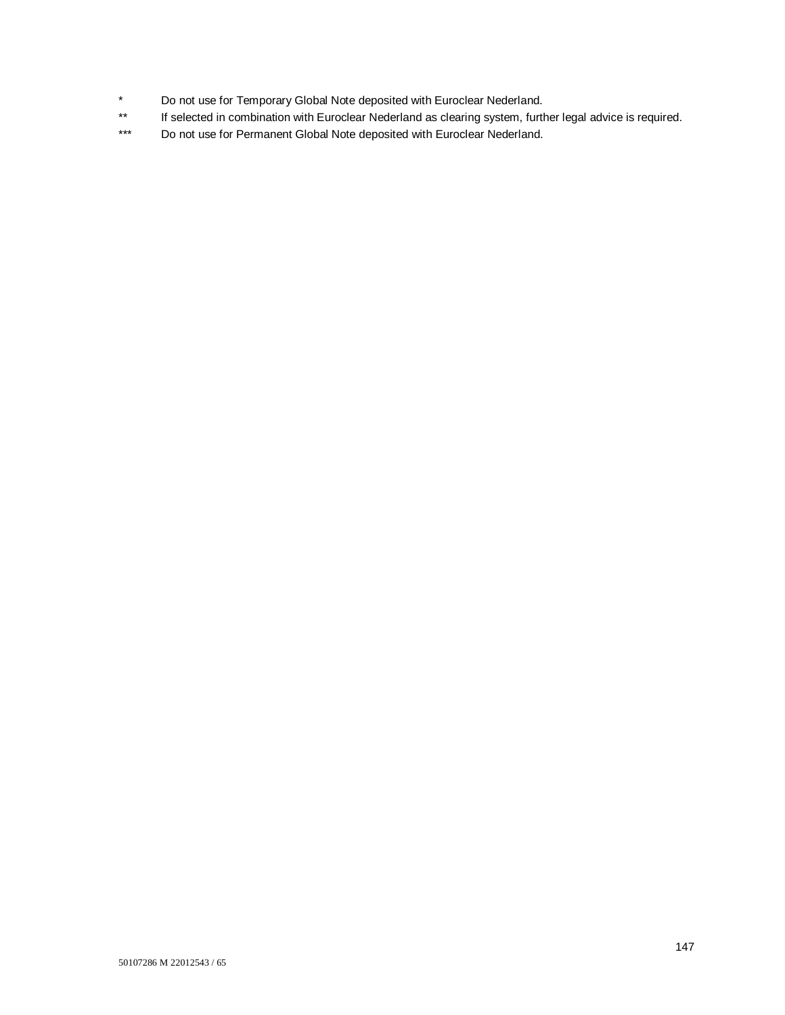- \* Do not use for Temporary Global Note deposited with Euroclear Nederland.<br>\*\* If selected in combination with Euroclear Nederland as clearing system furth
- If selected in combination with Euroclear Nederland as clearing system, further legal advice is required.
- \*\*\* Do not use for Permanent Global Note deposited with Euroclear Nederland.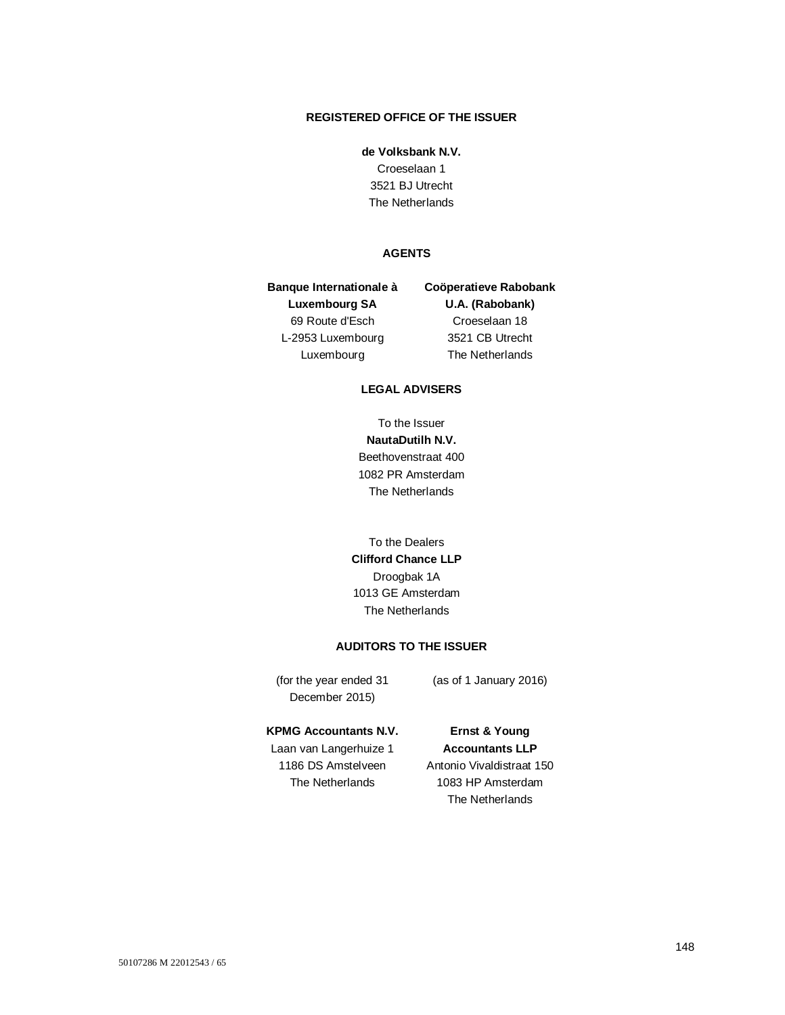# **REGISTERED OFFICE OF THE ISSUER**

#### **de Volksbank N.V.**

Croeselaan 1 3521 BJ Utrecht The Netherlands

# **AGENTS**

**Banque Internationale à Luxembourg SA** 69 Route d'Esch L-2953 Luxembourg Luxembourg **Coöperatieve Rabobank** 

**U.A. (Rabobank)** Croeselaan 18 3521 CB Utrecht The Netherlands

# **LEGAL ADVISERS**

To the Issuer **NautaDutilh N.V.** Beethovenstraat 400 1082 PR Amsterdam The Netherlands

To the Dealers **Clifford Chance LLP** Droogbak 1A 1013 GE Amsterdam The Netherlands

### **AUDITORS TO THE ISSUER**

(for the year ended 31 December 2015)

(as of 1 January 2016)

#### **KPMG Accountants N.V.**

Laan van Langerhuize 1 1186 DS Amstelveen The Netherlands

**Ernst & Young Accountants LLP** Antonio Vivaldistraat 150 1083 HP Amsterdam The Netherlands